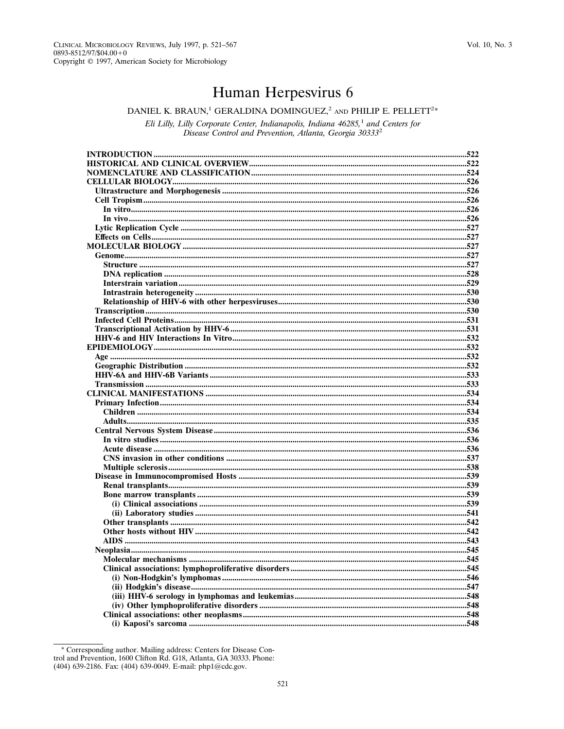# Human Herpesvirus 6

DANIEL K. BRAUN,<sup>1</sup> GERALDINA DOMINGUEZ,<sup>2</sup> AND PHILIP E. PELLETT<sup>2\*</sup>

Eli Lilly, Lilly Corporate Center, Indianapolis, Indiana  $46285$ ,<sup>1</sup> and Centers for Disease Control and Prevention, Atlanta, Georgia  $30333^2$ 

<sup>\*</sup> Corresponding author. Mailing address: Centers for Disease Control and Prevention, 1600 Clifton Rd. G18, Atlanta, GA 30333. Phone: (404) 639-2186. Fax: (404) 639-0049. E-mail: php1@cdc.gov.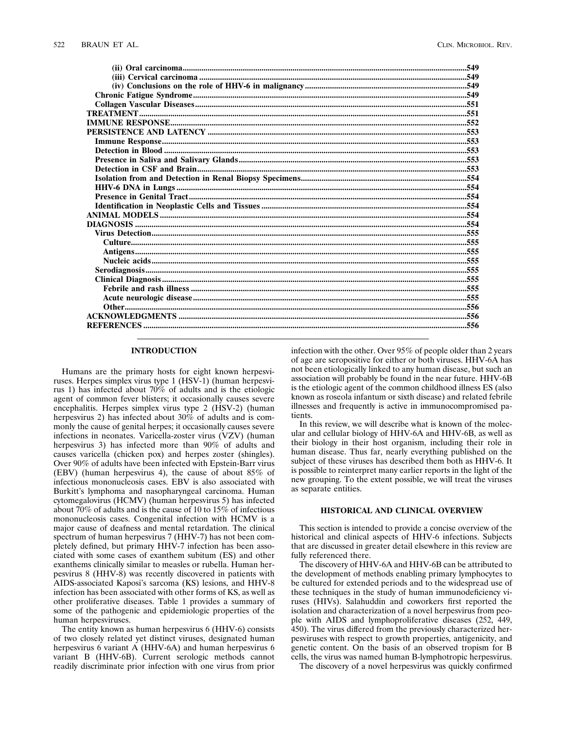# **INTRODUCTION**

Humans are the primary hosts for eight known herpesviruses. Herpes simplex virus type 1 (HSV-1) (human herpesvirus 1) has infected about 70% of adults and is the etiologic agent of common fever blisters; it occasionally causes severe encephalitis. Herpes simplex virus type 2 (HSV-2) (human herpesvirus 2) has infected about 30% of adults and is commonly the cause of genital herpes; it occasionally causes severe infections in neonates. Varicella-zoster virus (VZV) (human herpesvirus 3) has infected more than 90% of adults and causes varicella (chicken pox) and herpes zoster (shingles). Over 90% of adults have been infected with Epstein-Barr virus (EBV) (human herpesvirus 4), the cause of about 85% of infectious mononucleosis cases. EBV is also associated with Burkitt's lymphoma and nasopharyngeal carcinoma. Human cytomegalovirus (HCMV) (human herpesvirus 5) has infected about 70% of adults and is the cause of 10 to 15% of infectious mononucleosis cases. Congenital infection with HCMV is a major cause of deafness and mental retardation. The clinical spectrum of human herpesvirus 7 (HHV-7) has not been completely defined, but primary HHV-7 infection has been associated with some cases of exanthem subitum (ES) and other exanthems clinically similar to measles or rubella. Human herpesvirus 8 (HHV-8) was recently discovered in patients with AIDS-associated Kaposi's sarcoma (KS) lesions, and HHV-8 infection has been associated with other forms of KS, as well as other proliferative diseases. Table 1 provides a summary of some of the pathogenic and epidemiologic properties of the human herpesviruses.

The entity known as human herpesvirus 6 (HHV-6) consists of two closely related yet distinct viruses, designated human herpesvirus 6 variant A (HHV-6A) and human herpesvirus 6 variant B (HHV-6B). Current serologic methods cannot readily discriminate prior infection with one virus from prior infection with the other. Over 95% of people older than 2 years of age are seropositive for either or both viruses. HHV-6A has not been etiologically linked to any human disease, but such an association will probably be found in the near future. HHV-6B is the etiologic agent of the common childhood illness ES (also known as roseola infantum or sixth disease) and related febrile illnesses and frequently is active in immunocompromised patients.

In this review, we will describe what is known of the molecular and cellular biology of HHV-6A and HHV-6B, as well as their biology in their host organism, including their role in human disease. Thus far, nearly everything published on the subject of these viruses has described them both as HHV-6. It is possible to reinterpret many earlier reports in the light of the new grouping. To the extent possible, we will treat the viruses as separate entities.

# **HISTORICAL AND CLINICAL OVERVIEW**

This section is intended to provide a concise overview of the historical and clinical aspects of HHV-6 infections. Subjects that are discussed in greater detail elsewhere in this review are fully referenced there.

The discovery of HHV-6A and HHV-6B can be attributed to the development of methods enabling primary lymphocytes to be cultured for extended periods and to the widespread use of these techniques in the study of human immunodeficiency viruses (HIVs). Salahuddin and coworkers first reported the isolation and characterization of a novel herpesvirus from people with AIDS and lymphoproliferative diseases (252, 449, 450). The virus differed from the previously characterized herpesviruses with respect to growth properties, antigenicity, and genetic content. On the basis of an observed tropism for B cells, the virus was named human B-lymphotropic herpesvirus.

The discovery of a novel herpesvirus was quickly confirmed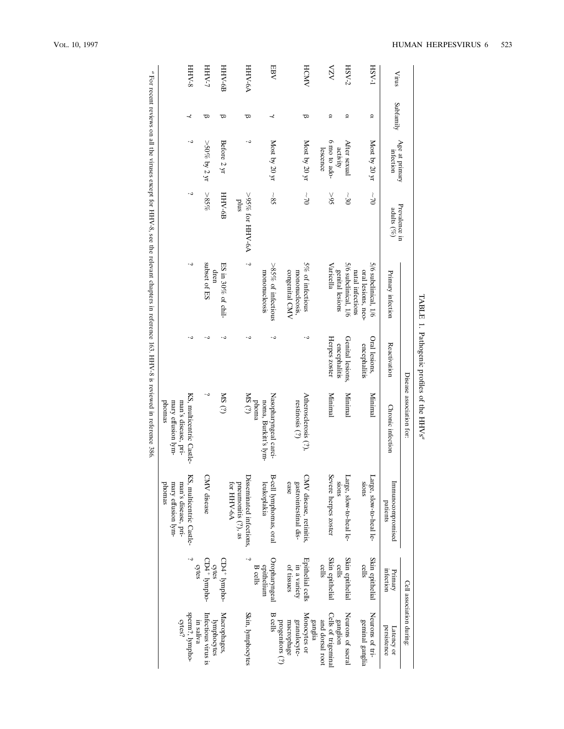|                           |                          | phomas                                        | phomas                   |                  |                       |                   |                |           |              |
|---------------------------|--------------------------|-----------------------------------------------|--------------------------|------------------|-----------------------|-------------------|----------------|-----------|--------------|
|                           |                          |                                               |                          |                  |                       |                   |                |           |              |
|                           |                          | mary effusion lym-                            | mary effusion lym-       |                  |                       |                   |                |           |              |
|                           |                          | man's disease, pri-                           | man's disease, pri-      |                  |                       |                   |                |           |              |
| sperm?, lympho-<br>cytes? |                          | KS, multicentric Castle-                      | KS, multicentric Castle- |                  | Į.                    | ن.                | Į.             | ب         | HHV-8        |
| m salrva                  | cytes                    |                                               |                          |                  |                       |                   |                |           |              |
| Infectious virus is       | CD4+ lympho-             | CMV disease                                   | د.                       |                  | subset of ES          | $>85\%$           | >50% by 2 yr   | ರಾ        | FHY-7        |
| lymphocytes               | cytes                    |                                               |                          |                  | dren                  |                   |                |           |              |
| Macrophages,              | CD4 <sup>+</sup> lympho- |                                               | (S(3)                    |                  | ES in 30% of chil-    | HHV-6B            | Before 2 yr    | ರಾ        | HHV-6B       |
|                           |                          | pneumonitis $\binom{?}{?}$ , as<br>A0-VHH 103 |                          |                  |                       | sn <sub>Id</sub>  |                |           |              |
| Skin, lymphocytes         | د.                       | Disseminated infections,                      | $\Omega$ SN              | د                | د.                    | A6-VHH ror HHV-6A | Č              | ರಾ        | V9-AHH       |
|                           | <b>B</b> cells           |                                               | phoma                    |                  |                       |                   |                |           |              |
|                           | epithelium               | leukoplakia                                   | noma, Burkitt's lym-     |                  | mononucleosis         |                   |                |           |              |
| <b>B</b> cells            | Oropharyngeal            | B-cell lymphomas, oral                        | Nasopharyngeal carci-    |                  | $>85\%$ of infectious | $-85$             | Most by 20 yr  | ب         | <b>EBV</b>   |
| progenitors (?)           |                          |                                               |                          |                  |                       |                   |                |           |              |
| macrophage                | of tissues               | ease                                          |                          |                  | congenital CMV        |                   |                |           |              |
| granulocyte-              | in a variety             | gastrointestinal dis-                         | restinosis $(?)$         |                  | mononucleosis,        |                   |                |           |              |
| Monocytes or<br>ganglia   | Epithelial cells         | CMV disease, retinitis,                       | Atherosclerosis (?),     | Į.               | 5% of infectious      | $0L \sim$         | Most by 20 yr  | ರಾ        | <b>HCMV</b>  |
| and dorsal root           | $\text{cells}$           |                                               |                          |                  |                       |                   | lescence       |           |              |
| Cells of trigeminal       | Skin epithelial          | Severe herpes zoster                          | Minimal                  | Herpes zoster    | Varicella             | 565               | 6 mo to ado-   | 2         | ΛZΛ          |
| ganglion                  |                          | suors                                         |                          | encephalitis     | genital lesions       |                   | activity       |           |              |
| Neurons of sacral         | Skin epithelial          | Large, slow-to-heal le-                       | Minimal                  | Genital lesions, | 5/6 subclinical, 1/6  | $-30$             | After sexual   | 2         | HSV-2        |
|                           |                          |                                               |                          |                  | natal infections      |                   |                |           |              |
| geminal ganglia           | cells                    | suors                                         |                          | encephalitis     | oral lesions, neo-    |                   |                |           |              |
| Neurons of tri-           | Skin epithelial          | Large, slow-to-heal le-                       | Minimal                  | Oral lesions     | 5/6 subclinical, 1/6  | $0L \sim$         | Most by 20 yr  | 2         | <b>HSV-1</b> |
| persistence<br>Latency or | infection<br>Primary     | Immunocompromised<br>patients                 | Chronic infection        | Reactivation     | Primary infection     | adults $(\%)$     | infection      | Subfamily | Virus        |
|                           |                          |                                               |                          |                  |                       | Prevalence in     | Age at primary |           |              |
| Cell association during:  |                          |                                               | Disease association for: |                  |                       |                   |                |           |              |
|                           |                          |                                               |                          |                  |                       |                   |                |           |              |

*a* For recent reviews on all the viruses except for HHV-8, see the relevant chaptersin. reference 163. HHV-8 is reviewedin. reference386.

TABLE 1.

Pathogenic

profiles of

the

HHVs*a*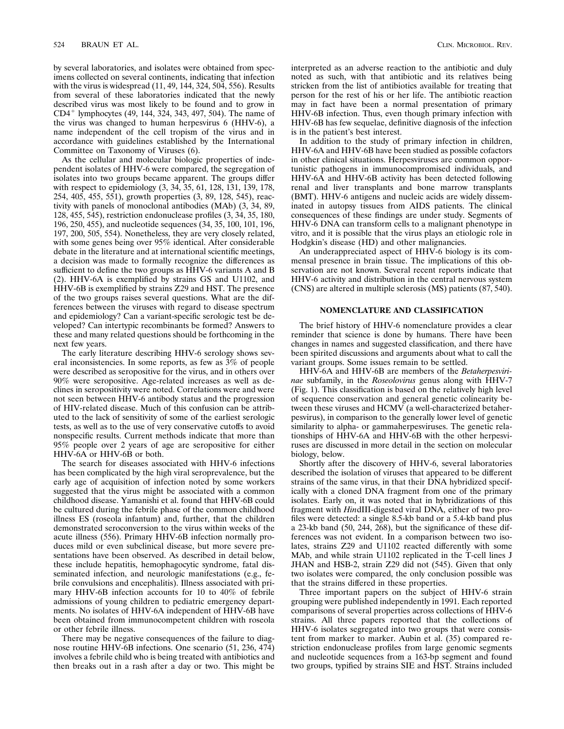by several laboratories, and isolates were obtained from specimens collected on several continents, indicating that infection with the virus is widespread (11, 49, 144, 324, 504, 556). Results from several of these laboratories indicated that the newly described virus was most likely to be found and to grow in  $CD4<sup>+</sup>$  lymphocytes (49, 144, 324, 343, 497, 504). The name of the virus was changed to human herpesvirus 6 (HHV-6), a name independent of the cell tropism of the virus and in accordance with guidelines established by the International Committee on Taxonomy of Viruses (6).

As the cellular and molecular biologic properties of independent isolates of HHV-6 were compared, the segregation of isolates into two groups became apparent. The groups differ with respect to epidemiology (3, 34, 35, 61, 128, 131, 139, 178, 254, 405, 455, 551), growth properties (3, 89, 128, 545), reactivity with panels of monoclonal antibodies (MAb) (3, 34, 89, 128, 455, 545), restriction endonuclease profiles (3, 34, 35, 180, 196, 250, 455), and nucleotide sequences (34, 35, 100, 101, 196, 197, 200, 505, 554). Nonetheless, they are very closely related, with some genes being over 95% identical. After considerable debate in the literature and at international scientific meetings, a decision was made to formally recognize the differences as sufficient to define the two groups as HHV-6 variants A and B (2). HHV-6A is exemplified by strains GS and U1102, and HHV-6B is exemplified by strains Z29 and HST. The presence of the two groups raises several questions. What are the differences between the viruses with regard to disease spectrum and epidemiology? Can a variant-specific serologic test be developed? Can intertypic recombinants be formed? Answers to these and many related questions should be forthcoming in the next few years.

The early literature describing HHV-6 serology shows several inconsistencies. In some reports, as few as 3% of people were described as seropositive for the virus, and in others over 90% were seropositive. Age-related increases as well as declines in seropositivity were noted. Correlations were and were not seen between HHV-6 antibody status and the progression of HIV-related disease. Much of this confusion can be attributed to the lack of sensitivity of some of the earliest serologic tests, as well as to the use of very conservative cutoffs to avoid nonspecific results. Current methods indicate that more than 95% people over 2 years of age are seropositive for either HHV-6A or HHV-6B or both.

The search for diseases associated with HHV-6 infections has been complicated by the high viral seroprevalence, but the early age of acquisition of infection noted by some workers suggested that the virus might be associated with a common childhood disease. Yamanishi et al. found that HHV-6B could be cultured during the febrile phase of the common childhood illness ES (roseola infantum) and, further, that the children demonstrated seroconversion to the virus within weeks of the acute illness (556). Primary HHV-6B infection normally produces mild or even subclinical disease, but more severe presentations have been observed. As described in detail below, these include hepatitis, hemophagocytic syndrome, fatal disseminated infection, and neurologic manifestations (e.g., febrile convulsions and encephalitis). Illness associated with primary HHV-6B infection accounts for 10 to 40% of febrile admissions of young children to pediatric emergency departments. No isolates of HHV-6A independent of HHV-6B have been obtained from immunocompetent children with roseola or other febrile illness.

There may be negative consequences of the failure to diagnose routine HHV-6B infections. One scenario (51, 236, 474) involves a febrile child who is being treated with antibiotics and then breaks out in a rash after a day or two. This might be interpreted as an adverse reaction to the antibiotic and duly noted as such, with that antibiotic and its relatives being stricken from the list of antibiotics available for treating that person for the rest of his or her life. The antibiotic reaction may in fact have been a normal presentation of primary HHV-6B infection. Thus, even though primary infection with HHV-6B has few sequelae, definitive diagnosis of the infection is in the patient's best interest.

In addition to the study of primary infection in children, HHV-6A and HHV-6B have been studied as possible cofactors in other clinical situations. Herpesviruses are common opportunistic pathogens in immunocompromised individuals, and HHV-6A and HHV-6B activity has been detected following renal and liver transplants and bone marrow transplants (BMT). HHV-6 antigens and nucleic acids are widely disseminated in autopsy tissues from AIDS patients. The clinical consequences of these findings are under study. Segments of HHV-6 DNA can transform cells to a malignant phenotype in vitro, and it is possible that the virus plays an etiologic role in Hodgkin's disease (HD) and other malignancies.

An underappreciated aspect of HHV-6 biology is its commensal presence in brain tissue. The implications of this observation are not known. Several recent reports indicate that HHV-6 activity and distribution in the central nervous system (CNS) are altered in multiple sclerosis (MS) patients (87, 540).

#### **NOMENCLATURE AND CLASSIFICATION**

The brief history of HHV-6 nomenclature provides a clear reminder that science is done by humans. There have been changes in names and suggested classification, and there have been spirited discussions and arguments about what to call the variant groups. Some issues remain to be settled.

HHV-6A and HHV-6B are members of the *Betaherpesvirinae* subfamily, in the *Roseolovirus* genus along with HHV-7 (Fig. 1). This classification is based on the relatively high level of sequence conservation and general genetic colinearity between these viruses and HCMV (a well-characterized betaherpesvirus), in comparison to the generally lower level of genetic similarity to alpha- or gammaherpesviruses. The genetic relationships of HHV-6A and HHV-6B with the other herpesviruses are discussed in more detail in the section on molecular biology, below.

Shortly after the discovery of HHV-6, several laboratories described the isolation of viruses that appeared to be different strains of the same virus, in that their DNA hybridized specifically with a cloned DNA fragment from one of the primary isolates. Early on, it was noted that in hybridizations of this fragment with *Hin*dIII-digested viral DNA, either of two profiles were detected: a single 8.5-kb band or a 5.4-kb band plus a 23-kb band (50, 244, 268), but the significance of these differences was not evident. In a comparison between two isolates, strains Z29 and U1102 reacted differently with some MAb, and while strain U1102 replicated in the T-cell lines J JHAN and HSB-2, strain Z29 did not (545). Given that only two isolates were compared, the only conclusion possible was that the strains differed in these properties.

Three important papers on the subject of HHV-6 strain grouping were published independently in 1991. Each reported comparisons of several properties across collections of HHV-6 strains. All three papers reported that the collections of HHV-6 isolates segregated into two groups that were consistent from marker to marker. Aubin et al. (35) compared restriction endonuclease profiles from large genomic segments and nucleotide sequences from a 163-bp segment and found two groups, typified by strains SIE and HST. Strains included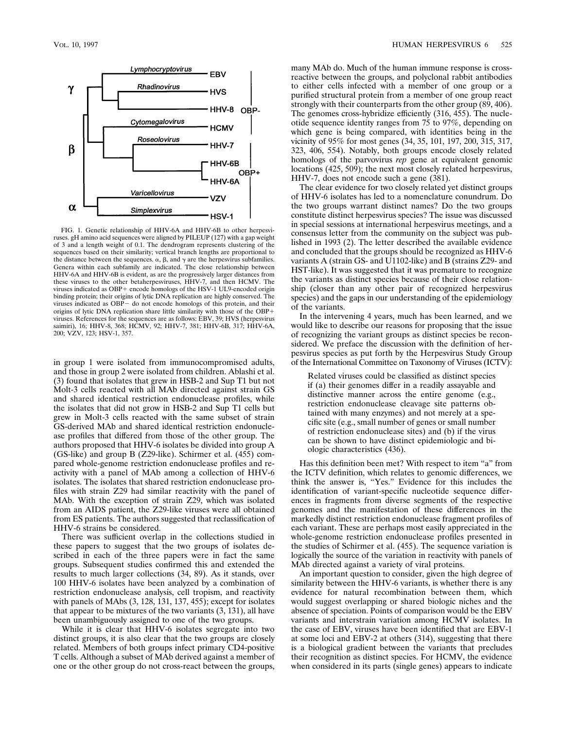

FIG. 1. Genetic relationship of HHV-6A and HHV-6B to other herpesviruses. gH amino acid sequences were aligned by PILEUP (127) with a gap weight of 3 and a length weight of 0.1. The dendrogram represents clustering of the sequences based on their similarity; vertical branch lengths are proportional to the distance between the sequences.  $\alpha$ ,  $\beta$ , and  $\gamma$  are the herpesvirus subfamilies. Genera within each subfamily are indicated. The close relationship between HHV-6A and HHV-6B is evident, as are the progressively larger distances from these viruses to the other betaherpesviruses, HHV-7, and then HCMV. The viruses indicated as OBP+ encode homologs of the HSV-1 UL9-encoded origin binding protein; their origins of lytic DNA replication are highly conserved. The viruses indicated as  $OBP-$  do not encode homologs of this protein, and their origins of lytic DNA replication share little similarity with those of the OBP+ viruses. References for the sequences are as follows: EBV, 39; HVS (herpesvirus saimiri), 16; HHV-8, 368; HCMV, 92; HHV-7, 381; HHV-6B, 317; HHV-6A, 200; VZV, 123; HSV-1, 357.

in group 1 were isolated from immunocompromised adults, and those in group 2 were isolated from children. Ablashi et al. (3) found that isolates that grew in HSB-2 and Sup T1 but not Molt-3 cells reacted with all MAb directed against strain GS and shared identical restriction endonuclease profiles, while the isolates that did not grow in HSB-2 and Sup T1 cells but grew in Molt-3 cells reacted with the same subset of strain GS-derived MAb and shared identical restriction endonuclease profiles that differed from those of the other group. The authors proposed that HHV-6 isolates be divided into group A (GS-like) and group B (Z29-like). Schirmer et al. (455) compared whole-genome restriction endonuclease profiles and reactivity with a panel of MAb among a collection of HHV-6 isolates. The isolates that shared restriction endonuclease profiles with strain Z29 had similar reactivity with the panel of MAb. With the exception of strain Z29, which was isolated from an AIDS patient, the Z29-like viruses were all obtained from ES patients. The authors suggested that reclassification of HHV-6 strains be considered.

There was sufficient overlap in the collections studied in these papers to suggest that the two groups of isolates described in each of the three papers were in fact the same groups. Subsequent studies confirmed this and extended the results to much larger collections (34, 89). As it stands, over 100 HHV-6 isolates have been analyzed by a combination of restriction endonuclease analysis, cell tropism, and reactivity with panels of MAbs (3, 128, 131, 137, 455); except for isolates that appear to be mixtures of the two variants (3, 131), all have been unambiguously assigned to one of the two groups.

While it is clear that HHV-6 isolates segregate into two distinct groups, it is also clear that the two groups are closely related. Members of both groups infect primary CD4-positive T cells. Although a subset of MAb derived against a member of one or the other group do not cross-react between the groups,

many MAb do. Much of the human immune response is crossreactive between the groups, and polyclonal rabbit antibodies to either cells infected with a member of one group or a purified structural protein from a member of one group react strongly with their counterparts from the other group (89, 406). The genomes cross-hybridize efficiently (316, 455). The nucleotide sequence identity ranges from 75 to 97%, depending on which gene is being compared, with identities being in the vicinity of 95% for most genes (34, 35, 101, 197, 200, 315, 317, 323, 406, 554). Notably, both groups encode closely related homologs of the parvovirus *rep* gene at equivalent genomic locations (425, 509); the next most closely related herpesvirus, HHV-7, does not encode such a gene (381).

The clear evidence for two closely related yet distinct groups of HHV-6 isolates has led to a nomenclature conundrum. Do the two groups warrant distinct names? Do the two groups constitute distinct herpesvirus species? The issue was discussed in special sessions at international herpesvirus meetings, and a consensus letter from the community on the subject was published in 1993 (2). The letter described the available evidence and concluded that the groups should be recognized as HHV-6 variants A (strain GS- and U1102-like) and B (strains Z29- and HST-like). It was suggested that it was premature to recognize the variants as distinct species because of their close relationship (closer than any other pair of recognized herpesvirus species) and the gaps in our understanding of the epidemiology of the variants.

In the intervening 4 years, much has been learned, and we would like to describe our reasons for proposing that the issue of recognizing the variant groups as distinct species be reconsidered. We preface the discussion with the definition of herpesvirus species as put forth by the Herpesvirus Study Group of the International Committee on Taxonomy of Viruses (ICTV):

Related viruses could be classified as distinct species if (a) their genomes differ in a readily assayable and distinctive manner across the entire genome (e.g., restriction endonuclease cleavage site patterns obtained with many enzymes) and not merely at a specific site (e.g., small number of genes or small number of restriction endonuclease sites) and (b) if the virus can be shown to have distinct epidemiologic and biologic characteristics (436).

Has this definition been met? With respect to item "a" from the ICTV definition, which relates to genomic differences, we think the answer is, "Yes." Evidence for this includes the identification of variant-specific nucleotide sequence differences in fragments from diverse segments of the respective genomes and the manifestation of these differences in the markedly distinct restriction endonuclease fragment profiles of each variant. These are perhaps most easily appreciated in the whole-genome restriction endonuclease profiles presented in the studies of Schirmer et al. (455). The sequence variation is logically the source of the variation in reactivity with panels of MAb directed against a variety of viral proteins.

An important question to consider, given the high degree of similarity between the HHV-6 variants, is whether there is any evidence for natural recombination between them, which would suggest overlapping or shared biologic niches and the absence of speciation. Points of comparison would be the EBV variants and interstrain variation among HCMV isolates. In the case of EBV, viruses have been identified that are EBV-1 at some loci and EBV-2 at others (314), suggesting that there is a biological gradient between the variants that precludes their recognition as distinct species. For HCMV, the evidence when considered in its parts (single genes) appears to indicate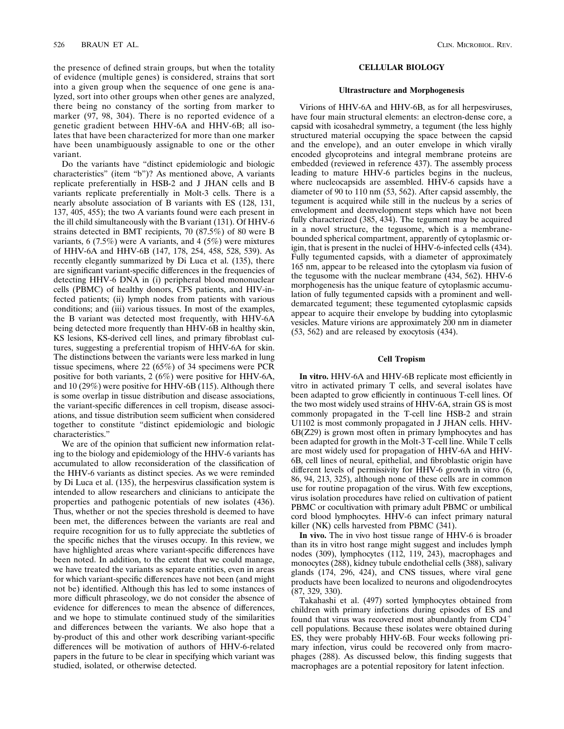the presence of defined strain groups, but when the totality of evidence (multiple genes) is considered, strains that sort into a given group when the sequence of one gene is analyzed, sort into other groups when other genes are analyzed, there being no constancy of the sorting from marker to marker (97, 98, 304). There is no reported evidence of a genetic gradient between HHV-6A and HHV-6B; all isolates that have been characterized for more than one marker have been unambiguously assignable to one or the other variant.

Do the variants have "distinct epidemiologic and biologic characteristics" (item "b")? As mentioned above, A variants replicate preferentially in HSB-2 and J JHAN cells and B variants replicate preferentially in Molt-3 cells. There is a nearly absolute association of B variants with ES (128, 131, 137, 405, 455); the two A variants found were each present in the ill child simultaneously with the B variant (131). Of HHV-6 strains detected in BMT recipients, 70 (87.5%) of 80 were B variants, 6 (7.5%) were A variants, and 4 (5%) were mixtures of HHV-6A and HHV-6B (147, 178, 254, 458, 528, 539). As recently elegantly summarized by Di Luca et al. (135), there are significant variant-specific differences in the frequencies of detecting HHV-6 DNA in (i) peripheral blood mononuclear cells (PBMC) of healthy donors, CFS patients, and HIV-infected patients; (ii) lymph nodes from patients with various conditions; and (iii) various tissues. In most of the examples, the B variant was detected most frequently, with HHV-6A being detected more frequently than HHV-6B in healthy skin, KS lesions, KS-derived cell lines, and primary fibroblast cultures, suggesting a preferential tropism of HHV-6A for skin. The distinctions between the variants were less marked in lung tissue specimens, where 22 (65%) of 34 specimens were PCR positive for both variants, 2 (6%) were positive for HHV-6A, and 10 (29%) were positive for HHV-6B (115). Although there is some overlap in tissue distribution and disease associations, the variant-specific differences in cell tropism, disease associations, and tissue distribution seem sufficient when considered together to constitute "distinct epidemiologic and biologic characteristics."

We are of the opinion that sufficient new information relating to the biology and epidemiology of the HHV-6 variants has accumulated to allow reconsideration of the classification of the HHV-6 variants as distinct species. As we were reminded by Di Luca et al. (135), the herpesvirus classification system is intended to allow researchers and clinicians to anticipate the properties and pathogenic potentials of new isolates (436). Thus, whether or not the species threshold is deemed to have been met, the differences between the variants are real and require recognition for us to fully appreciate the subtleties of the specific niches that the viruses occupy. In this review, we have highlighted areas where variant-specific differences have been noted. In addition, to the extent that we could manage, we have treated the variants as separate entities, even in areas for which variant-specific differences have not been (and might not be) identified. Although this has led to some instances of more difficult phraseology, we do not consider the absence of evidence for differences to mean the absence of differences, and we hope to stimulate continued study of the similarities and differences between the variants. We also hope that a by-product of this and other work describing variant-specific differences will be motivation of authors of HHV-6-related papers in the future to be clear in specifying which variant was studied, isolated, or otherwise detected.

# **CELLULAR BIOLOGY**

# **Ultrastructure and Morphogenesis**

Virions of HHV-6A and HHV-6B, as for all herpesviruses, have four main structural elements: an electron-dense core, a capsid with icosahedral symmetry, a tegument (the less highly structured material occupying the space between the capsid and the envelope), and an outer envelope in which virally encoded glycoproteins and integral membrane proteins are embedded (reviewed in reference 437). The assembly process leading to mature HHV-6 particles begins in the nucleus, where nucleocapsids are assembled. HHV-6 capsids have a diameter of 90 to 110 nm (53, 562). After capsid assembly, the tegument is acquired while still in the nucleus by a series of envelopment and deenvelopment steps which have not been fully characterized (385, 434). The tegument may be acquired in a novel structure, the tegusome, which is a membranebounded spherical compartment, apparently of cytoplasmic origin, that is present in the nuclei of HHV-6-infected cells (434). Fully tegumented capsids, with a diameter of approximately 165 nm, appear to be released into the cytoplasm via fusion of the tegusome with the nuclear membrane (434, 562). HHV-6 morphogenesis has the unique feature of cytoplasmic accumulation of fully tegumented capsids with a prominent and welldemarcated tegument; these tegumented cytoplasmic capsids appear to acquire their envelope by budding into cytoplasmic vesicles. Mature virions are approximately 200 nm in diameter (53, 562) and are released by exocytosis (434).

#### **Cell Tropism**

**In vitro.** HHV-6A and HHV-6B replicate most efficiently in vitro in activated primary T cells, and several isolates have been adapted to grow efficiently in continuous T-cell lines. Of the two most widely used strains of HHV-6A, strain GS is most commonly propagated in the T-cell line HSB-2 and strain U1102 is most commonly propagated in J JHAN cells. HHV-6B(Z29) is grown most often in primary lymphocytes and has been adapted for growth in the Molt-3 T-cell line. While T cells are most widely used for propagation of HHV-6A and HHV-6B, cell lines of neural, epithelial, and fibroblastic origin have different levels of permissivity for HHV-6 growth in vitro (6, 86, 94, 213, 325), although none of these cells are in common use for routine propagation of the virus. With few exceptions, virus isolation procedures have relied on cultivation of patient PBMC or cocultivation with primary adult PBMC or umbilical cord blood lymphocytes. HHV-6 can infect primary natural killer (NK) cells harvested from PBMC (341).

**In vivo.** The in vivo host tissue range of HHV-6 is broader than its in vitro host range might suggest and includes lymph nodes (309), lymphocytes (112, 119, 243), macrophages and monocytes (288), kidney tubule endothelial cells (388), salivary glands (174, 296, 424), and CNS tissues, where viral gene products have been localized to neurons and oligodendrocytes (87, 329, 330).

Takahashi et al. (497) sorted lymphocytes obtained from children with primary infections during episodes of ES and found that virus was recovered most abundantly from  $CD4<sup>+</sup>$ cell populations. Because these isolates were obtained during ES, they were probably HHV-6B. Four weeks following primary infection, virus could be recovered only from macrophages (288). As discussed below, this finding suggests that macrophages are a potential repository for latent infection.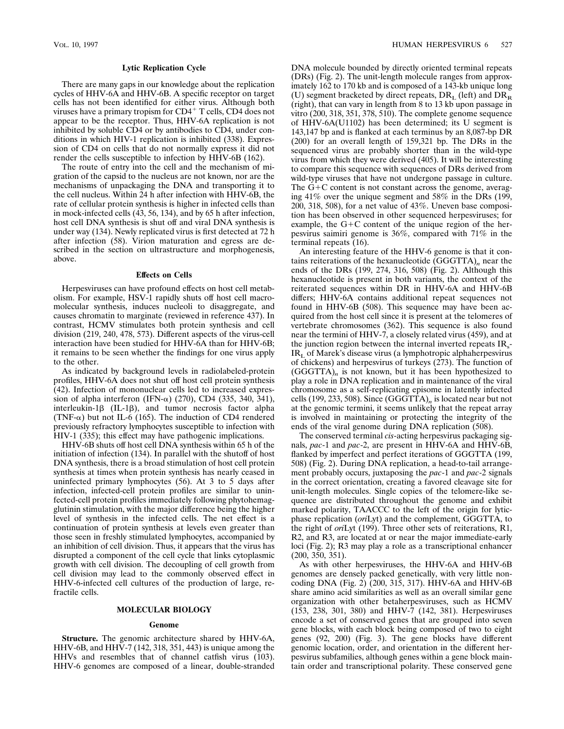#### **Lytic Replication Cycle**

There are many gaps in our knowledge about the replication cycles of HHV-6A and HHV-6B. A specific receptor on target cells has not been identified for either virus. Although both viruses have a primary tropism for CD4<sup>+</sup> T cells, CD4 does not appear to be the receptor. Thus, HHV-6A replication is not inhibited by soluble CD4 or by antibodies to CD4, under conditions in which HIV-1 replication is inhibited (338). Expression of CD4 on cells that do not normally express it did not render the cells susceptible to infection by HHV-6B (162).

The route of entry into the cell and the mechanism of migration of the capsid to the nucleus are not known, nor are the mechanisms of unpackaging the DNA and transporting it to the cell nucleus. Within 24 h after infection with HHV-6B, the rate of cellular protein synthesis is higher in infected cells than in mock-infected cells (43, 56, 134), and by 65 h after infection, host cell DNA synthesis is shut off and viral DNA synthesis is under way (134). Newly replicated virus is first detected at 72 h after infection (58). Virion maturation and egress are described in the section on ultrastructure and morphogenesis, above.

#### **Effects on Cells**

Herpesviruses can have profound effects on host cell metabolism. For example, HSV-1 rapidly shuts off host cell macromolecular synthesis, induces nucleoli to disaggregate, and causes chromatin to marginate (reviewed in reference 437). In contrast, HCMV stimulates both protein synthesis and cell division (219, 240, 478, 573). Different aspects of the virus-cell interaction have been studied for HHV-6A than for HHV-6B; it remains to be seen whether the findings for one virus apply to the other.

As indicated by background levels in radiolabeled-protein profiles, HHV-6A does not shut off host cell protein synthesis (42). Infection of mononuclear cells led to increased expression of alpha interferon (IFN- $\alpha$ ) (270), CD4 (335, 340, 341), interleukin-1 $\beta$  (IL-1 $\beta$ ), and tumor necrosis factor alpha (TNF- $\alpha$ ) but not IL-6 (165). The induction of CD4 rendered previously refractory lymphocytes susceptible to infection with HIV-1 (335); this effect may have pathogenic implications.

HHV-6B shuts off host cell DNA synthesis within 65 h of the initiation of infection (134). In parallel with the shutoff of host DNA synthesis, there is a broad stimulation of host cell protein synthesis at times when protein synthesis has nearly ceased in uninfected primary lymphocytes (56). At 3 to 5 days after infection, infected-cell protein profiles are similar to uninfected-cell protein profiles immediately following phytohemagglutinin stimulation, with the major difference being the higher level of synthesis in the infected cells. The net effect is a continuation of protein synthesis at levels even greater than those seen in freshly stimulated lymphocytes, accompanied by an inhibition of cell division. Thus, it appears that the virus has disrupted a component of the cell cycle that links cytoplasmic growth with cell division. The decoupling of cell growth from cell division may lead to the commonly observed effect in HHV-6-infected cell cultures of the production of large, refractile cells.

#### **MOLECULAR BIOLOGY**

#### **Genome**

**Structure.** The genomic architecture shared by HHV-6A, HHV-6B, and HHV-7 (142, 318, 351, 443) is unique among the HHVs and resembles that of channel catfish virus (103). HHV-6 genomes are composed of a linear, double-stranded DNA molecule bounded by directly oriented terminal repeats (DRs) (Fig. 2). The unit-length molecule ranges from approximately 162 to 170 kb and is composed of a 143-kb unique long (U) segment bracketed by direct repeats,  $DR<sub>L</sub>$  (left) and  $DR<sub>R</sub>$ (right), that can vary in length from 8 to 13 kb upon passage in vitro (200, 318, 351, 378, 510). The complete genome sequence of HHV-6A(U1102) has been determined; its U segment is 143,147 bp and is flanked at each terminus by an 8,087-bp DR (200) for an overall length of 159,321 bp. The DRs in the sequenced virus are probably shorter than in the wild-type virus from which they were derived (405). It will be interesting to compare this sequence with sequences of DRs derived from wild-type viruses that have not undergone passage in culture. The  $G+C$  content is not constant across the genome, averaging 41% over the unique segment and 58% in the DRs (199, 200, 318, 508), for a net value of 43%. Uneven base composition has been observed in other sequenced herpesviruses; for example, the  $G+C$  content of the unique region of the herpesvirus saimiri genome is 36%, compared with 71% in the terminal repeats (16).

An interesting feature of the HHV-6 genome is that it contains reiterations of the hexanucleotide (GGGTTA)*<sup>n</sup>* near the ends of the DRs (199, 274, 316, 508) (Fig. 2). Although this hexanucleotide is present in both variants, the context of the reiterated sequences within DR in HHV-6A and HHV-6B differs; HHV-6A contains additional repeat sequences not found in HHV-6B (508). This sequence may have been acquired from the host cell since it is present at the telomeres of vertebrate chromosomes (362). This sequence is also found near the termini of HHV-7, a closely related virus (459), and at the junction region between the internal inverted repeats  $IR_{s}$ -IRL of Marek's disease virus (a lymphotropic alphaherpesvirus of chickens) and herpesvirus of turkeys (273). The function of (GGGTTA)*<sup>n</sup>* is not known, but it has been hypothesized to play a role in DNA replication and in maintenance of the viral chromosome as a self-replicating episome in latently infected cells (199, 233, 508). Since  $(GGGTTA)<sub>n</sub>$  is located near but not at the genomic termini, it seems unlikely that the repeat array is involved in maintaining or protecting the integrity of the ends of the viral genome during DNA replication (508).

The conserved terminal *cis*-acting herpesvirus packaging signals, *pac*-1 and *pac*-2, are present in HHV-6A and HHV-6B, flanked by imperfect and perfect iterations of GGGTTA (199, 508) (Fig. 2). During DNA replication, a head-to-tail arrangement probably occurs, juxtaposing the *pac*-1 and *pac*-2 signals in the correct orientation, creating a favored cleavage site for unit-length molecules. Single copies of the telomere-like sequence are distributed throughout the genome and exhibit marked polarity, TAACCC to the left of the origin for lyticphase replication (*ori*Lyt) and the complement, GGGTTA, to the right of *ori*Lyt (199). Three other sets of reiterations, R1, R2, and R3, are located at or near the major immediate-early loci (Fig. 2); R3 may play a role as a transcriptional enhancer (200, 350, 351).

As with other herpesviruses, the HHV-6A and HHV-6B genomes are densely packed genetically, with very little noncoding DNA (Fig. 2) (200, 315, 317). HHV-6A and HHV-6B share amino acid similarities as well as an overall similar gene organization with other betaherpesviruses, such as HCMV (153, 238, 301, 380) and HHV-7 (142, 381). Herpesviruses encode a set of conserved genes that are grouped into seven gene blocks, with each block being composed of two to eight genes (92, 200) (Fig. 3). The gene blocks have different genomic location, order, and orientation in the different herpesvirus subfamilies, although genes within a gene block maintain order and transcriptional polarity. These conserved gene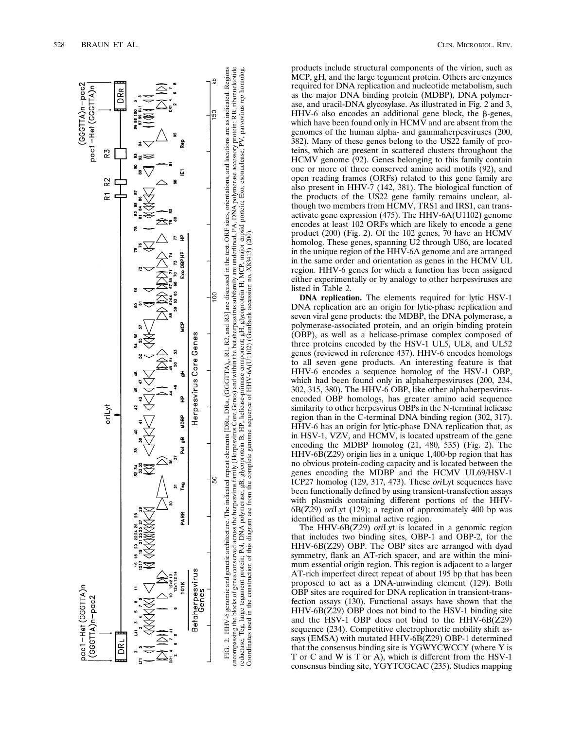

products include structural components of the virion, such as MCP, gH, and the large tegument protein. Others are enzymes required for DNA replication and nucleotide metabolism, such as the major DNA binding protein (MDBP), DNA polymerase, and uracil-DNA glycosylase. As illustrated in Fig. 2 and 3, HHV-6 also encodes an additional gene block, the  $\beta$ -genes, which have been found only in HCMV and are absent from the genomes of the human alpha- and gammaherpesviruses (200, 382). Many of these genes belong to the US22 family of proteins, which are present in scattered clusters throughout the HCMV genome (92). Genes belonging to this family contain one or more of three conserved amino acid motifs (92), and open reading frames (ORFs) related to this gene family are also present in HHV-7 (142, 381). The biological function of the products of the US22 gene family remains unclear, although two members from HCMV, TRS1 and IRS1, can transactivate gene expression (475). The HHV-6A(U1102) genome encodes at least 102 ORFs which are likely to encode a gene product (200) (Fig. 2). Of the 102 genes, 70 have an HCMV homolog. These genes, spanning U2 through U86, are located in the unique region of the HHV-6A genome and are arranged in the same order and orientation as genes in the HCMV UL region. HHV-6 genes for which a function has been assigned either experimentally or by analogy to other herpesviruses are listed in Table 2.

**DNA replication.** The elements required for lytic HSV-1 DNA replication are an origin for lytic-phase replication and seven viral gene products: the MDBP, the DNA polymerase, a polymerase-associated protein, and an origin binding protein (OBP), as well as a helicase-primase complex composed of three proteins encoded by the HSV-1 UL5, UL8, and UL52 genes (reviewed in reference 437). HHV-6 encodes homologs to all seven gene products. An interesting feature is that HHV-6 encodes a sequence homolog of the HSV-1 OBP, which had been found only in alphaherpesviruses (200, 234, 302, 315, 380). The HHV-6 OBP, like other alphaherpesvirusencoded OBP homologs, has greater amino acid sequence similarity to other herpesvirus OBPs in the N-terminal helicase region than in the C-terminal DNA binding region (302, 317). HHV-6 has an origin for lytic-phase DNA replication that, as in HSV-1, VZV, and HCMV, is located upstream of the gene encoding the MDBP homolog (21, 480, 535) (Fig. 2). The  $HHV-6B(Z29)$  origin lies in a unique 1,400-bp region that has no obvious protein-coding capacity and is located between the genes encoding the MDBP and the HCMV UL69/HSV-1 ICP27 homolog (129, 317, 473). These *ori*Lyt sequences have been functionally defined by using transient-transfection assays with plasmids containing different portions of the HHV-6B(Z29) *ori*Lyt (129); a region of approximately 400 bp was identified as the minimal active region.

The HHV-6B(Z29) *ori*Lyt is located in a genomic region that includes two binding sites, OBP-1 and OBP-2, for the HHV-6B(Z29) OBP. The OBP sites are arranged with dyad symmetry, flank an AT-rich spacer, and are within the minimum essential origin region. This region is adjacent to a larger AT-rich imperfect direct repeat of about 195 bp that has been proposed to act as a DNA-unwinding element (129). Both OBP sites are required for DNA replication in transient-transfection assays (130). Functional assays have shown that the HHV-6B(Z29) OBP does not bind to the HSV-1 binding site and the HSV-1 OBP does not bind to the HHV-6B(Z29) sequence (234). Competitive electrophoretic mobility shift assays (EMSA) with mutated HHV-6B(Z29) OBP-1 determined that the consensus binding site is YGWYCWCCY (where Y is T or C and W is T or A), which is different from the HSV-1 consensus binding site, YGYTCGCAC (235). Studies mapping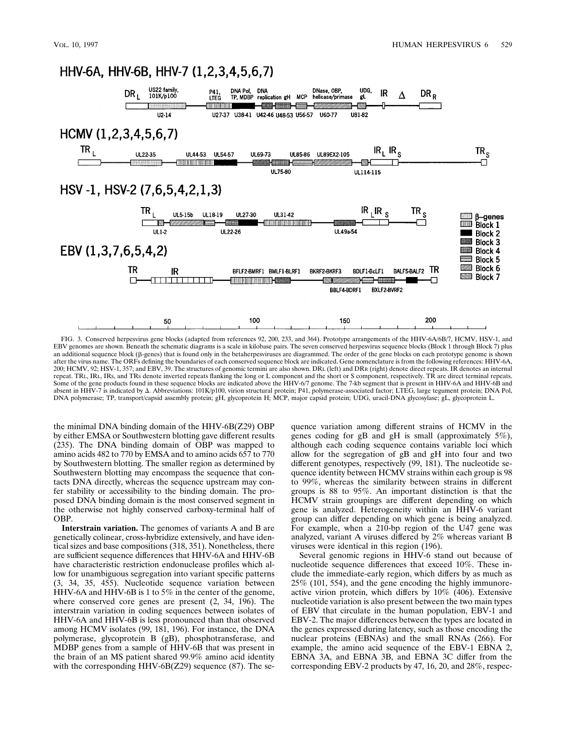# HHV-6A, HHV-6B, HHV-7 (1,2,3,4,5,6,7)



FIG. 3. Conserved herpesvirus gene blocks (adapted from references 92, 200, 233, and 364). Prototype arrangements of the HHV-6A/6B/7, HCMV, HSV-1, and EBV genomes are shown. Beneath the schematic diagrams is a scale in kilobase pairs. The seven conserved herpesvirus sequence blocks (Block 1 through Block 7) plus an additional sequence block ( $\beta$ -genes) that is found only in the betaherpesviruses are diagrammed. The order of the gene blocks on each prototype genome is shown after the virus name. The ORFs defining the boundaries of each conserved sequence block are indicated. Gene nomenclature is from the following references: HHV-6A, 200; HCMV, 92; HSV-1, 357; and EBV, 39. The structures of genomic termini are also shown. DRL (left) and DRR (right) denote direct repeats. IR denotes an internal repeat. TRL, IRL, IRS, and TRS denote inverted repeats flanking the long or L component and the short or S component, respectively. TR are direct terminal repeats. Some of the gene products found in these sequence blocks are indicated above the HHV-6/7 genome. The 7-kb segment that is present in HHV-6A and HHV-6B and absent in HHV-7 is indicated by  $\Delta$ . Abbreviations: 101K/p100, virion structural protein; P41, polymerase-associated factor; LTEG, large tegument protein; DNA Pol, DNA polymerase; TP, transport/capsid assembly protein; gH, glycoprotein H; MCP, major capsid protein; UDG, uracil-DNA glycosylase; gL, glycoprotein L.

the minimal DNA binding domain of the HHV-6B(Z29) OBP by either EMSA or Southwestern blotting gave different results (235). The DNA binding domain of OBP was mapped to amino acids 482 to 770 by EMSA and to amino acids 657 to 770 by Southwestern blotting. The smaller region as determined by Southwestern blotting may encompass the sequence that contacts DNA directly, whereas the sequence upstream may confer stability or accessibility to the binding domain. The proposed DNA binding domain is the most conserved segment in the otherwise not highly conserved carboxy-terminal half of OBP.

**Interstrain variation.** The genomes of variants A and B are genetically colinear, cross-hybridize extensively, and have identical sizes and base compositions (318, 351). Nonetheless, there are sufficient sequence differences that HHV-6A and HHV-6B have characteristic restriction endonuclease profiles which allow for unambiguous segregation into variant specific patterns (3, 34, 35, 455). Nucleotide sequence variation between HHV-6A and HHV-6B is 1 to 5% in the center of the genome, where conserved core genes are present (2, 34, 196). The interstrain variation in coding sequences between isolates of HHV-6A and HHV-6B is less pronounced than that observed among HCMV isolates (99, 181, 196). For instance, the DNA polymerase, glycoprotein B (gB), phosphotransferase, and MDBP genes from a sample of HHV-6B that was present in the brain of an MS patient shared 99.9% amino acid identity with the corresponding HHV-6B(Z29) sequence (87). The sequence variation among different strains of HCMV in the genes coding for gB and gH is small (approximately 5%), although each coding sequence contains variable loci which allow for the segregation of gB and gH into four and two different genotypes, respectively (99, 181). The nucleotide sequence identity between HCMV strains within each group is 98 to 99%, whereas the similarity between strains in different groups is 88 to 95%. An important distinction is that the HCMV strain groupings are different depending on which gene is analyzed. Heterogeneity within an HHV-6 variant group can differ depending on which gene is being analyzed. For example, when a 210-bp region of the U47 gene was analyzed, variant A viruses differed by 2% whereas variant B viruses were identical in this region (196).

Several genomic regions in HHV-6 stand out because of nucleotide sequence differences that exceed 10%. These include the immediate-early region, which differs by as much as 25% (101, 554), and the gene encoding the highly immunoreactive virion protein, which differs by 10% (406). Extensive nucleotide variation is also present between the two main types of EBV that circulate in the human population, EBV-1 and EBV-2. The major differences between the types are located in the genes expressed during latency, such as those encoding the nuclear proteins (EBNAs) and the small RNAs (266). For example, the amino acid sequence of the EBV-1 EBNA 2, EBNA 3A, and EBNA 3B, and EBNA 3C differ from the corresponding EBV-2 products by 47, 16, 20, and 28%, respec-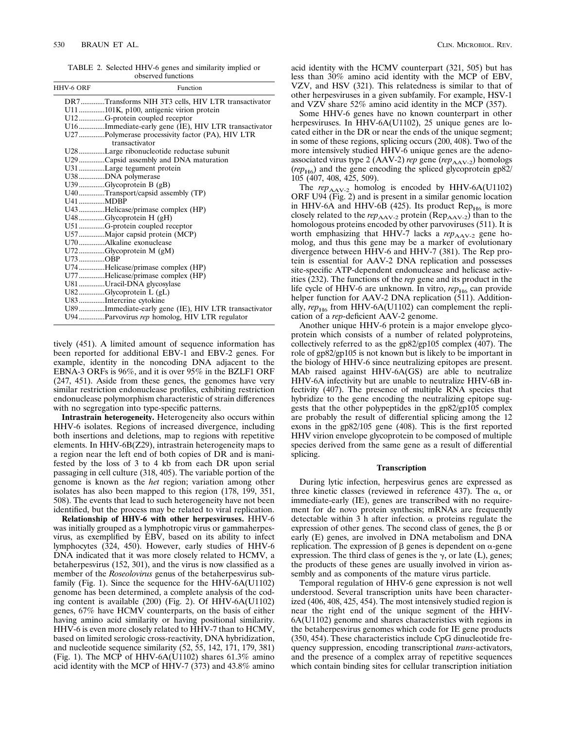TABLE 2. Selected HHV-6 genes and similarity implied or observed functions

| HHV-6 ORF | Function                                             |
|-----------|------------------------------------------------------|
|           | DR7Transforms NIH 3T3 cells, HIV LTR transactivator  |
|           | U11101K, p100, antigenic virion protein              |
|           | U12G-protein coupled receptor                        |
|           | U16Immediate-early gene (IE), HIV LTR transactivator |
|           | U27Polymerase processivity factor (PA), HIV LTR      |
|           | transactivator                                       |
|           | U28Large ribonucleotide reductase subunit            |
|           | U29Capsid assembly and DNA maturation                |
|           | U31 Large tegument protein                           |
|           | U38DNA polymerase                                    |
|           | U39 Glycoprotein B (gB)                              |
|           | U40Transport/capsid assembly (TP)                    |
| U41 MDBP  |                                                      |
|           | U43 Helicase/primase complex (HP)                    |
|           | U48Glycoprotein H (gH)                               |
|           | U51G-protein coupled receptor                        |
|           | U57Major capsid protein (MCP)                        |
|           | U70Alkaline exonuclease                              |
|           | U72Glycoprotein M (gM)                               |
| U73 OBP   |                                                      |
|           | U74Helicase/primase complex (HP)                     |
|           | U77Helicase/primase complex (HP)                     |
|           | U81 Uracil-DNA glycosylase                           |
|           | U82Glycoprotein L (gL)                               |
|           | U83Intercrine cytokine                               |
|           | U89Immediate-early gene (IE), HIV LTR transactivator |
|           | U94Parvovirus rep homolog, HIV LTR regulator         |

tively (451). A limited amount of sequence information has been reported for additional EBV-1 and EBV-2 genes. For example, identity in the noncoding DNA adjacent to the EBNA-3 ORFs is 96%, and it is over 95% in the BZLF1 ORF (247, 451). Aside from these genes, the genomes have very similar restriction endonuclease profiles, exhibiting restriction endonuclease polymorphism characteristic of strain differences with no segregation into type-specific patterns.

**Intrastrain heterogeneity.** Heterogeneity also occurs within HHV-6 isolates. Regions of increased divergence, including both insertions and deletions, map to regions with repetitive elements. In HHV-6B(Z29), intrastrain heterogeneity maps to a region near the left end of both copies of DR and is manifested by the loss of 3 to 4 kb from each DR upon serial passaging in cell culture (318, 405). The variable portion of the genome is known as the *het* region; variation among other isolates has also been mapped to this region (178, 199, 351, 508). The events that lead to such heterogeneity have not been identified, but the process may be related to viral replication.

**Relationship of HHV-6 with other herpesviruses.** HHV-6 was initially grouped as a lymphotropic virus or gammaherpesvirus, as exemplified by EBV, based on its ability to infect lymphocytes (324, 450). However, early studies of HHV-6 DNA indicated that it was more closely related to HCMV, a betaherpesvirus (152, 301), and the virus is now classified as a member of the *Roseolovirus* genus of the betaherpesvirus subfamily (Fig. 1). Since the sequence for the HHV-6A(U1102) genome has been determined, a complete analysis of the coding content is available (200) (Fig. 2). Of HHV-6A(U1102) genes, 67% have HCMV counterparts, on the basis of either having amino acid similarity or having positional similarity. HHV-6 is even more closely related to HHV-7 than to HCMV, based on limited serologic cross-reactivity, DNA hybridization, and nucleotide sequence similarity (52, 55, 142, 171, 179, 381) (Fig. 1). The MCP of HHV-6A(U1102) shares  $61.3\%$  amino acid identity with the MCP of HHV-7 (373) and 43.8% amino

acid identity with the HCMV counterpart (321, 505) but has less than 30% amino acid identity with the MCP of EBV, VZV, and HSV (321). This relatedness is similar to that of other herpesviruses in a given subfamily. For example, HSV-1 and VZV share 52% amino acid identity in the MCP (357).

Some HHV-6 genes have no known counterpart in other herpesviruses. In HHV-6A(U1102), 25 unique genes are located either in the DR or near the ends of the unique segment; in some of these regions, splicing occurs (200, 408). Two of the more intensively studied HHV-6 unique genes are the adenoassociated virus type 2 (AAV-2) *rep* gene (*rep*<sub>AAV-2</sub>) homologs  $(rep_{\text{H6}})$  and the gene encoding the spliced glycoprotein gp82/ 105 (407, 408, 425, 509).

The  $rep_{AAV-2}$  homolog is encoded by HHV-6A(U1102) ORF U94 (Fig. 2) and is present in a similar genomic location in HHV-6A and HHV-6B (425). Its product  $\text{Rep}_{\text{HG}}$  is more closely related to the *rep*<sub>AAV-2</sub> protein (Rep<sub>AAV-2</sub>) than to the homologous proteins encoded by other parvoviruses (511). It is worth emphasizing that HHV-7 lacks a  $rep_{AAV-2}$  gene homolog, and thus this gene may be a marker of evolutionary divergence between HHV-6 and HHV-7 (381). The Rep protein is essential for AAV-2 DNA replication and possesses site-specific ATP-dependent endonuclease and helicase activities (232). The functions of the *rep* gene and its product in the life cycle of HHV-6 are unknown. In vitro,  $rep_{H6}$  can provide helper function for AAV-2 DNA replication (511). Additionally, *rep<sub>H6</sub>* from HHV-6A(U1102) can complement the replication of a *rep*-deficient AAV-2 genome.

Another unique HHV-6 protein is a major envelope glycoprotein which consists of a number of related polyproteins, collectively referred to as the gp82/gp105 complex (407). The role of gp82/gp105 is not known but is likely to be important in the biology of HHV-6 since neutralizing epitopes are present. MAb raised against HHV-6A(GS) are able to neutralize HHV-6A infectivity but are unable to neutralize HHV-6B infectivity (407). The presence of multiple RNA species that hybridize to the gene encoding the neutralizing epitope suggests that the other polypeptides in the gp82/gp105 complex are probably the result of differential splicing among the 12 exons in the gp82/105 gene (408). This is the first reported HHV virion envelope glycoprotein to be composed of multiple species derived from the same gene as a result of differential splicing.

#### **Transcription**

During lytic infection, herpesvirus genes are expressed as three kinetic classes (reviewed in reference 437). The  $\alpha$ , or immediate-early (IE), genes are transcribed with no requirement for de novo protein synthesis; mRNAs are frequently detectable within 3 h after infection.  $\alpha$  proteins regulate the expression of other genes. The second class of genes, the  $\beta$  or early (E) genes, are involved in DNA metabolism and DNA replication. The expression of  $\beta$  genes is dependent on  $\alpha$ -gene expression. The third class of genes is the  $\gamma$ , or late (L), genes; the products of these genes are usually involved in virion assembly and as components of the mature virus particle.

Temporal regulation of HHV-6 gene expression is not well understood. Several transcription units have been characterized (406, 408, 425, 454). The most intensively studied region is near the right end of the unique segment of the HHV-6A(U1102) genome and shares characteristics with regions in the betaherpesvirus genomes which code for IE gene products (350, 454). These characteristics include CpG dinucleotide frequency suppression, encoding transcriptional *trans*-activators, and the presence of a complex array of repetitive sequences which contain binding sites for cellular transcription initiation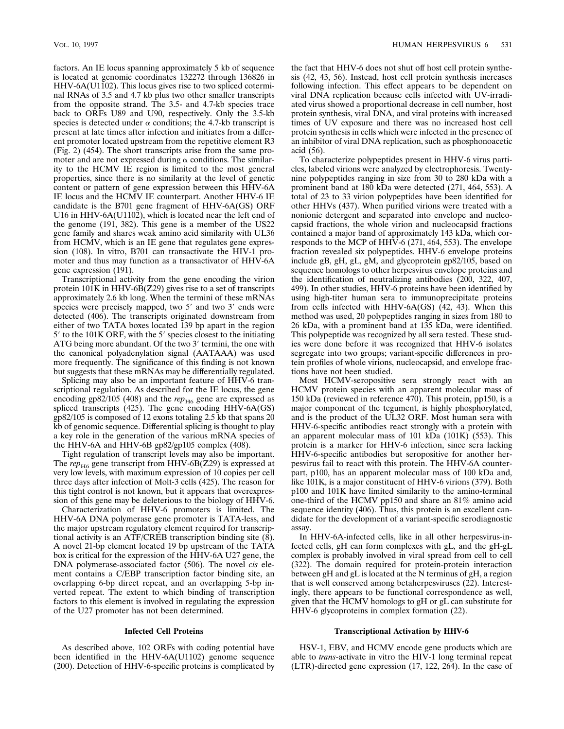factors. An IE locus spanning approximately 5 kb of sequence is located at genomic coordinates 132272 through 136826 in HHV-6A(U1102). This locus gives rise to two spliced coterminal RNAs of 3.5 and 4.7 kb plus two other smaller transcripts from the opposite strand. The 3.5- and 4.7-kb species trace back to ORFs U89 and U90, respectively. Only the 3.5-kb species is detected under  $\alpha$  conditions; the 4.7-kb transcript is present at late times after infection and initiates from a different promoter located upstream from the repetitive element R3 (Fig. 2) (454). The short transcripts arise from the same promoter and are not expressed during  $\alpha$  conditions. The similarity to the HCMV IE region is limited to the most general properties, since there is no similarity at the level of genetic content or pattern of gene expression between this HHV-6A IE locus and the HCMV IE counterpart. Another HHV-6 IE candidate is the B701 gene fragment of HHV-6A(GS) ORF U16 in HHV-6A(U1102), which is located near the left end of the genome (191, 382). This gene is a member of the US22 gene family and shares weak amino acid similarity with UL36 from HCMV, which is an IE gene that regulates gene expression (108). In vitro, B701 can transactivate the HIV-1 promoter and thus may function as a transactivator of HHV-6A gene expression (191).

Transcriptional activity from the gene encoding the virion protein 101K in HHV-6B(Z29) gives rise to a set of transcripts approximately 2.6 kb long. When the termini of these mRNAs species were precisely mapped, two  $5'$  and two  $3'$  ends were detected (406). The transcripts originated downstream from either of two TATA boxes located 139 bp apart in the region  $5'$  to the 101K ORF, with the  $5'$  species closest to the initiating ATG being more abundant. Of the two 3' termini, the one with the canonical polyadenylation signal (AATAAA) was used more frequently. The significance of this finding is not known but suggests that these mRNAs may be differentially regulated.

Splicing may also be an important feature of HHV-6 transcriptional regulation. As described for the IE locus, the gene encoding gp82/105 (408) and the  $rep_{H6}$  gene are expressed as spliced transcripts (425). The gene encoding HHV-6A(GS) gp82/105 is composed of 12 exons totaling 2.5 kb that spans 20 kb of genomic sequence. Differential splicing is thought to play a key role in the generation of the various mRNA species of the HHV-6A and HHV-6B gp82/gp105 complex (408).

Tight regulation of transcript levels may also be important. The  $rep_{H6}$  gene transcript from HHV-6B(Z29) is expressed at very low levels, with maximum expression of 10 copies per cell three days after infection of Molt-3 cells (425). The reason for this tight control is not known, but it appears that overexpression of this gene may be deleterious to the biology of HHV-6.

Characterization of HHV-6 promoters is limited. The HHV-6A DNA polymerase gene promoter is TATA-less, and the major upstream regulatory element required for transcriptional activity is an ATF/CREB transcription binding site (8). A novel 21-bp element located 19 bp upstream of the TATA box is critical for the expression of the HHV-6A U27 gene, the DNA polymerase-associated factor (506). The novel *cis* element contains a C/EBP transcription factor binding site, an overlapping 6-bp direct repeat, and an overlapping 5-bp inverted repeat. The extent to which binding of transcription factors to this element is involved in regulating the expression of the U27 promoter has not been determined.

#### **Infected Cell Proteins**

As described above, 102 ORFs with coding potential have been identified in the HHV-6A(U1102) genome sequence (200). Detection of HHV-6-specific proteins is complicated by the fact that HHV-6 does not shut off host cell protein synthesis (42, 43, 56). Instead, host cell protein synthesis increases following infection. This effect appears to be dependent on viral DNA replication because cells infected with UV-irradiated virus showed a proportional decrease in cell number, host protein synthesis, viral DNA, and viral proteins with increased times of UV exposure and there was no increased host cell protein synthesis in cells which were infected in the presence of an inhibitor of viral DNA replication, such as phosphonoacetic acid (56).

To characterize polypeptides present in HHV-6 virus particles, labeled virions were analyzed by electrophoresis. Twentynine polypeptides ranging in size from 30 to 280 kDa with a prominent band at 180 kDa were detected (271, 464, 553). A total of 23 to 33 virion polypeptides have been identified for other HHVs (437). When purified virions were treated with a nonionic detergent and separated into envelope and nucleocapsid fractions, the whole virion and nucleocapsid fractions contained a major band of approximately 143 kDa, which corresponds to the MCP of HHV-6 (271, 464, 553). The envelope fraction revealed six polypeptides. HHV-6 envelope proteins include gB, gH, gL, gM, and glycoprotein gp82/105, based on sequence homologs to other herpesvirus envelope proteins and the identification of neutralizing antibodies (200, 322, 407, 499). In other studies, HHV-6 proteins have been identified by using high-titer human sera to immunoprecipitate proteins from cells infected with HHV-6A(GS) (42, 43). When this method was used, 20 polypeptides ranging in sizes from 180 to 26 kDa, with a prominent band at 135 kDa, were identified. This polypeptide was recognized by all sera tested. These studies were done before it was recognized that HHV-6 isolates segregate into two groups; variant-specific differences in protein profiles of whole virions, nucleocapsid, and envelope fractions have not been studied.

Most HCMV-seropositive sera strongly react with an HCMV protein species with an apparent molecular mass of 150 kDa (reviewed in reference 470). This protein, pp150, is a major component of the tegument, is highly phosphorylated, and is the product of the UL32 ORF. Most human sera with HHV-6-specific antibodies react strongly with a protein with an apparent molecular mass of 101 kDa (101K) (553). This protein is a marker for HHV-6 infection, since sera lacking HHV-6-specific antibodies but seropositive for another herpesvirus fail to react with this protein. The HHV-6A counterpart, p100, has an apparent molecular mass of 100 kDa and, like 101K, is a major constituent of HHV-6 virions (379). Both p100 and 101K have limited similarity to the amino-terminal one-third of the HCMV pp150 and share an 81% amino acid sequence identity (406). Thus, this protein is an excellent candidate for the development of a variant-specific serodiagnostic assay.

In HHV-6A-infected cells, like in all other herpesvirus-infected cells, gH can form complexes with gL, and the gH-gL complex is probably involved in viral spread from cell to cell (322). The domain required for protein-protein interaction between gH and gL is located at the N terminus of gH, a region that is well conserved among betaherpesviruses (22). Interestingly, there appears to be functional correspondence as well, given that the HCMV homologs to gH or gL can substitute for HHV-6 glycoproteins in complex formation (22).

# **Transcriptional Activation by HHV-6**

HSV-1, EBV, and HCMV encode gene products which are able to *trans*-activate in vitro the HIV-1 long terminal repeat (LTR)-directed gene expression (17, 122, 264). In the case of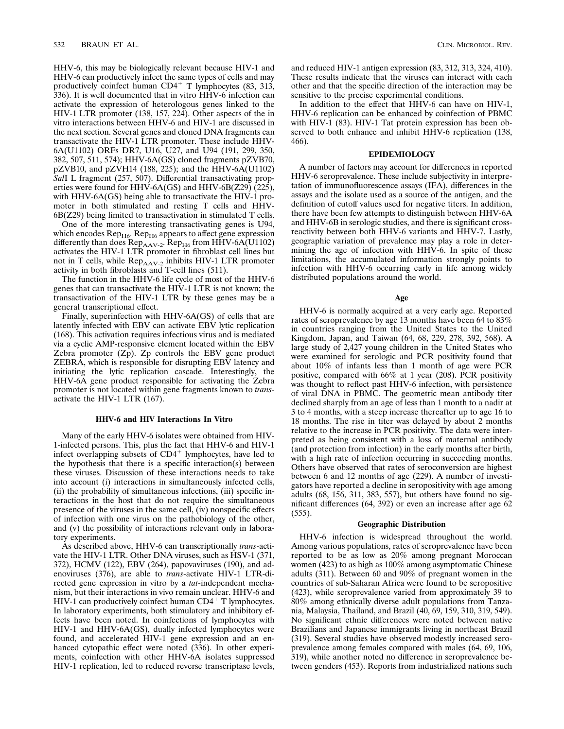HHV-6, this may be biologically relevant because HIV-1 and HHV-6 can productively infect the same types of cells and may productively coinfect human  $CD4^+$  T lymphocytes (83, 313, 336). It is well documented that in vitro HHV-6 infection can activate the expression of heterologous genes linked to the HIV-1 LTR promoter (138, 157, 224). Other aspects of the in vitro interactions between HHV-6 and HIV-1 are discussed in the next section. Several genes and cloned DNA fragments can transactivate the HIV-1 LTR promoter. These include HHV-6A(U1102) ORFs DR7, U16, U27, and U94 (191, 299, 350, 382, 507, 511, 574); HHV-6A(GS) cloned fragments pZVB70, pZVB10, and pZVH14 (188, 225); and the HHV-6A(U1102) *Sal*I L fragment (257, 507). Differential transactivating properties were found for HHV-6A(GS) and HHV-6B(Z29)  $(225)$ , with HHV-6A(GS) being able to transactivate the HIV-1 promoter in both stimulated and resting T cells and HHV-6B(Z29) being limited to transactivation in stimulated T cells.

One of the more interesting transactivating genes is U94, which encodes  $\text{Rep}_{H6}$ .  $\text{Rep}_{H6}$  appears to affect gene expression differently than does  $\text{Rep}_{\text{AAV-2}}$ .  $\text{Rep}_{\text{H6}}$  from HHV-6A(U1102) activates the HIV-1 LTR promoter in fibroblast cell lines but not in T cells, while Rep<sub>AAV-2</sub> inhibits HIV-1 LTR promoter activity in both fibroblasts and T-cell lines (511).

The function in the HHV-6 life cycle of most of the HHV-6 genes that can transactivate the HIV-1 LTR is not known; the transactivation of the HIV-1 LTR by these genes may be a general transcriptional effect.

Finally, superinfection with HHV-6A(GS) of cells that are latently infected with EBV can activate EBV lytic replication (168). This activation requires infectious virus and is mediated via a cyclic AMP-responsive element located within the EBV Zebra promoter (Zp). Zp controls the EBV gene product ZEBRA, which is responsible for disrupting EBV latency and initiating the lytic replication cascade. Interestingly, the HHV-6A gene product responsible for activating the Zebra promoter is not located within gene fragments known to *trans*activate the HIV-1 LTR (167).

# **HHV-6 and HIV Interactions In Vitro**

Many of the early HHV-6 isolates were obtained from HIV-1-infected persons. This, plus the fact that HHV-6 and HIV-1 infect overlapping subsets of  $CD4<sup>+</sup>$  lymphocytes, have led to the hypothesis that there is a specific interaction(s) between these viruses. Discussion of these interactions needs to take into account (i) interactions in simultaneously infected cells, (ii) the probability of simultaneous infections, (iii) specific interactions in the host that do not require the simultaneous presence of the viruses in the same cell, (iv) nonspecific effects of infection with one virus on the pathobiology of the other, and (v) the possibility of interactions relevant only in laboratory experiments.

As described above, HHV-6 can transcriptionally *trans*-activate the HIV-1 LTR. Other DNA viruses, such as HSV-1 (371, 372), HCMV (122), EBV (264), papovaviruses (190), and adenoviruses (376), are able to *trans*-activate HIV-1 LTR-directed gene expression in vitro by a *tat*-independent mechanism, but their interactions in vivo remain unclear. HHV-6 and HIV-1 can productively coinfect human  $CD4^+$  T lymphocytes. In laboratory experiments, both stimulatory and inhibitory effects have been noted. In coinfections of lymphocytes with HIV-1 and HHV-6A(GS), dually infected lymphocytes were found, and accelerated HIV-1 gene expression and an enhanced cytopathic effect were noted (336). In other experiments, coinfection with other HHV-6A isolates suppressed HIV-1 replication, led to reduced reverse transcriptase levels,

and reduced HIV-1 antigen expression (83, 312, 313, 324, 410). These results indicate that the viruses can interact with each other and that the specific direction of the interaction may be sensitive to the precise experimental conditions.

In addition to the effect that HHV-6 can have on HIV-1, HHV-6 replication can be enhanced by coinfection of PBMC with HIV-1 (83). HIV-1 Tat protein expression has been observed to both enhance and inhibit HHV-6 replication (138, 466).

#### **EPIDEMIOLOGY**

A number of factors may account for differences in reported HHV-6 seroprevalence. These include subjectivity in interpretation of immunofluorescence assays (IFA), differences in the assays and the isolate used as a source of the antigen, and the definition of cutoff values used for negative titers. In addition, there have been few attempts to distinguish between HHV-6A and HHV-6B in serologic studies, and there is significant crossreactivity between both HHV-6 variants and HHV-7. Lastly, geographic variation of prevalence may play a role in determining the age of infection with HHV-6. In spite of these limitations, the accumulated information strongly points to infection with HHV-6 occurring early in life among widely distributed populations around the world.

**Age**

HHV-6 is normally acquired at a very early age. Reported rates of seroprevalence by age 13 months have been 64 to 83% in countries ranging from the United States to the United Kingdom, Japan, and Taiwan (64, 68, 229, 278, 392, 568). A large study of 2,427 young children in the United States who were examined for serologic and PCR positivity found that about 10% of infants less than 1 month of age were PCR positive, compared with 66% at 1 year (208). PCR positivity was thought to reflect past HHV-6 infection, with persistence of viral DNA in PBMC. The geometric mean antibody titer declined sharply from an age of less than 1 month to a nadir at 3 to 4 months, with a steep increase thereafter up to age 16 to 18 months. The rise in titer was delayed by about 2 months relative to the increase in PCR positivity. The data were interpreted as being consistent with a loss of maternal antibody (and protection from infection) in the early months after birth, with a high rate of infection occurring in succeeding months. Others have observed that rates of seroconversion are highest between 6 and 12 months of age (229). A number of investigators have reported a decline in seropositivity with age among adults (68, 156, 311, 383, 557), but others have found no significant differences (64, 392) or even an increase after age 62 (555).

#### **Geographic Distribution**

HHV-6 infection is widespread throughout the world. Among various populations, rates of seroprevalence have been reported to be as low as 20% among pregnant Moroccan women (423) to as high as 100% among asymptomatic Chinese adults (311). Between 60 and 90% of pregnant women in the countries of sub-Saharan Africa were found to be seropositive (423), while seroprevalence varied from approximately 39 to 80% among ethnically diverse adult populations from Tanzania, Malaysia, Thailand, and Brazil (40, 69, 159, 310, 319, 549). No significant ethnic differences were noted between native Brazilians and Japanese immigrants living in northeast Brazil (319). Several studies have observed modestly increased seroprevalence among females compared with males (64, 69, 106, 319), while another noted no difference in seroprevalence between genders (453). Reports from industrialized nations such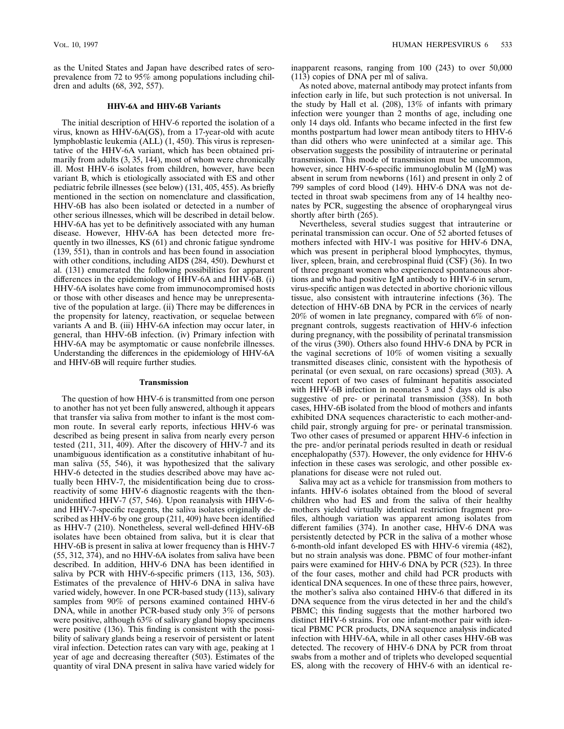as the United States and Japan have described rates of seroprevalence from 72 to 95% among populations including children and adults (68, 392, 557).

#### **HHV-6A and HHV-6B Variants**

The initial description of HHV-6 reported the isolation of a virus, known as HHV-6A(GS), from a 17-year-old with acute lymphoblastic leukemia (ALL) (1, 450). This virus is representative of the HHV-6A variant, which has been obtained primarily from adults  $(3, 35, 144)$ , most of whom were chronically ill. Most HHV-6 isolates from children, however, have been variant B, which is etiologically associated with ES and other pediatric febrile illnesses (see below) (131, 405, 455). As briefly mentioned in the section on nomenclature and classification, HHV-6B has also been isolated or detected in a number of other serious illnesses, which will be described in detail below. HHV-6A has yet to be definitively associated with any human disease. However, HHV-6A has been detected more frequently in two illnesses, KS (61) and chronic fatigue syndrome (139, 551), than in controls and has been found in association with other conditions, including AIDS (284, 450). Dewhurst et al. (131) enumerated the following possibilities for apparent differences in the epidemiology of HHV-6A and HHV-6B. (i) HHV-6A isolates have come from immunocompromised hosts or those with other diseases and hence may be unrepresentative of the population at large. (ii) There may be differences in the propensity for latency, reactivation, or sequelae between variants A and B. (iii) HHV-6A infection may occur later, in general, than HHV-6B infection. (iv) Primary infection with HHV-6A may be asymptomatic or cause nonfebrile illnesses. Understanding the differences in the epidemiology of HHV-6A and HHV-6B will require further studies.

#### **Transmission**

The question of how HHV-6 is transmitted from one person to another has not yet been fully answered, although it appears that transfer via saliva from mother to infant is the most common route. In several early reports, infectious HHV-6 was described as being present in saliva from nearly every person tested (211, 311, 409). After the discovery of HHV-7 and its unambiguous identification as a constitutive inhabitant of human saliva (55, 546), it was hypothesized that the salivary HHV-6 detected in the studies described above may have actually been HHV-7, the misidentification being due to crossreactivity of some HHV-6 diagnostic reagents with the thenunidentified HHV-7 (57, 546). Upon reanalysis with HHV-6 and HHV-7-specific reagents, the saliva isolates originally described as HHV-6 by one group (211, 409) have been identified as HHV-7 (210). Nonetheless, several well-defined HHV-6B isolates have been obtained from saliva, but it is clear that HHV-6B is present in saliva at lower frequency than is HHV-7 (55, 312, 374), and no HHV-6A isolates from saliva have been described. In addition, HHV-6 DNA has been identified in saliva by PCR with HHV-6-specific primers (113, 136, 503). Estimates of the prevalence of HHV-6 DNA in saliva have varied widely, however. In one PCR-based study (113), salivary samples from 90% of persons examined contained HHV-6 DNA, while in another PCR-based study only 3% of persons were positive, although 63% of salivary gland biopsy specimens were positive (136). This finding is consistent with the possibility of salivary glands being a reservoir of persistent or latent viral infection. Detection rates can vary with age, peaking at 1 year of age and decreasing thereafter (503). Estimates of the quantity of viral DNA present in saliva have varied widely for inapparent reasons, ranging from 100 (243) to over 50,000 (113) copies of DNA per ml of saliva.

As noted above, maternal antibody may protect infants from infection early in life, but such protection is not universal. In the study by Hall et al. (208), 13% of infants with primary infection were younger than 2 months of age, including one only 14 days old. Infants who became infected in the first few months postpartum had lower mean antibody titers to HHV-6 than did others who were uninfected at a similar age. This observation suggests the possibility of intrauterine or perinatal transmission. This mode of transmission must be uncommon, however, since HHV-6-specific immunoglobulin M (IgM) was absent in serum from newborns (161) and present in only 2 of 799 samples of cord blood (149). HHV-6 DNA was not detected in throat swab specimens from any of 14 healthy neonates by PCR, suggesting the absence of oropharyngeal virus shortly after birth (265).

Nevertheless, several studies suggest that intrauterine or perinatal transmission can occur. One of 52 aborted fetuses of mothers infected with HIV-1 was positive for HHV-6 DNA, which was present in peripheral blood lymphocytes, thymus, liver, spleen, brain, and cerebrospinal fluid (CSF) (36). In two of three pregnant women who experienced spontaneous abortions and who had positive IgM antibody to HHV-6 in serum, virus-specific antigen was detected in abortive chorionic villous tissue, also consistent with intrauterine infections (36). The detection of HHV-6B DNA by PCR in the cervices of nearly 20% of women in late pregnancy, compared with 6% of nonpregnant controls, suggests reactivation of HHV-6 infection during pregnancy, with the possibility of perinatal transmission of the virus (390). Others also found HHV-6 DNA by PCR in the vaginal secretions of 10% of women visiting a sexually transmitted diseases clinic, consistent with the hypothesis of perinatal (or even sexual, on rare occasions) spread (303). A recent report of two cases of fulminant hepatitis associated with HHV-6B infection in neonates 3 and 5 days old is also suggestive of pre- or perinatal transmission (358). In both cases, HHV-6B isolated from the blood of mothers and infants exhibited DNA sequences characteristic to each mother-andchild pair, strongly arguing for pre- or perinatal transmission. Two other cases of presumed or apparent HHV-6 infection in the pre- and/or perinatal periods resulted in death or residual encephalopathy (537). However, the only evidence for HHV-6 infection in these cases was serologic, and other possible explanations for disease were not ruled out.

Saliva may act as a vehicle for transmission from mothers to infants. HHV-6 isolates obtained from the blood of several children who had ES and from the saliva of their healthy mothers yielded virtually identical restriction fragment profiles, although variation was apparent among isolates from different families (374). In another case, HHV-6 DNA was persistently detected by PCR in the saliva of a mother whose 6-month-old infant developed ES with HHV-6 viremia (482), but no strain analysis was done. PBMC of four mother-infant pairs were examined for HHV-6 DNA by PCR (523). In three of the four cases, mother and child had PCR products with identical DNA sequences. In one of these three pairs, however, the mother's saliva also contained HHV-6 that differed in its DNA sequence from the virus detected in her and the child's PBMC; this finding suggests that the mother harbored two distinct HHV-6 strains. For one infant-mother pair with identical PBMC PCR products, DNA sequence analysis indicated infection with HHV-6A, while in all other cases HHV-6B was detected. The recovery of HHV-6 DNA by PCR from throat swabs from a mother and of triplets who developed sequential ES, along with the recovery of HHV-6 with an identical re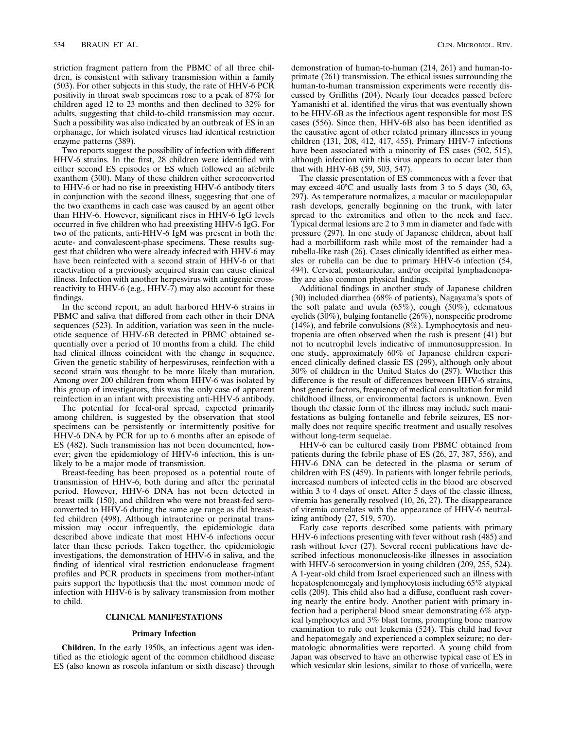striction fragment pattern from the PBMC of all three children, is consistent with salivary transmission within a family (503). For other subjects in this study, the rate of HHV-6 PCR positivity in throat swab specimens rose to a peak of 87% for children aged 12 to 23 months and then declined to 32% for adults, suggesting that child-to-child transmission may occur. Such a possibility was also indicated by an outbreak of ES in an orphanage, for which isolated viruses had identical restriction enzyme patterns (389).

Two reports suggest the possibility of infection with different HHV-6 strains. In the first, 28 children were identified with either second ES episodes or ES which followed an afebrile exanthem (300). Many of these children either seroconverted to HHV-6 or had no rise in preexisting HHV-6 antibody titers in conjunction with the second illness, suggesting that one of the two exanthems in each case was caused by an agent other than HHV-6. However, significant rises in HHV-6 IgG levels occurred in five children who had preexisting HHV-6 IgG. For two of the patients, anti-HHV-6 IgM was present in both the acute- and convalescent-phase specimens. These results suggest that children who were already infected with HHV-6 may have been reinfected with a second strain of HHV-6 or that reactivation of a previously acquired strain can cause clinical illness. Infection with another herpesvirus with antigenic crossreactivity to HHV-6 (e.g., HHV-7) may also account for these findings.

In the second report, an adult harbored HHV-6 strains in PBMC and saliva that differed from each other in their DNA sequences (523). In addition, variation was seen in the nucleotide sequence of HHV-6B detected in PBMC obtained sequentially over a period of 10 months from a child. The child had clinical illness coincident with the change in sequence. Given the genetic stability of herpesviruses, reinfection with a second strain was thought to be more likely than mutation. Among over 200 children from whom HHV-6 was isolated by this group of investigators, this was the only case of apparent reinfection in an infant with preexisting anti-HHV-6 antibody.

The potential for fecal-oral spread, expected primarily among children, is suggested by the observation that stool specimens can be persistently or intermittently positive for HHV-6 DNA by PCR for up to 6 months after an episode of ES (482). Such transmission has not been documented, however; given the epidemiology of HHV-6 infection, this is unlikely to be a major mode of transmission.

Breast-feeding has been proposed as a potential route of transmission of HHV-6, both during and after the perinatal period. However, HHV-6 DNA has not been detected in breast milk (150), and children who were not breast-fed seroconverted to HHV-6 during the same age range as did breastfed children (498). Although intrauterine or perinatal transmission may occur infrequently, the epidemiologic data described above indicate that most HHV-6 infections occur later than these periods. Taken together, the epidemiologic investigations, the demonstration of HHV-6 in saliva, and the finding of identical viral restriction endonuclease fragment profiles and PCR products in specimens from mother-infant pairs support the hypothesis that the most common mode of infection with HHV-6 is by salivary transmission from mother to child.

# **CLINICAL MANIFESTATIONS**

#### **Primary Infection**

**Children.** In the early 1950s, an infectious agent was identified as the etiologic agent of the common childhood disease ES (also known as roseola infantum or sixth disease) through demonstration of human-to-human (214, 261) and human-toprimate (261) transmission. The ethical issues surrounding the human-to-human transmission experiments were recently discussed by Griffiths (204). Nearly four decades passed before Yamanishi et al. identified the virus that was eventually shown to be HHV-6B as the infectious agent responsible for most ES cases (556). Since then, HHV-6B also has been identified as the causative agent of other related primary illnesses in young children (131, 208, 412, 417, 455). Primary HHV-7 infections have been associated with a minority of ES cases (502, 515), although infection with this virus appears to occur later than that with HHV-6B (59, 503, 547).

The classic presentation of ES commences with a fever that may exceed 40°C and usually lasts from 3 to 5 days (30, 63, 297). As temperature normalizes, a macular or maculopapular rash develops, generally beginning on the trunk, with later spread to the extremities and often to the neck and face. Typical dermal lesions are 2 to 3 mm in diameter and fade with pressure (297). In one study of Japanese children, about half had a morbilliform rash while most of the remainder had a rubella-like rash (26). Cases clinically identified as either measles or rubella can be due to primary HHV-6 infection (54, 494). Cervical, postauricular, and/or occipital lymphadenopathy are also common physical findings.

Additional findings in another study of Japanese children (30) included diarrhea (68% of patients), Nagayama's spots of the soft palate and uvula  $(65\%)$ , cough  $(50\%)$ , edematous eyelids (30%), bulging fontanelle (26%), nonspecific prodrome (14%), and febrile convulsions (8%). Lymphocytosis and neutropenia are often observed when the rash is present (41) but not to neutrophil levels indicative of immunosuppression. In one study, approximately 60% of Japanese children experienced clinically defined classic ES (299), although only about 30% of children in the United States do (297). Whether this difference is the result of differences between HHV-6 strains, host genetic factors, frequency of medical consultation for mild childhood illness, or environmental factors is unknown. Even though the classic form of the illness may include such manifestations as bulging fontanelle and febrile seizures, ES normally does not require specific treatment and usually resolves without long-term sequelae.

HHV-6 can be cultured easily from PBMC obtained from patients during the febrile phase of ES (26, 27, 387, 556), and HHV-6 DNA can be detected in the plasma or serum of children with ES (459). In patients with longer febrile periods, increased numbers of infected cells in the blood are observed within 3 to 4 days of onset. After 5 days of the classic illness, viremia has generally resolved (10, 26, 27). The disappearance of viremia correlates with the appearance of HHV-6 neutralizing antibody (27, 519, 570).

Early case reports described some patients with primary HHV-6 infections presenting with fever without rash (485) and rash without fever (27). Several recent publications have described infectious mononucleosis-like illnesses in association with HHV-6 seroconversion in young children (209, 255, 524). A 1-year-old child from Israel experienced such an illness with hepatosplenomegaly and lymphocytosis including 65% atypical cells (209). This child also had a diffuse, confluent rash covering nearly the entire body. Another patient with primary infection had a peripheral blood smear demonstrating 6% atypical lymphocytes and 3% blast forms, prompting bone marrow examination to rule out leukemia (524). This child had fever and hepatomegaly and experienced a complex seizure; no dermatologic abnormalities were reported. A young child from Japan was observed to have an otherwise typical case of ES in which vesicular skin lesions, similar to those of varicella, were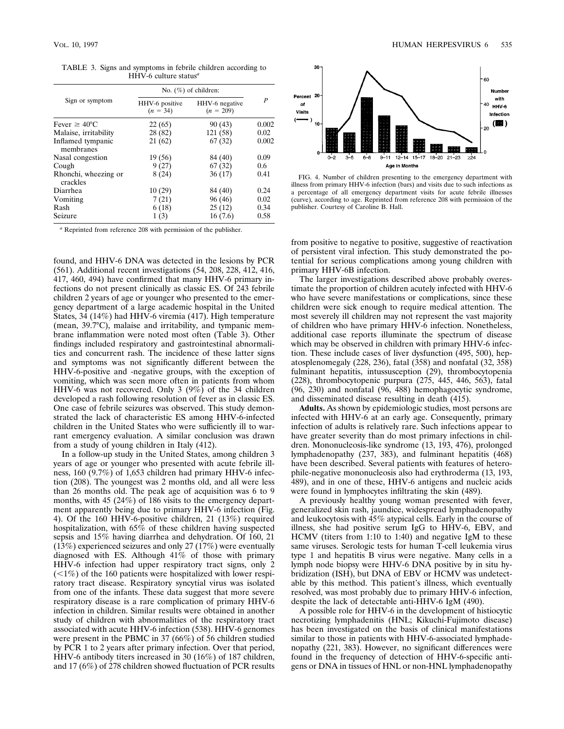|                                  | No. $(\%)$ of children:      |                               |       |
|----------------------------------|------------------------------|-------------------------------|-------|
| Sign or symptom                  | HHV-6 positive<br>$(n = 34)$ | HHV-6 negative<br>$(n = 209)$ | P     |
| Fever $\geq 40^{\circ}$ C        | 22 (65)                      | 90(43)                        | 0.002 |
| Malaise, irritability            | 28 (82)                      | 121 (58)                      | 0.02  |
| Inflamed tympanic<br>membranes   | 21 (62)                      | 67(32)                        | 0.002 |
| Nasal congestion                 | 19(56)                       | 84 (40)                       | 0.09  |
| Cough                            | 9(27)                        | 67(32)                        | 0.6   |
| Rhonchi, wheezing or<br>crackles | 8(24)                        | 36(17)                        | 0.41  |
| Diarrhea                         | 10(29)                       | 84 (40)                       | 0.24  |
| Vomiting                         | 7(21)                        | 96 (46)                       | 0.02  |
| Rash                             | 6(18)                        | 25(12)                        | 0.34  |
| Seizure                          | 1(3)                         | 16(7.6)                       | 0.58  |

*<sup>a</sup>* Reprinted from reference 208 with permission of the publisher.

found, and HHV-6 DNA was detected in the lesions by PCR (561). Additional recent investigations (54, 208, 228, 412, 416, 417, 460, 494) have confirmed that many HHV-6 primary infections do not present clinically as classic ES. Of 243 febrile children 2 years of age or younger who presented to the emergency department of a large academic hospital in the United States, 34 (14%) had HHV-6 viremia (417). High temperature (mean, 39.7°C), malaise and irritability, and tympanic membrane inflammation were noted most often (Table 3). Other findings included respiratory and gastrointestinal abnormalities and concurrent rash. The incidence of these latter signs and symptoms was not significantly different between the HHV-6-positive and -negative groups, with the exception of vomiting, which was seen more often in patients from whom HHV-6 was not recovered. Only 3 (9%) of the 34 children developed a rash following resolution of fever as in classic ES. One case of febrile seizures was observed. This study demonstrated the lack of characteristic ES among HHV-6-infected children in the United States who were sufficiently ill to warrant emergency evaluation. A similar conclusion was drawn from a study of young children in Italy (412).

In a follow-up study in the United States, among children 3 years of age or younger who presented with acute febrile illness, 160 (9.7%) of 1,653 children had primary HHV-6 infection (208). The youngest was 2 months old, and all were less than 26 months old. The peak age of acquisition was 6 to 9 months, with 45 (24%) of 186 visits to the emergency department apparently being due to primary HHV-6 infection (Fig. 4). Of the 160 HHV-6-positive children, 21 (13%) required hospitalization, with 65% of these children having suspected sepsis and 15% having diarrhea and dehydration. Of 160, 21 (13%) experienced seizures and only 27 (17%) were eventually diagnosed with ES. Although 41% of those with primary HHV-6 infection had upper respiratory tract signs, only 2  $\left($  <1%) of the 160 patients were hospitalized with lower respiratory tract disease. Respiratory syncytial virus was isolated from one of the infants. These data suggest that more severe respiratory disease is a rare complication of primary HHV-6 infection in children. Similar results were obtained in another study of children with abnormalities of the respiratory tract associated with acute HHV-6 infection (538). HHV-6 genomes were present in the PBMC in 37 (66%) of 56 children studied by PCR 1 to 2 years after primary infection. Over that period, HHV-6 antibody titers increased in 30 (16%) of 187 children, and 17 (6%) of 278 children showed fluctuation of PCR results



FIG. 4. Number of children presenting to the emergency department with illness from primary HHV-6 infection (bars) and visits due to such infections as a percentage of all emergency department visits for acute febrile illnesses (curve), according to age. Reprinted from reference 208 with permission of the publisher. Courtesy of Caroline B. Hall.

from positive to negative to positive, suggestive of reactivation of persistent viral infection. This study demonstrated the potential for serious complications among young children with primary HHV-6B infection.

The larger investigations described above probably overestimate the proportion of children acutely infected with HHV-6 who have severe manifestations or complications, since these children were sick enough to require medical attention. The most severely ill children may not represent the vast majority of children who have primary HHV-6 infection. Nonetheless, additional case reports illuminate the spectrum of disease which may be observed in children with primary HHV-6 infection. These include cases of liver dysfunction (495, 500), hepatosplenomegaly (228, 236), fatal (358) and nonfatal (32, 358) fulminant hepatitis, intussusception (29), thrombocytopenia (228), thrombocytopenic purpura (275, 445, 446, 563), fatal (96, 230) and nonfatal (96, 488) hemophagocytic syndrome, and disseminated disease resulting in death (415).

**Adults.** As shown by epidemiologic studies, most persons are infected with HHV-6 at an early age. Consequently, primary infection of adults is relatively rare. Such infections appear to have greater severity than do most primary infections in children. Mononucleosis-like syndrome (13, 193, 476), prolonged lymphadenopathy (237, 383), and fulminant hepatitis (468) have been described. Several patients with features of heterophile-negative mononucleosis also had erythroderma (13, 193, 489), and in one of these, HHV-6 antigens and nucleic acids were found in lymphocytes infiltrating the skin (489).

A previously healthy young woman presented with fever, generalized skin rash, jaundice, widespread lymphadenopathy and leukocytosis with 45% atypical cells. Early in the course of illness, she had positive serum IgG to HHV-6, EBV, and HCMV (titers from 1:10 to 1:40) and negative IgM to these same viruses. Serologic tests for human T-cell leukemia virus type 1 and hepatitis B virus were negative. Many cells in a lymph node biopsy were HHV-6 DNA positive by in situ hybridization (ISH), but DNA of EBV or HCMV was undetectable by this method. This patient's illness, which eventually resolved, was most probably due to primary HHV-6 infection, despite the lack of detectable anti-HHV-6 IgM (490).

A possible role for HHV-6 in the development of histiocytic necrotizing lymphadenitis (HNL; Kikuchi-Fujimoto disease) has been investigated on the basis of clinical manifestations similar to those in patients with HHV-6-associated lymphadenopathy (221, 383). However, no significant differences were found in the frequency of detection of HHV-6-specific antigens or DNA in tissues of HNL or non-HNL lymphadenopathy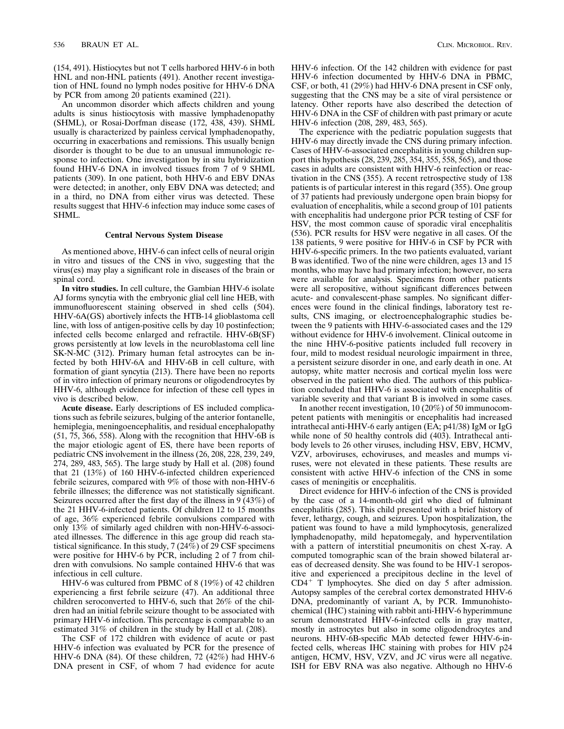(154, 491). Histiocytes but not T cells harbored HHV-6 in both HNL and non-HNL patients (491). Another recent investigation of HNL found no lymph nodes positive for HHV-6 DNA by PCR from among 20 patients examined (221).

An uncommon disorder which affects children and young adults is sinus histiocytosis with massive lymphadenopathy (SHML), or Rosai-Dorfman disease (172, 438, 439). SHML usually is characterized by painless cervical lymphadenopathy, occurring in exacerbations and remissions. This usually benign disorder is thought to be due to an unusual immunologic response to infection. One investigation by in situ hybridization found HHV-6 DNA in involved tissues from 7 of 9 SHML patients (309). In one patient, both HHV-6 and EBV DNAs were detected; in another, only EBV DNA was detected; and in a third, no DNA from either virus was detected. These results suggest that HHV-6 infection may induce some cases of SHML.

# **Central Nervous System Disease**

As mentioned above, HHV-6 can infect cells of neural origin in vitro and tissues of the CNS in vivo, suggesting that the virus(es) may play a significant role in diseases of the brain or spinal cord.

**In vitro studies.** In cell culture, the Gambian HHV-6 isolate AJ forms syncytia with the embryonic glial cell line HEB, with immunofluorescent staining observed in shed cells (504). HHV-6A(GS) abortively infects the HTB-14 glioblastoma cell line, with loss of antigen-positive cells by day 10 postinfection; infected cells become enlarged and refractile. HHV-6B(SF) grows persistently at low levels in the neuroblastoma cell line SK-N-MC (312). Primary human fetal astrocytes can be infected by both HHV-6A and HHV-6B in cell culture, with formation of giant syncytia (213). There have been no reports of in vitro infection of primary neurons or oligodendrocytes by HHV-6, although evidence for infection of these cell types in vivo is described below.

**Acute disease.** Early descriptions of ES included complications such as febrile seizures, bulging of the anterior fontanelle, hemiplegia, meningoencephalitis, and residual encephalopathy (51, 75, 366, 558). Along with the recognition that HHV-6B is the major etiologic agent of ES, there have been reports of pediatric CNS involvement in the illness (26, 208, 228, 239, 249, 274, 289, 483, 565). The large study by Hall et al. (208) found that 21 (13%) of 160 HHV-6-infected children experienced febrile seizures, compared with 9% of those with non-HHV-6 febrile illnesses; the difference was not statistically significant. Seizures occurred after the first day of the illness in 9 (43%) of the 21 HHV-6-infected patients. Of children 12 to 15 months of age, 36% experienced febrile convulsions compared with only 13% of similarly aged children with non-HHV-6-associated illnesses. The difference in this age group did reach statistical significance. In this study, 7 (24%) of 29 CSF specimens were positive for HHV-6 by PCR, including 2 of 7 from children with convulsions. No sample contained HHV-6 that was infectious in cell culture.

HHV-6 was cultured from PBMC of 8 (19%) of 42 children experiencing a first febrile seizure (47). An additional three children seroconverted to HHV-6, such that 26% of the children had an initial febrile seizure thought to be associated with primary HHV-6 infection. This percentage is comparable to an estimated 31% of children in the study by Hall et al. (208).

The CSF of 172 children with evidence of acute or past HHV-6 infection was evaluated by PCR for the presence of HHV-6 DNA (84). Of these children, 72 (42%) had HHV-6 DNA present in CSF, of whom 7 had evidence for acute HHV-6 infection. Of the 142 children with evidence for past HHV-6 infection documented by HHV-6 DNA in PBMC, CSF, or both, 41 (29%) had HHV-6 DNA present in CSF only, suggesting that the CNS may be a site of viral persistence or latency. Other reports have also described the detection of HHV-6 DNA in the CSF of children with past primary or acute HHV-6 infection (208, 289, 483, 565).

The experience with the pediatric population suggests that HHV-6 may directly invade the CNS during primary infection. Cases of HHV-6-associated encephalitis in young children support this hypothesis (28, 239, 285, 354, 355, 558, 565), and those cases in adults are consistent with HHV-6 reinfection or reactivation in the CNS (355). A recent retrospective study of 138 patients is of particular interest in this regard (355). One group of 37 patients had previously undergone open brain biopsy for evaluation of encephalitis, while a second group of 101 patients with encephalitis had undergone prior PCR testing of CSF for HSV, the most common cause of sporadic viral encephalitis (536). PCR results for HSV were negative in all cases. Of the 138 patients, 9 were positive for HHV-6 in CSF by PCR with HHV-6-specific primers. In the two patients evaluated, variant B was identified. Two of the nine were children, ages 13 and 15 months, who may have had primary infection; however, no sera were available for analysis. Specimens from other patients were all seropositive, without significant differences between acute- and convalescent-phase samples. No significant differences were found in the clinical findings, laboratory test results, CNS imaging, or electroencephalographic studies between the 9 patients with HHV-6-associated cases and the 129 without evidence for HHV-6 involvement. Clinical outcome in the nine HHV-6-positive patients included full recovery in four, mild to modest residual neurologic impairment in three, a persistent seizure disorder in one, and early death in one. At autopsy, white matter necrosis and cortical myelin loss were observed in the patient who died. The authors of this publication concluded that HHV-6 is associated with encephalitis of variable severity and that variant B is involved in some cases.

In another recent investigation, 10 (20%) of 50 immunocompetent patients with meningitis or encephalitis had increased intrathecal anti-HHV-6 early antigen (EA; p41/38) IgM or IgG while none of 50 healthy controls did (403). Intrathecal antibody levels to 26 other viruses, including HSV, EBV, HCMV, VZV, arboviruses, echoviruses, and measles and mumps viruses, were not elevated in these patients. These results are consistent with active HHV-6 infection of the CNS in some cases of meningitis or encephalitis.

Direct evidence for HHV-6 infection of the CNS is provided by the case of a 14-month-old girl who died of fulminant encephalitis (285). This child presented with a brief history of fever, lethargy, cough, and seizures. Upon hospitalization, the patient was found to have a mild lymphocytosis, generalized lymphadenopathy, mild hepatomegaly, and hyperventilation with a pattern of interstitial pneumonitis on chest X-ray. A computed tomographic scan of the brain showed bilateral areas of decreased density. She was found to be HIV-1 seropositive and experienced a precipitous decline in the level of  $CD4^+$  T lymphocytes. She died on day 5 after admission. Autopsy samples of the cerebral cortex demonstrated HHV-6 DNA, predominantly of variant A, by PCR. Immunohistochemical (IHC) staining with rabbit anti-HHV-6 hyperimmune serum demonstrated HHV-6-infected cells in gray matter, mostly in astrocytes but also in some oligodendrocytes and neurons. HHV-6B-specific MAb detected fewer HHV-6-infected cells, whereas IHC staining with probes for HIV p24 antigen, HCMV, HSV, VZV, and JC virus were all negative. ISH for EBV RNA was also negative. Although no HHV-6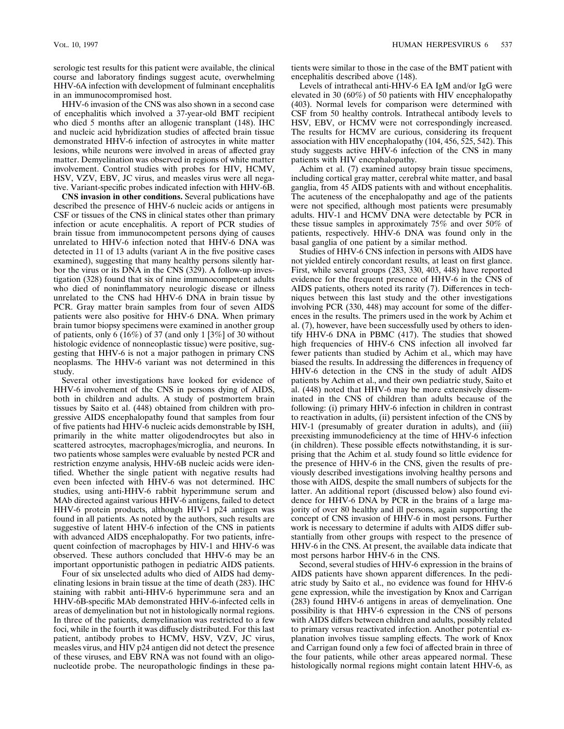serologic test results for this patient were available, the clinical course and laboratory findings suggest acute, overwhelming HHV-6A infection with development of fulminant encephalitis in an immunocompromised host.

HHV-6 invasion of the CNS was also shown in a second case of encephalitis which involved a 37-year-old BMT recipient who died 5 months after an allogenic transplant (148). IHC and nucleic acid hybridization studies of affected brain tissue demonstrated HHV-6 infection of astrocytes in white matter lesions, while neurons were involved in areas of affected gray matter. Demyelination was observed in regions of white matter involvement. Control studies with probes for HIV, HCMV, HSV, VZV, EBV, JC virus, and measles virus were all negative. Variant-specific probes indicated infection with HHV-6B.

**CNS invasion in other conditions.** Several publications have described the presence of HHV-6 nucleic acids or antigens in CSF or tissues of the CNS in clinical states other than primary infection or acute encephalitis. A report of PCR studies of brain tissue from immunocompetent persons dying of causes unrelated to HHV-6 infection noted that HHV-6 DNA was detected in 11 of 13 adults (variant A in the five positive cases examined), suggesting that many healthy persons silently harbor the virus or its DNA in the CNS (329). A follow-up investigation (328) found that six of nine immunocompetent adults who died of noninflammatory neurologic disease or illness unrelated to the CNS had HHV-6 DNA in brain tissue by PCR. Gray matter brain samples from four of seven AIDS patients were also positive for HHV-6 DNA. When primary brain tumor biopsy specimens were examined in another group of patients, only 6 (16%) of 37 (and only 1 [3%] of 30 without histologic evidence of nonneoplastic tissue) were positive, suggesting that HHV-6 is not a major pathogen in primary CNS neoplasms. The HHV-6 variant was not determined in this study.

Several other investigations have looked for evidence of HHV-6 involvement of the CNS in persons dying of AIDS, both in children and adults. A study of postmortem brain tissues by Saito et al. (448) obtained from children with progressive AIDS encephalopathy found that samples from four of five patients had HHV-6 nucleic acids demonstrable by ISH, primarily in the white matter oligodendrocytes but also in scattered astrocytes, macrophages/microglia, and neurons. In two patients whose samples were evaluable by nested PCR and restriction enzyme analysis, HHV-6B nucleic acids were identified. Whether the single patient with negative results had even been infected with HHV-6 was not determined. IHC studies, using anti-HHV-6 rabbit hyperimmune serum and MAb directed against various HHV-6 antigens, failed to detect HHV-6 protein products, although HIV-1 p24 antigen was found in all patients. As noted by the authors, such results are suggestive of latent HHV-6 infection of the CNS in patients with advanced AIDS encephalopathy. For two patients, infrequent coinfection of macrophages by HIV-1 and HHV-6 was observed. These authors concluded that HHV-6 may be an important opportunistic pathogen in pediatric AIDS patients.

Four of six unselected adults who died of AIDS had demyelinating lesions in brain tissue at the time of death (283). IHC staining with rabbit anti-HHV-6 hyperimmune sera and an HHV-6B-specific MAb demonstrated HHV-6-infected cells in areas of demyelination but not in histologically normal regions. In three of the patients, demyelination was restricted to a few foci, while in the fourth it was diffusely distributed. For this last patient, antibody probes to HCMV, HSV, VZV, JC virus, measles virus, and HIV p24 antigen did not detect the presence of these viruses, and EBV RNA was not found with an oligonucleotide probe. The neuropathologic findings in these patients were similar to those in the case of the BMT patient with encephalitis described above (148).

Levels of intrathecal anti-HHV-6 EA IgM and/or IgG were elevated in 30 (60%) of 50 patients with HIV encephalopathy (403). Normal levels for comparison were determined with CSF from 50 healthy controls. Intrathecal antibody levels to HSV, EBV, or HCMV were not correspondingly increased. The results for HCMV are curious, considering its frequent association with HIV encephalopathy (104, 456, 525, 542). This study suggests active HHV-6 infection of the CNS in many patients with HIV encephalopathy.

Achim et al. (7) examined autopsy brain tissue specimens, including cortical gray matter, cerebral white matter, and basal ganglia, from 45 AIDS patients with and without encephalitis. The acuteness of the encephalopathy and age of the patients were not specified, although most patients were presumably adults. HIV-1 and HCMV DNA were detectable by PCR in these tissue samples in approximately 75% and over 50% of patients, respectively. HHV-6 DNA was found only in the basal ganglia of one patient by a similar method.

Studies of HHV-6 CNS infection in persons with AIDS have not yielded entirely concordant results, at least on first glance. First, while several groups (283, 330, 403, 448) have reported evidence for the frequent presence of HHV-6 in the CNS of AIDS patients, others noted its rarity (7). Differences in techniques between this last study and the other investigations involving PCR (330, 448) may account for some of the differences in the results. The primers used in the work by Achim et al. (7), however, have been successfully used by others to identify HHV-6 DNA in PBMC (417). The studies that showed high frequencies of HHV-6 CNS infection all involved far fewer patients than studied by Achim et al., which may have biased the results. In addressing the differences in frequency of HHV-6 detection in the CNS in the study of adult AIDS patients by Achim et al., and their own pediatric study, Saito et al. (448) noted that HHV-6 may be more extensively disseminated in the CNS of children than adults because of the following: (i) primary HHV-6 infection in children in contrast to reactivation in adults, (ii) persistent infection of the CNS by HIV-1 (presumably of greater duration in adults), and (iii) preexisting immunodeficiency at the time of HHV-6 infection (in children). These possible effects notwithstanding, it is surprising that the Achim et al. study found so little evidence for the presence of HHV-6 in the CNS, given the results of previously described investigations involving healthy persons and those with AIDS, despite the small numbers of subjects for the latter. An additional report (discussed below) also found evidence for HHV-6 DNA by PCR in the brains of a large majority of over 80 healthy and ill persons, again supporting the concept of CNS invasion of HHV-6 in most persons. Further work is necessary to determine if adults with AIDS differ substantially from other groups with respect to the presence of HHV-6 in the CNS. At present, the available data indicate that most persons harbor HHV-6 in the CNS.

Second, several studies of HHV-6 expression in the brains of AIDS patients have shown apparent differences. In the pediatric study by Saito et al., no evidence was found for HHV-6 gene expression, while the investigation by Knox and Carrigan (283) found HHV-6 antigens in areas of demyelination. One possibility is that HHV-6 expression in the CNS of persons with AIDS differs between children and adults, possibly related to primary versus reactivated infection. Another potential explanation involves tissue sampling effects. The work of Knox and Carrigan found only a few foci of affected brain in three of the four patients, while other areas appeared normal. These histologically normal regions might contain latent HHV-6, as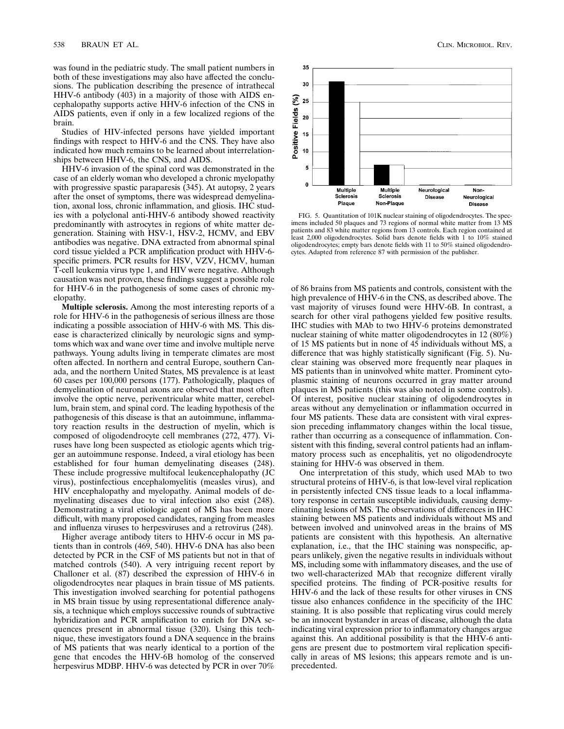was found in the pediatric study. The small patient numbers in both of these investigations may also have affected the conclusions. The publication describing the presence of intrathecal HHV-6 antibody (403) in a majority of those with AIDS encephalopathy supports active HHV-6 infection of the CNS in AIDS patients, even if only in a few localized regions of the brain.

Studies of HIV-infected persons have yielded important findings with respect to HHV-6 and the CNS. They have also indicated how much remains to be learned about interrelationships between HHV-6, the CNS, and AIDS.

HHV-6 invasion of the spinal cord was demonstrated in the case of an elderly woman who developed a chronic myelopathy with progressive spastic paraparesis (345). At autopsy, 2 years after the onset of symptoms, there was widespread demyelination, axonal loss, chronic inflammation, and gliosis. IHC studies with a polyclonal anti-HHV-6 antibody showed reactivity predominantly with astrocytes in regions of white matter degeneration. Staining with HSV-1, HSV-2, HCMV, and EBV antibodies was negative. DNA extracted from abnormal spinal cord tissue yielded a PCR amplification product with HHV-6 specific primers. PCR results for HSV, VZV, HCMV, human T-cell leukemia virus type 1, and HIV were negative. Although causation was not proven, these findings suggest a possible role for HHV-6 in the pathogenesis of some cases of chronic myelopathy.

**Multiple sclerosis.** Among the most interesting reports of a role for HHV-6 in the pathogenesis of serious illness are those indicating a possible association of HHV-6 with MS. This disease is characterized clinically by neurologic signs and symptoms which wax and wane over time and involve multiple nerve pathways. Young adults living in temperate climates are most often affected. In northern and central Europe, southern Canada, and the northern United States, MS prevalence is at least 60 cases per 100,000 persons (177). Pathologically, plaques of demyelination of neuronal axons are observed that most often involve the optic nerve, periventricular white matter, cerebellum, brain stem, and spinal cord. The leading hypothesis of the pathogenesis of this disease is that an autoimmune, inflammatory reaction results in the destruction of myelin, which is composed of oligodendrocyte cell membranes (272, 477). Viruses have long been suspected as etiologic agents which trigger an autoimmune response. Indeed, a viral etiology has been established for four human demyelinating diseases (248). These include progressive multifocal leukencephalopathy (JC virus), postinfectious encephalomyelitis (measles virus), and HIV encephalopathy and myelopathy. Animal models of demyelinating diseases due to viral infection also exist (248). Demonstrating a viral etiologic agent of MS has been more difficult, with many proposed candidates, ranging from measles and influenza viruses to herpesviruses and a retrovirus (248).

Higher average antibody titers to HHV-6 occur in MS patients than in controls (469, 540). HHV-6 DNA has also been detected by PCR in the CSF of MS patients but not in that of matched controls (540). A very intriguing recent report by Challoner et al. (87) described the expression of HHV-6 in oligodendrocytes near plaques in brain tissue of MS patients. This investigation involved searching for potential pathogens in MS brain tissue by using representational difference analysis, a technique which employs successive rounds of subtractive hybridization and PCR amplification to enrich for DNA sequences present in abnormal tissue (320). Using this technique, these investigators found a DNA sequence in the brains of MS patients that was nearly identical to a portion of the gene that encodes the HHV-6B homolog of the conserved herpesvirus MDBP. HHV-6 was detected by PCR in over 70%



FIG. 5. Quantitation of 101K nuclear staining of oligodendrocytes. The specimens included 50 plaques and 73 regions of normal white matter from 13 MS patients and 83 white matter regions from 13 controls. Each region contained at least 2,000 oligodendrocytes. Solid bars denote fields with 1 to 10% stained oligodendrocytes; empty bars denote fields with 11 to 50% stained oligodendrocytes. Adapted from reference 87 with permission of the publisher.

of 86 brains from MS patients and controls, consistent with the high prevalence of HHV-6 in the CNS, as described above. The vast majority of viruses found were HHV-6B. In contrast, a search for other viral pathogens yielded few positive results. IHC studies with MAb to two HHV-6 proteins demonstrated nuclear staining of white matter oligodendrocytes in 12 (80%) of 15 MS patients but in none of 45 individuals without MS, a difference that was highly statistically significant (Fig. 5). Nuclear staining was observed more frequently near plaques in MS patients than in uninvolved white matter. Prominent cytoplasmic staining of neurons occurred in gray matter around plaques in MS patients (this was also noted in some controls). Of interest, positive nuclear staining of oligodendrocytes in areas without any demyelination or inflammation occurred in four MS patients. These data are consistent with viral expression preceding inflammatory changes within the local tissue, rather than occurring as a consequence of inflammation. Consistent with this finding, several control patients had an inflammatory process such as encephalitis, yet no oligodendrocyte staining for HHV-6 was observed in them.

One interpretation of this study, which used MAb to two structural proteins of HHV-6, is that low-level viral replication in persistently infected CNS tissue leads to a local inflammatory response in certain susceptible individuals, causing demyelinating lesions of MS. The observations of differences in IHC staining between MS patients and individuals without MS and between involved and uninvolved areas in the brains of MS patients are consistent with this hypothesis. An alternative explanation, i.e., that the IHC staining was nonspecific, appears unlikely, given the negative results in individuals without MS, including some with inflammatory diseases, and the use of two well-characterized MAb that recognize different virally specified proteins. The finding of PCR-positive results for HHV-6 and the lack of these results for other viruses in CNS tissue also enhances confidence in the specificity of the IHC staining. It is also possible that replicating virus could merely be an innocent bystander in areas of disease, although the data indicating viral expression prior to inflammatory changes argue against this. An additional possibility is that the HHV-6 antigens are present due to postmortem viral replication specifically in areas of MS lesions; this appears remote and is unprecedented.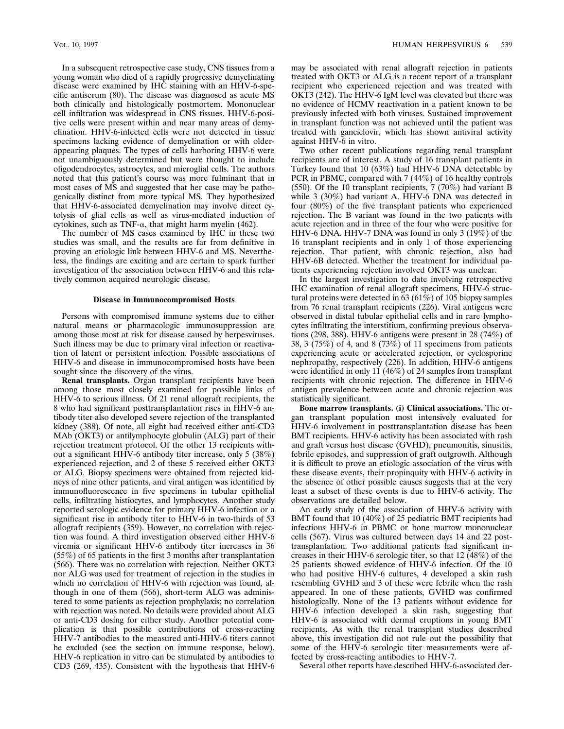In a subsequent retrospective case study, CNS tissues from a young woman who died of a rapidly progressive demyelinating disease were examined by IHC staining with an HHV-6-specific antiserum (80). The disease was diagnosed as acute MS both clinically and histologically postmortem. Mononuclear cell infiltration was widespread in CNS tissues. HHV-6-positive cells were present within and near many areas of demyelination. HHV-6-infected cells were not detected in tissue specimens lacking evidence of demyelination or with olderappearing plaques. The types of cells harboring HHV-6 were not unambiguously determined but were thought to include oligodendrocytes, astrocytes, and microglial cells. The authors noted that this patient's course was more fulminant that in most cases of MS and suggested that her case may be pathogenically distinct from more typical MS. They hypothesized that HHV-6-associated demyelination may involve direct cytolysis of glial cells as well as virus-mediated induction of cytokines, such as TNF- $\alpha$ , that might harm myelin (462).

The number of MS cases examined by IHC in these two studies was small, and the results are far from definitive in proving an etiologic link between HHV-6 and MS. Nevertheless, the findings are exciting and are certain to spark further investigation of the association between HHV-6 and this relatively common acquired neurologic disease.

#### **Disease in Immunocompromised Hosts**

Persons with compromised immune systems due to either natural means or pharmacologic immunosuppression are among those most at risk for disease caused by herpesviruses. Such illness may be due to primary viral infection or reactivation of latent or persistent infection. Possible associations of HHV-6 and disease in immunocompromised hosts have been sought since the discovery of the virus.

**Renal transplants.** Organ transplant recipients have been among those most closely examined for possible links of HHV-6 to serious illness. Of 21 renal allograft recipients, the 8 who had significant posttransplantation rises in HHV-6 antibody titer also developed severe rejection of the transplanted kidney (388). Of note, all eight had received either anti-CD3 MAb (OKT3) or antilymphocyte globulin (ALG) part of their rejection treatment protocol. Of the other 13 recipients without a significant HHV-6 antibody titer increase, only 5 (38%) experienced rejection, and 2 of these 5 received either OKT3 or ALG. Biopsy specimens were obtained from rejected kidneys of nine other patients, and viral antigen was identified by immunofluorescence in five specimens in tubular epithelial cells, infiltrating histiocytes, and lymphocytes. Another study reported serologic evidence for primary HHV-6 infection or a significant rise in antibody titer to HHV-6 in two-thirds of 53 allograft recipients (359). However, no correlation with rejection was found. A third investigation observed either HHV-6 viremia or significant HHV-6 antibody titer increases in 36 (55%) of 65 patients in the first 3 months after transplantation (566). There was no correlation with rejection. Neither OKT3 nor ALG was used for treatment of rejection in the studies in which no correlation of HHV-6 with rejection was found, although in one of them (566), short-term ALG was administered to some patients as rejection prophylaxis; no correlation with rejection was noted. No details were provided about ALG or anti-CD3 dosing for either study. Another potential complication is that possible contributions of cross-reacting HHV-7 antibodies to the measured anti-HHV-6 titers cannot be excluded (see the section on immune response, below). HHV-6 replication in vitro can be stimulated by antibodies to CD3 (269, 435). Consistent with the hypothesis that HHV-6

may be associated with renal allograft rejection in patients treated with OKT3 or ALG is a recent report of a transplant recipient who experienced rejection and was treated with OKT3 (242). The HHV-6 IgM level was elevated but there was no evidence of HCMV reactivation in a patient known to be previously infected with both viruses. Sustained improvement in transplant function was not achieved until the patient was treated with ganciclovir, which has shown antiviral activity against HHV-6 in vitro.

Two other recent publications regarding renal transplant recipients are of interest. A study of 16 transplant patients in Turkey found that 10 (63%) had HHV-6 DNA detectable by PCR in PBMC, compared with 7 (44%) of 16 healthy controls (550). Of the 10 transplant recipients, 7 (70%) had variant B while 3 (30%) had variant A. HHV-6 DNA was detected in four (80%) of the five transplant patients who experienced rejection. The B variant was found in the two patients with acute rejection and in three of the four who were positive for HHV-6 DNA. HHV-7 DNA was found in only 3 (19%) of the 16 transplant recipients and in only 1 of those experiencing rejection. That patient, with chronic rejection, also had HHV-6B detected. Whether the treatment for individual patients experiencing rejection involved OKT3 was unclear.

In the largest investigation to date involving retrospective IHC examination of renal allograft specimens, HHV-6 structural proteins were detected in 63 (61%) of 105 biopsy samples from 76 renal transplant recipients (226). Viral antigens were observed in distal tubular epithelial cells and in rare lymphocytes infiltrating the interstitium, confirming previous observations (298, 388). HHV-6 antigens were present in 28 (74%) of 38, 3 (75%) of 4, and 8 (73%) of 11 specimens from patients experiencing acute or accelerated rejection, or cyclosporine nephropathy, respectively (226). In addition, HHV-6 antigens were identified in only 11 (46%) of 24 samples from transplant recipients with chronic rejection. The difference in HHV-6 antigen prevalence between acute and chronic rejection was statistically significant.

**Bone marrow transplants. (i) Clinical associations.** The organ transplant population most intensively evaluated for HHV-6 involvement in posttransplantation disease has been BMT recipients. HHV-6 activity has been associated with rash and graft versus host disease (GVHD), pneumonitis, sinusitis, febrile episodes, and suppression of graft outgrowth. Although it is difficult to prove an etiologic association of the virus with these disease events, their propinquity with HHV-6 activity in the absence of other possible causes suggests that at the very least a subset of these events is due to HHV-6 activity. The observations are detailed below.

An early study of the association of HHV-6 activity with BMT found that 10 (40%) of 25 pediatric BMT recipients had infectious HHV-6 in PBMC or bone marrow mononuclear cells (567). Virus was cultured between days 14 and 22 posttransplantation. Two additional patients had significant increases in their HHV-6 serologic titer, so that 12 (48%) of the 25 patients showed evidence of HHV-6 infection. Of the 10 who had positive HHV-6 cultures, 4 developed a skin rash resembling GVHD and 3 of these were febrile when the rash appeared. In one of these patients, GVHD was confirmed histologically. None of the 13 patients without evidence for HHV-6 infection developed a skin rash, suggesting that HHV-6 is associated with dermal eruptions in young BMT recipients. As with the renal transplant studies described above, this investigation did not rule out the possibility that some of the HHV-6 serologic titer measurements were affected by cross-reacting antibodies to HHV-7.

Several other reports have described HHV-6-associated der-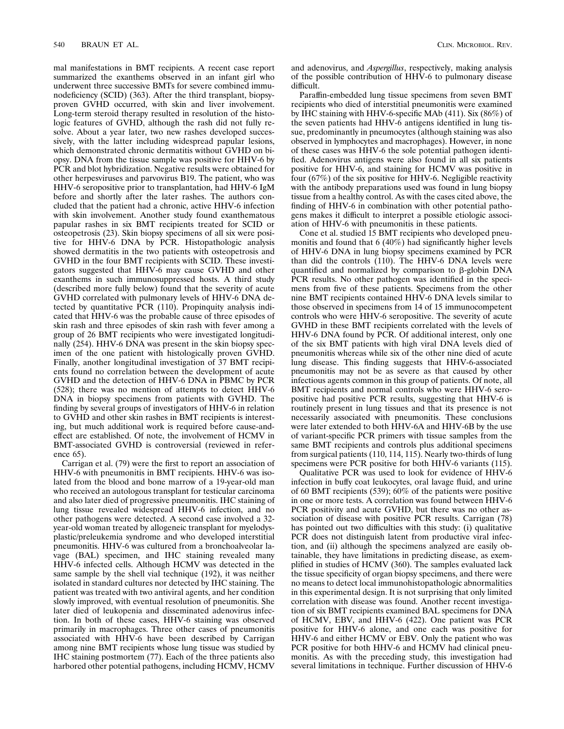mal manifestations in BMT recipients. A recent case report summarized the exanthems observed in an infant girl who underwent three successive BMTs for severe combined immunodeficiency (SCID) (363). After the third transplant, biopsyproven GVHD occurred, with skin and liver involvement. Long-term steroid therapy resulted in resolution of the histologic features of GVHD, although the rash did not fully resolve. About a year later, two new rashes developed successively, with the latter including widespread papular lesions, which demonstrated chronic dermatitis without GVHD on biopsy. DNA from the tissue sample was positive for HHV-6 by PCR and blot hybridization. Negative results were obtained for other herpesviruses and parvovirus B19. The patient, who was HHV-6 seropositive prior to transplantation, had HHV-6 IgM before and shortly after the later rashes. The authors concluded that the patient had a chronic, active HHV-6 infection with skin involvement. Another study found exanthematous papular rashes in six BMT recipients treated for SCID or osteopetrosis (23). Skin biopsy specimens of all six were positive for HHV-6 DNA by PCR. Histopathologic analysis showed dermatitis in the two patients with osteopetrosis and GVHD in the four BMT recipients with SCID. These investigators suggested that HHV-6 may cause GVHD and other exanthems in such immunosuppressed hosts. A third study (described more fully below) found that the severity of acute GVHD correlated with pulmonary levels of HHV-6 DNA detected by quantitative PCR (110). Propinquity analysis indicated that HHV-6 was the probable cause of three episodes of skin rash and three episodes of skin rash with fever among a group of 26 BMT recipients who were investigated longitudinally (254). HHV-6 DNA was present in the skin biopsy specimen of the one patient with histologically proven GVHD. Finally, another longitudinal investigation of 37 BMT recipients found no correlation between the development of acute GVHD and the detection of HHV-6 DNA in PBMC by PCR (528); there was no mention of attempts to detect HHV-6 DNA in biopsy specimens from patients with GVHD. The finding by several groups of investigators of HHV-6 in relation to GVHD and other skin rashes in BMT recipients is interesting, but much additional work is required before cause-andeffect are established. Of note, the involvement of HCMV in BMT-associated GVHD is controversial (reviewed in reference 65).

Carrigan et al. (79) were the first to report an association of HHV-6 with pneumonitis in BMT recipients. HHV-6 was isolated from the blood and bone marrow of a 19-year-old man who received an autologous transplant for testicular carcinoma and also later died of progressive pneumonitis. IHC staining of lung tissue revealed widespread HHV-6 infection, and no other pathogens were detected. A second case involved a 32 year-old woman treated by allogeneic transplant for myelodysplastic/preleukemia syndrome and who developed interstitial pneumonitis. HHV-6 was cultured from a bronchoalveolar lavage (BAL) specimen, and IHC staining revealed many HHV-6 infected cells. Although HCMV was detected in the same sample by the shell vial technique (192), it was neither isolated in standard cultures nor detected by IHC staining. The patient was treated with two antiviral agents, and her condition slowly improved, with eventual resolution of pneumonitis. She later died of leukopenia and disseminated adenovirus infection. In both of these cases, HHV-6 staining was observed primarily in macrophages. Three other cases of pneumonitis associated with HHV-6 have been described by Carrigan among nine BMT recipients whose lung tissue was studied by IHC staining postmortem (77). Each of the three patients also harbored other potential pathogens, including HCMV, HCMV

and adenovirus, and *Aspergillus*, respectively, making analysis of the possible contribution of HHV-6 to pulmonary disease difficult.

Paraffin-embedded lung tissue specimens from seven BMT recipients who died of interstitial pneumonitis were examined by IHC staining with HHV-6-specific MAb (411). Six (86%) of the seven patients had HHV-6 antigens identified in lung tissue, predominantly in pneumocytes (although staining was also observed in lymphocytes and macrophages). However, in none of these cases was HHV-6 the sole potential pathogen identified. Adenovirus antigens were also found in all six patients positive for HHV-6, and staining for HCMV was positive in four (67%) of the six positive for HHV-6. Negligible reactivity with the antibody preparations used was found in lung biopsy tissue from a healthy control. As with the cases cited above, the finding of HHV-6 in combination with other potential pathogens makes it difficult to interpret a possible etiologic association of HHV-6 with pneumonitis in these patients.

Cone et al. studied 15 BMT recipients who developed pneumonitis and found that 6 (40%) had significantly higher levels of HHV-6 DNA in lung biopsy specimens examined by PCR than did the controls (110). The HHV-6 DNA levels were quantified and normalized by comparison to  $\beta$ -globin DNA PCR results. No other pathogen was identified in the specimens from five of these patients. Specimens from the other nine BMT recipients contained HHV-6 DNA levels similar to those observed in specimens from 14 of 15 immunocompetent controls who were HHV-6 seropositive. The severity of acute GVHD in these BMT recipients correlated with the levels of HHV-6 DNA found by PCR. Of additional interest, only one of the six BMT patients with high viral DNA levels died of pneumonitis whereas while six of the other nine died of acute lung disease. This finding suggests that HHV-6-associated pneumonitis may not be as severe as that caused by other infectious agents common in this group of patients. Of note, all BMT recipients and normal controls who were HHV-6 seropositive had positive PCR results, suggesting that HHV-6 is routinely present in lung tissues and that its presence is not necessarily associated with pneumonitis. These conclusions were later extended to both HHV-6A and HHV-6B by the use of variant-specific PCR primers with tissue samples from the same BMT recipients and controls plus additional specimens from surgical patients (110, 114, 115). Nearly two-thirds of lung specimens were PCR positive for both HHV-6 variants (115).

Qualitative PCR was used to look for evidence of HHV-6 infection in buffy coat leukocytes, oral lavage fluid, and urine of 60 BMT recipients (539); 60% of the patients were positive in one or more tests. A correlation was found between HHV-6 PCR positivity and acute GVHD, but there was no other association of disease with positive PCR results. Carrigan (78) has pointed out two difficulties with this study: (i) qualitative PCR does not distinguish latent from productive viral infection, and (ii) although the specimens analyzed are easily obtainable, they have limitations in predicting disease, as exemplified in studies of HCMV (360). The samples evaluated lack the tissue specificity of organ biopsy specimens, and there were no means to detect local immunohistopathologic abnormalities in this experimental design. It is not surprising that only limited correlation with disease was found. Another recent investigation of six BMT recipients examined BAL specimens for DNA of HCMV, EBV, and HHV-6 (422). One patient was PCR positive for HHV-6 alone, and one each was positive for HHV-6 and either HCMV or EBV. Only the patient who was PCR positive for both HHV-6 and HCMV had clinical pneumonitis. As with the preceding study, this investigation had several limitations in technique. Further discussion of HHV-6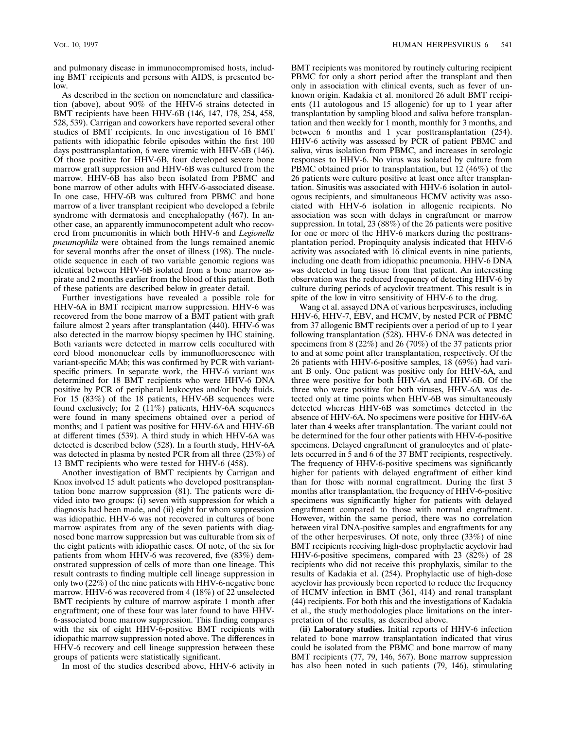and pulmonary disease in immunocompromised hosts, including BMT recipients and persons with AIDS, is presented below.

As described in the section on nomenclature and classification (above), about 90% of the HHV-6 strains detected in BMT recipients have been HHV-6B (146, 147, 178, 254, 458, 528, 539). Carrigan and coworkers have reported several other studies of BMT recipients. In one investigation of 16 BMT patients with idiopathic febrile episodes within the first 100 days posttransplantation, 6 were viremic with HHV-6B (146). Of those positive for HHV-6B, four developed severe bone marrow graft suppression and HHV-6B was cultured from the marrow. HHV-6B has also been isolated from PBMC and bone marrow of other adults with HHV-6-associated disease. In one case, HHV-6B was cultured from PBMC and bone marrow of a liver transplant recipient who developed a febrile syndrome with dermatosis and encephalopathy (467). In another case, an apparently immunocompetent adult who recovered from pneumonitis in which both HHV-6 and *Legionella pneumophila* were obtained from the lungs remained anemic for several months after the onset of illness (198). The nucleotide sequence in each of two variable genomic regions was identical between HHV-6B isolated from a bone marrow aspirate and 2 months earlier from the blood of this patient. Both of these patients are described below in greater detail.

Further investigations have revealed a possible role for HHV-6A in BMT recipient marrow suppression. HHV-6 was recovered from the bone marrow of a BMT patient with graft failure almost 2 years after transplantation (440). HHV-6 was also detected in the marrow biopsy specimen by IHC staining. Both variants were detected in marrow cells cocultured with cord blood mononuclear cells by immunofluorescence with variant-specific MAb; this was confirmed by PCR with variantspecific primers. In separate work, the HHV-6 variant was determined for 18 BMT recipients who were HHV-6 DNA positive by PCR of peripheral leukocytes and/or body fluids. For 15 (83%) of the 18 patients, HHV-6B sequences were found exclusively; for 2 (11%) patients, HHV-6A sequences were found in many specimens obtained over a period of months; and 1 patient was positive for HHV-6A and HHV-6B at different times (539). A third study in which HHV-6A was detected is described below (528). In a fourth study, HHV-6A was detected in plasma by nested PCR from all three (23%) of 13 BMT recipients who were tested for HHV-6 (458).

Another investigation of BMT recipients by Carrigan and Knox involved 15 adult patients who developed posttransplantation bone marrow suppression (81). The patients were divided into two groups: (i) seven with suppression for which a diagnosis had been made, and (ii) eight for whom suppression was idiopathic. HHV-6 was not recovered in cultures of bone marrow aspirates from any of the seven patients with diagnosed bone marrow suppression but was culturable from six of the eight patients with idiopathic cases. Of note, of the six for patients from whom HHV-6 was recovered, five (83%) demonstrated suppression of cells of more than one lineage. This result contrasts to finding multiple cell lineage suppression in only two (22%) of the nine patients with HHV-6-negative bone marrow. HHV-6 was recovered from 4 (18%) of 22 unselected BMT recipients by culture of marrow aspirate 1 month after engraftment; one of these four was later found to have HHV-6-associated bone marrow suppression. This finding compares with the six of eight HHV-6-positive BMT recipients with idiopathic marrow suppression noted above. The differences in HHV-6 recovery and cell lineage suppression between these groups of patients were statistically significant.

In most of the studies described above, HHV-6 activity in

BMT recipients was monitored by routinely culturing recipient PBMC for only a short period after the transplant and then only in association with clinical events, such as fever of unknown origin. Kadakia et al. monitored 26 adult BMT recipients (11 autologous and 15 allogenic) for up to 1 year after transplantation by sampling blood and saliva before transplantation and then weekly for 1 month, monthly for 3 months, and between 6 months and 1 year posttransplantation (254). HHV-6 activity was assessed by PCR of patient PBMC and saliva, virus isolation from PBMC, and increases in serologic responses to HHV-6. No virus was isolated by culture from PBMC obtained prior to transplantation, but 12 (46%) of the 26 patients were culture positive at least once after transplantation. Sinusitis was associated with HHV-6 isolation in autologous recipients, and simultaneous HCMV activity was associated with HHV-6 isolation in allogenic recipients. No association was seen with delays in engraftment or marrow suppression. In total, 23 (88%) of the 26 patients were positive for one or more of the HHV-6 markers during the posttransplantation period. Propinquity analysis indicated that HHV-6 activity was associated with 16 clinical events in nine patients, including one death from idiopathic pneumonia. HHV-6 DNA was detected in lung tissue from that patient. An interesting observation was the reduced frequency of detecting HHV-6 by culture during periods of acyclovir treatment. This result is in spite of the low in vitro sensitivity of HHV-6 to the drug.

Wang et al. assayed DNA of various herpesviruses, including HHV-6, HHV-7, EBV, and HCMV, by nested PCR of PBMC from 37 allogenic BMT recipients over a period of up to 1 year following transplantation (528). HHV-6 DNA was detected in specimens from 8 (22%) and 26 (70%) of the 37 patients prior to and at some point after transplantation, respectively. Of the 26 patients with HHV-6-positive samples, 18 (69%) had variant B only. One patient was positive only for HHV-6A, and three were positive for both HHV-6A and HHV-6B. Of the three who were positive for both viruses, HHV-6A was detected only at time points when HHV-6B was simultaneously detected whereas HHV-6B was sometimes detected in the absence of HHV-6A. No specimens were positive for HHV-6A later than 4 weeks after transplantation. The variant could not be determined for the four other patients with HHV-6-positive specimens. Delayed engraftment of granulocytes and of platelets occurred in 5 and 6 of the 37 BMT recipients, respectively. The frequency of HHV-6-positive specimens was significantly higher for patients with delayed engraftment of either kind than for those with normal engraftment. During the first 3 months after transplantation, the frequency of HHV-6-positive specimens was significantly higher for patients with delayed engraftment compared to those with normal engraftment. However, within the same period, there was no correlation between viral DNA-positive samples and engraftments for any of the other herpesviruses. Of note, only three (33%) of nine BMT recipients receiving high-dose prophylactic acyclovir had HHV-6-positive specimens, compared with 23 (82%) of 28 recipients who did not receive this prophylaxis, similar to the results of Kadakia et al. (254). Prophylactic use of high-dose acyclovir has previously been reported to reduce the frequency of HCMV infection in BMT (361, 414) and renal transplant (44) recipients. For both this and the investigations of Kadakia et al., the study methodologies place limitations on the interpretation of the results, as described above.

**(ii) Laboratory studies.** Initial reports of HHV-6 infection related to bone marrow transplantation indicated that virus could be isolated from the PBMC and bone marrow of many BMT recipients (77, 79, 146, 567). Bone marrow suppression has also been noted in such patients (79, 146), stimulating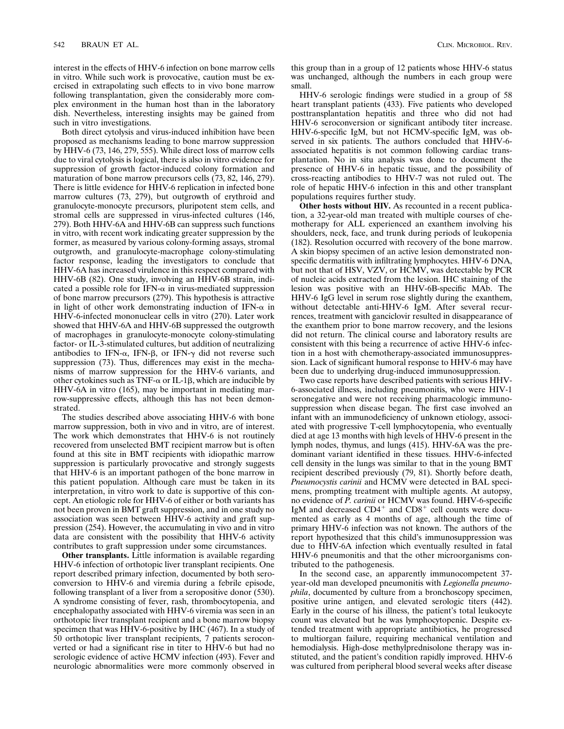interest in the effects of HHV-6 infection on bone marrow cells in vitro. While such work is provocative, caution must be exercised in extrapolating such effects to in vivo bone marrow following transplantation, given the considerably more complex environment in the human host than in the laboratory dish. Nevertheless, interesting insights may be gained from such in vitro investigations.

Both direct cytolysis and virus-induced inhibition have been proposed as mechanisms leading to bone marrow suppression by HHV-6 (73, 146, 279, 555). While direct loss of marrow cells due to viral cytolysis is logical, there is also in vitro evidence for suppression of growth factor-induced colony formation and maturation of bone marrow precursors cells (73, 82, 146, 279). There is little evidence for HHV-6 replication in infected bone marrow cultures (73, 279), but outgrowth of erythroid and granulocyte-monocyte precursors, pluripotent stem cells, and stromal cells are suppressed in virus-infected cultures (146, 279). Both HHV-6A and HHV-6B can suppress such functions in vitro, with recent work indicating greater suppression by the former, as measured by various colony-forming assays, stromal outgrowth, and granulocyte-macrophage colony-stimulating factor response, leading the investigators to conclude that HHV-6A has increased virulence in this respect compared with HHV-6B (82). One study, involving an HHV-6B strain, indicated a possible role for IFN- $\alpha$  in virus-mediated suppression of bone marrow precursors (279). This hypothesis is attractive in light of other work demonstrating induction of IFN- $\alpha$  in HHV-6-infected mononuclear cells in vitro (270). Later work showed that HHV-6A and HHV-6B suppressed the outgrowth of macrophages in granulocyte-monocyte colony-stimulating factor- or IL-3-stimulated cultures, but addition of neutralizing antibodies to IFN- $\alpha$ , IFN- $\beta$ , or IFN- $\gamma$  did not reverse such suppression (73). Thus, differences may exist in the mechanisms of marrow suppression for the HHV-6 variants, and other cytokines such as TNF- $\alpha$  or IL-1 $\beta$ , which are inducible by HHV-6A in vitro (165), may be important in mediating marrow-suppressive effects, although this has not been demonstrated.

The studies described above associating HHV-6 with bone marrow suppression, both in vivo and in vitro, are of interest. The work which demonstrates that HHV-6 is not routinely recovered from unselected BMT recipient marrow but is often found at this site in BMT recipients with idiopathic marrow suppression is particularly provocative and strongly suggests that HHV-6 is an important pathogen of the bone marrow in this patient population. Although care must be taken in its interpretation, in vitro work to date is supportive of this concept. An etiologic role for HHV-6 of either or both variants has not been proven in BMT graft suppression, and in one study no association was seen between HHV-6 activity and graft suppression (254). However, the accumulating in vivo and in vitro data are consistent with the possibility that HHV-6 activity contributes to graft suppression under some circumstances.

**Other transplants.** Little information is available regarding HHV-6 infection of orthotopic liver transplant recipients. One report described primary infection, documented by both seroconversion to HHV-6 and viremia during a febrile episode, following transplant of a liver from a seropositive donor (530). A syndrome consisting of fever, rash, thrombocytopenia, and encephalopathy associated with HHV-6 viremia was seen in an orthotopic liver transplant recipient and a bone marrow biopsy specimen that was HHV-6-positive by IHC (467). In a study of 50 orthotopic liver transplant recipients, 7 patients seroconverted or had a significant rise in titer to HHV-6 but had no serologic evidence of active HCMV infection (493). Fever and neurologic abnormalities were more commonly observed in

this group than in a group of 12 patients whose HHV-6 status was unchanged, although the numbers in each group were small.

HHV-6 serologic findings were studied in a group of 58 heart transplant patients (433). Five patients who developed posttransplantation hepatitis and three who did not had HHV-6 seroconversion or significant antibody titer increase. HHV-6-specific IgM, but not HCMV-specific IgM, was observed in six patients. The authors concluded that HHV-6 associated hepatitis is not common following cardiac transplantation. No in situ analysis was done to document the presence of HHV-6 in hepatic tissue, and the possibility of cross-reacting antibodies to HHV-7 was not ruled out. The role of hepatic HHV-6 infection in this and other transplant populations requires further study.

**Other hosts without HIV.** As recounted in a recent publication, a 32-year-old man treated with multiple courses of chemotherapy for ALL experienced an exanthem involving his shoulders, neck, face, and trunk during periods of leukopenia (182). Resolution occurred with recovery of the bone marrow. A skin biopsy specimen of an active lesion demonstrated nonspecific dermatitis with infiltrating lymphocytes. HHV-6 DNA, but not that of HSV, VZV, or HCMV, was detectable by PCR of nucleic acids extracted from the lesion. IHC staining of the lesion was positive with an HHV-6B-specific MAb. The HHV-6 IgG level in serum rose slightly during the exanthem, without detectable anti-HHV-6 IgM. After several recurrences, treatment with ganciclovir resulted in disappearance of the exanthem prior to bone marrow recovery, and the lesions did not return. The clinical course and laboratory results are consistent with this being a recurrence of active HHV-6 infection in a host with chemotherapy-associated immunosuppression. Lack of significant humoral response to HHV-6 may have been due to underlying drug-induced immunosuppression.

Two case reports have described patients with serious HHV-6-associated illness, including pneumonitis, who were HIV-1 seronegative and were not receiving pharmacologic immunosuppression when disease began. The first case involved an infant with an immunodeficiency of unknown etiology, associated with progressive T-cell lymphocytopenia, who eventually died at age 13 months with high levels of HHV-6 present in the lymph nodes, thymus, and lungs (415). HHV-6A was the predominant variant identified in these tissues. HHV-6-infected cell density in the lungs was similar to that in the young BMT recipient described previously (79, 81). Shortly before death, *Pneumocystis carinii* and HCMV were detected in BAL specimens, prompting treatment with multiple agents. At autopsy, no evidence of *P. carinii* or HCMV was found. HHV-6-specific IgM and decreased  $CD4^+$  and  $CD8^+$  cell counts were documented as early as 4 months of age, although the time of primary HHV-6 infection was not known. The authors of the report hypothesized that this child's immunosuppression was due to HHV-6A infection which eventually resulted in fatal HHV-6 pneumonitis and that the other microorganisms contributed to the pathogenesis.

In the second case, an apparently immunocompetent 37 year-old man developed pneumonitis with *Legionella pneumophila*, documented by culture from a bronchoscopy specimen, positive urine antigen, and elevated serologic titers (442). Early in the course of his illness, the patient's total leukocyte count was elevated but he was lymphocytopenic. Despite extended treatment with appropriate antibiotics, he progressed to multiorgan failure, requiring mechanical ventilation and hemodialysis. High-dose methylprednisolone therapy was instituted, and the patient's condition rapidly improved. HHV-6 was cultured from peripheral blood several weeks after disease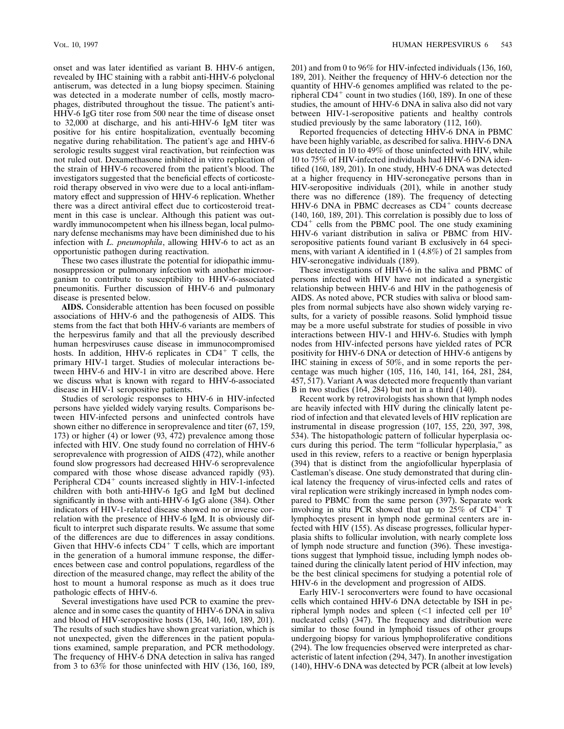onset and was later identified as variant B. HHV-6 antigen, revealed by IHC staining with a rabbit anti-HHV-6 polyclonal antiserum, was detected in a lung biopsy specimen. Staining was detected in a moderate number of cells, mostly macrophages, distributed throughout the tissue. The patient's anti-HHV-6 IgG titer rose from 500 near the time of disease onset to 32,000 at discharge, and his anti-HHV-6 IgM titer was positive for his entire hospitalization, eventually becoming negative during rehabilitation. The patient's age and HHV-6 serologic results suggest viral reactivation, but reinfection was not ruled out. Dexamethasone inhibited in vitro replication of the strain of HHV-6 recovered from the patient's blood. The investigators suggested that the beneficial effects of corticosteroid therapy observed in vivo were due to a local anti-inflammatory effect and suppression of HHV-6 replication. Whether there was a direct antiviral effect due to corticosteroid treatment in this case is unclear. Although this patient was outwardly immunocompetent when his illness began, local pulmonary defense mechanisms may have been diminished due to his infection with *L. pneumophila*, allowing HHV-6 to act as an opportunistic pathogen during reactivation.

These two cases illustrate the potential for idiopathic immunosuppression or pulmonary infection with another microorganism to contribute to susceptibility to HHV-6-associated pneumonitis. Further discussion of HHV-6 and pulmonary disease is presented below.

**AIDS.** Considerable attention has been focused on possible associations of HHV-6 and the pathogenesis of AIDS. This stems from the fact that both HHV-6 variants are members of the herpesvirus family and that all the previously described human herpesviruses cause disease in immunocompromised hosts. In addition, HHV-6 replicates in  $CD4^+$  T cells, the primary HIV-1 target. Studies of molecular interactions between HHV-6 and HIV-1 in vitro are described above. Here we discuss what is known with regard to HHV-6-associated disease in HIV-1 seropositive patients.

Studies of serologic responses to HHV-6 in HIV-infected persons have yielded widely varying results. Comparisons between HIV-infected persons and uninfected controls have shown either no difference in seroprevalence and titer (67, 159, 173) or higher (4) or lower (93, 472) prevalence among those infected with HIV. One study found no correlation of HHV-6 seroprevalence with progression of AIDS (472), while another found slow progressors had decreased HHV-6 seroprevalence compared with those whose disease advanced rapidly (93). Peripheral  $CD4^+$  counts increased slightly in HIV-1-infected children with both anti-HHV-6 IgG and IgM but declined significantly in those with anti-HHV-6 IgG alone (384). Other indicators of HIV-1-related disease showed no or inverse correlation with the presence of HHV-6 IgM. It is obviously difficult to interpret such disparate results. We assume that some of the differences are due to differences in assay conditions. Given that HHV-6 infects  $CD4^+$  T cells, which are important in the generation of a humoral immune response, the differences between case and control populations, regardless of the direction of the measured change, may reflect the ability of the host to mount a humoral response as much as it does true pathologic effects of HHV-6.

Several investigations have used PCR to examine the prevalence and in some cases the quantity of HHV-6 DNA in saliva and blood of HIV-seropositive hosts (136, 140, 160, 189, 201). The results of such studies have shown great variation, which is not unexpected, given the differences in the patient populations examined, sample preparation, and PCR methodology. The frequency of HHV-6 DNA detection in saliva has ranged from 3 to 63% for those uninfected with HIV (136, 160, 189, 201) and from 0 to 96% for HIV-infected individuals (136, 160, 189, 201). Neither the frequency of HHV-6 detection nor the quantity of HHV-6 genomes amplified was related to the peripheral  $CD4^+$  count in two studies (160, 189). In one of these studies, the amount of HHV-6 DNA in saliva also did not vary between HIV-1-seropositive patients and healthy controls studied previously by the same laboratory (112, 160).

Reported frequencies of detecting HHV-6 DNA in PBMC have been highly variable, as described for saliva. HHV-6 DNA was detected in 10 to 49% of those uninfected with HIV, while 10 to 75% of HIV-infected individuals had HHV-6 DNA identified (160, 189, 201). In one study, HHV-6 DNA was detected at a higher frequency in HIV-seronegative persons than in HIV-seropositive individuals (201), while in another study there was no difference (189). The frequency of detecting HHV-6 DNA in PBMC decreases as  $CD4<sup>+</sup>$  counts decrease (140, 160, 189, 201). This correlation is possibly due to loss of  $CD4<sup>+</sup>$  cells from the PBMC pool. The one study examining HHV-6 variant distribution in saliva or PBMC from HIVseropositive patients found variant B exclusively in 64 specimens, with variant A identified in 1 (4.8%) of 21 samples from HIV-seronegative individuals (189).

These investigations of HHV-6 in the saliva and PBMC of persons infected with HIV have not indicated a synergistic relationship between HHV-6 and HIV in the pathogenesis of AIDS. As noted above, PCR studies with saliva or blood samples from normal subjects have also shown widely varying results, for a variety of possible reasons. Solid lymphoid tissue may be a more useful substrate for studies of possible in vivo interactions between HIV-1 and HHV-6. Studies with lymph nodes from HIV-infected persons have yielded rates of PCR positivity for HHV-6 DNA or detection of HHV-6 antigens by IHC staining in excess of 50%, and in some reports the percentage was much higher (105, 116, 140, 141, 164, 281, 284, 457, 517). Variant A was detected more frequently than variant B in two studies (164, 284) but not in a third (140).

Recent work by retrovirologists has shown that lymph nodes are heavily infected with HIV during the clinically latent period of infection and that elevated levels of HIV replication are instrumental in disease progression (107, 155, 220, 397, 398, 534). The histopathologic pattern of follicular hyperplasia occurs during this period. The term "follicular hyperplasia," as used in this review, refers to a reactive or benign hyperplasia (394) that is distinct from the angiofollicular hyperplasia of Castleman's disease. One study demonstrated that during clinical latency the frequency of virus-infected cells and rates of viral replication were strikingly increased in lymph nodes compared to PBMC from the same person (397). Separate work involving in situ PCR showed that up to  $25\%$  of CD4<sup>+</sup> T lymphocytes present in lymph node germinal centers are infected with HIV (155). As disease progresses, follicular hyperplasia shifts to follicular involution, with nearly complete loss of lymph node structure and function (396). These investigations suggest that lymphoid tissue, including lymph nodes obtained during the clinically latent period of HIV infection, may be the best clinical specimens for studying a potential role of HHV-6 in the development and progression of AIDS.

Early HIV-1 seroconverters were found to have occasional cells which contained HHV-6 DNA detectable by ISH in peripheral lymph nodes and spleen  $\ll 1$  infected cell per  $10^5$ nucleated cells) (347). The frequency and distribution were similar to those found in lymphoid tissues of other groups undergoing biopsy for various lymphoproliferative conditions (294). The low frequencies observed were interpreted as characteristic of latent infection (294, 347). In another investigation (140), HHV-6 DNA was detected by PCR (albeit at low levels)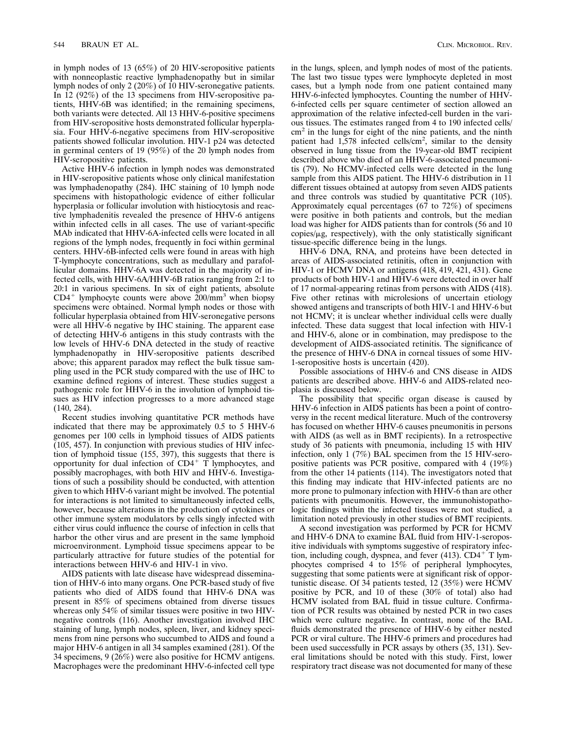in lymph nodes of 13 (65%) of 20 HIV-seropositive patients with nonneoplastic reactive lymphadenopathy but in similar lymph nodes of only 2 (20%) of 10 HIV-seronegative patients. In 12 (92%) of the 13 specimens from HIV-seropositive patients, HHV-6B was identified; in the remaining specimens, both variants were detected. All 13 HHV-6-positive specimens from HIV-seropositive hosts demonstrated follicular hyperplasia. Four HHV-6-negative specimens from HIV-seropositive patients showed follicular involution. HIV-1 p24 was detected in germinal centers of 19 (95%) of the 20 lymph nodes from HIV-seropositive patients.

Active HHV-6 infection in lymph nodes was demonstrated in HIV-seropositive patients whose only clinical manifestation was lymphadenopathy (284). IHC staining of 10 lymph node specimens with histopathologic evidence of either follicular hyperplasia or follicular involution with histiocytosis and reactive lymphadenitis revealed the presence of HHV-6 antigens within infected cells in all cases. The use of variant-specific MAb indicated that HHV-6A-infected cells were located in all regions of the lymph nodes, frequently in foci within germinal centers. HHV-6B-infected cells were found in areas with high T-lymphocyte concentrations, such as medullary and parafollicular domains. HHV-6A was detected in the majority of infected cells, with HHV-6A/HHV-6B ratios ranging from 2:1 to 20:1 in various specimens. In six of eight patients, absolute  $CD4<sup>+</sup>$  lymphocyte counts were above  $200/mm<sup>3</sup>$  when biopsy specimens were obtained. Normal lymph nodes or those with follicular hyperplasia obtained from HIV-seronegative persons were all HHV-6 negative by IHC staining. The apparent ease of detecting HHV-6 antigens in this study contrasts with the low levels of HHV-6 DNA detected in the study of reactive lymphadenopathy in HIV-seropositive patients described above; this apparent paradox may reflect the bulk tissue sampling used in the PCR study compared with the use of IHC to examine defined regions of interest. These studies suggest a pathogenic role for HHV-6 in the involution of lymphoid tissues as HIV infection progresses to a more advanced stage (140, 284).

Recent studies involving quantitative PCR methods have indicated that there may be approximately 0.5 to 5 HHV-6 genomes per 100 cells in lymphoid tissues of AIDS patients  $(105, 457)$ . In conjunction with previous studies of HIV infection of lymphoid tissue  $(155, 397)$ , this suggests that there is opportunity for dual infection of  $CD4<sup>+</sup>$  T lymphocytes, and possibly macrophages, with both HIV and HHV-6. Investigations of such a possibility should be conducted, with attention given to which HHV-6 variant might be involved. The potential for interactions is not limited to simultaneously infected cells, however, because alterations in the production of cytokines or other immune system modulators by cells singly infected with either virus could influence the course of infection in cells that harbor the other virus and are present in the same lymphoid microenvironment. Lymphoid tissue specimens appear to be particularly attractive for future studies of the potential for interactions between HHV-6 and HIV-1 in vivo.

AIDS patients with late disease have widespread dissemination of HHV-6 into many organs. One PCR-based study of five patients who died of AIDS found that HHV-6 DNA was present in 85% of specimens obtained from diverse tissues whereas only 54% of similar tissues were positive in two HIVnegative controls (116). Another investigation involved IHC staining of lung, lymph nodes, spleen, liver, and kidney specimens from nine persons who succumbed to AIDS and found a major HHV-6 antigen in all 34 samples examined (281). Of the 34 specimens, 9 (26%) were also positive for HCMV antigens. Macrophages were the predominant HHV-6-infected cell type in the lungs, spleen, and lymph nodes of most of the patients. The last two tissue types were lymphocyte depleted in most cases, but a lymph node from one patient contained many HHV-6-infected lymphocytes. Counting the number of HHV-6-infected cells per square centimeter of section allowed an approximation of the relative infected-cell burden in the various tissues. The estimates ranged from 4 to 190 infected cells/  $\text{cm}^2$  in the lungs for eight of the nine patients, and the ninth patient had 1,578 infected cells/cm<sup>2</sup>, similar to the density observed in lung tissue from the 19-year-old BMT recipient described above who died of an HHV-6-associated pneumonitis (79). No HCMV-infected cells were detected in the lung sample from this AIDS patient. The HHV-6 distribution in 11 different tissues obtained at autopsy from seven AIDS patients and three controls was studied by quantitative PCR (105). Approximately equal percentages (67 to 72%) of specimens were positive in both patients and controls, but the median load was higher for AIDS patients than for controls (56 and 10  $copies/\mu$ g, respectively), with the only statistically significant tissue-specific difference being in the lungs.

HHV-6 DNA, RNA, and proteins have been detected in areas of AIDS-associated retinitis, often in conjunction with HIV-1 or HCMV DNA or antigens (418, 419, 421, 431). Gene products of both HIV-1 and HHV-6 were detected in over half of 17 normal-appearing retinas from persons with AIDS (418). Five other retinas with microlesions of uncertain etiology showed antigens and transcripts of both HIV-1 and HHV-6 but not HCMV; it is unclear whether individual cells were dually infected. These data suggest that local infection with HIV-1 and HHV-6, alone or in combination, may predispose to the development of AIDS-associated retinitis. The significance of the presence of HHV-6 DNA in corneal tissues of some HIV-1-seropositive hosts is uncertain (420).

Possible associations of HHV-6 and CNS disease in AIDS patients are described above. HHV-6 and AIDS-related neoplasia is discussed below.

The possibility that specific organ disease is caused by HHV-6 infection in AIDS patients has been a point of controversy in the recent medical literature. Much of the controversy has focused on whether HHV-6 causes pneumonitis in persons with AIDS (as well as in BMT recipients). In a retrospective study of 36 patients with pneumonia, including 15 with HIV infection, only 1 (7%) BAL specimen from the 15 HIV-seropositive patients was PCR positive, compared with 4 (19%) from the other 14 patients (114). The investigators noted that this finding may indicate that HIV-infected patients are no more prone to pulmonary infection with HHV-6 than are other patients with pneumonitis. However, the immunohistopathologic findings within the infected tissues were not studied, a limitation noted previously in other studies of BMT recipients.

A second investigation was performed by PCR for HCMV and HHV-6 DNA to examine BAL fluid from HIV-1-seropositive individuals with symptoms suggestive of respiratory infection, including cough, dyspnea, and fever (413).  $CD4^+$  T lymphocytes comprised 4 to 15% of peripheral lymphocytes, suggesting that some patients were at significant risk of opportunistic disease. Of 34 patients tested, 12 (35%) were HCMV positive by PCR, and 10 of these (30% of total) also had HCMV isolated from BAL fluid in tissue culture. Confirmation of PCR results was obtained by nested PCR in two cases which were culture negative. In contrast, none of the BAL fluids demonstrated the presence of HHV-6 by either nested PCR or viral culture. The HHV-6 primers and procedures had been used successfully in PCR assays by others (35, 131). Several limitations should be noted with this study. First, lower respiratory tract disease was not documented for many of these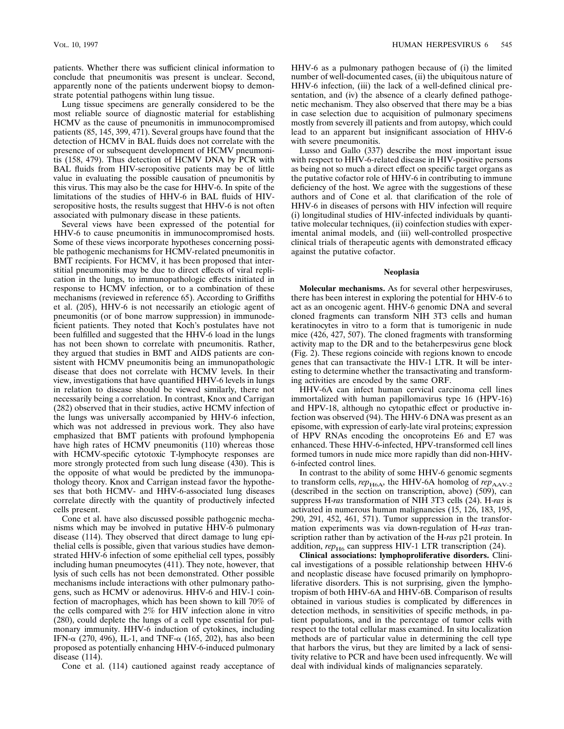patients. Whether there was sufficient clinical information to conclude that pneumonitis was present is unclear. Second, apparently none of the patients underwent biopsy to demonstrate potential pathogens within lung tissue.

Lung tissue specimens are generally considered to be the most reliable source of diagnostic material for establishing HCMV as the cause of pneumonitis in immunocompromised patients (85, 145, 399, 471). Several groups have found that the detection of HCMV in BAL fluids does not correlate with the presence of or subsequent development of HCMV pneumonitis (158, 479). Thus detection of HCMV DNA by PCR with BAL fluids from HIV-seropositive patients may be of little value in evaluating the possible causation of pneumonitis by this virus. This may also be the case for HHV-6. In spite of the limitations of the studies of HHV-6 in BAL fluids of HIVseropositive hosts, the results suggest that HHV-6 is not often associated with pulmonary disease in these patients.

Several views have been expressed of the potential for HHV-6 to cause pneumonitis in immunocompromised hosts. Some of these views incorporate hypotheses concerning possible pathogenic mechanisms for HCMV-related pneumonitis in BMT recipients. For HCMV, it has been proposed that interstitial pneumonitis may be due to direct effects of viral replication in the lungs, to immunopathologic effects initiated in response to HCMV infection, or to a combination of these mechanisms (reviewed in reference 65). According to Griffiths et al. (205), HHV-6 is not necessarily an etiologic agent of pneumonitis (or of bone marrow suppression) in immunodeficient patients. They noted that Koch's postulates have not been fulfilled and suggested that the HHV-6 load in the lungs has not been shown to correlate with pneumonitis. Rather, they argued that studies in BMT and AIDS patients are consistent with HCMV pneumonitis being an immunopathologic disease that does not correlate with HCMV levels. In their view, investigations that have quantified HHV-6 levels in lungs in relation to disease should be viewed similarly, there not necessarily being a correlation. In contrast, Knox and Carrigan (282) observed that in their studies, active HCMV infection of the lungs was universally accompanied by HHV-6 infection, which was not addressed in previous work. They also have emphasized that BMT patients with profound lymphopenia have high rates of HCMV pneumonitis (110) whereas those with HCMV-specific cytotoxic T-lymphocyte responses are more strongly protected from such lung disease (430). This is the opposite of what would be predicted by the immunopathology theory. Knox and Carrigan instead favor the hypotheses that both HCMV- and HHV-6-associated lung diseases correlate directly with the quantity of productively infected cells present.

Cone et al. have also discussed possible pathogenic mechanisms which may be involved in putative HHV-6 pulmonary disease (114). They observed that direct damage to lung epithelial cells is possible, given that various studies have demonstrated HHV-6 infection of some epithelial cell types, possibly including human pneumocytes (411). They note, however, that lysis of such cells has not been demonstrated. Other possible mechanisms include interactions with other pulmonary pathogens, such as HCMV or adenovirus. HHV-6 and HIV-1 coinfection of macrophages, which has been shown to kill 70% of the cells compared with 2% for HIV infection alone in vitro (280), could deplete the lungs of a cell type essential for pulmonary immunity. HHV-6 induction of cytokines, including IFN- $\alpha$  (270, 496), IL-1, and TNF- $\alpha$  (165, 202), has also been proposed as potentially enhancing HHV-6-induced pulmonary disease (114).

Cone et al. (114) cautioned against ready acceptance of

HHV-6 as a pulmonary pathogen because of (i) the limited number of well-documented cases, (ii) the ubiquitous nature of HHV-6 infection, (iii) the lack of a well-defined clinical presentation, and (iv) the absence of a clearly defined pathogenetic mechanism. They also observed that there may be a bias in case selection due to acquisition of pulmonary specimens mostly from severely ill patients and from autopsy, which could lead to an apparent but insignificant association of HHV-6 with severe pneumonitis.

Lusso and Gallo (337) describe the most important issue with respect to HHV-6-related disease in HIV-positive persons as being not so much a direct effect on specific target organs as the putative cofactor role of HHV-6 in contributing to immune deficiency of the host. We agree with the suggestions of these authors and of Cone et al. that clarification of the role of HHV-6 in diseases of persons with HIV infection will require (i) longitudinal studies of HIV-infected individuals by quantitative molecular techniques, (ii) coinfection studies with experimental animal models, and (iii) well-controlled prospective clinical trials of therapeutic agents with demonstrated efficacy against the putative cofactor.

# **Neoplasia**

**Molecular mechanisms.** As for several other herpesviruses, there has been interest in exploring the potential for HHV-6 to act as an oncogenic agent. HHV-6 genomic DNA and several cloned fragments can transform NIH 3T3 cells and human keratinocytes in vitro to a form that is tumorigenic in nude mice (426, 427, 507). The cloned fragments with transforming activity map to the DR and to the betaherpesvirus gene block (Fig. 2). These regions coincide with regions known to encode genes that can transactivate the HIV-1 LTR. It will be interesting to determine whether the transactivating and transforming activities are encoded by the same ORF.

HHV-6A can infect human cervical carcinoma cell lines immortalized with human papillomavirus type 16 (HPV-16) and HPV-18, although no cytopathic effect or productive infection was observed (94). The HHV-6 DNA was present as an episome, with expression of early-late viral proteins; expression of HPV RNAs encoding the oncoproteins E6 and E7 was enhanced. These HHV-6-infected, HPV-transformed cell lines formed tumors in nude mice more rapidly than did non-HHV-6-infected control lines.

In contrast to the ability of some HHV-6 genomic segments to transform cells,  $rep_{H6A}$ , the HHV-6A homolog of  $rep_{AAV-2}$ (described in the section on transcription, above) (509), can suppress H-*ras* transformation of NIH 3T3 cells (24). H-*ras* is activated in numerous human malignancies (15, 126, 183, 195, 290, 291, 452, 461, 571). Tumor suppression in the transformation experiments was via down-regulation of H-*ras* transcription rather than by activation of the H-*ras* p21 protein. In addition,  $rep_{H6}$  can suppress HIV-1 LTR transcription (24).

**Clinical associations: lymphoproliferative disorders.** Clinical investigations of a possible relationship between HHV-6 and neoplastic disease have focused primarily on lymphoproliferative disorders. This is not surprising, given the lymphotropism of both HHV-6A and HHV-6B. Comparison of results obtained in various studies is complicated by differences in detection methods, in sensitivities of specific methods, in patient populations, and in the percentage of tumor cells with respect to the total cellular mass examined. In situ localization methods are of particular value in determining the cell type that harbors the virus, but they are limited by a lack of sensitivity relative to PCR and have been used infrequently. We will deal with individual kinds of malignancies separately.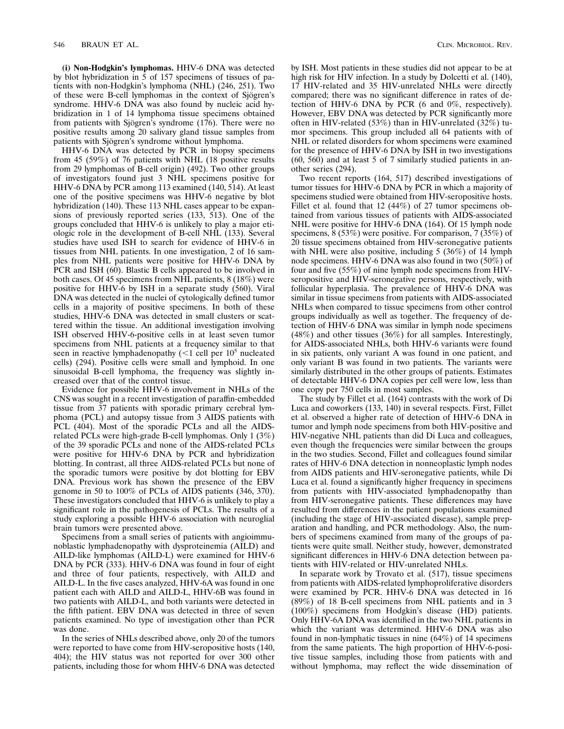**(i) Non-Hodgkin's lymphomas.** HHV-6 DNA was detected by blot hybridization in 5 of 157 specimens of tissues of patients with non-Hodgkin's lymphoma (NHL) (246, 251). Two of these were B-cell lymphomas in the context of Sjögren's syndrome. HHV-6 DNA was also found by nucleic acid hybridization in 1 of 14 lymphoma tissue specimens obtained from patients with Sjögren's syndrome (176). There were no positive results among 20 salivary gland tissue samples from patients with Sjögren's syndrome without lymphoma.

HHV-6 DNA was detected by PCR in biopsy specimens from 45 (59%) of 76 patients with NHL (18 positive results from 29 lymphomas of B-cell origin) (492). Two other groups of investigators found just 3 NHL specimens positive for HHV-6 DNA by PCR among 113 examined (140, 514). At least one of the positive specimens was HHV-6 negative by blot hybridization (140). These 113 NHL cases appear to be expansions of previously reported series (133, 513). One of the groups concluded that HHV-6 is unlikely to play a major etiologic role in the development of B-cell NHL (133). Several studies have used ISH to search for evidence of HHV-6 in tissues from NHL patients. In one investigation, 2 of 16 samples from NHL patients were positive for HHV-6 DNA by PCR and ISH (60). Blastic B cells appeared to be involved in both cases. Of 45 specimens from NHL patients, 8 (18%) were positive for HHV-6 by ISH in a separate study (560). Viral DNA was detected in the nuclei of cytologically defined tumor cells in a majority of positive specimens. In both of these studies, HHV-6 DNA was detected in small clusters or scattered within the tissue. An additional investigation involving ISH observed HHV-6-positive cells in at least seven tumor specimens from NHL patients at a frequency similar to that seen in reactive lymphadenopathy  $(<1$  cell per  $10<sup>5</sup>$  nucleated cells) (294). Positive cells were small and lymphoid. In one sinusoidal B-cell lymphoma, the frequency was slightly increased over that of the control tissue.

Evidence for possible HHV-6 involvement in NHLs of the CNS was sought in a recent investigation of paraffin-embedded tissue from 37 patients with sporadic primary cerebral lymphoma (PCL) and autopsy tissue from 3 AIDS patients with PCL (404). Most of the sporadic PCLs and all the AIDSrelated PCLs were high-grade B-cell lymphomas. Only 1 (3%) of the 39 sporadic PCLs and none of the AIDS-related PCLs were positive for HHV-6 DNA by PCR and hybridization blotting. In contrast, all three AIDS-related PCLs but none of the sporadic tumors were positive by dot blotting for EBV DNA. Previous work has shown the presence of the EBV genome in 50 to 100% of PCLs of AIDS patients (346, 370). These investigators concluded that HHV-6 is unlikely to play a significant role in the pathogenesis of PCLs. The results of a study exploring a possible HHV-6 association with neuroglial brain tumors were presented above.

Specimens from a small series of patients with angioimmunoblastic lymphadenopathy with dysproteinemia (AILD) and AILD-like lymphomas (AILD-L) were examined for HHV-6 DNA by PCR (333). HHV-6 DNA was found in four of eight and three of four patients, respectively, with AILD and AILD-L. In the five cases analyzed, HHV-6A was found in one patient each with AILD and AILD-L, HHV-6B was found in two patients with AILD-L, and both variants were detected in the fifth patient. EBV DNA was detected in three of seven patients examined. No type of investigation other than PCR was done.

In the series of NHLs described above, only 20 of the tumors were reported to have come from HIV-seropositive hosts (140, 404); the HIV status was not reported for over 300 other patients, including those for whom HHV-6 DNA was detected by ISH. Most patients in these studies did not appear to be at high risk for HIV infection. In a study by Dolcetti et al.  $(140)$ , 17 HIV-related and 35 HIV-unrelated NHLs were directly compared; there was no significant difference in rates of detection of HHV-6 DNA by PCR (6 and 0%, respectively). However, EBV DNA was detected by PCR significantly more often in HIV-related (53%) than in HIV-unrelated (32%) tumor specimens. This group included all 64 patients with of NHL or related disorders for whom specimens were examined for the presence of HHV-6 DNA by ISH in two investigations (60, 560) and at least 5 of 7 similarly studied patients in another series (294).

Two recent reports (164, 517) described investigations of tumor tissues for HHV-6 DNA by PCR in which a majority of specimens studied were obtained from HIV-seropositive hosts. Fillet et al. found that 12 (44%) of 27 tumor specimens obtained from various tissues of patients with AIDS-associated NHL were positive for HHV-6 DNA (164). Of 15 lymph node specimens, 8 (53%) were positive. For comparison, 7 (35%) of 20 tissue specimens obtained from HIV-seronegative patients with NHL were also positive, including 5 (36%) of 14 lymph node specimens. HHV-6 DNA was also found in two (50%) of four and five (55%) of nine lymph node specimens from HIVseropositive and HIV-seronegative persons, respectively, with follicular hyperplasia. The prevalence of HHV-6 DNA was similar in tissue specimens from patients with AIDS-associated NHLs when compared to tissue specimens from other control groups individually as well as together. The frequency of detection of HHV-6 DNA was similar in lymph node specimens (48%) and other tissues (36%) for all samples. Interestingly, for AIDS-associated NHLs, both HHV-6 variants were found in six patients, only variant A was found in one patient, and only variant B was found in two patients. The variants were similarly distributed in the other groups of patients. Estimates of detectable HHV-6 DNA copies per cell were low, less than one copy per 750 cells in most samples.

The study by Fillet et al. (164) contrasts with the work of Di Luca and coworkers (133, 140) in several respects. First, Fillet et al. observed a higher rate of detection of HHV-6 DNA in tumor and lymph node specimens from both HIV-positive and HIV-negative NHL patients than did Di Luca and colleagues, even though the frequencies were similar between the groups in the two studies. Second, Fillet and colleagues found similar rates of HHV-6 DNA detection in nonneoplastic lymph nodes from AIDS patients and HIV-seronegative patients, while Di Luca et al. found a significantly higher frequency in specimens from patients with HIV-associated lymphadenopathy than from HIV-seronegative patients. These differences may have resulted from differences in the patient populations examined (including the stage of HIV-associated disease), sample preparation and handling, and PCR methodology. Also, the numbers of specimens examined from many of the groups of patients were quite small. Neither study, however, demonstrated significant differences in HHV-6 DNA detection between patients with HIV-related or HIV-unrelated NHLs.

In separate work by Trovato et al. (517), tissue specimens from patients with AIDS-related lymphoproliferative disorders were examined by PCR. HHV-6 DNA was detected in 16 (89%) of 18 B-cell specimens from NHL patients and in 3 (100%) specimens from Hodgkin's disease (HD) patients. Only HHV-6A DNA was identified in the two NHL patients in which the variant was determined. HHV-6 DNA was also found in non-lymphatic tissues in nine (64%) of 14 specimens from the same patients. The high proportion of HHV-6-positive tissue samples, including those from patients with and without lymphoma, may reflect the wide dissemination of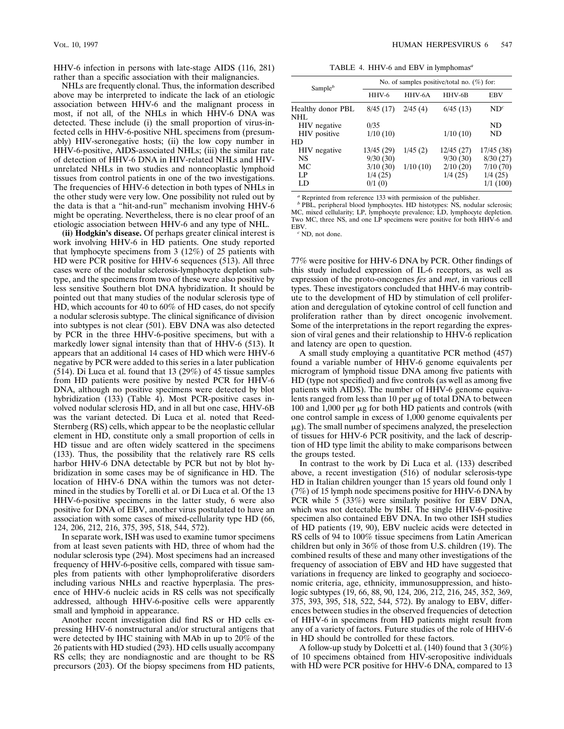HHV-6 infection in persons with late-stage AIDS (116, 281) rather than a specific association with their malignancies.

NHLs are frequently clonal. Thus, the information described above may be interpreted to indicate the lack of an etiologic association between HHV-6 and the malignant process in most, if not all, of the NHLs in which HHV-6 DNA was detected. These include (i) the small proportion of virus-infected cells in HHV-6-positive NHL specimens from (presumably) HIV-seronegative hosts; (ii) the low copy number in HHV-6-positive, AIDS-associated NHLs; (iii) the similar rate of detection of HHV-6 DNA in HIV-related NHLs and HIVunrelated NHLs in two studies and nonneoplastic lymphoid tissues from control patients in one of the two investigations. The frequencies of HHV-6 detection in both types of NHLs in the other study were very low. One possibility not ruled out by the data is that a "hit-and-run" mechanism involving HHV-6 might be operating. Nevertheless, there is no clear proof of an etiologic association between HHV-6 and any type of NHL.

**(ii) Hodgkin's disease.** Of perhaps greater clinical interest is work involving HHV-6 in HD patients. One study reported that lymphocyte specimens from 3 (12%) of 25 patients with HD were PCR positive for HHV-6 sequences (513). All three cases were of the nodular sclerosis-lymphocyte depletion subtype, and the specimens from two of these were also positive by less sensitive Southern blot DNA hybridization. It should be pointed out that many studies of the nodular sclerosis type of HD, which accounts for 40 to 60% of HD cases, do not specify a nodular sclerosis subtype. The clinical significance of division into subtypes is not clear (501). EBV DNA was also detected by PCR in the three HHV-6-positive specimens, but with a markedly lower signal intensity than that of HHV-6 (513). It appears that an additional 14 cases of HD which were HHV-6 negative by PCR were added to this series in a later publication (514). Di Luca et al. found that 13 (29%) of 45 tissue samples from HD patients were positive by nested PCR for HHV-6 DNA, although no positive specimens were detected by blot hybridization (133) (Table 4). Most PCR-positive cases involved nodular sclerosis HD, and in all but one case, HHV-6B was the variant detected. Di Luca et al. noted that Reed-Sternberg (RS) cells, which appear to be the neoplastic cellular element in HD, constitute only a small proportion of cells in HD tissue and are often widely scattered in the specimens (133). Thus, the possibility that the relatively rare RS cells harbor HHV-6 DNA detectable by PCR but not by blot hybridization in some cases may be of significance in HD. The location of HHV-6 DNA within the tumors was not determined in the studies by Torelli et al. or Di Luca et al. Of the 13 HHV-6-positive specimens in the latter study, 6 were also positive for DNA of EBV, another virus postulated to have an association with some cases of mixed-cellularity type HD (66, 124, 206, 212, 216, 375, 395, 518, 544, 572).

In separate work, ISH was used to examine tumor specimens from at least seven patients with HD, three of whom had the nodular sclerosis type (294). Most specimens had an increased frequency of HHV-6-positive cells, compared with tissue samples from patients with other lymphoproliferative disorders including various NHLs and reactive hyperplasia. The presence of HHV-6 nucleic acids in RS cells was not specifically addressed, although HHV-6-positive cells were apparently small and lymphoid in appearance.

Another recent investigation did find RS or HD cells expressing HHV-6 nonstructural and/or structural antigens that were detected by IHC staining with MAb in up to 20% of the 26 patients with HD studied (293). HD cells usually accompany RS cells; they are nondiagnostic and are thought to be RS precursors (203). Of the biopsy specimens from HD patients,

TABLE 4. HHV-6 and EBV in lymphomas*<sup>a</sup>*

|                                     | No. of samples positive/total no. $(\%)$ for: |          |            |                 |
|-------------------------------------|-----------------------------------------------|----------|------------|-----------------|
| Sample $^b$                         | HHV-6                                         | HHV-6A   | HHV-6B     | EBV             |
| Healthy donor PBL<br>NHL            | 8/45(17)                                      | 2/45(4)  | 6/45(13)   | ND <sup>c</sup> |
| <b>HIV</b> negative<br>HIV positive | 0/35<br>1/10(10)                              |          | 1/10(10)   | ND<br>ND        |
| HD                                  |                                               |          |            |                 |
| <b>HIV</b> negative                 | 13/45 (29)                                    | 1/45(2)  | 12/45 (27) | 17/45 (38)      |
| <b>NS</b>                           | 9/30(30)                                      |          | 9/30(30)   | 8/30(27)        |
| МC                                  | 3/10(30)                                      | 1/10(10) | 2/10(20)   | 7/10(70)        |
| LP                                  | 1/4(25)                                       |          | 1/4(25)    | 1/4(25)         |
| LD                                  | 0/1(0)                                        |          |            | 1/1(100)        |

*<sup>a</sup>* Reprinted from reference 133 with permission of the publisher.

*b* PBL, peripheral blood lymphocytes. HD histotypes: NS, nodular sclerosis; MC, mixed cellularity; LP, lymphocyte prevalence; LD, lymphocyte depletion. Two MC, three NS, and one LP specimens were positive for both HHV-6 and

<sup>*c*</sup> ND, not done.

77% were positive for HHV-6 DNA by PCR. Other findings of this study included expression of IL-6 receptors, as well as expression of the proto-oncogenes *fes* and *met*, in various cell types. These investigators concluded that HHV-6 may contribute to the development of HD by stimulation of cell proliferation and deregulation of cytokine control of cell function and proliferation rather than by direct oncogenic involvement. Some of the interpretations in the report regarding the expression of viral genes and their relationship to HHV-6 replication and latency are open to question.

A small study employing a quantitative PCR method (457) found a variable number of HHV-6 genome equivalents per microgram of lymphoid tissue DNA among five patients with HD (type not specified) and five controls (as well as among five patients with AIDS). The number of HHV-6 genome equivalents ranged from less than 10 per  $\mu$ g of total DNA to between 100 and 1,000 per  $\mu$ g for both HD patients and controls (with one control sample in excess of 1,000 genome equivalents per  $\mu$ g). The small number of specimens analyzed, the preselection of tissues for HHV-6 PCR positivity, and the lack of description of HD type limit the ability to make comparisons between the groups tested.

In contrast to the work by Di Luca et al. (133) described above, a recent investigation (516) of nodular sclerosis-type HD in Italian children younger than 15 years old found only 1 (7%) of 15 lymph node specimens positive for HHV-6 DNA by PCR while 5 (33%) were similarly positive for EBV DNA, which was not detectable by ISH. The single HHV-6-positive specimen also contained EBV DNA. In two other ISH studies of HD patients (19, 90), EBV nucleic acids were detected in RS cells of 94 to 100% tissue specimens from Latin American children but only in 36% of those from U.S. children (19). The combined results of these and many other investigations of the frequency of association of EBV and HD have suggested that variations in frequency are linked to geography and socioeconomic criteria, age, ethnicity, immunosuppression, and histologic subtypes (19, 66, 88, 90, 124, 206, 212, 216, 245, 352, 369, 375, 393, 395, 518, 522, 544, 572). By analogy to EBV, differences between studies in the observed frequencies of detection of HHV-6 in specimens from HD patients might result from any of a variety of factors. Future studies of the role of HHV-6 in HD should be controlled for these factors.

A follow-up study by Dolcetti et al. (140) found that 3 (30%) of 10 specimens obtained from HIV-seropositive individuals with HD were PCR positive for HHV-6 DNA, compared to 13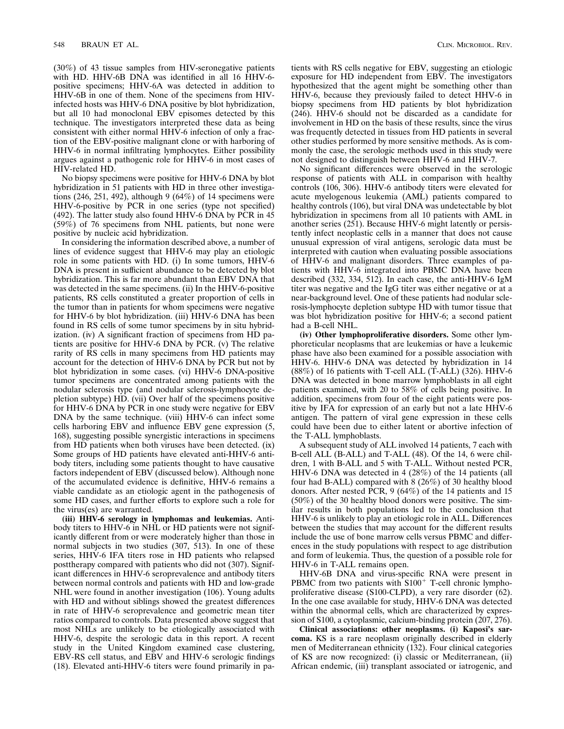(30%) of 43 tissue samples from HIV-seronegative patients with HD. HHV-6B DNA was identified in all 16 HHV-6 positive specimens; HHV-6A was detected in addition to HHV-6B in one of them. None of the specimens from HIVinfected hosts was HHV-6 DNA positive by blot hybridization, but all 10 had monoclonal EBV episomes detected by this technique. The investigators interpreted these data as being consistent with either normal HHV-6 infection of only a fraction of the EBV-positive malignant clone or with harboring of HHV-6 in normal infiltrating lymphocytes. Either possibility argues against a pathogenic role for HHV-6 in most cases of HIV-related HD.

No biopsy specimens were positive for HHV-6 DNA by blot hybridization in 51 patients with HD in three other investigations (246, 251, 492), although 9 (64%) of 14 specimens were HHV-6-positive by PCR in one series (type not specified) (492). The latter study also found HHV-6 DNA by PCR in 45 (59%) of 76 specimens from NHL patients, but none were positive by nucleic acid hybridization.

In considering the information described above, a number of lines of evidence suggest that HHV-6 may play an etiologic role in some patients with HD. (i) In some tumors, HHV-6 DNA is present in sufficient abundance to be detected by blot hybridization. This is far more abundant than EBV DNA that was detected in the same specimens. (ii) In the HHV-6-positive patients, RS cells constituted a greater proportion of cells in the tumor than in patients for whom specimens were negative for HHV-6 by blot hybridization. (iii) HHV-6 DNA has been found in RS cells of some tumor specimens by in situ hybridization. (iv) A significant fraction of specimens from HD patients are positive for HHV-6 DNA by PCR. (v) The relative rarity of RS cells in many specimens from HD patients may account for the detection of HHV-6 DNA by PCR but not by blot hybridization in some cases. (vi) HHV-6 DNA-positive tumor specimens are concentrated among patients with the nodular sclerosis type (and nodular sclerosis-lymphocyte depletion subtype) HD. (vii) Over half of the specimens positive for HHV-6 DNA by PCR in one study were negative for EBV DNA by the same technique. (viii) HHV-6 can infect some cells harboring EBV and influence EBV gene expression (5, 168), suggesting possible synergistic interactions in specimens from HD patients when both viruses have been detected. (ix) Some groups of HD patients have elevated anti-HHV-6 antibody titers, including some patients thought to have causative factors independent of EBV (discussed below). Although none of the accumulated evidence is definitive, HHV-6 remains a viable candidate as an etiologic agent in the pathogenesis of some HD cases, and further efforts to explore such a role for the virus(es) are warranted.

**(iii) HHV-6 serology in lymphomas and leukemias.** Antibody titers to HHV-6 in NHL or HD patients were not significantly different from or were moderately higher than those in normal subjects in two studies (307, 513). In one of these series, HHV-6 IFA titers rose in HD patients who relapsed posttherapy compared with patients who did not (307). Significant differences in HHV-6 seroprevalence and antibody titers between normal controls and patients with HD and low-grade NHL were found in another investigation (106). Young adults with HD and without siblings showed the greatest differences in rate of HHV-6 seroprevalence and geometric mean titer ratios compared to controls. Data presented above suggest that most NHLs are unlikely to be etiologically associated with HHV-6, despite the serologic data in this report. A recent study in the United Kingdom examined case clustering, EBV-RS cell status, and EBV and HHV-6 serologic findings (18). Elevated anti-HHV-6 titers were found primarily in patients with RS cells negative for EBV, suggesting an etiologic exposure for HD independent from EBV. The investigators hypothesized that the agent might be something other than HHV-6, because they previously failed to detect HHV-6 in biopsy specimens from HD patients by blot hybridization (246). HHV-6 should not be discarded as a candidate for involvement in HD on the basis of these results, since the virus was frequently detected in tissues from HD patients in several other studies performed by more sensitive methods. As is commonly the case, the serologic methods used in this study were not designed to distinguish between HHV-6 and HHV-7.

No significant differences were observed in the serologic response of patients with ALL in comparison with healthy controls (106, 306). HHV-6 antibody titers were elevated for acute myelogenous leukemia (AML) patients compared to healthy controls (106), but viral DNA was undetectable by blot hybridization in specimens from all 10 patients with AML in another series (251). Because HHV-6 might latently or persistently infect neoplastic cells in a manner that does not cause unusual expression of viral antigens, serologic data must be interpreted with caution when evaluating possible associations of HHV-6 and malignant disorders. Three examples of patients with HHV-6 integrated into PBMC DNA have been described (332, 334, 512). In each case, the anti-HHV-6 IgM titer was negative and the IgG titer was either negative or at a near-background level. One of these patients had nodular sclerosis-lymphocyte depletion subtype HD with tumor tissue that was blot hybridization positive for HHV-6; a second patient had a B-cell NHL.

**(iv) Other lymphoproliferative disorders.** Some other lymphoreticular neoplasms that are leukemias or have a leukemic phase have also been examined for a possible association with HHV-6. HHV-6 DNA was detected by hybridization in 14  $(88%)$  of 16 patients with T-cell ALL (T-ALL)  $(326)$ . HHV-6 DNA was detected in bone marrow lymphoblasts in all eight patients examined, with 20 to 58% of cells being positive. In addition, specimens from four of the eight patients were positive by IFA for expression of an early but not a late HHV-6 antigen. The pattern of viral gene expression in these cells could have been due to either latent or abortive infection of the T-ALL lymphoblasts.

A subsequent study of ALL involved 14 patients, 7 each with B-cell ALL (B-ALL) and T-ALL (48). Of the 14, 6 were children, 1 with B-ALL and 5 with T-ALL. Without nested PCR, HHV-6 DNA was detected in 4 (28%) of the 14 patients (all four had B-ALL) compared with 8 (26%) of 30 healthy blood donors. After nested PCR, 9 (64%) of the 14 patients and 15 (50%) of the 30 healthy blood donors were positive. The similar results in both populations led to the conclusion that HHV-6 is unlikely to play an etiologic role in ALL. Differences between the studies that may account for the different results include the use of bone marrow cells versus PBMC and differences in the study populations with respect to age distribution and form of leukemia. Thus, the question of a possible role for HHV-6 in T-ALL remains open.

HHV-6B DNA and virus-specific RNA were present in PBMC from two patients with  $S100^+$  T-cell chronic lymphoproliferative disease (S100-CLPD), a very rare disorder (62). In the one case available for study, HHV-6 DNA was detected within the abnormal cells, which are characterized by expression of S100, a cytoplasmic, calcium-binding protein (207, 276).

**Clinical associations: other neoplasms. (i) Kaposi's sarcoma.** KS is a rare neoplasm originally described in elderly men of Mediterranean ethnicity (132). Four clinical categories of KS are now recognized: (i) classic or Mediterranean, (ii) African endemic, (iii) transplant associated or iatrogenic, and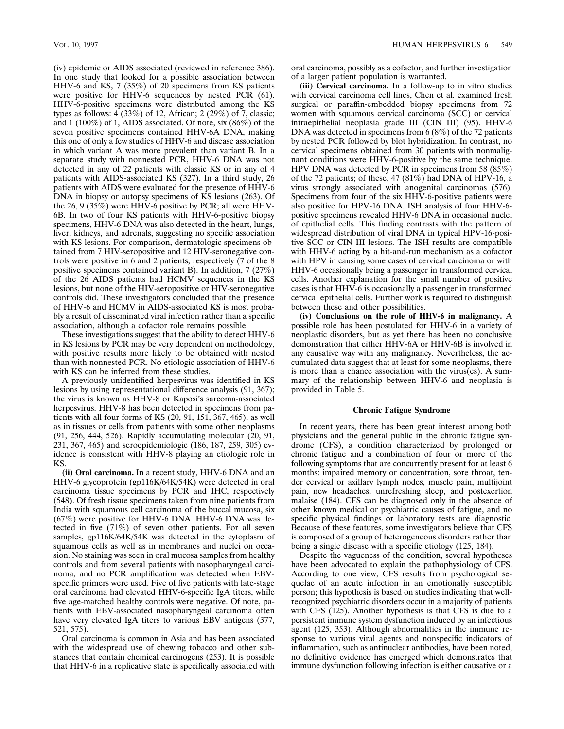(iv) epidemic or AIDS associated (reviewed in reference 386). In one study that looked for a possible association between HHV-6 and KS, 7 (35%) of 20 specimens from KS patients were positive for HHV-6 sequences by nested PCR (61). HHV-6-positive specimens were distributed among the KS types as follows: 4 (33%) of 12, African; 2 (29%) of 7, classic; and 1 (100%) of 1, AIDS associated. Of note, six (86%) of the seven positive specimens contained HHV-6A DNA, making this one of only a few studies of HHV-6 and disease association in which variant A was more prevalent than variant B. In a separate study with nonnested PCR, HHV-6 DNA was not detected in any of 22 patients with classic KS or in any of 4 patients with AIDS-associated KS (327). In a third study, 26 patients with AIDS were evaluated for the presence of HHV-6 DNA in biopsy or autopsy specimens of KS lesions (263). Of the 26, 9 (35%) were HHV-6 positive by PCR; all were HHV-6B. In two of four KS patients with HHV-6-positive biopsy specimens, HHV-6 DNA was also detected in the heart, lungs, liver, kidneys, and adrenals, suggesting no specific association with KS lesions. For comparison, dermatologic specimens obtained from 7 HIV-seropositive and 12 HIV-seronegative controls were positive in 6 and 2 patients, respectively (7 of the 8 positive specimens contained variant B). In addition, 7 (27%) of the 26 AIDS patients had HCMV sequences in the KS lesions, but none of the HIV-seropositive or HIV-seronegative controls did. These investigators concluded that the presence of HHV-6 and HCMV in AIDS-associated KS is most probably a result of disseminated viral infection rather than a specific association, although a cofactor role remains possible.

These investigations suggest that the ability to detect HHV-6 in KS lesions by PCR may be very dependent on methodology, with positive results more likely to be obtained with nested than with nonnested PCR. No etiologic association of HHV-6 with KS can be inferred from these studies.

A previously unidentified herpesvirus was identified in KS lesions by using representational difference analysis (91, 367); the virus is known as HHV-8 or Kaposi's sarcoma-associated herpesvirus. HHV-8 has been detected in specimens from patients with all four forms of KS (20, 91, 151, 367, 465), as well as in tissues or cells from patients with some other neoplasms (91, 256, 444, 526). Rapidly accumulating molecular (20, 91, 231, 367, 465) and seroepidemiologic (186, 187, 259, 305) evidence is consistent with HHV-8 playing an etiologic role in KS.

**(ii) Oral carcinoma.** In a recent study, HHV-6 DNA and an HHV-6 glycoprotein (gp116K/64K/54K) were detected in oral carcinoma tissue specimens by PCR and IHC, respectively (548). Of fresh tissue specimens taken from nine patients from India with squamous cell carcinoma of the buccal mucosa, six (67%) were positive for HHV-6 DNA. HHV-6 DNA was detected in five (71%) of seven other patients. For all seven samples, gp116K/64K/54K was detected in the cytoplasm of squamous cells as well as in membranes and nuclei on occasion. No staining was seen in oral mucosa samples from healthy controls and from several patients with nasopharyngeal carcinoma, and no PCR amplification was detected when EBVspecific primers were used. Five of five patients with late-stage oral carcinoma had elevated HHV-6-specific IgA titers, while five age-matched healthy controls were negative. Of note, patients with EBV-associated nasopharyngeal carcinoma often have very elevated IgA titers to various EBV antigens (377, 521, 575).

Oral carcinoma is common in Asia and has been associated with the widespread use of chewing tobacco and other substances that contain chemical carcinogens (253). It is possible that HHV-6 in a replicative state is specifically associated with

oral carcinoma, possibly as a cofactor, and further investigation of a larger patient population is warranted.

**(iii) Cervical carcinoma.** In a follow-up to in vitro studies with cervical carcinoma cell lines, Chen et al. examined fresh surgical or paraffin-embedded biopsy specimens from 72 women with squamous cervical carcinoma (SCC) or cervical intraepithelial neoplasia grade III (CIN III) (95). HHV-6 DNA was detected in specimens from 6 (8%) of the 72 patients by nested PCR followed by blot hybridization. In contrast, no cervical specimens obtained from 30 patients with nonmalignant conditions were HHV-6-positive by the same technique. HPV DNA was detected by PCR in specimens from 58 (85%) of the 72 patients; of these, 47 (81%) had DNA of HPV-16, a virus strongly associated with anogenital carcinomas (576). Specimens from four of the six HHV-6-positive patients were also positive for HPV-16 DNA. ISH analysis of four HHV-6 positive specimens revealed HHV-6 DNA in occasional nuclei of epithelial cells. This finding contrasts with the pattern of widespread distribution of viral DNA in typical HPV-16-positive SCC or CIN III lesions. The ISH results are compatible with HHV-6 acting by a hit-and-run mechanism as a cofactor with HPV in causing some cases of cervical carcinoma or with HHV-6 occasionally being a passenger in transformed cervical cells. Another explanation for the small number of positive cases is that HHV-6 is occasionally a passenger in transformed cervical epithelial cells. Further work is required to distinguish between these and other possibilities.

**(iv) Conclusions on the role of HHV-6 in malignancy.** A possible role has been postulated for HHV-6 in a variety of neoplastic disorders, but as yet there has been no conclusive demonstration that either HHV-6A or HHV-6B is involved in any causative way with any malignancy. Nevertheless, the accumulated data suggest that at least for some neoplasms, there is more than a chance association with the virus(es). A summary of the relationship between HHV-6 and neoplasia is provided in Table 5.

#### **Chronic Fatigue Syndrome**

In recent years, there has been great interest among both physicians and the general public in the chronic fatigue syndrome (CFS), a condition characterized by prolonged or chronic fatigue and a combination of four or more of the following symptoms that are concurrently present for at least 6 months: impaired memory or concentration, sore throat, tender cervical or axillary lymph nodes, muscle pain, multijoint pain, new headaches, unrefreshing sleep, and postexertion malaise (184). CFS can be diagnosed only in the absence of other known medical or psychiatric causes of fatigue, and no specific physical findings or laboratory tests are diagnostic. Because of these features, some investigators believe that CFS is composed of a group of heterogeneous disorders rather than being a single disease with a specific etiology (125, 184).

Despite the vagueness of the condition, several hypotheses have been advocated to explain the pathophysiology of CFS. According to one view, CFS results from psychological sequelae of an acute infection in an emotionally susceptible person; this hypothesis is based on studies indicating that wellrecognized psychiatric disorders occur in a majority of patients with CFS (125). Another hypothesis is that CFS is due to a persistent immune system dysfunction induced by an infectious agent (125, 353). Although abnormalities in the immune response to various viral agents and nonspecific indicators of inflammation, such as antinuclear antibodies, have been noted, no definitive evidence has emerged which demonstrates that immune dysfunction following infection is either causative or a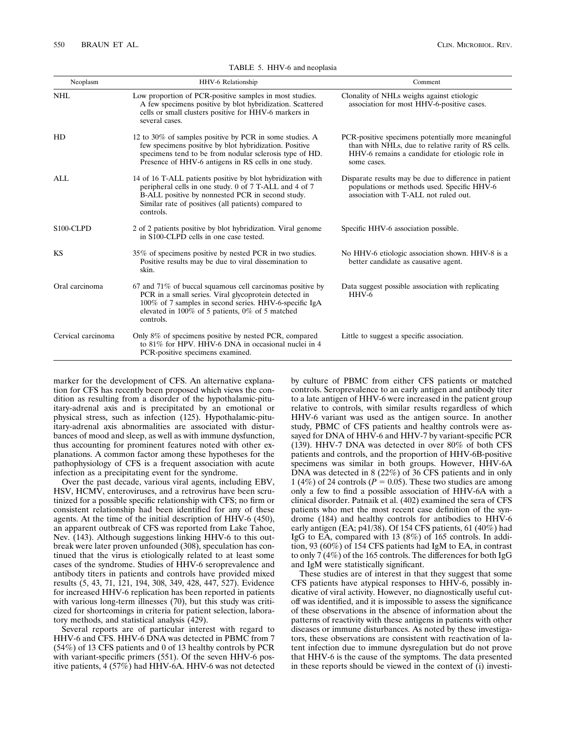| Neoplasm           | HHV-6 Relationship                                                                                                                                                                                                                                | Comment                                                                                                                                                                     |
|--------------------|---------------------------------------------------------------------------------------------------------------------------------------------------------------------------------------------------------------------------------------------------|-----------------------------------------------------------------------------------------------------------------------------------------------------------------------------|
| <b>NHL</b>         | Low proportion of PCR-positive samples in most studies.<br>A few specimens positive by blot hybridization. Scattered<br>cells or small clusters positive for HHV-6 markers in<br>several cases.                                                   | Clonality of NHLs weighs against etiologic<br>association for most HHV-6-positive cases.                                                                                    |
| HD                 | 12 to 30% of samples positive by PCR in some studies. A<br>few specimens positive by blot hybridization. Positive<br>specimens tend to be from nodular sclerosis type of HD.<br>Presence of HHV-6 antigens in RS cells in one study.              | PCR-positive specimens potentially more meaningful<br>than with NHLs, due to relative rarity of RS cells.<br>HHV-6 remains a candidate for etiologic role in<br>some cases. |
| ALL                | 14 of 16 T-ALL patients positive by blot hybridization with<br>peripheral cells in one study. 0 of 7 T-ALL and 4 of 7<br>B-ALL positive by nonnested PCR in second study.<br>Similar rate of positives (all patients) compared to<br>controls.    | Disparate results may be due to difference in patient<br>populations or methods used. Specific HHV-6<br>association with T-ALL not ruled out.                               |
| S100-CLPD          | 2 of 2 patients positive by blot hybridization. Viral genome<br>in S100-CLPD cells in one case tested.                                                                                                                                            | Specific HHV-6 association possible.                                                                                                                                        |
| <b>KS</b>          | 35% of specimens positive by nested PCR in two studies.<br>Positive results may be due to viral dissemination to<br>skin.                                                                                                                         | No HHV-6 etiologic association shown. HHV-8 is a<br>better candidate as causative agent.                                                                                    |
| Oral carcinoma     | $67$ and $71\%$ of buccal squamous cell carcinomas positive by<br>PCR in a small series. Viral glycoprotein detected in<br>100% of 7 samples in second series. HHV-6-specific IgA<br>elevated in 100% of 5 patients, 0% of 5 matched<br>controls. | Data suggest possible association with replicating<br>$HHV-6$                                                                                                               |
| Cervical carcinoma | Only 8% of specimens positive by nested PCR, compared<br>to 81% for HPV. HHV-6 DNA in occasional nuclei in 4<br>PCR-positive specimens examined.                                                                                                  | Little to suggest a specific association.                                                                                                                                   |

TABLE 5. HHV-6 and neoplasia

marker for the development of CFS. An alternative explanation for CFS has recently been proposed which views the condition as resulting from a disorder of the hypothalamic-pituitary-adrenal axis and is precipitated by an emotional or physical stress, such as infection (125). Hypothalamic-pituitary-adrenal axis abnormalities are associated with disturbances of mood and sleep, as well as with immune dysfunction, thus accounting for prominent features noted with other explanations. A common factor among these hypotheses for the pathophysiology of CFS is a frequent association with acute infection as a precipitating event for the syndrome.

Over the past decade, various viral agents, including EBV, HSV, HCMV, enteroviruses, and a retrovirus have been scrutinized for a possible specific relationship with CFS; no firm or consistent relationship had been identified for any of these agents. At the time of the initial description of HHV-6 (450), an apparent outbreak of CFS was reported from Lake Tahoe, Nev. (143). Although suggestions linking HHV-6 to this outbreak were later proven unfounded (308), speculation has continued that the virus is etiologically related to at least some cases of the syndrome. Studies of HHV-6 seroprevalence and antibody titers in patients and controls have provided mixed results (5, 43, 71, 121, 194, 308, 349, 428, 447, 527). Evidence for increased HHV-6 replication has been reported in patients with various long-term illnesses (70), but this study was criticized for shortcomings in criteria for patient selection, laboratory methods, and statistical analysis (429).

Several reports are of particular interest with regard to HHV-6 and CFS. HHV-6 DNA was detected in PBMC from 7 (54%) of 13 CFS patients and 0 of 13 healthy controls by PCR with variant-specific primers (551). Of the seven HHV-6 positive patients, 4 (57%) had HHV-6A. HHV-6 was not detected by culture of PBMC from either CFS patients or matched controls. Seroprevalence to an early antigen and antibody titer to a late antigen of HHV-6 were increased in the patient group relative to controls, with similar results regardless of which HHV-6 variant was used as the antigen source. In another study, PBMC of CFS patients and healthy controls were assayed for DNA of HHV-6 and HHV-7 by variant-specific PCR (139). HHV-7 DNA was detected in over 80% of both CFS patients and controls, and the proportion of HHV-6B-positive specimens was similar in both groups. However, HHV-6A DNA was detected in 8 (22%) of 36 CFS patients and in only 1 (4%) of 24 controls ( $P = 0.05$ ). These two studies are among only a few to find a possible association of HHV-6A with a clinical disorder. Patnaik et al. (402) examined the sera of CFS patients who met the most recent case definition of the syndrome (184) and healthy controls for antibodies to HHV-6 early antigen (EA; p41/38). Of 154 CFS patients, 61 (40%) had IgG to EA, compared with 13 (8%) of 165 controls. In addition, 93 (60%) of 154 CFS patients had IgM to EA, in contrast to only 7 (4%) of the 165 controls. The differences for both IgG and IgM were statistically significant.

These studies are of interest in that they suggest that some CFS patients have atypical responses to HHV-6, possibly indicative of viral activity. However, no diagnostically useful cutoff was identified, and it is impossible to assess the significance of these observations in the absence of information about the patterns of reactivity with these antigens in patients with other diseases or immune disturbances. As noted by these investigators, these observations are consistent with reactivation of latent infection due to immune dysregulation but do not prove that HHV-6 is the cause of the symptoms. The data presented in these reports should be viewed in the context of (i) investi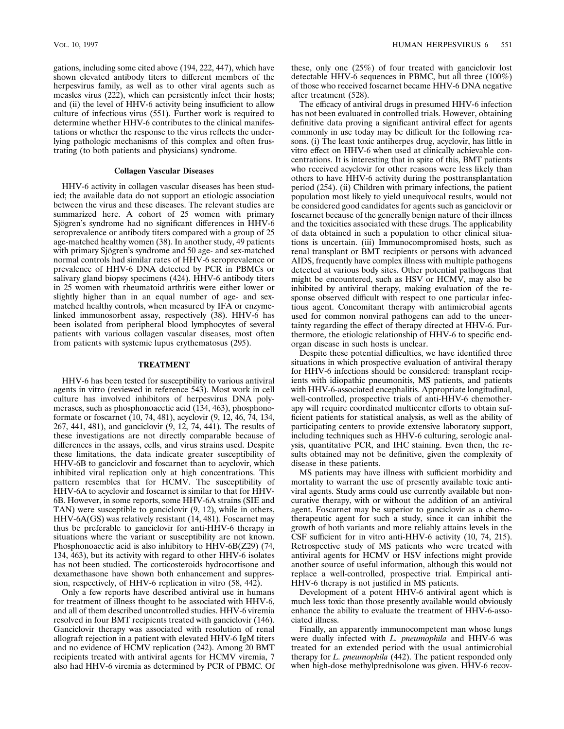gations, including some cited above (194, 222, 447), which have shown elevated antibody titers to different members of the herpesvirus family, as well as to other viral agents such as measles virus (222), which can persistently infect their hosts; and (ii) the level of HHV-6 activity being insufficient to allow culture of infectious virus (551). Further work is required to determine whether HHV-6 contributes to the clinical manifestations or whether the response to the virus reflects the underlying pathologic mechanisms of this complex and often frustrating (to both patients and physicians) syndrome.

# **Collagen Vascular Diseases**

HHV-6 activity in collagen vascular diseases has been studied; the available data do not support an etiologic association between the virus and these diseases. The relevant studies are summarized here. A cohort of 25 women with primary Sjögren's syndrome had no significant differences in HHV-6 seroprevalence or antibody titers compared with a group of 25 age-matched healthy women (38). In another study, 49 patients with primary Sjögren's syndrome and 50 age- and sex-matched normal controls had similar rates of HHV-6 seroprevalence or prevalence of HHV-6 DNA detected by PCR in PBMCs or salivary gland biopsy specimens (424). HHV-6 antibody titers in 25 women with rheumatoid arthritis were either lower or slightly higher than in an equal number of age- and sexmatched healthy controls, when measured by IFA or enzymelinked immunosorbent assay, respectively (38). HHV-6 has been isolated from peripheral blood lymphocytes of several patients with various collagen vascular diseases, most often from patients with systemic lupus erythematosus (295).

#### **TREATMENT**

HHV-6 has been tested for susceptibility to various antiviral agents in vitro (reviewed in reference 543). Most work in cell culture has involved inhibitors of herpesvirus DNA polymerases, such as phosphonoacetic acid (134, 463), phosphonoformate or foscarnet (10, 74, 481), acyclovir (9, 12, 46, 74, 134, 267, 441, 481), and ganciclovir (9, 12, 74, 441). The results of these investigations are not directly comparable because of differences in the assays, cells, and virus strains used. Despite these limitations, the data indicate greater susceptibility of HHV-6B to ganciclovir and foscarnet than to acyclovir, which inhibited viral replication only at high concentrations. This pattern resembles that for HCMV. The susceptibility of HHV-6A to acyclovir and foscarnet is similar to that for HHV-6B. However, in some reports, some HHV-6A strains (SIE and TAN) were susceptible to ganciclovir (9, 12), while in others, HHV-6A(GS) was relatively resistant (14, 481). Foscarnet may thus be preferable to ganciclovir for anti-HHV-6 therapy in situations where the variant or susceptibility are not known. Phosphonoacetic acid is also inhibitory to HHV-6B(Z29) (74, 134, 463), but its activity with regard to other HHV-6 isolates has not been studied. The corticosteroids hydrocortisone and dexamethasone have shown both enhancement and suppression, respectively, of HHV-6 replication in vitro (58, 442).

Only a few reports have described antiviral use in humans for treatment of illness thought to be associated with HHV-6, and all of them described uncontrolled studies. HHV-6 viremia resolved in four BMT recipients treated with ganciclovir (146). Ganciclovir therapy was associated with resolution of renal allograft rejection in a patient with elevated HHV-6 IgM titers and no evidence of HCMV replication (242). Among 20 BMT recipients treated with antiviral agents for HCMV viremia, 7 also had HHV-6 viremia as determined by PCR of PBMC. Of these, only one (25%) of four treated with ganciclovir lost detectable HHV-6 sequences in PBMC, but all three (100%) of those who received foscarnet became HHV-6 DNA negative after treatment (528).

The efficacy of antiviral drugs in presumed HHV-6 infection has not been evaluated in controlled trials. However, obtaining definitive data proving a significant antiviral effect for agents commonly in use today may be difficult for the following reasons. (i) The least toxic antiherpes drug, acyclovir, has little in vitro effect on HHV-6 when used at clinically achievable concentrations. It is interesting that in spite of this, BMT patients who received acyclovir for other reasons were less likely than others to have HHV-6 activity during the posttransplantation period (254). (ii) Children with primary infections, the patient population most likely to yield unequivocal results, would not be considered good candidates for agents such as ganciclovir or foscarnet because of the generally benign nature of their illness and the toxicities associated with these drugs. The applicability of data obtained in such a population to other clinical situations is uncertain. (iii) Immunocompromised hosts, such as renal transplant or BMT recipients or persons with advanced AIDS, frequently have complex illness with multiple pathogens detected at various body sites. Other potential pathogens that might be encountered, such as HSV or HCMV, may also be inhibited by antiviral therapy, making evaluation of the response observed difficult with respect to one particular infectious agent. Concomitant therapy with antimicrobial agents used for common nonviral pathogens can add to the uncertainty regarding the effect of therapy directed at HHV-6. Furthermore, the etiologic relationship of HHV-6 to specific endorgan disease in such hosts is unclear.

Despite these potential difficulties, we have identified three situations in which prospective evaluation of antiviral therapy for HHV-6 infections should be considered: transplant recipients with idiopathic pneumonitis, MS patients, and patients with HHV-6-associated encephalitis. Appropriate longitudinal, well-controlled, prospective trials of anti-HHV-6 chemotherapy will require coordinated multicenter efforts to obtain sufficient patients for statistical analysis, as well as the ability of participating centers to provide extensive laboratory support, including techniques such as HHV-6 culturing, serologic analysis, quantitative PCR, and IHC staining. Even then, the results obtained may not be definitive, given the complexity of disease in these patients.

MS patients may have illness with sufficient morbidity and mortality to warrant the use of presently available toxic antiviral agents. Study arms could use currently available but noncurative therapy, with or without the addition of an antiviral agent. Foscarnet may be superior to ganciclovir as a chemotherapeutic agent for such a study, since it can inhibit the growth of both variants and more reliably attains levels in the CSF sufficient for in vitro anti-HHV-6 activity (10, 74, 215). Retrospective study of MS patients who were treated with antiviral agents for HCMV or HSV infections might provide another source of useful information, although this would not replace a well-controlled, prospective trial. Empirical anti-HHV-6 therapy is not justified in MS patients.

Development of a potent HHV-6 antiviral agent which is much less toxic than those presently available would obviously enhance the ability to evaluate the treatment of HHV-6-associated illness.

Finally, an apparently immunocompetent man whose lungs were dually infected with *L. pneumophila* and HHV-6 was treated for an extended period with the usual antimicrobial therapy for *L. pneumophila* (442). The patient responded only when high-dose methylprednisolone was given. HHV-6 recov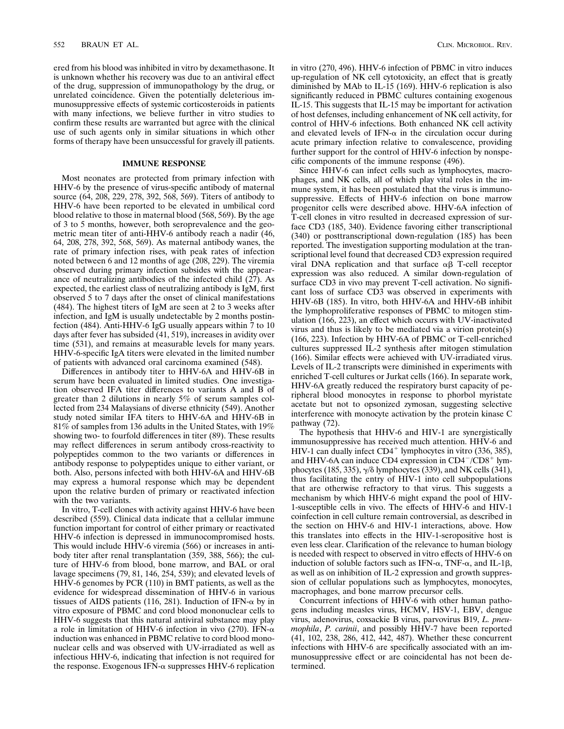ered from his blood was inhibited in vitro by dexamethasone. It is unknown whether his recovery was due to an antiviral effect of the drug, suppression of immunopathology by the drug, or unrelated coincidence. Given the potentially deleterious immunosuppressive effects of systemic corticosteroids in patients with many infections, we believe further in vitro studies to confirm these results are warranted but agree with the clinical use of such agents only in similar situations in which other forms of therapy have been unsuccessful for gravely ill patients.

# **IMMUNE RESPONSE**

Most neonates are protected from primary infection with HHV-6 by the presence of virus-specific antibody of maternal source (64, 208, 229, 278, 392, 568, 569). Titers of antibody to HHV-6 have been reported to be elevated in umbilical cord blood relative to those in maternal blood (568, 569). By the age of 3 to 5 months, however, both seroprevalence and the geometric mean titer of anti-HHV-6 antibody reach a nadir (46, 64, 208, 278, 392, 568, 569). As maternal antibody wanes, the rate of primary infection rises, with peak rates of infection noted between 6 and 12 months of age (208, 229). The viremia observed during primary infection subsides with the appearance of neutralizing antibodies of the infected child (27). As expected, the earliest class of neutralizing antibody is IgM, first observed 5 to 7 days after the onset of clinical manifestations (484). The highest titers of IgM are seen at 2 to 3 weeks after infection, and IgM is usually undetectable by 2 months postinfection (484). Anti-HHV-6 IgG usually appears within 7 to 10 days after fever has subsided (41, 519), increases in avidity over time (531), and remains at measurable levels for many years. HHV-6-specific IgA titers were elevated in the limited number of patients with advanced oral carcinoma examined (548).

Differences in antibody titer to HHV-6A and HHV-6B in serum have been evaluated in limited studies. One investigation observed IFA titer differences to variants A and B of greater than 2 dilutions in nearly 5% of serum samples collected from 234 Malaysians of diverse ethnicity (549). Another study noted similar IFA titers to HHV-6A and HHV-6B in 81% of samples from 136 adults in the United States, with 19% showing two- to fourfold differences in titer (89). These results may reflect differences in serum antibody cross-reactivity to polypeptides common to the two variants or differences in antibody response to polypeptides unique to either variant, or both. Also, persons infected with both HHV-6A and HHV-6B may express a humoral response which may be dependent upon the relative burden of primary or reactivated infection with the two variants.

In vitro, T-cell clones with activity against HHV-6 have been described (559). Clinical data indicate that a cellular immune function important for control of either primary or reactivated HHV-6 infection is depressed in immunocompromised hosts. This would include HHV-6 viremia (566) or increases in antibody titer after renal transplantation (359, 388, 566); the culture of HHV-6 from blood, bone marrow, and BAL or oral lavage specimens (79, 81, 146, 254, 539); and elevated levels of HHV-6 genomes by PCR (110) in BMT patients, as well as the evidence for widespread dissemination of HHV-6 in various tissues of AIDS patients (116, 281). Induction of IFN- $\alpha$  by in vitro exposure of PBMC and cord blood mononuclear cells to HHV-6 suggests that this natural antiviral substance may play a role in limitation of HHV-6 infection in vivo  $(270)$ . IFN- $\alpha$ induction was enhanced in PBMC relative to cord blood mononuclear cells and was observed with UV-irradiated as well as infectious HHV-6, indicating that infection is not required for the response. Exogenous IFN- $\alpha$  suppresses HHV-6 replication in vitro (270, 496). HHV-6 infection of PBMC in vitro induces up-regulation of NK cell cytotoxicity, an effect that is greatly diminished by MAb to IL-15 (169). HHV-6 replication is also significantly reduced in PBMC cultures containing exogenous IL-15. This suggests that IL-15 may be important for activation of host defenses, including enhancement of NK cell activity, for control of HHV-6 infections. Both enhanced NK cell activity and elevated levels of IFN- $\alpha$  in the circulation occur during acute primary infection relative to convalescence, providing further support for the control of HHV-6 infection by nonspecific components of the immune response (496).

Since HHV-6 can infect cells such as lymphocytes, macrophages, and NK cells, all of which play vital roles in the immune system, it has been postulated that the virus is immunosuppressive. Effects of HHV-6 infection on bone marrow progenitor cells were described above. HHV-6A infection of T-cell clones in vitro resulted in decreased expression of surface CD3 (185, 340). Evidence favoring either transcriptional (340) or posttranscriptional down-regulation (185) has been reported. The investigation supporting modulation at the transcriptional level found that decreased CD3 expression required viral DNA replication and that surface  $\alpha\beta$  T-cell receptor expression was also reduced. A similar down-regulation of surface CD3 in vivo may prevent T-cell activation. No significant loss of surface CD3 was observed in experiments with HHV-6B (185). In vitro, both HHV-6A and HHV-6B inhibit the lymphoproliferative responses of PBMC to mitogen stimulation (166, 223), an effect which occurs with UV-inactivated virus and thus is likely to be mediated via a virion protein(s) (166, 223). Infection by HHV-6A of PBMC or T-cell-enriched cultures suppressed IL-2 synthesis after mitogen stimulation (166). Similar effects were achieved with UV-irradiated virus. Levels of IL-2 transcripts were diminished in experiments with enriched T-cell cultures or Jurkat cells (166). In separate work, HHV-6A greatly reduced the respiratory burst capacity of peripheral blood monocytes in response to phorbol myristate acetate but not to opsonized zymosan, suggesting selective interference with monocyte activation by the protein kinase C pathway (72).

The hypothesis that HHV-6 and HIV-1 are synergistically immunosuppressive has received much attention. HHV-6 and HIV-1 can dually infect  $CD4^+$  lymphocytes in vitro (336, 385), and HHV-6A can induce CD4 expression in  $CD4^-/CD8^+$  lymphocytes (185, 335),  $\gamma$ / $\delta$  lymphocytes (339), and NK cells (341), thus facilitating the entry of HIV-1 into cell subpopulations that are otherwise refractory to that virus. This suggests a mechanism by which HHV-6 might expand the pool of HIV-1-susceptible cells in vivo. The effects of HHV-6 and HIV-1 coinfection in cell culture remain controversial, as described in the section on HHV-6 and HIV-1 interactions, above. How this translates into effects in the HIV-1-seropositive host is even less clear. Clarification of the relevance to human biology is needed with respect to observed in vitro effects of HHV-6 on induction of soluble factors such as IFN- $\alpha$ , TNF- $\alpha$ , and IL-1 $\beta$ , as well as on inhibition of IL-2 expression and growth suppression of cellular populations such as lymphocytes, monocytes, macrophages, and bone marrow precursor cells.

Concurrent infections of HHV-6 with other human pathogens including measles virus, HCMV, HSV-1, EBV, dengue virus, adenovirus, coxsackie B virus, parvovirus B19, *L. pneumophila*, *P. carinii*, and possibly HHV-7 have been reported (41, 102, 238, 286, 412, 442, 487). Whether these concurrent infections with HHV-6 are specifically associated with an immunosuppressive effect or are coincidental has not been determined.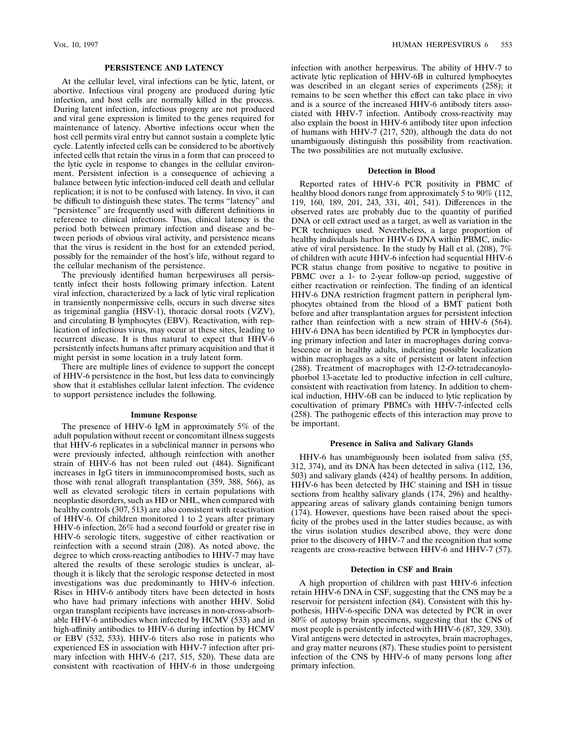# **PERSISTENCE AND LATENCY**

At the cellular level, viral infections can be lytic, latent, or abortive. Infectious viral progeny are produced during lytic infection, and host cells are normally killed in the process. During latent infection, infectious progeny are not produced and viral gene expression is limited to the genes required for maintenance of latency. Abortive infections occur when the host cell permits viral entry but cannot sustain a complete lytic cycle. Latently infected cells can be considered to be abortively infected cells that retain the virus in a form that can proceed to the lytic cycle in response to changes in the cellular environment. Persistent infection is a consequence of achieving a balance between lytic infection-induced cell death and cellular replication; it is not to be confused with latency. In vivo, it can be difficult to distinguish these states. The terms "latency" and "persistence" are frequently used with different definitions in reference to clinical infections. Thus, clinical latency is the period both between primary infection and disease and between periods of obvious viral activity, and persistence means that the virus is resident in the host for an extended period, possibly for the remainder of the host's life, without regard to the cellular mechanism of the persistence.

The previously identified human herpesviruses all persistently infect their hosts following primary infection. Latent viral infection, characterized by a lack of lytic viral replication in transiently nonpermissive cells, occurs in such diverse sites as trigeminal ganglia (HSV-1), thoracic dorsal roots (VZV), and circulating B lymphocytes (EBV). Reactivation, with replication of infectious virus, may occur at these sites, leading to recurrent disease. It is thus natural to expect that HHV-6 persistently infects humans after primary acquisition and that it might persist in some location in a truly latent form.

There are multiple lines of evidence to support the concept of HHV-6 persistence in the host, but less data to convincingly show that it establishes cellular latent infection. The evidence to support persistence includes the following.

#### **Immune Response**

The presence of HHV-6 IgM in approximately 5% of the adult population without recent or concomitant illness suggests that HHV-6 replicates in a subclinical manner in persons who were previously infected, although reinfection with another strain of HHV-6 has not been ruled out (484). Significant increases in IgG titers in immunocompromised hosts, such as those with renal allograft transplantation (359, 388, 566), as well as elevated serologic titers in certain populations with neoplastic disorders, such as HD or NHL, when compared with healthy controls (307, 513) are also consistent with reactivation of HHV-6. Of children monitored 1 to 2 years after primary HHV-6 infection, 26% had a second fourfold or greater rise in HHV-6 serologic titers, suggestive of either reactivation or reinfection with a second strain (208). As noted above, the degree to which cross-reacting antibodies to HHV-7 may have altered the results of these serologic studies is unclear, although it is likely that the serologic response detected in most investigations was due predominantly to HHV-6 infection. Rises in HHV-6 antibody titers have been detected in hosts who have had primary infections with another HHV. Solid organ transplant recipients have increases in non-cross-absorbable HHV-6 antibodies when infected by HCMV (533) and in high-affinity antibodies to HHV-6 during infection by HCMV or EBV (532, 533). HHV-6 titers also rose in patients who experienced ES in association with HHV-7 infection after primary infection with HHV-6 (217, 515, 520). These data are consistent with reactivation of HHV-6 in those undergoing infection with another herpesvirus. The ability of HHV-7 to activate lytic replication of HHV-6B in cultured lymphocytes was described in an elegant series of experiments (258); it remains to be seen whether this effect can take place in vivo and is a source of the increased HHV-6 antibody titers associated with HHV-7 infection. Antibody cross-reactivity may also explain the boost in HHV-6 antibody titer upon infection of humans with HHV-7 (217, 520), although the data do not unambiguously distinguish this possibility from reactivation. The two possibilities are not mutually exclusive.

#### **Detection in Blood**

Reported rates of HHV-6 PCR positivity in PBMC of healthy blood donors range from approximately 5 to 90% (112, 119, 160, 189, 201, 243, 331, 401, 541). Differences in the observed rates are probably due to the quantity of purified DNA or cell extract used as a target, as well as variation in the PCR techniques used. Nevertheless, a large proportion of healthy individuals harbor HHV-6 DNA within PBMC, indicative of viral persistence. In the study by Hall et al. (208), 7% of children with acute HHV-6 infection had sequential HHV-6 PCR status change from positive to negative to positive in PBMC over a 1- to 2-year follow-up period, suggestive of either reactivation or reinfection. The finding of an identical HHV-6 DNA restriction fragment pattern in peripheral lymphocytes obtained from the blood of a BMT patient both before and after transplantation argues for persistent infection rather than reinfection with a new strain of HHV-6 (564). HHV-6 DNA has been identified by PCR in lymphocytes during primary infection and later in macrophages during convalescence or in healthy adults, indicating possible localization within macrophages as a site of persistent or latent infection (288). Treatment of macrophages with 12-*O*-tetradecanoylophorbol 13-acetate led to productive infection in cell culture, consistent with reactivation from latency. In addition to chemical induction, HHV-6B can be induced to lytic replication by cocultivation of primary PBMCs with HHV-7-infected cells (258). The pathogenic effects of this interaction may prove to be important.

#### **Presence in Saliva and Salivary Glands**

HHV-6 has unambiguously been isolated from saliva (55, 312, 374), and its DNA has been detected in saliva (112, 136, 503) and salivary glands (424) of healthy persons. In addition, HHV-6 has been detected by IHC staining and ISH in tissue sections from healthy salivary glands (174, 296) and healthyappearing areas of salivary glands containing benign tumors (174). However, questions have been raised about the specificity of the probes used in the latter studies because, as with the virus isolation studies described above, they were done prior to the discovery of HHV-7 and the recognition that some reagents are cross-reactive between HHV-6 and HHV-7 (57).

#### **Detection in CSF and Brain**

A high proportion of children with past HHV-6 infection retain HHV-6 DNA in CSF, suggesting that the CNS may be a reservoir for persistent infection (84). Consistent with this hypothesis, HHV-6-specific DNA was detected by PCR in over 80% of autopsy brain specimens, suggesting that the CNS of most people is persistently infected with HHV-6 (87, 329, 330). Viral antigens were detected in astrocytes, brain macrophages, and gray matter neurons (87). These studies point to persistent infection of the CNS by HHV-6 of many persons long after primary infection.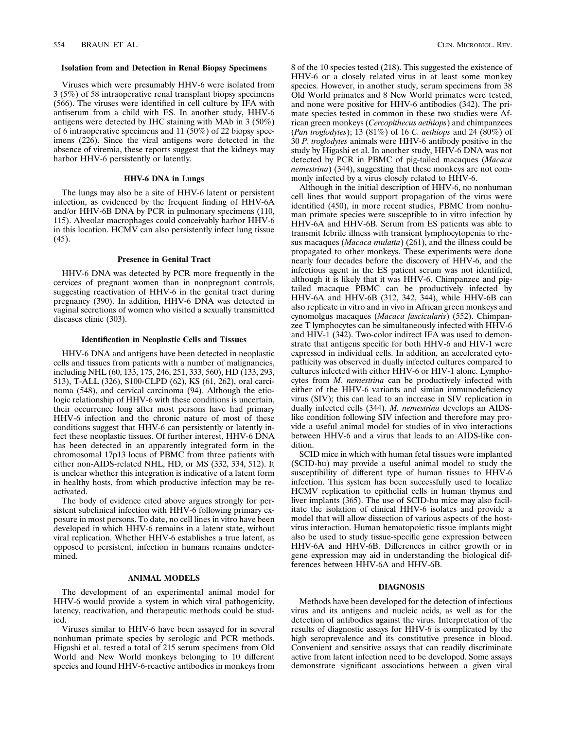#### **Isolation from and Detection in Renal Biopsy Specimens**

Viruses which were presumably HHV-6 were isolated from 3 (5%) of 58 intraoperative renal transplant biopsy specimens (566). The viruses were identified in cell culture by IFA with antiserum from a child with ES. In another study, HHV-6 antigens were detected by IHC staining with MAb in 3 (50%) of 6 intraoperative specimens and 11 (50%) of 22 biopsy specimens (226). Since the viral antigens were detected in the absence of viremia, these reports suggest that the kidneys may harbor HHV-6 persistently or latently.

#### **HHV-6 DNA in Lungs**

The lungs may also be a site of HHV-6 latent or persistent infection, as evidenced by the frequent finding of HHV-6A and/or HHV-6B DNA by PCR in pulmonary specimens (110, 115). Alveolar macrophages could conceivably harbor HHV-6 in this location. HCMV can also persistently infect lung tissue  $(45)$ .

#### **Presence in Genital Tract**

HHV-6 DNA was detected by PCR more frequently in the cervices of pregnant women than in nonpregnant controls, suggesting reactivation of HHV-6 in the genital tract during pregnancy (390). In addition, HHV-6 DNA was detected in vaginal secretions of women who visited a sexually transmitted diseases clinic (303).

#### **Identification in Neoplastic Cells and Tissues**

HHV-6 DNA and antigens have been detected in neoplastic cells and tissues from patients with a number of malignancies, including NHL (60, 133, 175, 246, 251, 333, 560), HD (133, 293, 513), T-ALL (326), S100-CLPD (62), KS (61, 262), oral carcinoma (548), and cervical carcinoma (94). Although the etiologic relationship of HHV-6 with these conditions is uncertain, their occurrence long after most persons have had primary HHV-6 infection and the chronic nature of most of these conditions suggest that HHV-6 can persistently or latently infect these neoplastic tissues. Of further interest, HHV-6 DNA has been detected in an apparently integrated form in the chromosomal 17p13 locus of PBMC from three patients with either non-AIDS-related NHL, HD, or MS (332, 334, 512). It is unclear whether this integration is indicative of a latent form in healthy hosts, from which productive infection may be reactivated.

The body of evidence cited above argues strongly for persistent subclinical infection with HHV-6 following primary exposure in most persons. To date, no cell lines in vitro have been developed in which HHV-6 remains in a latent state, without viral replication. Whether HHV-6 establishes a true latent, as opposed to persistent, infection in humans remains undetermined.

# **ANIMAL MODELS**

The development of an experimental animal model for HHV-6 would provide a system in which viral pathogenicity, latency, reactivation, and therapeutic methods could be studied.

Viruses similar to HHV-6 have been assayed for in several nonhuman primate species by serologic and PCR methods. Higashi et al. tested a total of 215 serum specimens from Old World and New World monkeys belonging to 10 different species and found HHV-6-reactive antibodies in monkeys from 8 of the 10 species tested (218). This suggested the existence of HHV-6 or a closely related virus in at least some monkey species. However, in another study, serum specimens from 38 Old World primates and 8 New World primates were tested, and none were positive for HHV-6 antibodies (342). The primate species tested in common in these two studies were African green monkeys (*Cercopithecus aethiops*) and chimpanzees (*Pan troglodytes*); 13 (81%) of 16 *C. aethiops* and 24 (80%) of 30 *P. troglodytes* animals were HHV-6 antibody positive in the study by Higashi et al. In another study, HHV-6 DNA was not detected by PCR in PBMC of pig-tailed macaques (*Macaca nemestrina*) (344), suggesting that these monkeys are not commonly infected by a virus closely related to HHV-6.

Although in the initial description of HHV-6, no nonhuman cell lines that would support propagation of the virus were identified (450), in more recent studies, PBMC from nonhuman primate species were susceptible to in vitro infection by HHV-6A and HHV-6B. Serum from ES patients was able to transmit febrile illness with transient lymphocytopenia to rhesus macaques (*Macaca mulatta*) (261), and the illness could be propagated to other monkeys. These experiments were done nearly four decades before the discovery of HHV-6, and the infectious agent in the ES patient serum was not identified, although it is likely that it was HHV-6. Chimpanzee and pigtailed macaque PBMC can be productively infected by HHV-6A and HHV-6B (312, 342, 344), while HHV-6B can also replicate in vitro and in vivo in African green monkeys and cynomolgus macaques (*Macaca fascicularis*) (552). Chimpanzee T lymphocytes can be simultaneously infected with HHV-6 and HIV-1 (342). Two-color indirect IFA was used to demonstrate that antigens specific for both HHV-6 and HIV-1 were expressed in individual cells. In addition, an accelerated cytopathicity was observed in dually infected cultures compared to cultures infected with either HHV-6 or HIV-1 alone. Lymphocytes from *M. nemestrina* can be productively infected with either of the HHV-6 variants and simian immunodeficiency virus (SIV); this can lead to an increase in SIV replication in dually infected cells (344). *M. nemestrina* develops an AIDSlike condition following SIV infection and therefore may provide a useful animal model for studies of in vivo interactions between HHV-6 and a virus that leads to an AIDS-like condition.

SCID mice in which with human fetal tissues were implanted (SCID-hu) may provide a useful animal model to study the susceptibility of different type of human tissues to HHV-6 infection. This system has been successfully used to localize HCMV replication to epithelial cells in human thymus and liver implants (365). The use of SCID-hu mice may also facilitate the isolation of clinical HHV-6 isolates and provide a model that will allow dissection of various aspects of the hostvirus interaction. Human hematopoietic tissue implants might also be used to study tissue-specific gene expression between HHV-6A and HHV-6B. Differences in either growth or in gene expression may aid in understanding the biological differences between HHV-6A and HHV-6B.

#### **DIAGNOSIS**

Methods have been developed for the detection of infectious virus and its antigens and nucleic acids, as well as for the detection of antibodies against the virus. Interpretation of the results of diagnostic assays for HHV-6 is complicated by the high seroprevalence and its constitutive presence in blood. Convenient and sensitive assays that can readily discriminate active from latent infection need to be developed. Some assays demonstrate significant associations between a given viral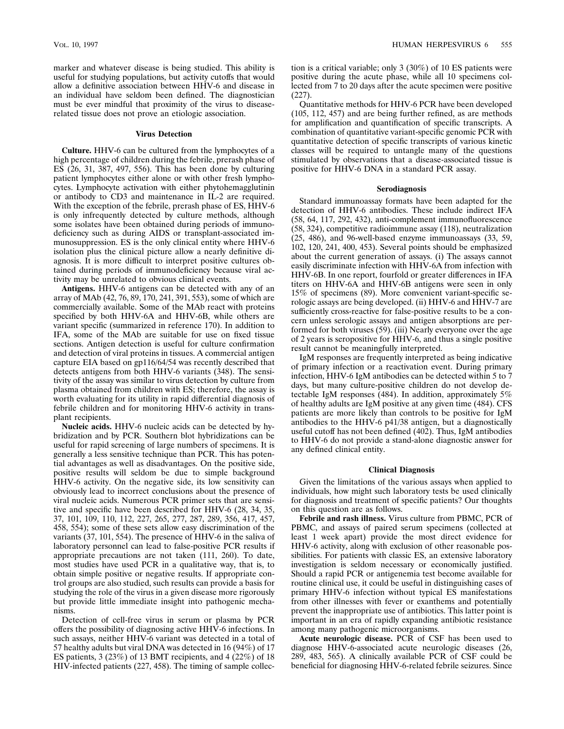marker and whatever disease is being studied. This ability is useful for studying populations, but activity cutoffs that would allow a definitive association between HHV-6 and disease in an individual have seldom been defined. The diagnostician must be ever mindful that proximity of the virus to diseaserelated tissue does not prove an etiologic association.

#### **Virus Detection**

**Culture.** HHV-6 can be cultured from the lymphocytes of a high percentage of children during the febrile, prerash phase of ES (26, 31, 387, 497, 556). This has been done by culturing patient lymphocytes either alone or with other fresh lymphocytes. Lymphocyte activation with either phytohemagglutinin or antibody to CD3 and maintenance in IL-2 are required. With the exception of the febrile, prerash phase of ES, HHV-6 is only infrequently detected by culture methods, although some isolates have been obtained during periods of immunodeficiency such as during AIDS or transplant-associated immunosuppression. ES is the only clinical entity where HHV-6 isolation plus the clinical picture allow a nearly definitive diagnosis. It is more difficult to interpret positive cultures obtained during periods of immunodeficiency because viral activity may be unrelated to obvious clinical events.

**Antigens.** HHV-6 antigens can be detected with any of an array of MAb (42, 76, 89, 170, 241, 391, 553), some of which are commercially available. Some of the MAb react with proteins specified by both HHV-6A and HHV-6B, while others are variant specific (summarized in reference 170). In addition to IFA, some of the MAb are suitable for use on fixed tissue sections. Antigen detection is useful for culture confirmation and detection of viral proteins in tissues. A commercial antigen capture EIA based on gp116/64/54 was recently described that detects antigens from both HHV-6 variants (348). The sensitivity of the assay was similar to virus detection by culture from plasma obtained from children with ES; therefore, the assay is worth evaluating for its utility in rapid differential diagnosis of febrile children and for monitoring HHV-6 activity in transplant recipients.

**Nucleic acids.** HHV-6 nucleic acids can be detected by hybridization and by PCR. Southern blot hybridizations can be useful for rapid screening of large numbers of specimens. It is generally a less sensitive technique than PCR. This has potential advantages as well as disadvantages. On the positive side, positive results will seldom be due to simple background HHV-6 activity. On the negative side, its low sensitivity can obviously lead to incorrect conclusions about the presence of viral nucleic acids. Numerous PCR primer sets that are sensitive and specific have been described for HHV-6 (28, 34, 35, 37, 101, 109, 110, 112, 227, 265, 277, 287, 289, 356, 417, 457, 458, 554); some of these sets allow easy discrimination of the variants (37, 101, 554). The presence of HHV-6 in the saliva of laboratory personnel can lead to false-positive PCR results if appropriate precautions are not taken (111, 260). To date, most studies have used PCR in a qualitative way, that is, to obtain simple positive or negative results. If appropriate control groups are also studied, such results can provide a basis for studying the role of the virus in a given disease more rigorously but provide little immediate insight into pathogenic mechanisms.

Detection of cell-free virus in serum or plasma by PCR offers the possibility of diagnosing active HHV-6 infections. In such assays, neither HHV-6 variant was detected in a total of 57 healthy adults but viral DNA was detected in 16 (94%) of 17 ES patients, 3 (23%) of 13 BMT recipients, and 4 (22%) of 18 HIV-infected patients (227, 458). The timing of sample collection is a critical variable; only 3 (30%) of 10 ES patients were positive during the acute phase, while all 10 specimens collected from 7 to 20 days after the acute specimen were positive (227).

Quantitative methods for HHV-6 PCR have been developed (105, 112, 457) and are being further refined, as are methods for amplification and quantification of specific transcripts. A combination of quantitative variant-specific genomic PCR with quantitative detection of specific transcripts of various kinetic classes will be required to untangle many of the questions stimulated by observations that a disease-associated tissue is positive for HHV-6 DNA in a standard PCR assay.

#### **Serodiagnosis**

Standard immunoassay formats have been adapted for the detection of HHV-6 antibodies. These include indirect IFA (58, 64, 117, 292, 432), anti-complement immunofluorescence (58, 324), competitive radioimmune assay (118), neutralization (25, 486), and 96-well-based enzyme immunoassays (33, 59, 102, 120, 241, 400, 453). Several points should be emphasized about the current generation of assays. (i) The assays cannot easily discriminate infection with HHV-6A from infection with HHV-6B. In one report, fourfold or greater differences in IFA titers on HHV-6A and HHV-6B antigens were seen in only 15% of specimens (89). More convenient variant-specific serologic assays are being developed. (ii) HHV-6 and HHV-7 are sufficiently cross-reactive for false-positive results to be a concern unless serologic assays and antigen absorptions are performed for both viruses (59). (iii) Nearly everyone over the age of 2 years is seropositive for HHV-6, and thus a single positive result cannot be meaningfully interpreted.

IgM responses are frequently interpreted as being indicative of primary infection or a reactivation event. During primary infection, HHV-6 IgM antibodies can be detected within 5 to 7 days, but many culture-positive children do not develop detectable IgM responses (484). In addition, approximately 5% of healthy adults are IgM positive at any given time (484). CFS patients are more likely than controls to be positive for IgM antibodies to the HHV-6 p41/38 antigen, but a diagnostically useful cutoff has not been defined (402). Thus, IgM antibodies to HHV-6 do not provide a stand-alone diagnostic answer for any defined clinical entity.

#### **Clinical Diagnosis**

Given the limitations of the various assays when applied to individuals, how might such laboratory tests be used clinically for diagnosis and treatment of specific patients? Our thoughts on this question are as follows.

**Febrile and rash illness.** Virus culture from PBMC, PCR of PBMC, and assays of paired serum specimens (collected at least 1 week apart) provide the most direct evidence for HHV-6 activity, along with exclusion of other reasonable possibilities. For patients with classic ES, an extensive laboratory investigation is seldom necessary or economically justified. Should a rapid PCR or antigenemia test become available for routine clinical use, it could be useful in distinguishing cases of primary HHV-6 infection without typical ES manifestations from other illnesses with fever or exanthems and potentially prevent the inappropriate use of antibiotics. This latter point is important in an era of rapidly expanding antibiotic resistance among many pathogenic microorganisms.

**Acute neurologic disease.** PCR of CSF has been used to diagnose HHV-6-associated acute neurologic diseases (26, 289, 483, 565). A clinically available PCR of CSF could be beneficial for diagnosing HHV-6-related febrile seizures. Since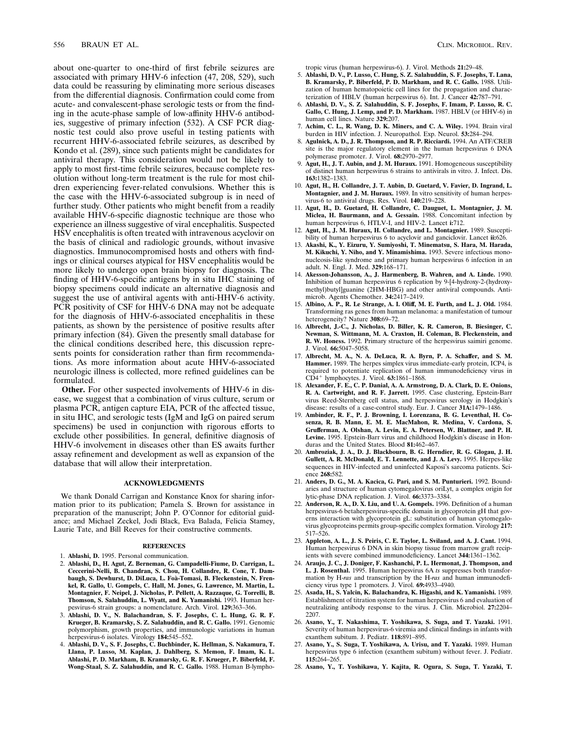about one-quarter to one-third of first febrile seizures are associated with primary HHV-6 infection (47, 208, 529), such data could be reassuring by eliminating more serious diseases from the differential diagnosis. Confirmation could come from acute- and convalescent-phase serologic tests or from the finding in the acute-phase sample of low-affinity HHV-6 antibodies, suggestive of primary infection (532). A CSF PCR diagnostic test could also prove useful in testing patients with recurrent HHV-6-associated febrile seizures, as described by Kondo et al. (289), since such patients might be candidates for antiviral therapy. This consideration would not be likely to apply to most first-time febrile seizures, because complete resolution without long-term treatment is the rule for most children experiencing fever-related convulsions. Whether this is the case with the HHV-6-associated subgroup is in need of further study. Other patients who might benefit from a readily available HHV-6-specific diagnostic technique are those who experience an illness suggestive of viral encephalitis. Suspected HSV encephalitis is often treated with intravenous acyclovir on the basis of clinical and radiologic grounds, without invasive diagnostics. Immunocompromised hosts and others with findings or clinical courses atypical for HSV encephalitis would be more likely to undergo open brain biopsy for diagnosis. The finding of HHV-6-specific antigens by in situ IHC staining of biopsy specimens could indicate an alternative diagnosis and suggest the use of antiviral agents with anti-HHV-6 activity. PCR positivity of CSF for HHV-6 DNA may not be adequate for the diagnosis of HHV-6-associated encephalitis in these patients, as shown by the persistence of positive results after primary infection (84). Given the presently small database for the clinical conditions described here, this discussion represents points for consideration rather than firm recommendations. As more information about acute HHV-6-associated neurologic illness is collected, more refined guidelines can be formulated.

**Other.** For other suspected involvements of HHV-6 in disease, we suggest that a combination of virus culture, serum or plasma PCR, antigen capture EIA, PCR of the affected tissue, in situ IHC, and serologic tests (IgM and IgG on paired serum specimens) be used in conjunction with rigorous efforts to exclude other possibilities. In general, definitive diagnosis of HHV-6 involvement in diseases other than ES awaits further assay refinement and development as well as expansion of the database that will allow their interpretation.

#### **ACKNOWLEDGMENTS**

We thank Donald Carrigan and Konstance Knox for sharing information prior to its publication; Pamela S. Brown for assistance in preparation of the manuscript; John P. O'Connor for editorial guidance; and Michael Zeckel, Jodi Black, Eva Balada, Felicia Stamey, Laurie Tate, and Bill Reeves for their constructive comments.

#### **REFERENCES**

1. **Ablashi, D.** 1995. Personal communication.

- 2. **Ablashi, D., H. Agut, Z. Berneman, G. Campadelli-Fiume, D. Carrigan, L. Ceccerini-Nelli, B. Chandran, S. Chou, H. Collandre, R. Cone, T. Dambaugh, S. Dewhurst, D. DiLuca, L. Foa`-Tomasi, B. Fleckenstein, N. Frenkel, R. Gallo, U. Gompels, C. Hall, M. Jones, G. Lawrence, M. Martin, L. Montagnier, F. Neipel, J. Nicholas, P. Pellett, A. Razzaque, G. Torrelli, B. Thomson, S. Salahuddin, L. Wyatt, and K. Yamanishi.** 1993. Human herpesvirus-6 strain groups: a nomenclature. Arch. Virol. **129:**363–366.
- 3. **Ablashi, D. V., N. Balachandran, S. F. Josephs, C. L. Hung, G. R. F. Krueger, B. Kramarsky, S. Z. Salahuddin, and R. C. Gallo.** 1991. Genomic polymorphism, growth properties, and immunologic variations in human herpesvirus-6 isolates. Virology **184:**545–552.
- 4. **Ablashi, D. V., S. F. Josephs, C. Buchbinder, K. Hellman, S. Nakamura, T. Llana, P. Lusso, M. Kaplan, J. Dahlberg, S. Memon, F. Imam, K. L. Ablashi, P. D. Markham, B. Kramarsky, G. R. F. Krueger, P. Biberfeld, F. Wong-Staal, S. Z. Salahuddin, and R. C. Gallo.** 1988. Human B-lympho-

tropic virus (human herpesvirus-6). J. Virol. Methods **21:**29–48.

- 5. **Ablashi, D. V., P. Lusso, C. Hung, S. Z. Salahuddin, S. F. Josephs, T. Lana, B. Kramarsky, P. Biberfeld, P. D. Markham, and R. C. Gallo.** 1988. Utilization of human hematopoietic cell lines for the propagation and characterization of HBLV (human herpesvirus 6). Int. J. Cancer **42:**787–791.
- 6. **Ablashi, D. V., S. Z. Salahuddin, S. F. Josephs, F. Imam, P. Lusso, R. C. Gallo, C. Hung, J. Lemp, and P. D. Markham.** 1987. HBLV (or HHV-6) in human cell lines. Nature **329:**207.
- 7. **Achim, C. L., R. Wang, D. K. Miners, and C. A. Wiley.** 1994. Brain viral burden in HIV infection. J. Neuropathol. Exp. Neurol. **53:**284–294.
- 8. **Agulnick, A. D., J. R. Thompson, and R. P. Ricciardi.** 1994. An ATF/CREB site is the major regulatory element in the human herpesvirus 6 DNA polymerase promoter. J. Virol. **68:**2970–2977.
- 9. **Agut, H., J. T. Aubin, and J. M. Huraux.** 1991. Homogeneous susceptibility of distinct human herpesvirus 6 strains to antivirals in vitro. J. Infect. Dis. **163:**1382–1383.
- 10. **Agut, H., H. Collandre, J. T. Aubin, D. Guetard, V. Favier, D. Ingrand, L. Montagnier, and J. M. Huraux.** 1989. In vitro sensitivity of human herpesvirus-6 to antiviral drugs. Res. Virol. **140:**219–228.
- 11. **Agut, H., D. Guetard, H. Collandre, C. Dauguet, L. Montagnier, J. M. Miclea, H. Baurmann, and A. Gessain.** 1988. Concomitant infection by human herpesvirus 6, HTLV-I, and HIV-2. Lancet **i:**712.
- 12. **Agut, H., J. M. Huraux, H. Collandre, and L. Montagnier.** 1989. Susceptibility of human herpesvirus 6 to acyclovir and ganciclovir. Lancet **ii:**626.
- 13. **Akashi, K., Y. Eizuru, Y. Sumiyoshi, T. Minematsu, S. Hara, M. Harada, M. Kikuchi, Y. Niho, and Y. Minamishima.** 1993. Severe infectious mononucleosis-like syndrome and primary human herpesvirus 6 infection in an adult. N. Engl. J. Med. **329:**168–171.
- 14. **Akesson-Johansson, A., J. Harmenberg, B. Wahren, and A. Linde.** 1990. Inhibition of human herpesvirus 6 replication by 9-[4-hydroxy-2-(hydroxymethyl)butyl]guanine (2HM-HBG) and other antiviral compounds. Antimicrob. Agents Chemother. **34:**2417–2419.
- 15. **Albino, A. P., R. Le Strange, A. I. Oliff, M. E. Furth, and L. J. Old.** 1984. Transforming ras genes from human melanoma: a manifestation of tumour heterogeneity? Nature **308:**69–72.
- 16. **Albrecht, J.-C., J. Nicholas, D. Biller, K. R. Cameron, B. Biesinger, C. Newman, S. Wittmann, M. A. Craxton, H. Coleman, B. Fleckenstein, and R. W. Honess.** 1992. Primary structure of the herpesvirus saimiri genome. J. Virol. **66:**5047–5058.
- 17. **Albrecht, M. A., N. A. DeLuca, R. A. Byrn, P. A. Schaffer, and S. M. Hammer.** 1989. The herpes simplex virus immediate-early protein, ICP4, is required to potentiate replication of human immunodeficiency virus in CD4<sup>1</sup> lymphocytes. J. Virol. **63:**1861–1868.
- 18. **Alexander, F. E., C. P. Danial, A. A. Armstrong, D. A. Clark, D. E. Onions, R. A. Cartwright, and R. F. Jarrett.** 1995. Case clustering, Epstein-Barr virus Reed-Sternberg cell status, and herpesvirus serology in Hodgkin's disease: results of a case-control study. Eur. J. Cancer **31A:**1479–1486.
- 19. **Ambinder, R. F., P. J. Browning, I. Lorenzana, B. G. Leventhal, H. Cosenza, R. B. Mann, E. M. E. MacMahon, R. Medina, V. Cardona, S. Grufferman, A. Olshan, A. Levin, E. A. Petersen, W. Blattner, and P. H. Levine.** 1995. Epstein-Barr virus and childhood Hodgkin's disease in Honduras and the United States. Blood **81:**462–467.
- 20. **Ambroziak, J. A., D. J. Blackbourn, B. G. Herndier, R. G. Glogau, J. H. Gullett, A. R. McDonald, E. T. Lennette, and J. A. Levy.** 1995. Herpes-like sequences in HIV-infected and uninfected Kaposi's sarcoma patients. Science **268:**582.
- 21. **Anders, D. G., M. A. Kacica, G. Pari, and S. M. Punturieri.** 1992. Boundaries and structure of human cytomegalovirus oriLyt, a complex origin for lytic-phase DNA replication. J. Virol. **66:**3373–3384.
- 22. **Anderson, R. A., D. X. Liu, and U. A. Gompels.** 1996. Definition of a human herpesvirus-6 betaherpesvirus-specific domain in glycoprotein gH that governs interaction with glycoprotein gL: substitution of human cytomegalovirus glycoproteins permits group-specific complex formation. Virology **217:** 517–526.
- 23. **Appleton, A. L., J. S. Peiris, C. E. Taylor, L. Sviland, and A. J. Cant.** 1994. Human herpesvirus 6 DNA in skin biopsy tissue from marrow graft recipients with severe combined immunodeficiency. Lancet **344:**1361–1362.
- 24. **Araujo, J. C., J. Doniger, F. Kashanchi, P. L. Hermonat, J. Thompson, and L. J. Rosenthal.** 1995. Human herpesvirus 6A *ts* suppresses both transformation by H-*ras* and transcription by the H-*ras* and human immunodeficiency virus type 1 promoters. J. Virol. **69:**4933–4940.
- 25. **Asada, H., S. Yalcin, K. Balachandra, K. Higashi, and K. Yamanishi.** 1989. Establishment of titration system for human herpesvirus 6 and evaluation of neutralizing antibody response to the virus. J. Clin. Microbiol. **27:**2204– 2207.
- 26. **Asano, Y., T. Nakashima, T. Yoshikawa, S. Suga, and T. Yazaki.** 1991. Severity of human herpesvirus-6 viremia and clinical findings in infants with exanthem subitum. J. Pediatr. **118:**891–895.
- 27. **Asano, Y., S. Suga, T. Yoshikawa, A. Urisu, and T. Yazaki.** 1989. Human herpesvirus type 6 infection (exanthem subitum) without fever. J. Pediatr. **115:**264–265.
- 28. **Asano, Y., T. Yoshikawa, Y. Kajita, R. Ogura, S. Suga, T. Yazaki, T.**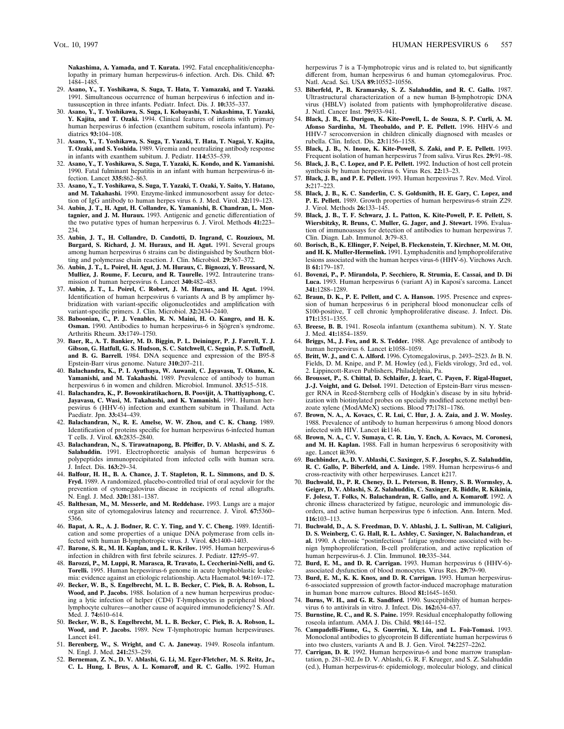**Nakashima, A. Yamada, and T. Kurata.** 1992. Fatal encephalitis/encephalopathy in primary human herpesvirus-6 infection. Arch. Dis. Child. **67:** 1484–1485.

- 29. **Asano, Y., T. Yoshikawa, S. Suga, T. Hata, T. Yamazaki, and T. Yazaki.** 1991. Simultaneous occurrence of human herpesvirus 6 infection and intussusception in three infants. Pediatr. Infect. Dis. J. **10:**335–337.
- 30. **Asano, Y., T. Yoshikawa, S. Suga, I. Kobayashi, T. Nakashima, T. Yazaki, Y. Kajita, and T. Ozaki.** 1994. Clinical features of infants with primary human herpesvirus 6 infection (exanthem subitum, roseola infantum). Pediatrics **93:**104–108.
- 31. **Asano, Y., T. Yoshikawa, S. Suga, T. Yazaki, T. Hata, T. Nagai, Y. Kajita, T. Ozaki, and S. Yoshida.** 1989. Viremia and neutralizing antibody response in infants with exanthem subitum. J. Pediatr. **114:**535–539.
- 32. **Asano, Y., T. Yoshikawa, S. Suga, T. Yazaki, K. Kondo, and K. Yamanishi.** 1990. Fatal fulminant hepatitis in an infant with human herpesvirus-6 infection. Lancet **335:**862–863.
- 33. **Asano, Y., T. Yoshikawa, S. Suga, T. Yazaki, T. Ozaki, Y. Saito, Y. Hatano, and M. Takahashi.** 1990. Enzyme-linked immunosorbent assay for detection of IgG antibody to human herpes virus 6. J. Med. Virol. **32:**119–123.
- 34. **Aubin, J. T., H. Agut, H. Collandre, K. Yamanishi, B. Chandran, L. Montagnier, and J. M. Huraux.** 1993. Antigenic and genetic differentiation of the two putative types of human herpesvirus 6. J. Virol. Methods **41:**223–
- 234. 35. **Aubin, J. T., H. Collandre, D. Candotti, D. Ingrand, C. Rouzioux, M. Burgard, S. Richard, J. M. Huraux, and H. Agut.** 1991. Several groups among human herpesvirus 6 strains can be distinguished by Southern blotting and polymerase chain reaction. J. Clin. Microbiol. **29:**367–372.
- 36. **Aubin, J. T., L. Poirel, H. Agut, J. M. Huraux, C. Bignozzi, Y. Brossard, N. Mulliez, J. Roume, F. Lecuru, and R. Taurelle.** 1992. Intrauterine transmission of human herpesvirus 6. Lancet **340:**482–483.
- 37. **Aubin, J. T., L. Poirel, C. Robert, J. M. Huraux, and H. Agut.** 1994. Identification of human herpesvirus 6 variants A and B by amplimer hybridization with variant-specific oligonucleotides and amplification with variant-specific primers. J. Clin. Microbiol. **32:**2434–2440.
- 38. **Baboonian, C., P. J. Venables, R. N. Maini, H. O. Kangro, and H. K. Osman.** 1990. Antibodies to human herpesvirus-6 in Sjögren's syndrome. Arthritis Rheum. **33:**1749–1750.
- 39. **Baer, R., A. T. Bankier, M. D. Biggin, P. L. Deininger, P. J. Farrell, T. J. Gibson, G. Hatfull, G. S. Hudson, S. C. Satchwell, C. Seguin, P. S. Tuffnell, and B. G. Barrell.** 1984. DNA sequence and expression of the B95-8 Epstein-Barr virus genome. Nature **310:**207–211.
- 40. **Balachandra, K., P. I. Ayuthaya, W. Auwanit, C. Jayavasu, T. Okuno, K. Yamanishi, and M. Takahashi.** 1989. Prevalence of antibody to human herpesvirus 6 in women and children. Microbiol. Immunol. **33:**515–518.
- 41. **Balachandra, K., P. Bowonkiratikachorn, B. Poovijit, A. Thattiyaphong, C. Jayavasu, C. Wasi, M. Takahashi, and K. Yamanishi.** 1991. Human herpesvirus 6 (HHV-6) infection and exanthem subitum in Thailand. Acta Paediatr. Jpn. **33:**434–439.
- 42. **Balachandran, N., R. E. Amelse, W. W. Zhou, and C. K. Chang.** 1989. Identification of proteins specific for human herpesvirus 6-infected human T cells. J. Virol. **63:**2835–2840.
- 43. **Balachandran, N., S. Tirawatnapong, B. Pfeiffer, D. V. Ablashi, and S. Z. Salahuddin.** 1991. Electrophoretic analysis of human herpesvirus 6 polypeptides immunoprecipitated from infected cells with human sera. J. Infect. Dis. **163:**29–34.
- 44. **Balfour, H. H., B. A. Chance, J. T. Stapleton, R. L. Simmons, and D. S. Fryd.** 1989. A randomized, placebo-controlled trial of oral acyclovir for the prevention of cytomegalovirus disease in recipients of renal allografts. N. Engl. J. Med. **320:**1381–1387.
- 45. **Balthesan, M., M. Messerle, and M. Reddehase.** 1993. Lungs are a major organ site of cytomegalovirus latency and recurrence. J. Virol. **67:**5360– 5366.
- 46. **Bapat, A. R., A. J. Bodner, R. C. Y. Ting, and Y. C. Cheng.** 1989. Identification and some properties of a unique DNA polymerase from cells infected with human B-lymphotropic virus. J. Virol. **63:**1400–1403.
- 47. **Barone, S. R., M. H. Kaplan, and L. R. Krilov.** 1995. Human herpesvirus-6 infection in children with first febrile seizures. J. Pediatr. **127:**95–97.
- 48. **Barozzi, P., M. Luppi, R. Marasca, R. Travato, L. Ceccherini-Nelli, and G. Torelli.** 1995. Human herpesvirus-6 genome in acute lymphoblastic leukemia: evidence against an etiologic relationship. Acta Haematol. **94:**169–172.
- 49. **Becker, W. B., S. Engelbrecht, M. L. B. Becker, C. Piek, B. A. Robson, L. Wood, and P. Jacobs.** 1988. Isolation of a new human herpesvirus producing a lytic infection of helper (CD4) T-lymphocytes in peripheral blood lymphocyte cultures—another cause of acquired immunodeficiency? S. Afr. Med. J. **74:**610–614.
- 50. **Becker, W. B., S. Engelbrecht, M. L. B. Becker, C. Piek, B. A. Robson, L. Wood, and P. Jacobs.** 1989. New T-lymphotropic human herpesviruses. Lancet **i:**41.
- 51. **Berenberg, W., S. Wright, and C. A. Janeway.** 1949. Roseola infantum. N. Engl. J. Med. **241:**253–259.
- 52. **Berneman, Z. N., D. V. Ablashi, G. Li, M. Eger-Fletcher, M. S. Reitz, Jr., C. L. Hung, I. Brus, A. L. Komaroff, and R. C. Gallo.** 1992. Human

herpesvirus 7 is a T-lymphotropic virus and is related to, but significantly different from, human herpesvirus 6 and human cytomegalovirus. Proc. Natl. Acad. Sci. USA **89:**10552–10556.

- 53. **Biberfeld, P., B. Kramarsky, S. Z. Salahuddin, and R. C. Gallo.** 1987. Ultrastructural characterization of a new human B-lymphotropic DNA virus (HBLV) isolated from patients with lymphoproliferative disease. J. Natl. Cancer Inst. **79:**933–941.
- 54. **Black, J. B., E. Durigon, K. Kite-Powell, L. de Souza, S. P. Curli, A. M. Afonso Sardinha, M. Theobaldo, and P. E. Pellett.** 1996. HHV-6 and HHV-7 seroconversion in children clinically diagnosed with measles or rubella. Clin. Infect. Dis. **23:**1156–1158.
- 55. **Black, J. B., N. Inoue, K. Kite-Powell, S. Zaki, and P. E. Pellett.** 1993. Frequent isolation of human herpesvirus 7 from saliva. Virus Res. **29:**91–98.
- 56. **Black, J. B., C. Lopez, and P. E. Pellett.** 1992. Induction of host cell protein synthesis by human herpesvirus 6. Virus Res. **22:**13–23.
- 57. **Black, J. B., and P. E. Pellett.** 1993. Human herpesvirus 7. Rev. Med. Virol. **3:**217–223.
- 58. **Black, J. B., K. C. Sanderlin, C. S. Goldsmith, H. E. Gary, C. Lopez, and P. E. Pellett.** 1989. Growth properties of human herpesvirus-6 strain Z29. J. Virol. Methods **26:**133–145.
- 59. **Black, J. B., T. F. Schwarz, J. L. Patton, K. Kite-Powell, P. E. Pellett, S. Wiersbitzky, R. Bruns, C. Muller, G. Jager, and J. Stewart.** 1996. Evaluation of immunoassays for detection of antibodies to human herpesvirus 7. Clin. Diagn. Lab. Immunol. **3:**79–83.
- 60. **Borisch, B., K. Ellinger, F. Neipel, B. Fleckenstein, T. Kirchner, M. M. Ott, and H. K. Muller-Hermelink.** 1991. Lymphadenitis and lymphoproliferative lesions associated with the human herpes virus-6 (HHV-6). Virchows Arch. B **61:**179–187.
- 61. **Bovenzi, P., P. Mirandola, P. Secchiero, R. Strumia, E. Cassai, and D. Di Luca.** 1993. Human herpesvirus 6 (variant A) in Kaposi's sarcoma. Lancet **341:**1288–1289.
- 62. **Braun, D. K., P. E. Pellett, and C. A. Hanson.** 1995. Presence and expression of human herpesvirus 6 in peripheral blood mononuclear cells of S100-positive, T cell chronic lymphoproliferative disease. J. Infect. Dis. **171:**1351–1355.
- 63. **Breese, B. B.** 1941. Roseola infantum (exanthema subitum). N. Y. State J. Med. **41:**1854–1859.
- 64. **Briggs, M., J. Fox, and R. S. Tedder.** 1988. Age prevalence of antibody to human herpesvirus 6. Lancet **i:**1058–1059.
- 65. **Britt, W. J., and C. A. Alford.** 1996. Cytomegalovirus, p. 2493–2523. *In* B. N. Fields, D. M. Knipe, and P. M. Howley (ed.), Fields virology, 3rd ed., vol. 2. Lippincott-Raven Publishers, Philadelphia, Pa.
- 66. **Brousset, P., S. Chittal, D. Schlaifer, J. Icart, C. Payen, F. Rigal-Huguet, J.-J. Voight, and G. Delsol.** 1991. Detection of Epstein-Barr virus messenger RNA in Reed-Sternberg cells of Hodgkin's disease by in situ hybridization with biotinylated probes on specially modified acetone methyl benzoate xylene (ModAMeX) sections. Blood **77:**1781–1786.
- 67. **Brown, N. A., A. Kovacs, C. R. Lui, C. Hur, J. A. Zaia, and J. W. Mosley.** 1988. Prevalence of antibody to human herpesvirus 6 among blood donors infected with HIV. Lancet **ii:**1146.
- 68. **Brown, N. A., C. V. Sumaya, C. R. Liu, Y. Ench, A. Kovacs, M. Coronesi, and M. H. Kaplan.** 1988. Fall in human herpesvirus 6 seropositivity with age. Lancet **ii:**396.
- 69. **Buchbinder, A., D. V. Ablashi, C. Saxinger, S. F. Josephs, S. Z. Salahuddin, R. C. Gallo, P. Biberfeld, and A. Linde.** 1989. Human herpesvirus-6 and cross-reactivity with other herpesviruses. Lancet **i:**217.
- 70. **Buchwald, D., P. R. Cheney, D. L. Peterson, B. Henry, S. B. Wormsley, A. Geiger, D. V. Ablashi, S. Z. Salahuddin, C. Saxinger, R. Biddle, R. Kikinia, F. Jolesz, T. Folks, N. Balachandran, R. Gallo, and A. Komaroff.** 1992. A chronic illness characterized by fatigue, neurologic and immunologic disorders, and active human herpesvirus type 6 infection. Ann. Intern. Med. **116:**103–113.
- 71. **Buchwald, D., A. S. Freedman, D. V. Ablashi, J. L. Sullivan, M. Caligiuri, D. S. Weinberg, C. G. Hall, R. L. Ashley, C. Saxinger, N. Balachandran, et al.** 1990. A chronic "postinfectious" fatigue syndrome associated with benign lymphoproliferation, B-cell proliferation, and active replication of human herpesvirus-6. J. Clin. Immunol. **10:**335–344.
- 72. **Burd, E. M., and D. R. Carrigan.** 1993. Human herpesvirus 6 (HHV-6) associated dysfunction of blood monocytes. Virus Res. **29:**79–90.
- 73. **Burd, E. M., K. K. Knox, and D. R. Carrigan.** 1993. Human herpesvirus-6-associated suppression of growth factor-induced macrophage maturation in human bone marrow cultures. Blood **81:**1645–1650.
- 74. **Burns, W. H., and G. R. Sandford.** 1990. Susceptibility of human herpesvirus 6 to antivirals in vitro. J. Infect. Dis. **162:**634–637.
- 75. **Burnstine, R. C., and R. S. Paine.** 1959. Residual encephalopathy following roseola infantum. AMA J. Dis. Child. **98:**144–152.
- 76. **Campadelli-Fiume, G., S. Guerrini, X. Liu, and L. Foa`-Tomasi.** 1993. Monoclonal antibodies to glycoprotein B differentiate human herpesvirus 6 into two clusters, variants A and B. J. Gen. Virol. **74:**2257–2262.
- 77. **Carrigan, D. R.** 1992. Human herpesvirus-6 and bone marrow transplantation, p. 281–302. *In* D. V. Ablashi, G. R. F. Krueger, and S. Z. Salahuddin (ed.), Human herpesvirus-6: epidemiology, molecular biology, and clinical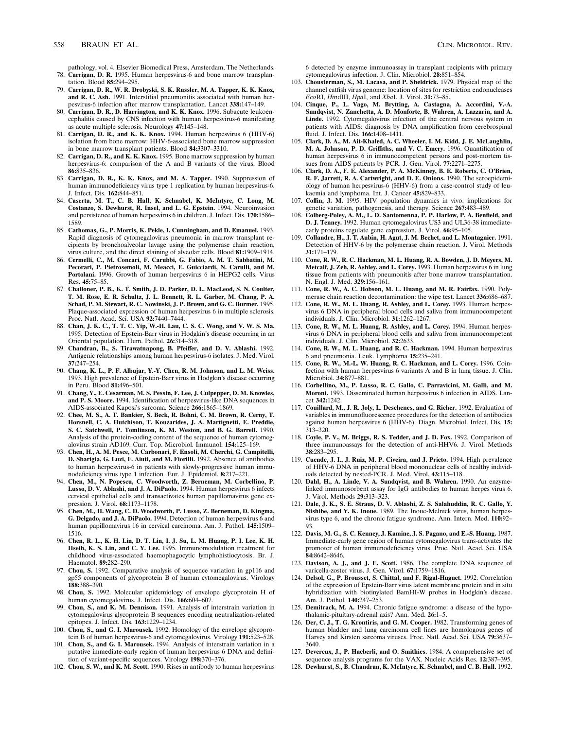pathology, vol. 4. Elsevier Biomedical Press, Amsterdam, The Netherlands. 78. **Carrigan, D. R.** 1995. Human herpesvirus-6 and bone marrow transplantation. Blood **85:**294–295.

- 79. **Carrigan, D. R., W. R. Drobyski, S. K. Russler, M. A. Tapper, K. K. Knox, and R. C. Ash.** 1991. Interstitial pneumonitis associated with human herpesvirus-6 infection after marrow transplantation. Lancet **338:**147–149.
- 80. **Carrigan, D. R., D. Harrington, and K. K. Knox.** 1996. Subacute leukoencephalitis caused by CNS infection with human herpesvirus-6 manifesting as acute multiple sclerosis. Neurology **47:**145–148.
- 81. **Carrigan, D. R., and K. K. Knox.** 1994. Human herpesvirus 6 (HHV-6) isolation from bone marrow: HHV-6-associated bone marrow suppression in bone marrow transplant patients. Blood **84:**3307–3310.
- 82. **Carrigan, D. R., and K. K. Knox.** 1995. Bone marrow suppression by human herpesvirus-6: comparison of the A and B variants of the virus. Blood **86:**835–836.
- 83. **Carrigan, D. R., K. K. Knox, and M. A. Tapper.** 1990. Suppression of human immunodeficiency virus type 1 replication by human herpesvirus-6. J. Infect. Dis. **162:**844–851.
- 84. **Caserta, M. T., C. B. Hall, K. Schnabel, K. McIntyre, C. Long, M. Costanzo, S. Dewhurst, R. Insel, and L. G. Epstein.** 1994. Neuroinvasion and persistence of human herpesvirus 6 in children. J. Infect. Dis. **170:**1586– 1589.
- 85. **Cathomas, G., P. Morris, K. Pekle, I. Cunningham, and D. Emanuel.** 1993. Rapid diagnosis of cytomegalovirus pneumonia in marrow transplant recipients by bronchoalveolar lavage using the polymerase chain reaction, virus culture, and the direct staining of alveolar cells. Blood **81:**1909–1914.
- 86. **Cermelli, C., M. Concari, F. Carubbi, G. Fabio, A. M. T. Sabbatini, M. Pecorari, P. Pietrosemoli, M. Meacci, E. Guicciardi, N. Carulli, and M. Portolani.** 1996. Growth of human herpesvirus 6 in HEPG2 cells. Virus Res. **45:**75–85.
- 87. **Challoner, P. B., K. T. Smith, J. D. Parker, D. L. MacLeod, S. N. Coulter, T. M. Rose, E. R. Schultz, J. L. Bennett, R. L. Garber, M. Chang, P. A. Schad, P. M. Stewart, R. C. Nowinski, J. P. Brown, and G. C. Burmer.** 1995. Plaque-associated expression of human herpesvirus 6 in multiple sclerosis. Proc. Natl. Acad. Sci. USA **92:**7440–7444.
- 88. **Chan, J. K. C., T. T. C. Yip, W.-H. Lau, C. S. C. Wong, and V. W. S. Ma.** 1995. Detection of Epstein-Barr virus in Hodgkin's disease occurring in an Oriental population. Hum. Pathol. **26:**314–318.
- 89. **Chandran, B., S. Tirawatnapong, B. Pfeiffer, and D. V. Ablashi.** 1992. Antigenic relationships among human herpesvirus-6 isolates. J. Med. Virol. **37:**247–254.
- 90. **Chang, K. L., P. F. Albujar, Y.-Y. Chen, R. M. Johnson, and L. M. Weiss.** 1993. High prevalence of Epstein-Barr virus in Hodgkin's disease occurring in Peru. Blood **81:**496–501.
- 91. **Chang, Y., E. Cesarman, M. S. Pessin, F. Lee, J. Culpepper, D. M. Knowles, and P. S. Moore.** 1994. Identification of herpesvirus-like DNA sequences in AIDS-associated Kaposi's sarcoma. Science **266:**1865–1869.
- 92. **Chee, M. S., A. T. Bankier, S. Beck, R. Bohni, C. M. Brown, R. Cerny, T. Horsnell, C. A. Hutchison, T. Kouzarides, J. A. Martignetti, E. Preddie, S. C. Satchwell, P. Tomlinson, K. M. Weston, and B. G. Barrell.** 1990. Analysis of the protein-coding content of the sequence of human cytomegalovirus strain AD169. Curr. Top. Microbiol. Immunol. **154:**125–169.
- 93. **Chen, H., A. M. Pesce, M. Carbonari, F. Ensoli, M. Cherchi, G. Campitelli, D. Sbarigia, G. Luzi, F. Aiuti, and M. Fiorilli.** 1992. Absence of antibodies to human herpesvirus-6 in patients with slowly-progressive human immunodeficiency virus type 1 infection. Eur. J. Epidemiol. **8:**217–221.
- 94. **Chen, M., N. Popescu, C. Woodworth, Z. Berneman, M. Corbellino, P. Lusso, D. V. Ablashi, and J. A. DiPaolo.** 1994. Human herpesvirus 6 infects cervical epithelial cells and transactivates human papillomavirus gene expression. J. Virol. **68:**1173–1178.
- 95. **Chen, M., H. Wang, C. D. Woodworth, P. Lusso, Z. Berneman, D. Kingma, G. Delgado, and J. A. DiPaolo.** 1994. Detection of human herpesvirus 6 and human papillomavirus 16 in cervical carcinoma. Am. J. Pathol. **145:**1509– 1516.
- 96. **Chen, R. L., K. H. Lin, D. T. Lin, I. J. Su, L. M. Huang, P. I. Lee, K. H. Hseih, K. S. Lin, and C. Y. Lee.** 1995. Immunomodulation treatment for childhood virus-associated haemophagocytic lymphohistiocytosis. Br. J. Haematol. **89:**282–290.
- 97. **Chou, S.** 1992. Comparative analysis of sequence variation in gp116 and gp55 components of glycoprotein B of human cytomegalovirus. Virology **188:**388–390.
- 98. **Chou, S.** 1992. Molecular epidemiology of envelope glycoprotein H of human cytomegalovirus. J. Infect. Dis. **166:**604–607.
- 99. **Chou, S., and K. M. Dennison.** 1991. Analysis of interstrain variation in cytomegalovirus glycoprotein B sequences encoding neutralization-related epitopes. J. Infect. Dis. **163:**1229–1234.
- 100. **Chou, S., and G. I. Marousek.** 1992. Homology of the envelope glycoprotein B of human herpesvirus-6 and cytomegalovirus. Virology **191:**523–528.
- 101. **Chou, S., and G. I. Marousek.** 1994. Analysis of interstrain variation in a putative immediate-early region of human herpesvirus 6 DNA and definition of variant-specific sequences. Virology **198:**370–376.
- 102. **Chou, S. W., and K. M. Scott.** 1990. Rises in antibody to human herpesvirus

6 detected by enzyme immunoassay in transplant recipients with primary cytomegalovirus infection. J. Clin. Microbiol. **28:**851–854.

- 103. **Chousterman, S., M. Lacasa, and P. Sheldrick.** 1979. Physical map of the channel catfish virus genome: location of sites for restriction endonucleases *Eco*RI, *Hin*dIII, *Hpa*I, and *Xba*I. J. Virol. **31:**73–85.
- 104. **Cinque, P., L. Vago, M. Brytting, A. Castagna, A. Accordini, V.-A. Sundqvist, N. Zanchetta, A. D. Monforte, B. Wahren, A. Lazzarin, and A. Linde.** 1992. Cytomegalovirus infection of the central nervous system in patients with AIDS: diagnosis by DNA amplification from cerebrospinal fluid. J. Infect. Dis. **166:**1408–1411.
- 105. **Clark, D. A., M. Ait-Khaled, A. C. Wheeler, I. M. Kidd, J. E. McLaughlin, M. A. Johnson, P. D. Griffiths, and V. C. Emery.** 1996. Quantification of human herpesvirus 6 in immunocompetent persons and post-mortem tissues from AIDS patients by PCR. J. Gen. Virol. **77:**2271–2275.
- 106. **Clark, D. A., F. E. Alexander, P. A. McKinney, B. E. Roberts, C. O'Brien, R. F. Jarrett, R. A. Cartwright, and D. E. Onions.** 1990. The seroepidemiology of human herpesvirus-6 (HHV-6) from a case-control study of leukaemia and lymphoma. Int. J. Cancer **45:**829–833.
- 107. **Coffin, J. M.** 1995. HIV population dynamics in vivo: implications for genetic variation, pathogenesis, and therapy. Science **267:**483–489.
- 108. **Colberg-Poley, A. M., L. D. Santomenna, P. P. Harlow, P. A. Benfield, and D. J. Tenney.** 1992. Human cytomegalovirus US3 and UL36-38 immediateearly proteins regulate gene expression. J. Virol. **66:**95–105.
- 109. **Collandre, H., J. T. Aubin, H. Agut, J. M. Bechet, and L. Montagnier.** 1991. Detection of HHV-6 by the polymerase chain reaction. J. Virol. Methods **31:**171–179.
- 110. **Cone, R. W., R. C. Hackman, M. L. Huang, R. A. Bowden, J. D. Meyers, M. Metcalf, J. Zeh, R. Ashley, and L. Corey.** 1993. Human herpesvirus 6 in lung tissue from patients with pneumonitis after bone marrow transplantation. N. Engl. J. Med. **329:**156–161.
- 111. **Cone, R. W., A. C. Hobson, M. L. Huang, and M. R. Fairfax.** 1990. Polymerase chain reaction decontamination: the wipe test. Lancet **336:**686–687.
- 112. **Cone, R. W., M. L. Huang, R. Ashley, and L. Corey.** 1993. Human herpesvirus 6 DNA in peripheral blood cells and saliva from immunocompetent individuals. J. Clin. Microbiol. **31:**1262–1267.
- 113. **Cone, R. W., M. L. Huang, R. Ashley, and L. Corey.** 1994. Human herpesvirus 6 DNA in peripheral blood cells and saliva from immunocompetent individuals. J. Clin. Microbiol. **32:**2633.
- 114. **Cone, R. W., M. L. Huang, and R. C. Hackman.** 1994. Human herpesvirus 6 and pneumonia. Leuk. Lymphoma **15:**235–241.
- 115. **Cone, R. W., M.-L. W. Huang, R. C. Hackman, and L. Corey.** 1996. Coinfection with human herpesvirus 6 variants A and B in lung tissue. J. Clin. Microbiol. **34:**877–881.
- 116. **Corbellino, M., P. Lusso, R. C. Gallo, C. Parravicini, M. Galli, and M. Moroni.** 1993. Disseminated human herpesvirus 6 infection in AIDS. Lancet **342:**1242.
- 117. **Couillard, M., J. R. Joly, L. Deschenes, and G. Richer.** 1992. Evaluation of variables in immunofluorescence procedures for the detection of antibodies against human herpesvirus 6 (HHV-6). Diagn. Microbiol. Infect. Dis. **15:** 313–320.
- 118. **Coyle, P. V., M. Briggs, R. S. Tedder, and J. D. Fox.** 1992. Comparison of three immunoassays for the detection of anti-HHV6. J. Virol. Methods **38:**283–295.
- 119. **Cuende, J. I., J. Ruiz, M. P. Civeira, and J. Prieto.** 1994. High prevalence of HHV-6 DNA in peripheral blood mononuclear cells of healthy individuals detected by nested-PCR. J. Med. Virol. **43:**115–118.
- 120. **Dahl, H., A. Linde, V. A. Sundqvist, and B. Wahren.** 1990. An enzymelinked immunosorbent assay for IgG antibodies to human herpes virus 6. J. Virol. Methods **29:**313–323.
- 121. **Dale, J. K., S. E. Straus, D. V. Ablashi, Z. S. Salahuddin, R. C. Gallo, Y. Nishibe, and Y. K. Inoue.** 1989. The Inoue-Melnick virus, human herpesvirus type 6, and the chronic fatigue syndrome. Ann. Intern. Med. **110:**92– 93.
- 122. **Davis, M. G., S. C. Kenney, J. Kamine, J. S. Pagano, and E.-S. Huang.** 1987. Immediate-early gene region of human cytomegalovirus trans-activates the promoter of human immunodeficiency virus. Proc. Natl. Acad. Sci. USA **84:**8642–8646.
- 123. **Davison, A. J., and J. E. Scott.** 1986. The complete DNA sequence of varicella-zoster virus. J. Gen. Virol. **67:**1759–1816.
- 124. **Delsol, G., P. Brousset, S. Chittal, and F. Rigal-Huguet.** 1992. Correlation of the expression of Epstein-Barr virus latent membrane protein and in situ hybridization with biotinylated BamHI-W probes in Hodgkin's disease. Am. J. Pathol. **140:**247–253.
- 125. **Demitrack, M. A.** 1994. Chronic fatigue syndrome: a disease of the hypothalamic-pituitary-adrenal axis? Ann. Med. **26:**1–5.
- 126. **Der, C. J., T. G. Krontiris, and G. M. Cooper.** 1982. Transforming genes of human bladder and lung carcinoma cell lines are homologous genes of Harvey and Kirsten sarcoma viruses. Proc. Natl. Acad. Sci. USA **79:**3637– 3640.
- 127. **Devereux, J., P. Haeberli, and O. Smithies.** 1984. A comprehensive set of sequence analysis programs for the VAX. Nucleic Acids Res. **12:**387–395.
- 128. **Dewhurst, S., B. Chandran, K. McIntyre, K. Schnabel, and C. B. Hall.** 1992.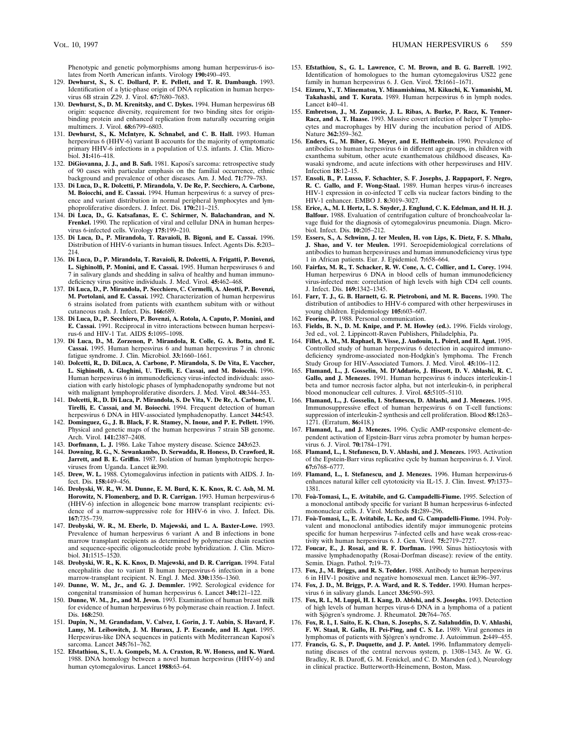Phenotypic and genetic polymorphisms among human herpesvirus-6 isolates from North American infants. Virology **190:**490–493.

- 129. **Dewhurst, S., S. C. Dollard, P. E. Pellett, and T. R. Dambaugh.** 1993. Identification of a lytic-phase origin of DNA replication in human herpesvirus 6B strain Z29. J. Virol. **67:**7680–7683.
- 130. **Dewhurst, S., D. M. Krenitsky, and C. Dykes.** 1994. Human herpesvirus 6B origin: sequence diversity, requirement for two binding sites for originbinding protein and enhanced replication from naturally occurring origin multimers. J. Virol. **68:**6799–6803.
- 131. **Dewhurst, S., K. McIntyre, K. Schnabel, and C. B. Hall.** 1993. Human herpesvirus 6 (HHV-6) variant B accounts for the majority of symptomatic primary HHV-6 infections in a population of U.S. infants. J. Clin. Microbiol. **31:**416–418.
- 132. **DiGiovanna, J. J., and B. Safi.** 1981. Kaposi's sarcoma: retrospective study of 90 cases with particular emphasis on the familial occurrence, ethnic background and prevalence of other diseases. Am. J. Med. **71:**779–783.
- 133. **Di Luca, D., R. Dolcetti, P. Mirandola, V. De Re, P. Secchiero, A. Carbone, M. Boiocchi, and E. Cassai.** 1994. Human herpesvirus 6: a survey of presence and variant distribution in normal peripheral lymphocytes and lymphoproliferative disorders. J. Infect. Dis. **170:**211–215.
- 134. **Di Luca, D., G. Katsafanas, E. C. Schirmer, N. Balachandran, and N. Frenkel.** 1990. The replication of viral and cellular DNA in human herpesvirus 6-infected cells. Virology **175:**199–210.
- 135. **Di Luca, D., P. Mirandola, T. Ravaioli, B. Bigoni, and E. Cassai.** 1996. Distribution of HHV-6 variants in human tissues. Infect. Agents Dis. **5:**203–
- 214. 136. **Di Luca, D., P. Mirandola, T. Ravaioli, R. Dolcetti, A. Frigatti, P. Bovenzi, L. Sighinolfi, P. Monini, and E. Cassai.** 1995. Human herpesviruses 6 and 7 in salivary glands and shedding in saliva of healthy and human immunodeficiency virus positive individuals. J. Med. Virol. **45:**462–468.
- 137. **Di Luca, D., P. Mirandola, P. Secchiero, C. Cermelli, A. Aleotti, P. Bovenzi, M. Portolani, and E. Cassai.** 1992. Characterization of human herpesvirus 6 strains isolated from patients with exanthem subitum with or without cutaneous rash. J. Infect. Dis. **166:**689.
- 138. **Di Luca, D., P. Secchiero, P. Bovenzi, A. Rotola, A. Caputo, P. Monini, and E. Cassai.** 1991. Reciprocal in vitro interactions between human herpesvirus-6 and HIV-1 Tat. AIDS **5:**1095–1098.
- 139. **Di Luca, D., M. Zorzenon, P. Mirandola, R. Colle, G. A. Botta, and E. Cassai.** 1995. Human herpesvirus 6 and human herpesvirus 7 in chronic fatigue syndrome. J. Clin. Microbiol. **33:**1660–1661.
- 140. **Dolcetti, R., D. DiLuca, A. Carbone, P. Mirandola, S. De Vita, E. Vaccher, L. Sighinolfi, A. Gloghini, U. Tirelli, E. Cassai, and M. Boiocchi.** 1996. Human herpesvirus 6 in immunodeficiency virus-infected individuals: association with early histologic phases of lymphadenopathy syndrome but not with malignant lymphoproliferative disorders. J. Med. Virol. **48:**344–353.
- 141. **Dolcetti, R., D. Di Luca, P. Mirandola, S. De Vita, V. De Re, A. Carbone, U. Tirelli, E. Cassai, and M. Boiocchi.** 1994. Frequent detection of human herpesvirus 6 DNA in HIV-associated lymphadenopathy. Lancet **344:**543.
- 142. **Dominguez, G., J. B. Black, F. R. Stamey, N. Inoue, and P. E. Pellett.** 1996. Physical and genetic maps of the human herpesvirus 7 strain SB genome. Arch. Virol. **141:**2387–2408.
- 143. **Dorfmann, L. J.** 1986. Lake Tahoe mystery disease. Science **243:**623.
- 144. **Downing, R. G., N. Sewankambo, D. Serwadda, R. Honess, D. Crawford, R. Jarrett, and B. E. Griffin.** 1987. Isolation of human lymphotropic herpesviruses from Uganda. Lancet **ii:**390.
- 145. **Drew, W. L.** 1988. Cytomegalovirus infection in patients with AIDS. J. Infect. Dis. **158:**449–456.
- 146. **Drobyski, W. R., W. M. Dunne, E. M. Burd, K. K. Knox, R. C. Ash, M. M. Horowitz, N. Flomenberg, and D. R. Carrigan.** 1993. Human herpesvirus-6 (HHV-6) infection in allogeneic bone marrow transplant recipients: evidence of a marrow-suppressive role for HHV-6 in vivo. J. Infect. Dis. **167:**735–739.
- 147. **Drobyski, W. R., M. Eberle, D. Majewski, and L. A. Baxter-Lowe.** 1993. Prevalence of human herpesvirus 6 variant A and B infections in bone marrow transplant recipients as determined by polymerase chain reaction and sequence-specific oligonucleotide probe hybridization. J. Clin. Microbiol. **31:**1515–1520.
- 148. **Drobyski, W. R., K. K. Knox, D. Majewski, and D. R. Carrigan.** 1994. Fatal encephalitis due to variant B human herpesvirus-6 infection in a bone marrow-transplant recipient. N. Engl. J. Med. **330:**1356–1360.
- 149. **Dunne, W. M., Jr., and G. J. Demmler.** 1992. Serological evidence for congenital transmission of human herpesvirus 6. Lancet **340:**121–122.
- 150. **Dunne, W. M., Jr., and M. Jevon.** 1993. Examination of human breast milk for evidence of human herpesvirus 6 by polymerase chain reaction. J. Infect. Dis. **168:**250.
- 151. **Dupin, N., M. Grandadam, V. Calvez, I. Gorin, J. T. Aubin, S. Havard, F. Lamy, M. Leibowitch, J. M. Huraux, J. P. Escande, and H. Agut.** 1995. Herpesvirus-like DNA sequences in patients with Mediterranean Kaposi's sarcoma. Lancet **345:**761–762.
- 152. **Efstathiou, S., U. A. Gompels, M. A. Craxton, R. W. Honess, and K. Ward.** 1988. DNA homology between a novel human herpesvirus (HHV-6) and human cytomegalovirus. Lancet **1988:**63–64.
- 153. **Efstathiou, S., G. L. Lawrence, C. M. Brown, and B. G. Barrell.** 1992. Identification of homologues to the human cytomegalovirus US22 gene family in human herpesvirus 6. J. Gen. Virol. **73:**1661–1671.
- 154. **Eizuru, Y., T. Minematsu, Y. Minamishima, M. Kikuchi, K. Yamanishi, M. Takahashi, and T. Kurata.** 1989. Human herpesvirus 6 in lymph nodes. Lancet **i:**40–41.
- 155. **Embretson, J., M. Zupancic, J. L. Ribas, A. Burke, P. Racz, K. Tenner-Racz, and A. T. Haase.** 1993. Massive covert infection of helper T lymphocytes and macrophages by HIV during the incubation period of AIDS. Nature **362:**359–362.
- 156. **Enders, G., M. Biber, G. Meyer, and E. Helftenbein.** 1990. Prevalence of antibodies to human herpesvirus 6 in different age groups, in children with exanthema subitum, other acute exanthematous childhood diseases, Kawasaki syndrome, and acute infections with other herpesviruses and HIV. Infection **18:**12–15.
- 157. **Ensoli, B., P. Lusso, F. Schachter, S. F. Josephs, J. Rappaport, F. Negro, R. C. Gallo, and F. Wong-Staal.** 1989. Human herpes virus-6 increases HIV-1 expression in co-infected T cells via nuclear factors binding to the HIV-1 enhancer. EMBO J. **8:**3019–3027.
- 158. **Erice, A., M. I. Hertz, L. S. Snyder, J. Englund, C. K. Edelman, and H. H. J. Balfour.** 1988. Evaluation of centrifugation culture of bronchoalveolar lavage fluid for the diagnosis of cytomegalovirus pneumonia. Diagn. Microbiol. Infect. Dis. **10:**205–212.
- 159. **Essers, S., A. Schwinn, J. ter Meulen, H. von Lips, K. Dietz, F. S. Mhalu, J. Shao, and V. ter Meulen.** 1991. Seroepidemiological correlations of antibodies to human herpesviruses and human immunodeficiency virus type 1 in African patients. Eur. J. Epidemiol. **7:**658–664.
- 160. **Fairfax, M. R., T. Schacker, R. W. Cone, A. C. Collier, and L. Corey.** 1994. Human herpesvirus 6 DNA in blood cells of human immunodeficiency virus-infected men: correlation of high levels with high CD4 cell counts. J. Infect. Dis. **169:**1342–1345.
- 161. **Farr, T. J., G. B. Harnett, G. R. Pietroboni, and M. R. Bucens.** 1990. The distribution of antibodies to HHV-6 compared with other herpesviruses in young children. Epidemiology **105:**603–607.
- 162. **Feorino, P.** 1988. Personal communication.
- 163. **Fields, B. N., D. M. Knipe, and P. M. Howley (ed.).** 1996. Fields virology, 3rd ed., vol. 2. Lippincott-Raven Publishers, Philadelphia, Pa.
- 164. **Fillet, A. M., M. Raphael, B. Visse, J. Audouin, L. Poirel, and H. Agut.** 1995. Controlled study of human herpesvirus 6 detection in acquired immunodeficiency syndrome-associated non-Hodgkin's lymphoma. The French Study Group for HIV-Associated Tumors. J. Med. Virol. **45:**106–112.
- 165. **Flamand, L., J. Gosselin, M. D'Addario, J. Hiscott, D. V. Ablashi, R. C. Gallo, and J. Menezes.** 1991. Human herpesvirus 6 induces interleukin-1 beta and tumor necrosis factor alpha, but not interleukin-6, in peripheral blood mononuclear cell cultures. J. Virol. **65:**5105–5110.
- 166. **Flamand, L., J. Gosselin, I. Stefanescu, D. Ablashi, and J. Menezes.** 1995. Immunosuppressive effect of human herpesvirus 6 on T-cell functions: suppression of interleukin-2 synthesis and cell proliferation. Blood **85:**1263– 1271. (Erratum, **86:**418.)
- 167. **Flamand, L., and J. Menezes.** 1996. Cyclic AMP-responsive element-dependent activation of Epstein-Barr virus zebra promoter by human herpesvirus 6. J. Virol. **70:**1784–1791.
- 168. **Flamand, L., I. Stefanescu, D. V. Ablashi, and J. Menezes.** 1993. Activation of the Epstein-Barr virus replicative cycle by human herpesvirus 6. J. Virol. **67:**6768–6777.
- 169. **Flamand, L., I. Stefanescu, and J. Menezes.** 1996. Human herpesvirus-6 enhances natural killer cell cytotoxicity via IL-15. J. Clin. Invest. **97:**1373– 1381.
- 170. **Foa`-Tomasi, L., E. Avitabile, and G. Campadelli-Fiume.** 1995. Selection of a monoclonal antibody specific for variant B human herpesvirus 6-infected mononuclear cells. J. Virol. Methods **51:**289–296.
- 171. **Foa`-Tomasi, L., E. Avitabile, L. Ke, and G. Campadelli-Fiume.** 1994. Polyvalent and monoclonal antibodies identify major immunogenic proteins specific for human herpesvirus 7-infected cells and have weak cross-reactivity with human herpesvirus 6. J. Gen. Virol. **75:**2719–2727.
- 172. **Foucar, E., J. Rosai, and R. F. Dorfman.** 1990. Sinus histiocytosis with massive lymphadenopathy (Rosai-Dorfman disease): review of the entity. Semin. Diagn. Pathol. **7:**19–73.
- 173. **Fox, J., M. Briggs, and R. S. Tedder.** 1988. Antibody to human herpesvirus 6 in HIV-1 positive and negative homosexual men. Lancet **ii:**396–397.
- 174. **Fox, J. D., M. Briggs, P. A. Ward, and R. S. Tedder.** 1990. Human herpesvirus 6 in salivary glands. Lancet **336:**590–593.
- 175. **Fox, R. I., M. Luppi, H. I. Kang, D. Ablshi, and S. Josephs.** 1993. Detection of high levels of human herpes virus-6 DNA in a lymphoma of a patient with Sjögren's syndrome. J. Rheumatol. **20:**764–765.
- 176. **Fox, R. I., I. Saito, E. K. Chan, S. Josephs, S. Z. Salahuddin, D. V. Ahlashi, F. W. Staal, R. Gallo, H. Pei-Ping, and C. S. Le.** 1989. Viral genomes in lymphomas of patients with Sjögren's syndrome. J. Autoimmun. 2:449-455.
- 177. **Francis, G. S., P. Duquette, and J. P. Antel.** 1996. Inflammatory demyelinating diseases of the central nervous system, p. 1308–1343. *In* W. G. Bradley, R. B. Daroff, G. M. Fenickel, and C. D. Marsden (ed.), Neurology in clinical practice. Butterworth-Heinemenn, Boston, Mass.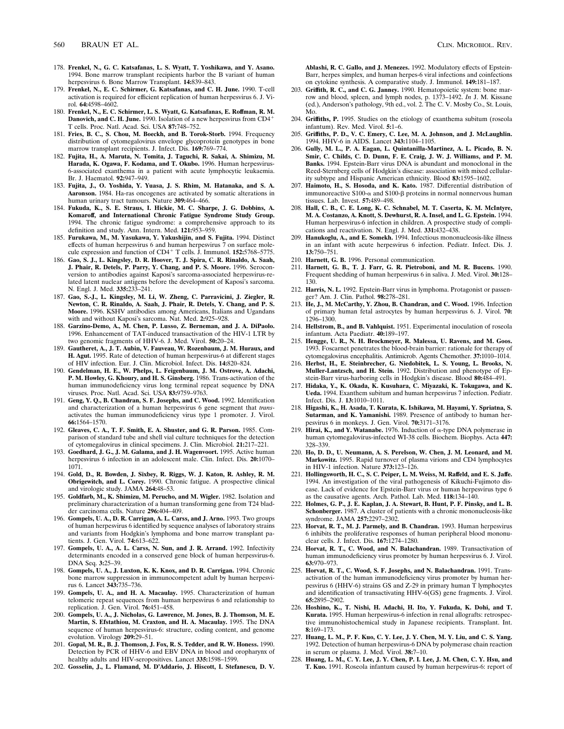- 178. **Frenkel, N., G. C. Katsafanas, L. S. Wyatt, T. Yoshikawa, and Y. Asano.** 1994. Bone marrow transplant recipients harbor the B variant of human herpesvirus 6. Bone Marrow Transplant. **14:**839–843.
- 179. **Frenkel, N., E. C. Schirmer, G. Katsafanas, and C. H. June.** 1990. T-cell activation is required for efficient replication of human herpesvirus 6. J. Virol. **64:**4598–4602.
- 180. **Frenkel, N., E. C. Schirmer, L. S. Wyatt, G. Katsafanas, E. Roffman, R. M. Danovich, and C. H. June.** 1990. Isolation of a new herpesvirus from  $CD4^+$ T cells. Proc. Natl. Acad. Sci. USA **87:**748–752.
- 181. **Fries, B. C., S. Chou, M. Boeckh, and B. Torok-Storb.** 1994. Frequency distribution of cytomegalovirus envelope glycoprotein genotypes in bone marrow transplant recipients. J. Infect. Dis. **169:**769–774.
- 182. **Fujita, H., A. Maruta, N. Tomita, J. Taguchi, R. Sakai, A. Shimizu, M. Harada, K. Ogawa, F. Kodama, and T. Okubo.** 1996. Human herpesvirus-6-associated exanthema in a patient with acute lymphocytic leukaemia. Br. J. Haematol. **92:**947–949.
- 183. **Fujita, J., O. Yoshida, Y. Yuasa, J. S. Rhim, M. Hatanaka, and S. A. Aaronson.** 1984. Ha-ras oncogenes are activated by somatic alterations in human urinary tract tumours. Nature **309:**464–466.
- 184. **Fukuda, K., S. E. Straus, I. Hickie, M. C. Sharpe, J. G. Dobbins, A. Komaroff, and International Chronic Fatigue Syndrome Study Group.** 1994. The chronic fatigue syndrome: a comprehensive approach to its definition and study. Ann. Intern. Med. **121:**953–959.
- 185. **Furukawa, M., M. Yasukawa, Y. Yakushijin, and S. Fujita.** 1994. Distinct effects of human herpesvirus 6 and human herpesvirus 7 on surface molecule expression and function of CD4<sup>+</sup> T cells. J. Immunol. **152:**5768–5775.
- 186. **Gao, S. J., L. Kingsley, D. R. Hoover, T. J. Spira, C. R. Rinaldo, A. Saah, J. Phair, R. Detels, P. Parry, Y. Chang, and P. S. Moore.** 1996. Seroconversion to antibodies against Kaposi's sarcoma-associated herpesvirus-related latent nuclear antigens before the development of Kaposi's sarcoma. N. Engl. J. Med. **335:**233–241.
- 187. **Gao, S.-J., L. Kingsley, M. Li, W. Zheng, C. Parravicini, J. Ziegler, R. Newton, C. R. Rinaldo, A. Saah, J. Phair, R. Detels, Y. Chang, and P. S. Moore.** 1996. KSHV antibodies among Americans, Italians and Ugandans with and without Kaposi's sarcoma. Nat. Med. **2:**925–928.
- 188. **Garzino-Demo, A., M. Chen, P. Lusso, Z. Berneman, and J. A. DiPaolo.** 1996. Enhancement of TAT-induced transactivation of the HIV-1 LTR by two genomic fragments of HHV-6. J. Med. Virol. **50:**20–24.
- 189. **Gautheret, A., J. T. Aubin, V. Fauveau, W. Rozenbaum, J. M. Huraux, and H. Agut.** 1995. Rate of detection of human herpesvirus-6 at different stages of HIV infection. Eur. J. Clin. Microbiol. Infect. Dis. **14:**820–824.
- 190. **Gendelman, H. E., W. Phelps, L. Feigenbaum, J. M. Ostrove, A. Adachi, P. M. Howley, G. Khoury, and H. S. Ginsberg.** 1986. Trans-activation of the human immunodeficiency virus long terminal repeat sequence by DNA viruses. Proc. Natl. Acad. Sci. USA **83:**9759–9763.
- 191. **Geng, Y. Q., B. Chandran, S. F. Josephs, and C. Wood.** 1992. Identification and characterization of a human herpesvirus 6 gene segment that *trans*activates the human immunodeficiency virus type 1 promoter. J. Virol. **66:**1564–1570.
- 192. **Gleaves, C. A., T. F. Smith, E. A. Shuster, and G. R. Parson.** 1985. Comparison of standard tube and shell vial culture techniques for the detection of cytomegalovirus in clinical specimens. J. Clin. Microbiol. **21:**217–221.
- 193. **Goedhard, J. G., J. M. Galama, and J. H. Wagenvoort.** 1995. Active human herpesvirus 6 infection in an adolescent male. Clin. Infect. Dis. **20:**1070– 1071.
- 194. **Gold, D., R. Bowden, J. Sixbey, R. Riggs, W. J. Katon, R. Ashley, R. M. Obrigewitch, and L. Corey.** 1990. Chronic fatigue. A prospective clinical and virologic study. JAMA **264:**48–53.
- 195. **Goldfarb, M., K. Shimizu, M. Perucho, and M. Wigler.** 1982. Isolation and preliminary characterization of a human transforming gene from T24 bladder carcinoma cells. Nature **296:**404–409.
- 196. **Gompels, U. A., D. R. Carrigan, A. L. Carss, and J. Arno.** 1993. Two groups of human herpesvirus 6 identified by sequence analyses of laboratory strains and variants from Hodgkin's lymphoma and bone marrow transplant patients. J. Gen. Virol. **74:**613–622.
- 197. **Gompels, U. A., A. L. Carss, N. Sun, and J. R. Arrand.** 1992. Infectivity determinants encoded in a conserved gene block of human herpesvirus-6. DNA Seq. **3:**25–39.
- 198. **Gompels, U. A., J. Luxton, K. K. Knox, and D. R. Carrigan.** 1994. Chronic bone marrow suppression in immunocompetent adult by human herpesvirus 6. Lancet **343:**735–736.
- 199. **Gompels, U. A., and H. A. Macaulay.** 1995. Characterization of human telomeric repeat sequences from human herpesvirus 6 and relationship to replication. J. Gen. Virol. **76:**451–458.
- 200. **Gompels, U. A., J. Nicholas, G. Lawrence, M. Jones, B. J. Thomson, M. E. Martin, S. Efstathiou, M. Craxton, and H. A. Macaulay.** 1995. The DNA sequence of human herpesvirus-6: structure, coding content, and genome evolution. Virology **209:**29–51.
- 201. **Gopal, M. R., B. J. Thomson, J. Fox, R. S. Tedder, and R. W. Honess.** 1990. Detection by PCR of HHV-6 and EBV DNA in blood and oropharynx of healthy adults and HIV-seropositives. Lancet **335:**1598–1599.
- 202. **Gosselin, J., L. Flamand, M. D'Addario, J. Hiscott, I. Stefanescu, D. V.**

**Ablashi, R. C. Gallo, and J. Menezes.** 1992. Modulatory effects of Epstein-Barr, herpes simplex, and human herpes-6 viral infections and coinfections on cytokine synthesis. A comparative study. J. Immunol. **149:**181–187.

- 203. **Griffith, R. C., and C. G. Janney.** 1990. Hematopoietic system: bone marrow and blood, spleen, and lymph nodes, p. 1373–1492. *In* J. M. Kissane (ed.), Anderson's pathology, 9th ed., vol. 2. The C. V. Mosby Co., St. Louis, Mo.
- 204. **Griffiths, P.** 1995. Studies on the etiology of exanthema subitum (roseola infantum). Rev. Med. Virol. **5:**1–6.
- 205. **Griffiths, P. D., V. C. Emery, C. Lee, M. A. Johnson, and J. McLaughlin.** 1994. HHV-6 in AIDS. Lancet **343:**1104–1105.
- 206. **Gully, M. L., P. A. Eagan, L. Quintanilla-Martinez, A. L. Picado, B. N. Smir, C. Childs, C. D. Dunn, F. E. Craig, J. W. J. Williams, and P. M. Banks.** 1994. Epstein-Barr virus DNA is abundant and monoclonal in the Reed-Sternberg cells of Hodgkin's disease: association with mixed cellularity subtype and Hispanic American ethnicity. Blood **83:**1595–1602.
- 207. **Haimoto, H., S. Hosoda, and K. Kato.** 1987. Differential distribution of immunoreactive S100- $\alpha$  and S100- $\beta$  proteins in normal nonnervous human tissues. Lab. Invest. **57:**489–498.
- 208. **Hall, C. B., C. E. Long, K. C. Schnabel, M. T. Caserta, K. M. McIntyre, M. A. Costanzo, A. Knott, S. Dewhurst, R. A. Insel, and L. G. Epstein.** 1994. Human herpesvirus-6 infection in children. A prospective study of complications and reactivation. N. Engl. J. Med. **331:**432–438.
- 209. **Hanukoglu, A., and E. Somekh.** 1994. Infectious mononucleosis-like illness in an infant with acute herpesvirus 6 infection. Pediatr. Infect. Dis. J. **13:**750–751.
- 210. **Harnett, G. B.** 1996. Personal communication.
- 211. **Harnett, G. B., T. J. Farr, G. R. Pietroboni, and M. R. Bucens.** 1990. Frequent shedding of human herpesvirus 6 in saliva. J. Med. Virol. **30:**128– 130.
- 212. **Harris, N. L.** 1992. Epstein-Barr virus in lymphoma. Protagonist or passenger? Am. J. Clin. Pathol. **98:**278–281.
- 213. **He, J., M. McCarthy, Y. Zhou, B. Chandran, and C. Wood.** 1996. Infection of primary human fetal astrocytes by human herpesvirus 6. J. Virol. **70:** 1296–1300.
- 214. **Hellstrom, B., and B. Vahlquist.** 1951. Experimental inoculation of roseola infantum. Acta Paediatr. **40:**189–197.
- 215. **Hengge, U. R., N. H. Brockmeyer, R. Malessa, U. Ravens, and M. Goos.** 1993. Foscarnet penetrates the blood-brain barrier: rationale for therapy of cytomegalovirus encephalitis. Antimicrob. Agents Chemother. **37:**1010–1014.
- 216. **Herbst, H., E. Steinbrecher, G. Niedobitek, L. S. Young, L. Brooks, N. Muller-Lantzsch, and H. Stein.** 1992. Distribution and phenotype of Epstein-Barr virus-harboring cells in Hodgkin's disease. Blood **80:**484–491.
- 217. **Hidaka, Y., K. Okada, K. Kusuhara, C. Miyazaki, K. Tokugawa, and K. Ueda.** 1994. Exanthem subitum and human herpesvirus 7 infection. Pediatr. Infect. Dis. J. **13:**1010–1011.
- 218. **Higashi, K., H. Asada, T. Kurata, K. Ishikawa, M. Hayami, Y. Spriatna, S. Sutarman, and K. Yamanishi.** 1989. Presence of antibody to human herpesvirus 6 in monkeys. J. Gen. Virol. **70:**3171–3176.
- 219. **Hirai, K., and Y. Watanabe.** 1976. Induction of  $\alpha$ -type DNA polymerase in human cytomegalovirus-infected WI-38 cells. Biochem. Biophys. Acta **447:** 328–339.
- 220. **Ho, D. D., U. Neumann, A. S. Perelson, W. Chen, J. M. Leonard, and M. Markowitz.** 1995. Rapid turnover of plasma virions and CD4 lymphocytes in HIV-1 infection. Nature **373:**123–126.
- 221. **Hollingsworth, H. C., S. C. Peiper, L. M. Weiss, M. Raffeld, and E. S. Jaffe.** 1994. An investigation of the viral pathogenesis of Kikuchi-Fujimoto disease. Lack of evidence for Epstein-Barr virus or human herpesvirus type 6 as the causative agents. Arch. Pathol. Lab. Med. **118:**134–140.
- 222. **Holmes, G. P., J. E. Kaplan, J. A. Stewart, B. Hunt, P. F. Pinsky, and L. B. Schonberger.** 1987. A cluster of patients with a chronic mononucleosis-like syndrome. JAMA **257:**2297–2302.
- 223. **Horvat, R. T., M. J. Parmely, and B. Chandran.** 1993. Human herpesvirus 6 inhibits the proliferative responses of human peripheral blood mononuclear cells. J. Infect. Dis. **167:**1274–1280.
- 224. **Horvat, R. T., C. Wood, and N. Balachandran.** 1989. Transactivation of human immunodeficiency virus promoter by human herpesvirus 6. J. Virol. **63:**970–973.
- 225. **Horvat, R. T., C. Wood, S. F. Josephs, and N. Balachandran.** 1991. Transactivation of the human immunodeficiency virus promoter by human herpesvirus 6 (HHV-6) strains GS and Z-29 in primary human T lymphocytes and identification of transactivating HHV-6(GS) gene fragments. J. Virol. **65:**2895–2902.
- 226. **Hoshino, K., T. Nishi, H. Adachi, H. Ito, Y. Fukuda, K. Dohi, and T. Kurata.** 1995. Human herpesvirus-6 infection in renal allografts: retrospective immunohistochemical study in Japanese recipients. Transplant. Int. **8:**169–173.
- 227. **Huang, L. M., P. F. Kuo, C. Y. Lee, J. Y. Chen, M. Y. Liu, and C. S. Yang.** 1992. Detection of human herpesvirus-6 DNA by polymerase chain reaction in serum or plasma. J. Med. Virol. **38:**7–10.
- 228. **Huang, L. M., C. Y. Lee, J. Y. Chen, P. I. Lee, J. M. Chen, C. Y. Hsu, and T. Kuo.** 1991. Roseola infantum caused by human herpesvirus-6: report of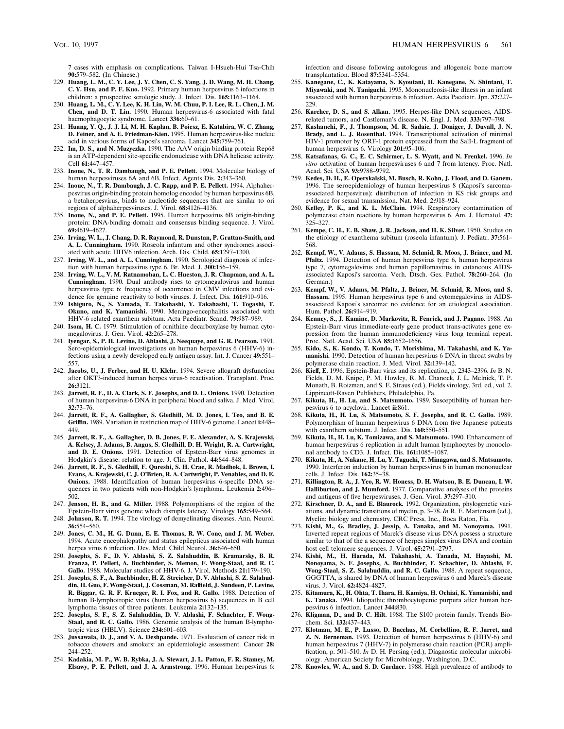7 cases with emphasis on complications. Taiwan I-Hsueh-Hui Tsa-Chih **90:**579–582. (In Chinese.)

- 229. **Huang, L. M., C. Y. Lee, J. Y. Chen, C. S. Yang, J. D. Wang, M. H. Chang, C. Y. Hsu, and P. F. Kuo.** 1992. Primary human herpesvirus 6 infections in children: a prospective serologic study. J. Infect. Dis. **165:**1163–1164.
- 230. **Huang, L. M., C. Y. Lee, K. H. Lin, W. M. Chuu, P. I. Lee, R. L. Chen, J. M. Chen, and D. T. Lin.** 1990. Human herpesvirus-6 associated with fatal haemophagocytic syndrome. Lancet **336:**60–61.
- 231. **Huang, Y. Q., J. J. Li, M. H. Kaplan, B. Poiesz, E. Katabira, W. C. Zhang, D. Feiner, and A. E. Friedman-Kien.** 1995. Human herpesvirus-like nucleic acid in various forms of Kaposi's sarcoma. Lancet **345:**759–761.
- 232. **Im, D. S., and N. Muzyczka.** 1990. The AAV origin binding protein Rep68 is an ATP-dependent site-specific endonuclease with DNA helicase activity. Cell **61:**447–457.
- 233. **Inoue, N., T. R. Dambaugh, and P. E. Pellett.** 1994. Molecular biology of human herpesviruses 6A and 6B. Infect. Agents Dis. **2:**343–360.
- 234. **Inoue, N., T. R. Dambaugh, J. C. Rapp, and P. E. Pellett.** 1994. Alphaherpesvirus origin-binding protein homolog encoded by human herpesvirus 6B, a betaherpesvirus, binds to nucleotide sequences that are similar to ori regions of alphaherpesviruses. J. Virol. **68:**4126–4136.
- 235. **Inoue, N., and P. E. Pellett.** 1995. Human herpesvirus 6B origin-binding protein: DNA-binding domain and consensus binding sequence. J. Virol. **69:**4619–4627.
- 236. **Irving, W. L., J. Chang, D. R. Raymond, R. Dunstan, P. Grattan-Smith, and A. L. Cunningham.** 1990. Roseola infantum and other syndromes associated with acute HHV6 infection. Arch. Dis. Child. **65:**1297–1300.
- 237. **Irving, W. L., and A. L. Cunningham.** 1990. Serological diagnosis of infection with human herpesvirus type 6. Br. Med. J. **300:**156–159.
- 238. **Irving, W. L., V. M. Ratnamohan, L. C. Hueston, J. R. Chapman, and A. L. Cunningham.** 1990. Dual antibody rises to cytomegalovirus and human herpesvirus type 6: frequency of occurrence in CMV infections and evidence for genuine reactivity to both viruses. J. Infect. Dis. **161:**910–916.
- 239. **Ishiguro, N., S. Yamada, T. Takahashi, Y. Takahashi, T. Togashi, T. Okuno, and K. Yamanishi.** 1990. Meningo-encephalitis associated with HHV-6 related exanthem subitum. Acta Paediatr. Scand. **79:**987–989.
- 240. **Isom, H. C.** 1979. Stimulation of ornithine decarboxylase by human cytomegalovirus. J. Gen. Virol. **42:**265–278.
- 241. **Iyengar, S., P. H. Levine, D. Ablashi, J. Neequaye, and G. R. Pearson.** 1991. Sero-epidemiological investigations on human herpesvirus 6 (HHV-6) infections using a newly developed early antigen assay. Int. J. Cancer **49:**551– 557.
- 242. **Jacobs, U., J. Ferber, and H. U. Klehr.** 1994. Severe allograft dysfunction after OKT3-induced human herpes virus-6 reactivation. Transplant. Proc. **26:**3121.
- 243. **Jarrett, R. F., D. A. Clark, S. F. Josephs, and D. E. Onions.** 1990. Detection of human herpesvirus-6 DNA in peripheral blood and saliva. J. Med. Virol. **32:**73–76.
- 244. **Jarrett, R. F., A. Gallagher, S. Gledhill, M. D. Jones, I. Teo, and B. E. Griffin.** 1989. Variation in restriction map of HHV-6 genome. Lancet **i:**448– 449.
- 245. **Jarrett, R. F., A. Gallagher, D. B. Jones, F. E. Alexander, A. S. Krajewski, A. Kelsey, J. Adams, B. Angus, S. Gledhill, D. H. Wright, R. A. Cartwright, and D. E. Onions.** 1991. Detection of Epstein-Barr virus genomes in Hodgkin's disease: relation to age. J. Clin. Pathol. **44:**844–848.
- 246. **Jarrett, R. F., S. Gledhill, F. Qureshi, S. H. Crae, R. Madhok, I. Brown, I. Evans, A. Krajewski, C. J. O'Brien, R. A. Cartwright, P. Venables, and D. E. Onions.** 1988. Identification of human herpesvirus 6-specific DNA sequences in two patients with non-Hodgkin's lymphoma. Leukemia **2:**496– 502.
- 247. **Jenson, H. B., and G. Miller.** 1988. Polymorphisms of the region of the Epstein-Barr virus genome which disrupts latency. Virology **165:**549–564.
- 248. **Johnson, R. T.** 1994. The virology of demyelinating diseases. Ann. Neurol. **36:**554–560.
- 249. **Jones, C. M., H. G. Dunn, E. E. Thomas, R. W. Cone, and J. M. Weber.** 1994. Acute encephalopathy and status epilepticus associated with human herpes virus 6 infection. Dev. Med. Child Neurol. **36:**646–650.
- 250. **Josephs, S. F., D. V. Ablashi, S. Z. Salahuddin, B. Kramarsky, B. R. Franza, P. Pellett, A. Buchbinder, S. Memon, F. Wong-Staal, and R. C. Gallo.** 1988. Molecular studies of HHV-6. J. Virol. Methods **21:**179–190.
- 251. **Josephs, S. F., A. Buchbinder, H. Z. Streicher, D. V. Ablashi, S. Z. Salahuddin, H. Guo, F. Wong-Staal, J. Cossman, M. Raffield, J. Sundeen, P. Levine, R. Biggar, G. R. F. Krueger, R. I. Fox, and R. Gallo.** 1988. Detection of human B-lymphotropic virus (human herpesvirus 6) sequences in B cell lymphoma tissues of three patients. Leukemia **2:**132–135.
- 252. **Josephs, S. F., S. Z. Salahuddin, D. V. Ablashi, F. Schachter, F. Wong-Staal, and R. C. Gallo.** 1986. Genomic analysis of the human B-lymphotropic virus (HBLV). Science **234:**601–603.
- 253. **Jussawala, D. J., and V. A. Deshpande.** 1971. Evaluation of cancer risk in tobacco chewers and smokers: an epidemiologic assessment. Cancer **28:** 244–252.
- 254. **Kadakia, M. P., W. B. Rybka, J. A. Stewart, J. L. Patton, F. R. Stamey, M. Elsawy, P. E. Pellett, and J. A. Armstrong.** 1996. Human herpesvirus 6:

infection and disease following autologous and allogeneic bone marrow transplantation. Blood **87:**5341–5354.

- 255. **Kanegane, C., K. Katayama, S. Kyoutani, H. Kanegane, N. Shintani, T. Miyawaki, and N. Taniguchi.** 1995. Mononucleosis-like illness in an infant associated with human herpesvirus 6 infection. Acta Paediatr. Jpn. **37:**227– 229.
- 256. **Karcher, D. S., and S. Alkan.** 1995. Herpes-like DNA sequences, AIDSrelated tumors, and Castleman's disease. N. Engl. J. Med. **333:**797–798.
- 257. **Kashanchi, F., J. Thompson, M. R. Sadaie, J. Doniger, J. Duvall, J. N. Brady, and L. J. Rosenthal.** 1994. Transcriptional activation of minimal HIV-1 promoter by ORF-1 protein expressed from the SalI-L fragment of human herpesvirus 6. Virology **201:**95–106.
- 258. **Katsafanas, G. C., E. C. Schirmer, L. S. Wyatt, and N. Frenkel.** 1996. *In vitro* activation of human herpesviruses 6 and 7 from latency. Proc. Natl. Acad. Sci. USA **93:**9788–9792.
- 259. **Kedes, D. H., E. Operskalski, M. Busch, R. Kohn, J. Flood, and D. Ganem.** 1996. The seroepidemiology of human herpesvirus 8 (Kaposi's sarcomaassociated herpesvirus): distribution of infection in KS risk groups and evidence for sexual transmission. Nat. Med. **2:**918–924.
- 260. **Kelley, P. K., and K. L. McClain.** 1994. Respiratory contamination of polymerase chain reactions by human herpesvirus 6. Am. J. Hematol. **47:**  $325 - 327$ .
- 261. **Kempe, C. H., E. B. Shaw, J. R. Jackson, and H. K. Silver.** 1950. Studies on the etiology of exanthema subitum (roseola infantum). J. Pediatr. **37:**561– 568.
- 262. **Kempf, W., V. Adams, S. Hassam, M. Schmid, R. Moos, J. Briner, and M. Pfaltz.** 1994. Detection of human herpesvirus type 6, human herpesvirus type 7, cytomegalovirus and human papillomavirus in cutaneous AIDSassociated Kaposi's sarcoma. Verh. Dtsch. Ges. Pathol. **78:**260–264. (In German.)
- 263. **Kempf, W., V. Adams, M. Pfaltz, J. Briner, M. Schmid, R. Moos, and S. Hassam.** 1995. Human herpesvirus type 6 and cytomegalovirus in AIDSassociated Kaposi's sarcoma: no evidence for an etiological association. Hum. Pathol. **26:**914–919.
- 264. **Kenney, S., J. Kamine, D. Markovitz, R. Fenrick, and J. Pagano.** 1988. An Epstein-Barr virus immediate-early gene product trans-activates gene expression from the human immunodeficiency virus long terminal repeat. Proc. Natl. Acad. Sci. USA **85:**1652–1656.
- 265. **Kido, S., K. Kondo, T. Kondo, T. Morishima, M. Takahashi, and K. Yamanishi.** 1990. Detection of human herpesvirus 6 DNA in throat swabs by polymerase chain reaction. J. Med. Virol. **32:**139–142.
- 266. **Kieff, E.** 1996. Epstein-Barr virus and its replication, p. 2343–2396. *In* B. N. Fields, D. M. Knipe, P. M. Howley, R. M. Chanock, J. L. Melnick, T. P. Monath, B. Roizman, and S. E. Straus (ed.), Fields virology, 3rd. ed., vol. 2. Lippincott-Raven Publishers, Philadelphia, Pa.
- 267. **Kikuta, H., H. Lu, and S. Matsumoto.** 1989. Susceptibility of human herpesvirus 6 to acyclovir. Lancet **ii:**861.
- 268. **Kikuta, H., H. Lu, S. Matsumoto, S. F. Josephs, and R. C. Gallo.** 1989. Polymorphism of human herpesvirus 6 DNA from five Japanese patients with exanthem subitum. J. Infect. Dis. **160:**550–551.
- 269. **Kikuta, H., H. Lu, K. Tomizawa, and S. Matsumoto.** 1990. Enhancement of human herpesvirus 6 replication in adult human lymphocytes by monoclonal antibody to CD3. J. Infect. Dis. **161:**1085–1087.
- 270. **Kikuta, H., A. Nakane, H. Lu, Y. Taguchi, T. Minagawa, and S. Matsumoto.** 1990. Interferon induction by human herpesvirus 6 in human mononuclear cells. J. Infect. Dis. **162:**35–38.
- 271. **Killington, R. A., J. Yeo, R. W. Honess, D. H. Watson, B. E. Duncan, I. W. Halliburton, and J. Mumford.** 1977. Comparative analyses of the proteins and antigens of five herpesviruses. J. Gen. Virol. **37:**297–310.
- 272. **Kirschner, D. A., and E. Blaurock.** 1992. Organization, phylogenetic variations, and dynamic transitions of myelin, p. 3–78. *In* R. E. Martenson (ed.), Myelin: biology and chemistry. CRC Press, Inc., Boca Raton, Fla.
- 273. **Kishi, M., G. Bradley, J. Jessip, A. Tanaka, and M. Nonoyama.** 1991. Inverted repeat regions of Marek's disease virus DNA possess a structure similar to that of the a sequence of herpes simplex virus DNA and contain host cell telomere sequences. J. Virol. **65:**2791–2797.
- 274. **Kishi, M., H. Harada, M. Takahashi, A. Tanada, M. Hayashi, M. Nonoyama, S. F. Josephs, A. Buchbinder, F. Schachter, D. Ablashi, F. Wong-Staal, S. Z. Salahuddin, and R. C. Gallo.** 1988. A repeat sequence, GGGTTA, is shared by DNA of human herpesvirus 6 and Marek's disease virus. J. Virol. **62:**4824–4827.
- 275. **Kitamura, K., H. Ohta, T. Ihara, H. Kamiya, H. Ochiai, K. Yamanishi, and K. Tanaka.** 1994. Idiopathic thrombocytopenic purpura after human herpesvirus 6 infection. Lancet **344:**830.
- 276. **Kligman, D., and D. C. Hilt.** 1988. The S100 protein family. Trends Biochem. Sci. **132:**437–443.
- 277. **Klotman, M. E., P. Lusso, D. Bacchus, M. Corbellino, R. F. Jarret, and Z. N. Berneman.** 1993. Detection of human herpesvirus 6 (HHV-6) and human herpesvirus 7 (HHV-7) in polymerase chain reaction (PCR) amplification, p. 501–510. *In* D. H. Persing (ed.), Diagnostic molecular microbiology. American Society for Microbiology, Washington, D.C.
- 278. **Knowles, W. A., and S. D. Gardner.** 1988. High prevalence of antibody to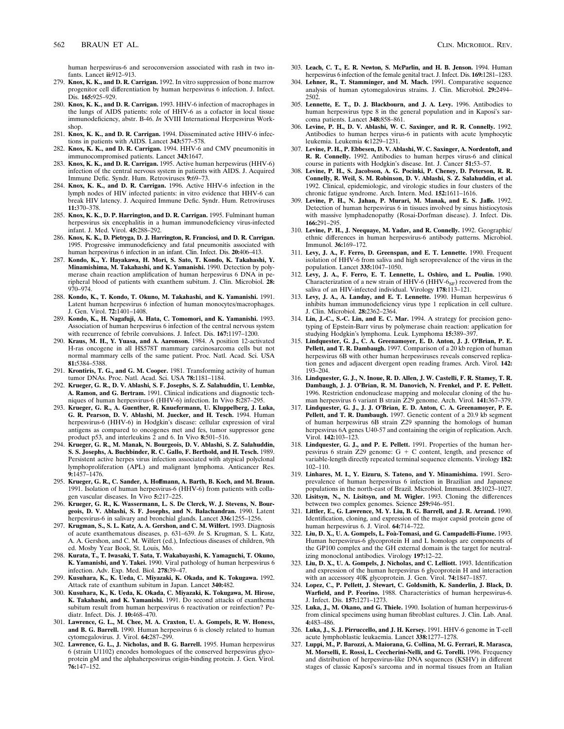human herpesvirus-6 and seroconversion associated with rash in two infants. Lancet **ii:**912–913.

- 279. **Knox, K. K., and D. R. Carrigan.** 1992. In vitro suppression of bone marrow progenitor cell differentiation by human herpesvirus 6 infection. J. Infect. Dis. **165:**925–929.
- 280. **Knox, K. K., and D. R. Carrigan.** 1993. HHV-6 infection of macrophages in the lungs of AIDS patients: role of HHV-6 as a cofactor in local tissue immunodeficiency, abstr. B-46. *In* XVIII International Herpesvirus Workshop.
- 281. **Knox, K. K., and D. R. Carrigan.** 1994. Disseminated active HHV-6 infections in patients with AIDS. Lancet **343:**577–578.
- 282. **Knox, K. K., and D. R. Carrigan.** 1994. HHV-6 and CMV pneumonitis in immunocompromised patients. Lancet **343:**1647.
- 283. **Knox, K. K., and D. R. Carrigan.** 1995. Active human herpesvirus (HHV-6) infection of the central nervous system in patients with AIDS. J. Acquired Immune Defic. Syndr. Hum. Retroviruses **9:**69–73.
- 284. **Knox, K. K., and D. R. Carrigan.** 1996. Active HHV-6 infection in the lymph nodes of HIV infected patients: in vitro evidence that HHV-6 can break HIV latency. J. Acquired Immune Defic. Syndr. Hum. Retroviruses **11:**370–378.
- 285. **Knox, K. K., D. P. Harrington, and D. R. Carrigan.** 1995. Fulminant human herpesvirus six encephalitis in a human immunodeficiency virus-infected infant. J. Med. Virol. **45:**288–292.
- 286. **Knox, K. K., D. Pietryga, D. J. Harrington, R. Franciosi, and D. R. Carrigan.** 1995. Progressive immunodeficiency and fatal pneumonitis associated with human herpesvirus 6 infection in an infant. Clin. Infect. Dis. **20:**406–413.
- 287. **Kondo, K., Y. Hayakawa, H. Mori, S. Sato, T. Kondo, K. Takahashi, Y. Minamishima, M. Takahashi, and K. Yamanishi.** 1990. Detection by polymerase chain reaction amplification of human herpesvirus 6 DNA in peripheral blood of patients with exanthem subitum. J. Clin. Microbiol. **28:**  $970 - 974$ .
- 288. **Kondo, K., T. Kondo, T. Okuno, M. Takahashi, and K. Yamanishi.** 1991. Latent human herpesvirus 6 infection of human monocytes/macrophages. J. Gen. Virol. **72:**1401–1408.
- 289. **Kondo, K., H. Nagafuji, A. Hata, C. Tomomori, and K. Yamanishi.** 1993. Association of human herpesvirus 6 infection of the central nervous system with recurrence of febrile convulsions. J. Infect. Dis. **167:**1197–1200.
- 290. **Kraus, M. H., Y. Yuasa, and A. Aaronson.** 1984. A position 12-activated H-ras oncogene in all HS578T mammary carcinosarcoma cells but not normal mammary cells of the same patient. Proc. Natl. Acad. Sci. USA **81:**5384–5388.
- 291. **Krontiris, T. G., and G. M. Cooper.** 1981. Transforming activity of human tumor DNAs. Proc. Natl. Acad. Sci. USA **78:**1181–1184.
- 292. **Krueger, G. R., D. V. Ablashi, S. F. Josephs, S. Z. Salahuddin, U. Lembke, A. Ramon, and G. Bertram.** 1991. Clinical indications and diagnostic techniques of human herpesvirus-6 (HHV-6) infection. In Vivo **5:**287–295.
- 293. **Krueger, G. R., A. Guenther, R. Knuefermann, U. Kluppelberg, J. Luka, G. R. Pearson, D. V. Ablashi, M. Juecker, and H. Tesch.** 1994. Human herpesvirus-6 (HHV-6) in Hodgkin's disease: cellular expression of viral antigens as compared to oncogenes met and fes, tumor suppressor gene product p53, and interleukins 2 and 6. In Vivo **8:**501–516.
- 294. **Krueger, G. R., M. Manak, N. Bourgeois, D. V. Ablashi, S. Z. Salahuddin, S. S. Josephs, A. Buchbinder, R. C. Gallo, F. Berthold, and H. Tesch.** 1989. Persistent active herpes virus infection associated with atypical polyclonal lymphoproliferation (APL) and malignant lymphoma. Anticancer Res. **9:**1457–1476.
- 295. **Krueger, G. R., C. Sander, A. Hoffmann, A. Barth, B. Koch, and M. Braun.** 1991. Isolation of human herpesvirus-6 (HHV-6) from patients with collagen vascular diseases. In Vivo **5:**217–225.
- 296. **Krueger, G. R., K. Wassermann, L. S. De Clerck, W. J. Stevens, N. Bourgeois, D. V. Ablashi, S. F. Josephs, and N. Balachandran.** 1990. Latent herpesvirus-6 in salivary and bronchial glands. Lancet **336:**1255–1256.
- 297. **Krugman, S., S. L. Katz, A. A. Gershon, and C. M. Wilfert.** 1993. Diagnosis of acute exanthematous diseases, p. 631–639. *In* S. Krugman, S. L. Katz, A. A. Gershon, and C. M. Wilfert (ed.), Infectious diseases of children, 9th ed. Mosby Year Book, St. Louis, Mo.
- 298. **Kurata, T., T. Iwasaki, T. Sata, T. Wakabayashi, K. Yamaguchi, T. Okuno, K. Yamanishi, and Y. Takei.** 1990. Viral pathology of human herpesvirus 6 infection. Adv. Exp. Med. Biol. **278:**39–47.
- 299. **Kusuhara, K., K. Ueda, C. Miyazaki, K. Okada, and K. Tokugawa.** 1992. Attack rate of exanthum subitum in Japan. Lancet **340:**482.
- 300. **Kusuhara, K., K. Ueda, K. Okada, C. Miyazaki, K. Tokugawa, M. Hirose, K. Takahashi, and K. Yamanishi.** 1991. Do second attacks of exanthema subitum result from human herpesvirus 6 reactivation or reinfection? Pediatr. Infect. Dis. J. **10:**468–470.
- 301. **Lawrence, G. L., M. Chee, M. A. Craxton, U. A. Gompels, R. W. Honess, and B. G. Barrell.** 1990. Human herpesvirus 6 is closely related to human cytomegalovirus. J. Virol. **64:**287–299.
- 302. **Lawrence, G. L., J. Nicholas, and B. G. Barrell.** 1995. Human herpesvirus 6 (strain U1102) encodes homologues of the conserved herpesvirus glycoprotein gM and the alphaherpesvirus origin-binding protein. J. Gen. Virol. **76:**147–152.
- 303. **Leach, C. T., E. R. Newton, S. McParlin, and H. B. Jenson.** 1994. Human herpesvirus 6 infection of the female genital tract. J. Infect. Dis. **169:**1281–1283.
- 304. **Lehner, R., T. Stamminger, and M. Mach.** 1991. Comparative sequence analysis of human cytomegalovirus strains. J. Clin. Microbiol. **29:**2494– 2502.
- 305. **Lennette, E. T., D. J. Blackbourn, and J. A. Levy.** 1996. Antibodies to human herpesvirus type 8 in the general population and in Kaposi's sarcoma patients. Lancet **348:**858–861.
- 306. **Levine, P. H., D. V. Ablashi, W. C. Saxinger, and R. R. Connelly.** 1992. Antibodies to human herpes virus-6 in patients with acute lymphocytic leukemia. Leukemia **6:**1229–1231.
- 307. **Levine, P. H., P. Ebbesen, D. V. Ablashi, W. C. Saxinger, A. Nordentoft, and R. R. Connelly.** 1992. Antibodies to human herpes virus-6 and clinical course in patients with Hodgkin's disease. Int. J. Cancer **51:**53–57.
- 308. **Levine, P. H., S. Jacobson, A. G. Pocinki, P. Cheney, D. Peterson, R. R. Connelly, R. Weil, S. M. Robinson, D. V. Ablashi, S. Z. Salahuddin, et al.** 1992. Clinical, epidemiologic, and virologic studies in four clusters of the chronic fatigue syndrome. Arch. Intern. Med. **152:**1611–1616.
- 309. **Levine, P. H., N. Jahan, P. Murari, M. Manak, and E. S. Jaffe.** 1992. Detection of human herpesvirus 6 in tissues involved by sinus histiocytosis with massive lymphadenopathy (Rosai-Dorfman disease). J. Infect. Dis. **166:**291–295.
- 310. **Levine, P. H., J. Neequaye, M. Yadav, and R. Connelly.** 1992. Geographic/ ethnic differences in human herpesvirus-6 antibody patterns. Microbiol. Immunol. **36:**169–172.
- 311. **Levy, J. A., F. Ferro, D. Greenspan, and E. T. Lennette.** 1990. Frequent isolation of HHV-6 from saliva and high seroprevalence of the virus in the population. Lancet **335:**1047–1050.
- 312. **Levy, J. A., F. Ferro, E. T. Lennette, L. Oshiro, and L. Poulin.** 1990. Characterization of a new strain of HHV-6 (HHV- $6_{\rm SF}$ ) recovered from the saliva of an HIV-infected individual. Virology **178:**113–121.
- 313. **Levy, J. A., A. Landay, and E. T. Lennette.** 1990. Human herpesvirus 6 inhibits human immunodeficiency virus type 1 replication in cell culture. J. Clin. Microbiol. **28:**2362–2364.
- 314. **Lin, J.-C., S.-C. Lin, and E. C. Mar.** 1994. A strategy for precision genotyping of Epstein-Barr virus by polymerase chain reaction: application for studying Hodgkin's lymphoma. Leuk. Lymphoma **15:**389–397.
- 315. **Lindquester, G. J., C. A. Greenamoyer, E. D. Anton, J. J. O'Brian, P. E. Pellett, and T. R. Dambaugh.** 1997. Comparison of a 20 kb region of human herpesvirus 6B with other human herpesviruses reveals conserved replication genes and adjacent divergent open reading frames. Arch. Virol. **142:** 193–204.
- 316. **Lindquester, G. J., N. Inoue, R. D. Allen, J. W. Castelli, F. R. Stamey, T. R. Dambaugh, J. J. O'Brian, R. M. Danovich, N. Frenkel, and P. E. Pellett.** 1996. Restriction endonuclease mapping and molecular cloning of the human herpesvirus 6 variant B strain Z29 genome. Arch. Virol. **141:**367–379.
- 317. **Lindquester, G. J., J. J. O'Brian, E. D. Anton, C. A. Greenamoyer, P. E. Pellett, and T. R. Dambaugh.** 1997. Genetic content of a 20.9 kb segment of human herpesvirus 6B strain Z29 spanning the homologs of human herpesvirus 6A genes U40-57 and containing the origin of replication. Arch. Virol. **142:**103–123.
- 318. **Lindquester, G. J., and P. E. Pellett.** 1991. Properties of the human herpesvirus 6 strain Z29 genome:  $G + C$  content, length, and presence of variable-length directly repeated terminal sequence elements. Virology **182:** 102–110.
- 319. **Linhares, M. I., Y. Eizuru, S. Tateno, and Y. Minamishima.** 1991. Seroprevalence of human herpesvirus 6 infection in Brazilian and Japanese populations in the north-east of Brazil. Microbiol. Immunol. **35:**1023–1027.
- 320. **Lisitsyn, N., N. Lisitsyn, and M. Wigler.** 1993. Cloning the differences between two complex genomes. Science **259:**946–951.
- 321. **Littler, E., G. Lawrence, M. Y. Liu, B. G. Barrell, and J. R. Arrand.** 1990. Identification, cloning, and expression of the major capsid protein gene of human herpesvirus 6. J. Virol. **64:**714–722.
- 322. **Liu, D. X., U. A. Gompels, L. Foa`-Tomasi, and G. Campadelli-Fiume.** 1993. Human herpesvirus-6 glycoprotein H and L homologs are components of the GP100 complex and the GH external domain is the target for neutralizing monoclonal antibodies. Virology **197:**12–22.
- 323. **Liu, D. X., U. A. Gompels, J. Nicholas, and C. Lelliott.** 1993. Identification and expression of the human herpesvirus 6 glycoprotein H and interaction with an accessory 40K glycoprotein. J. Gen. Virol. **74:**1847–1857.
- 324. **Lopez, C., P. Pellett, J. Stewart, C. Goldsmith, K. Sanderlin, J. Black, D. Warfield, and P. Feorino.** 1988. Characteristics of human herpesvirus-6. J. Infect. Dis. **157:**1271–1273.
- 325. **Luka, J., M. Okano, and G. Thiele.** 1990. Isolation of human herpesvirus-6 from clinical specimens using human fibroblast cultures. J. Clin. Lab. Anal. **4:**483–486.
- 326. **Luka, J., S. J. Pirruccello, and J. H. Kersey.** 1991. HHV-6 genome in T-cell acute lymphoblastic leukaemia. Lancet **338:**1277–1278.
- 327. **Luppi, M., P. Barozzi, A. Maiorana, G. Collina, M. G. Ferrari, R. Marasca, M. Morselli, E. Rossi, L. Ceccherini-Nelli, and G. Torelli.** 1996. Frequency and distribution of herpesvirus-like DNA sequences (KSHV) in different stages of classic Kaposi's sarcoma and in normal tissues from an Italian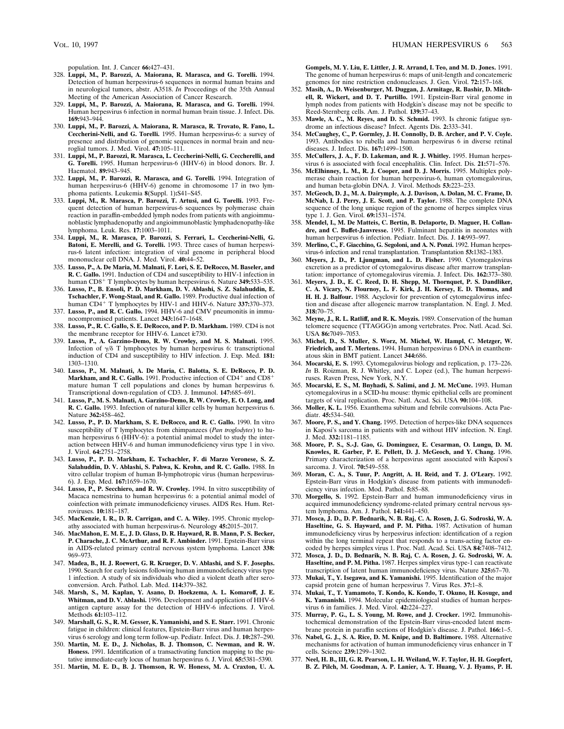population. Int. J. Cancer **66:**427–431.

- 328. **Luppi, M., P. Barozzi, A. Maiorana, R. Marasca, and G. Torelli.** 1994. Detection of human herpesvirus-6 sequences in normal human brains and in neurological tumors, abstr. A3518. *In* Proceedings of the 35th Annual Meeting of the American Association of Cancer Research.
- 329. **Luppi, M., P. Barozzi, A. Maiorana, R. Marasca, and G. Torelli.** 1994. Human herpesvirus 6 infection in normal human brain tissue. J. Infect. Dis. **169:**943–944.
- 330. **Luppi, M., P. Barozzi, A. Maiorana, R. Marasca, R. Trovato, R. Fano, L. Ceccherini-Nelli, and G. Torelli.** 1995. Human herpesvirus-6: a survey of presence and distribution of genomic sequences in normal brain and neuroglial tumors. J. Med. Virol. **47:**105–111.
- 331. **Luppi, M., P. Barozzi, R. Marasca, L. Ceccherini-Nelli, G. Ceccherelli, and G. Torelli.** 1995. Human herpesvirus-6 (HHV-6) in blood donors. Br. J. Haematol. **89:**943–945.
- 332. **Luppi, M., P. Barozzi, R. Marasca, and G. Torelli.** 1994. Integration of human herpesvirus-6 (HHV-6) genome in chromosome 17 in two lymphoma patients. Leukemia **8**(Suppl. 1)**:**S41–S45.
- 333. **Luppi, M., R. Marasca, P. Barozzi, T. Artusi, and G. Torelli.** 1993. Frequent detection of human herpesvirus-6 sequences by polymerase chain reaction in paraffin-embedded lymph nodes from patients with angioimmunoblastic lymphadenopathy and angioimmunoblastic lymphadenopathy-like lymphoma. Leuk. Res. **17:**1003–1011.
- 334. **Luppi, M., R. Marasca, P. Barozzi, S. Ferrari, L. Ceccherini-Nelli, G. Batoni, E. Merelli, and G. Torelli.** 1993. Three cases of human herpesvirus-6 latent infection: integration of viral genome in peripheral blood mononuclear cell DNA. J. Med. Virol. **40:**44–52.
- 335. **Lusso, P., A. De Maria, M. Malnati, F. Lori, S. E. DeRocco, M. Baseler, and R. C. Gallo.** 1991. Induction of CD4 and susceptibility to HIV-1 infection in human CD8<sup>+</sup> T lymphocytes by human herpesvirus 6. Nature 349:533-535.
- 336. **Lusso, P., B. Ensoli, P. D. Markham, D. V. Ablashi, S. Z. Salahuddin, E. Tschachler, F. Wong-Staal, and R. Gallo.** 1989. Productive dual infection of human CD4<sup>+</sup> T lymphocytes by HIV-1 and HHV-6. Nature 337:370-373.
- 337. **Lusso, P., and R. C. Gallo.** 1994. HHV-6 and CMV pneumonitis in immunocompromised patients. Lancet **343:**1647–1648.
- 338. **Lusso, P., R. C. Gallo, S. E. DeRocco, and P. D. Markham.** 1989. CD4 is not the membrane receptor for HHV-6. Lancet **i:**730.
- 339. **Lusso, P., A. Garzino-Demo, R. W. Crowley, and M. S. Malnati.** 1995. Infection of  $\gamma/\delta$  T lymphocytes by human herpesvirus 6: transcriptional induction of CD4 and susceptibility to HIV infection. J. Exp. Med. **181:** 1303–1310.
- 340. **Lusso, P., M. Malnati, A. De Maria, C. Balotta, S. E. DeRocco, P. D. Markham, and R. C. Gallo.** 1991. Productive infection of CD4<sup>+</sup> and CD8<sup>+</sup> mature human T cell populations and clones by human herpesvirus 6. Transcriptional down-regulation of CD3. J. Immunol. **147:**685–691.
- 341. **Lusso, P., M. S. Malnati, A. Garzino-Demo, R. W. Crowley, E. O. Long, and R. C. Gallo.** 1993. Infection of natural killer cells by human herpesvirus 6. Nature **362:**458–462.
- 342. **Lusso, P., P. D. Markham, S. E. DeRocco, and R. C. Gallo.** 1990. In vitro susceptibility of T lymphocytes from chimpanzees (*Pan troglodytes*) to human herpesvirus 6 (HHV-6): a potential animal model to study the interaction between HHV-6 and human immunodeficiency virus type 1 in vivo. J. Virol. **64:**2751–2758.
- 343. **Lusso, P., P. D. Markham, E. Tschachler, F. di Marzo Veronese, S. Z. Salahuddin, D. V. Ablashi, S. Pahwa, K. Krohn, and R. C. Gallo.** 1988. In vitro cellular tropism of human B-lymphotropic virus (human herpesvirus-6). J. Exp. Med. **167:**1659–1670.
- 344. **Lusso, P., P. Secchiero, and R. W. Crowley.** 1994. In vitro susceptibility of Macaca nemestrina to human herpesvirus 6: a potential animal model of coinfection with primate immunodeficiency viruses. AIDS Res. Hum. Retroviruses. **10:**181–187.
- 345. **MacKenzie, I. R., D. R. Carrigan, and C. A. Wiley.** 1995. Chronic myelopathy associated with human herpesvirus-6. Neurology **45:**2015–2017.
- 346. **MacMahon, E. M. E., J. D. Glass, D. R. Hayward, R. B. Mann, P. S. Becker, P. Charache, J. C. McArthur, and R. F. Ambinder.** 1991. Epstein-Barr virus in AIDS-related primary central nervous system lymphoma. Lancet **338:** 969–973.
- 347. **Madea, B., H. J. Roewert, G. R. Krueger, D. V. Ablashi, and S. F. Josephs.** 1990. Search for early lesions following human immunodeficiency virus type 1 infection. A study of six individuals who died a violent death after seroconversion. Arch. Pathol. Lab. Med. **114:**379–382.
- 348. **Marsh, S., M. Kaplan, Y. Asano, D. Hoekzema, A. L. Komaroff, J. E. Whitman, and D. V. Ablashi.** 1996. Development and application of HHV-6 antigen capture assay for the detection of HHV-6 infections. J. Virol. Methods **61:**103–112.
- 349. **Marshall, G. S., R. M. Gesser, K. Yamanishi, and S. E. Starr.** 1991. Chronic fatigue in children: clinical features, Epstein-Barr virus and human herpesvirus 6 serology and long term follow-up. Pediatr. Infect. Dis. J. **10:**287–290.
- 350. **Martin, M. E. D., J. Nicholas, B. J. Thomson, C. Newman, and R. W. Honess.** 1991. Identification of a transactivating function mapping to the putative immediate-early locus of human herpesvirus 6. J. Virol. **65:**5381–5390.
- 351. **Martin, M. E. D., B. J. Thomson, R. W. Honess, M. A. Craxton, U. A.**

**Gompels, M. Y. Liu, E. Littler, J. R. Arrand, I. Teo, and M. D. Jones.** 1991. The genome of human herpesvirus 6: maps of unit-length and concatemeric genomes for nine restriction endonucleases. J. Gen. Virol. **72:**157–168.

- 352. **Masih, A., D. Weisenburger, M. Duggan, J. Armitage, R. Bashir, D. Mitchell, R. Wickert, and D. T. Purtillo.** 1991. Epstein-Barr viral genome in lymph nodes from patients with Hodgkin's disease may not be specific to Reed-Sternberg cells. Am. J. Pathol. **139:**37–43.
- 353. **Mawle, A. C., M. Reyes, and D. S. Schmid.** 1993. Is chronic fatigue syndrome an infectious disease? Infect. Agents Dis. **2:**333–341.
- 354. **McCaughey, C., P. Gormley, J. H. Connolly, D. B. Archer, and P. V. Coyle.** 1993. Antibodies to rubella and human herpesvirus 6 in diverse retinal diseases. J. Infect. Dis. **167:**1499–1500.
- 355. **McCullers, J. A., F. D. Lakeman, and R. J. Whitley.** 1995. Human herpesvirus 6 is associated with focal encephalitis. Clin. Infect. Dis. **21:**571–576.
- 356. **McElhinney, L. M., R. J. Cooper, and D. J. Morris.** 1995. Multiplex polymerase chain reaction for human herpesvirus-6, human cytomegalovirus, and human beta-globin DNA. J. Virol. Methods **53:**223–233.
- 357. **McGeoch, D. J., M. A. Dairymple, A. J. Davison, A. Dolan, M. C. Frame, D. McNab, I. J. Perry, J. E. Scott, and P. Taylor.** 1988. The complete DNA sequence of the long unique region of the genome of herpes simplex virus type 1. J. Gen. Virol. **69:**1531–1574.
- 358. **Mendel, I., M. De Matteis, C. Bertin, B. Delaporte, D. Maguer, H. Collandre, and C. Buffet-Janvresse.** 1995. Fulminant hepatitis in neonates with human herpesvirus 6 infection. Pediatr. Infect. Dis. J. **14:**993–997.
- 359. **Merlino, C., F. Giacchino, G. Segoloni, and A. N. Ponzi.** 1992. Human herpesvirus-6 infection and renal transplantation. Transplantation **53:**1382–1383.
- 360. **Meyers, J. D., P. Ljungman, and L. D. Fisher.** 1990. Cytomegalovirus excretion as a predictor of cytomegalovirus disease after marrow transplantation: importance of cytomegalovirus viremia. J. Infect. Dis. **162:**373–380.
- 361. **Meyers, J. D., E. C. Reed, D. H. Shepp, M. Thornquet, P. S. Dandliker, C. A. Vicary, N. Flournoy, L. F. Kirk, J. H. Kersey, E. D. Thomas, and H. H. J. Balfour.** 1988. Acyclovir for prevention of cytomegalovirus infection and disease after allogeneic marrow transplantation. N. Engl. J. Med. **318:**70–75.
- 362. **Meyne, J., R. L. Ratliff, and R. K. Moyzis.** 1989. Conservation of the human telomere sequence (TTAGGG)n among vertebrates. Proc. Natl. Acad. Sci. USA **86:**7049–7053.
- 363. **Michel, D., S. Muller, S. Worz, M. Michel, W. Hampl, C. Metzger, W. Friedrich, and T. Mertens.** 1994. Human herpesvirus 6 DNA in exanthematous skin in BMT patient. Lancet **344:**686.
- 364. **Mocarski, E. S.** 1993. Cytomegalovirus biology and replication, p. 173–226. *In* B. Roizman, R. J. Whitley, and C. Lopez (ed.), The human herpesviruses. Raven Press, New York, N.Y.
- 365. **Mocarski, E. S., M. Bnyhadi, S. Salimi, and J. M. McCune.** 1993. Human cytomegalovirus in a SCID-hu mouse: thymic epithelial cells are prominent targets of viral replication. Proc. Natl. Acad. Sci. USA **90:**104–108.
- 366. **Moller, K. L.** 1956. Exanthema subitum and febrile convulsions. Acta Paediatr. **45:**534–540.
- 367. **Moore, P. S., and Y. Chang.** 1995. Detection of herpes-like DNA sequences in Kaposi's sarcoma in patients with and without HIV infection. N. Engl. J. Med. **332:**1181–1185.
- 368. **Moore, P. S., S.-J. Gao, G. Dominguez, E. Cesarman, O. Lungu, D. M. Knowles, R. Garber, P. E. Pellett, D. J. McGeoch, and Y. Chang.** 1996. Primary characterization of a herpesvirus agent associated with Kaposi's sarcoma. J. Virol. **70:**549–558.
- 369. **Moran, C. A., S. Tuur, P. Angritt, A. H. Reid, and T. J. O'Leary.** 1992. Epstein-Barr virus in Hodgkin's disease from patients with immunodeficiency virus infection. Mod. Pathol. **5:**85–88.
- 370. **Morgello, S.** 1992. Epstein-Barr and human immunodeficiency virus in acquired immunodeficiency syndrome-related primary central nervous system lymphoma. Am. J. Pathol. **141:**441–450.
- 371. **Mosca, J. D., D. P. Bednarik, N. B. Raj, C. A. Rosen, J. G. Sodroski, W. A. Haseltine, G. S. Hayward, and P. M. Pitha.** 1987. Activation of human immunodeficiency virus by herpesvirus infection: identification of a region within the long terminal repeat that responds to a trans-acting factor encoded by herpes simplex virus 1. Proc. Natl. Acad. Sci. USA **84:**7408–7412.
- 372. **Mosca, J. D., D. Bednarik, N. B. Raj, C. A. Rosen, J. G. Sodroski, W. A. Haseltine, and P. M. Pitha.** 1987. Herpes simplex virus type-1 can reactivate transcription of latent human immunodeficiency virus. Nature **325:**67–70.
- 373. **Mukai, T., Y. Isegawa, and K. Yamanishi.** 1995. Identification of the major capsid protein gene of human herpesvirus 7. Virus Res. **37:**1–8.
- 374. **Mukai, T., T. Yamamoto, T. Kondo, K. Kondo, T. Okuno, H. Kosuge, and K. Yamanishi.** 1994. Molecular epidemiological studies of human herpesvirus 6 in families. J. Med. Virol. **42:**224–227.
- 375. **Murray, P. G., L. S. Young, M. Rowe, and J. Crocker.** 1992. Immunohistochemical demonstration of the Epstein-Barr virus-encoded latent membrane protein in paraffin sections of Hodgkin's disease. J. Pathol. **166:**1–5.
- 376. **Nabel, G. J., S. A. Rice, D. M. Knipe, and D. Baltimore.** 1988. Alternative mechanisms for activation of human immunodeficiency virus enhancer in T cells. Science **239:**1299–1302.
- 377. **Neel, H. B., III, G. R. Pearson, L. H. Weiland, W. F. Taylor, H. H. Goepfert, B. Z. Pilch, M. Goodman, A. P. Lanier, A. T. Huang, V. J. Hyams, P. H.**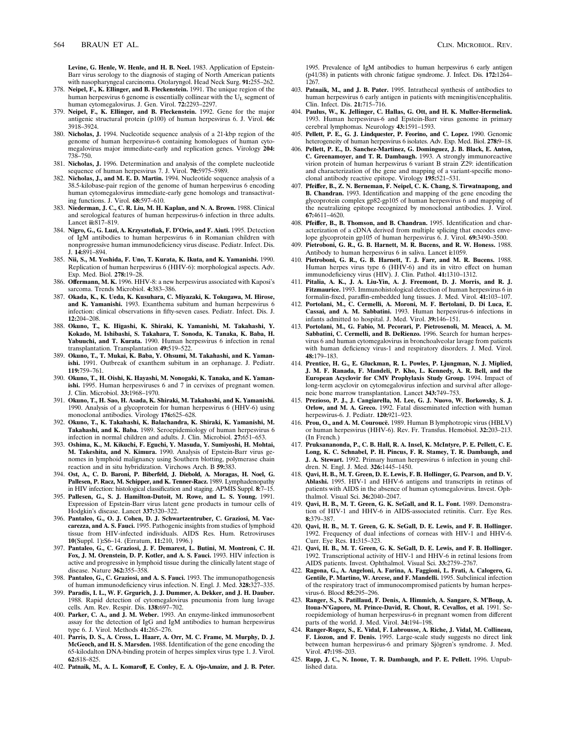**Levine, G. Henle, W. Henle, and H. B. Neel.** 1983. Application of Epstein-Barr virus serology to the diagnosis of staging of North American patients with nasopharyngeal carcinoma. Otolaryngol. Head Neck Surg. **91:**255–262.

- 378. **Neipel, F., K. Ellinger, and B. Fleckenstein.** 1991. The unique region of the human herpesvirus 6 genome is essentially collinear with the  $U_L$  segment of human cytomegalovirus. J. Gen. Virol. **72:**2293–2297.
- 379. **Neipel, F., K. Ellinger, and B. Fleckenstein.** 1992. Gene for the major antigenic structural protein (p100) of human herpesvirus 6. J. Virol. **66:** 3918–3924.
- 380. **Nicholas, J.** 1994. Nucleotide sequence analysis of a 21-kbp region of the genome of human herpesvirus-6 containing homologues of human cytomegalovirus major immediate-early and replication genes. Virology **204:** 738–750.
- 381. **Nicholas, J.** 1996. Determination and analysis of the complete nucleotide sequence of human herpesvirus 7. J. Virol. **70:**5975–5989.
- 382. **Nicholas, J., and M. E. D. Martin.** 1994. Nucleotide sequence analysis of a 38.5-kilobase-pair region of the genome of human herpesvirus 6 encoding human cytomegalovirus immediate-early gene homologs and transactivating functions. J. Virol. **68:**597–610.
- 383. **Niederman, J. C., C. R. Liu, M. H. Kaplan, and N. A. Brown.** 1988. Clinical and serological features of human herpesvirus-6 infection in three adults. Lancet **ii:**817–819.
- 384. **Nigro, G., G. Luzi, A. Krzysztofiak, F. D'Orio, and F. Aiuti.** 1995. Detection of IgM antibodies to human herpesvirus 6 in Romanian children with nonprogressive human immunodeficiency virus disease. Pediatr. Infect. Dis. J. **14:**891–894.
- 385. **Nii, S., M. Yoshida, F. Uno, T. Kurata, K. Ikuta, and K. Yamanishi.** 1990. Replication of human herpesvirus 6 (HHV-6): morphological aspects. Adv. Exp. Med. Biol. **278:**19–28.
- 386. **Offermann, M. K.** 1996. HHV-8: a new herpesvirus associated with Kaposi's sarcoma. Trends Microbiol. **4:**383–386.
- 387. **Okada, K., K. Ueda, K. Kusuhara, C. Miyazaki, K. Tokugawa, M. Hirose, and K. Yamanishi.** 1993. Exanthema subitum and human herpesvirus 6 infection: clinical observations in fifty-seven cases. Pediatr. Infect. Dis. J. **12:**204–208.
- 388. **Okuno, T., K. Higashi, K. Shiraki, K. Yamanishi, M. Takahashi, Y. Kokado, M. Ishibashi, S. Takahara, T. Sonoda, K. Tanaka, K. Baba, H. Yabuuchi, and T. Kurata.** 1990. Human herpesvirus 6 infection in renal transplantation. Transplantation **49:**519–522.
- 389. **Okuno, T., T. Mukai, K. Baba, Y. Ohsumi, M. Takahashi, and K. Yamanishi.** 1991. Outbreak of exanthem subitum in an orphanage. J. Pediatr. **119:**759–761.
- 390. **Okuno, T., H. Oishi, K. Hayashi, M. Nonogaki, K. Tanaka, and K. Yamanishi.** 1995. Human herpesviruses 6 and 7 in cervixes of pregnant women. J. Clin. Microbiol. **33:**1968–1970.
- 391. **Okuno, T., H. Sao, H. Asada, K. Shiraki, M. Takahashi, and K. Yamanishi.** 1990. Analysis of a glycoprotein for human herpesvirus 6 (HHV-6) using monoclonal antibodies. Virology **176:**625–628.
- 392. **Okuno, T., K. Takahashi, K. Balachandra, K. Shiraki, K. Yamanishi, M. Takahashi, and K. Baba.** 1989. Seroepidemiology of human herpesvirus 6 infection in normal children and adults. J. Clin. Microbiol. **27:**651–653.
- 393. **Oshima, K., M. Kikuchi, F. Eguchi, Y. Masuda, Y. Sumiyoshi, H. Mohtai, M. Takeshita, and N. Kimura.** 1990. Analysis of Epstein-Barr virus genomes in lymphoid malignancy using Southern blotting, polymerase chain reaction and in situ hybridization. Virchows Arch. B **59:**383.
- 394. **Ost, A., C. D. Baroni, P. Biberfeld, J. Diebold, A. Moragas, H. Noel, G. Pallesen, P. Racz, M. Schipper, and K. Tenner-Racz.** 1989. Lymphadenopathy in HIV infection: histological classification and staging. APMIS Suppl. **8:**7–15.
- 395. **Pallesen, G., S. J. Hamilton-Dutoit, M. Rowe, and L. S. Young.** 1991. Expression of Epstein-Barr virus latent gene products in tumour cells of Hodgkin's disease. Lancet **337:**320–322.
- 396. **Pantaleo, G., O. J. Cohen, D. J. Schwartzentruber, C. Graziosi, M. Vaccarezza, and A. S. Fauci.** 1995. Pathogenic insights from studies of lymphoid tissue from HIV-infected individuals. AIDS Res. Hum. Retroviruses **10**(Suppl. 1)**:**S6–14. (Erratum, **11:**210, 1996.)
- 397. **Pantaleo, G., C. Graziosi, J. F. Demarest, L. Butini, M. Montroni, C. H. Fox, J. M. Orenstein, D. P. Kotler, and A. S. Fauci.** 1993. HIV infection is active and progressive in lymphoid tissue during the clinically latent stage of disease. Nature **362:**355–358.
- 398. **Pantaleo, G., C. Graziosi, and A. S. Fauci.** 1993. The immunopathogenesis of human immunodeficiency virus infection. N. Engl. J. Med. **328:**327–335.
- 399. **Paradis, I. L., W. F. Grgurich, J. J. Dummer, A. Dekker, and J. H. Dauber.** 1988. Rapid detection of cytomegalovirus pneumonia from lung lavage cells. Am. Rev. Respir. Dis. **138:**697–702.
- 400. **Parker, C. A., and J. M. Weber.** 1993. An enzyme-linked immunosorbent assay for the detection of IgG and IgM antibodies to human herpesvirus type 6. J. Virol. Methods **41:**265–276.
- 401. **Parris, D. S., A. Cross, L. Haarr, A. Orr, M. C. Frame, M. Murphy, D. J. McGeoch, and H. S. Marsden.** 1988. Identification of the gene encoding the 65-kilodalton DNA-binding protein of herpes simplex virus type 1. J. Virol. **62:**818–825.
- 402. **Patnaik, M., A. L. Komaroff, E. Conley, E. A. Ojo-Amaize, and J. B. Peter.**

1995. Prevalence of IgM antibodies to human herpesvirus 6 early antigen (p41/38) in patients with chronic fatigue syndrome. J. Infect. Dis. **172:**1264– 1267.

- 403. **Patnaik, M., and J. B. Pater.** 1995. Intrathecal synthesis of antibodies to human herpesvirus 6 early antigen in patients with meningitis/encephalitis. Clin. Infect. Dis. **21:**715–716.
- 404. **Paulus, W., K. Jellinger, C. Hallas, G. Ott, and H. K. Muller-Hermelink.** 1993. Human herpesvirus-6 and Epstein-Barr virus genome in primary cerebral lymphomas. Neurology **43:**1591–1593.
- 405. **Pellett, P. E., G. J. Lindquester, P. Feorino, and C. Lopez.** 1990. Genomic heterogeneity of human herpesvirus 6 isolates. Adv. Exp. Med. Biol. **278:**9–18.
- 406. **Pellett, P. E., D. Sanchez-Martinez, G. Dominguez, J. B. Black, E. Anton, C. Greenamoyer, and T. R. Dambaugh.** 1993. A strongly immunoreactive virion protein of human herpesvirus 6 variant B strain Z29: identification and characterization of the gene and mapping of a variant-specific monoclonal antibody reactive epitope. Virology **195:**521–531.
- 407. **Pfeiffer, B., Z. N. Berneman, F. Neipel, C. K. Chang, S. Tirwatnapong, and B. Chandran.** 1993. Identification and mapping of the gene encoding the glycoprotein complex gp82-gp105 of human herpesvirus 6 and mapping of the neutralizing epitope recognized by monoclonal antibodies. J. Virol. **67:**4611–4620.
- 408. **Pfeiffer, B., B. Thomson, and B. Chandran.** 1995. Identification and characterization of a cDNA derived from multiple splicing that encodes envelope glycoprotein gp105 of human herpesvirus 6. J. Virol. **69:**3490–3500.
- 409. **Pietroboni, G. R., G. B. Harnett, M. R. Bucens, and R. W. Honess.** 1988. Antibody to human herpesvirus 6 in saliva. Lancet **i:**1059.
- 410. **Pietroboni, G. R., G. B. Harnett, T. J. Farr, and M. R. Bucens.** 1988. Human herpes virus type 6 (HHV-6) and its in vitro effect on human immunodeficiency virus (HIV). J. Clin. Pathol. **41:**1310–1312.
- 411. **Pitalia, A. K., J. A. Liu-Yin, A. J. Freemont, D. J. Morris, and R. J. Fitzmaurice.** 1993. Immunohistological detection of human herpesvirus 6 in formalin-fixed, paraffin-embedded lung tissues. J. Med. Virol. **41:**103–107.
- 412. **Portolani, M., C. Cermelli, A. Moroni, M. F. Bertolani, D. Di Luca, E. Cassai, and A. M. Sabbatini.** 1993. Human herpesvirus-6 infections in infants admitted to hospital. J. Med. Virol. **39:**146–151.
- 413. **Portolani, M., G. Fabio, M. Pecorari, P. Pietrosenoli, M. Meacci, A. M. Sabbatini, C. Cermelli, and B. DeRienzo.** 1996. Search for human herpesvirus 6 and human cytomegalovirus in bronchoalveolar lavage from patients with human deficiency virus-1 and respiratory disorders. J. Med. Virol. **48:**179–183.
- 414. **Prentice, H. G., E. Gluckman, R. L. Powles, P. Ljungman, N. J. Miplied, J. M. F. Ranada, F. Mandeli, P. Kho, L. Kennedy, A. R. Bell, and the European Acyclovir for CMV Prophylaxis Study Group.** 1994. Impact of long-term acyclovir on cytomegalovirus infection and survival after allogeneic bone marrow transplantation. Lancet **343:**749–753.
- 415. **Prezioso, P. J., J. Cangiarella, M. Lee, G. J. Nuovo, W. Borkowsky, S. J. Orlow, and M. A. Greco.** 1992. Fatal disseminated infection with human herpesvirus-6. J. Pediatr. **120:**921–923.
- 416. Prou, O., and A. M. Courouce. 1989. Human B lymphotropic virus (HBLV) or human herpesvirus (HHV-6). Rev. Fr. Transfus. Hemobiol. **32:**203–213. (In French.)
- 417. **Pruksananonda, P., C. B. Hall, R. A. Insel, K. McIntyre, P. E. Pellett, C. E. Long, K. C. Schnabel, P. H. Pincus, F. R. Stamey, T. R. Dambaugh, and J. A. Stewart.** 1992. Primary human herpesvirus 6 infection in young children. N. Engl. J. Med. **326:**1445–1450.
- 418. **Qavi, H. B., M. T. Green, D. E. Lewis, F. B. Hollinger, G. Pearson, and D. V. Ablashi.** 1995. HIV-1 and HHV-6 antigens and transcripts in retinas of patients with AIDS in the absence of human cytomegalovirus. Invest. Ophthalmol. Visual Sci. **36:**2040–2047.
- 419. **Qavi, H. B., M. T. Green, G. K. SeGall, and R. L. Font.** 1989. Demonstration of HIV-1 and HHV-6 in AIDS-associated retinitis. Curr. Eye Res. **8:**379–387.
- 420. **Qavi, H. B., M. T. Green, G. K. SeGall, D. E. Lewis, and F. B. Hollinger.** 1992. Frequency of dual infections of corneas with HIV-1 and HHV-6. Curr. Eye Res. **11:**315–323.
- 421. **Qavi, H. B., M. T. Green, G. K. SeGall, D. E. Lewis, and F. B. Hollinger.** 1992. Transcriptional activity of HIV-1 and HHV-6 in retinal lesions from AIDS patients. Invest. Ophthalmol. Visual Sci. **33:**2759–2767.
- 422. **Ragona, G., A. Angeloni, A. Farina, A. Faggioni, L. Frati, A. Calogero, G. Gentile, P. Martino, W. Arcese, and F. Mandelli.** 1995. Subclinical infection of the respiratory tract of immunocompromised patients by human herpesvirus-6. Blood **85:**295–296.
- 423. **Ranger, S., S. Patillaud, F. Denis, A. Himmich, A. Sangare, S. M'Boup, A. Itoua-N'Gaporo, M. Prince-David, R. Chout, R. Cevallos, et al.** 1991. Seroepidemiology of human herpesvirus-6 in pregnant women from different parts of the world. J. Med. Virol. **34:**194–198.
- 424. **Ranger-Rogez, S., E. Vidal, F. Labrousse, A. Riche, J. Vidal, M. Collineau, F. Liozon, and F. Denis.** 1995. Large-scale study suggests no direct link between human herpesvirus-6 and primary Sjögren's syndrome. J. Med. Virol. **47:**198–203.
- 425. **Rapp, J. C., N. Inoue, T. R. Dambaugh, and P. E. Pellett.** 1996. Unpublished data.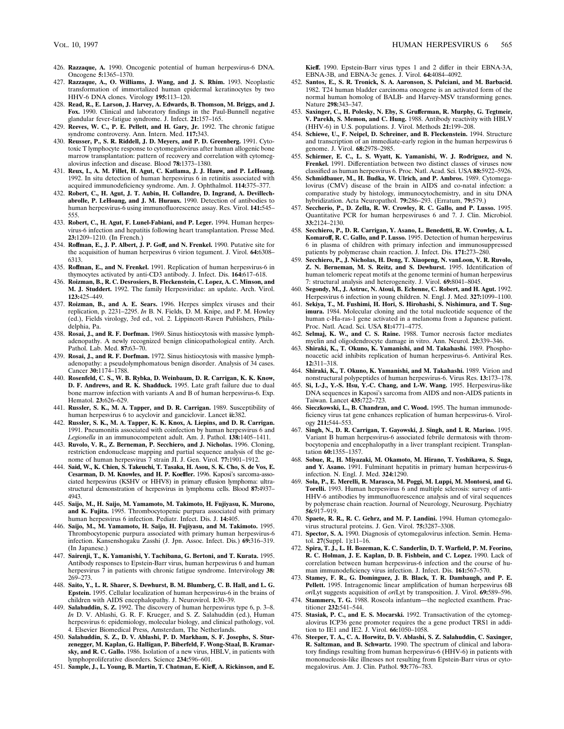- 426. **Razzaque, A.** 1990. Oncogenic potential of human herpesvirus-6 DNA. Oncogene **5:**1365–1370.
- 427. **Razzaque, A., O. Williams, J. Wang, and J. S. Rhim.** 1993. Neoplastic transformation of immortalized human epidermal keratinocytes by two HHV-6 DNA clones. Virology **195:**113–120.
- 428. **Read, R., E. Larson, J. Harvey, A. Edwards, B. Thomson, M. Briggs, and J. Fox.** 1990. Clinical and laboratory findings in the Paul-Bunnell negative glandular fever-fatigue syndrome. J. Infect. **21:**157–165.
- 429. **Reeves, W. C., P. E. Pellett, and H. Gary, Jr.** 1992. The chronic fatigue syndrome controversy. Ann. Intern. Med. **117:**343.
- 430. **Reusser, P., S. R. Riddell, J. D. Meyers, and P. D. Greenberg.** 1991. Cytotoxic T lymphocyte response to cytomegalovirus after human allogenic bone marrow transplantation: pattern of recovery and correlation with cytomegalovirus infection and disease. Blood **78:**1373–1380.
- 431. **Reux, I., A. M. Fillet, H. Agut, C. Katlama, J. J. Hauw, and P. LeHoang.** 1992. In situ detection of human herpesvirus 6 in retinitis associated with acquired immunodeficiency syndrome. Am. J. Ophthalmol. **114:**375–377.
- 432. **Robert, C., H. Agut, J. T. Aubin, H. Collandre, D. Ingrand, A. Devillechabrolle, P. LeHoang, and J. M. Huraux.** 1990. Detection of antibodies to human herpesvirus-6 using immunofluorescence assay. Res. Virol. **141:**545– 555.
- 433. **Robert, C., H. Agut, F. Lunel-Fabiani, and P. Leger.** 1994. Human herpesvirus-6 infection and hepatitis following heart transplantation. Presse Med. **23:**1209–1210. (In French.)
- 434. **Roffman, E., J. P. Albert, J. P. Goff, and N. Frenkel.** 1990. Putative site for the acquisition of human herpesvirus 6 virion tegument. J. Virol. **64:**6308– 6313.
- 435. **Roffman, E., and N. Frenkel.** 1991. Replication of human herpesvirus-6 in thymocytes activated by anti-CD3 antibody. J. Infect. Dis. **164:**617–618.
- 436. **Roizman, B., R. C. Desrosiers, B. Fleckenstein, C. Lopez, A. C. Minson, and M. J. Studdert.** 1992. The family Herpesviridae: an update. Arch. Virol. **123:**425–449.
- 437. **Roizman, B., and A. E. Sears.** 1996. Herpes simplex viruses and their replication, p. 2231–2295. *In* B. N. Fields, D. M. Knipe, and P. M. Howley (ed.), Fields virology, 3rd ed., vol. 2. Lippincott-Raven Publishers, Philadelphia, Pa.
- 438. **Rosai, J., and R. F. Dorfman.** 1969. Sinus histiocytosis with massive lymphadenopathy. A newly recognized benign clinicopathological entity. Arch. Pathol. Lab. Med. **87:**63–70.
- 439. **Rosai, J., and R. F. Dorfman.** 1972. Sinus histiocytosis with massive lymphadenopathy: a pseudolymphomatous benign disorder. Analysis of 34 cases. Cancer **30:**1174–1788.
- 440. **Rosenfeld, C. S., W. B. Rybka, D. Weinbaum, D. R. Carrigan, K. K. Know, D. F. Andrews, and R. K. Shadduck.** 1995. Late graft failure due to dual bone marrow infection with variants A and B of human herpesvirus-6. Exp. Hematol. **23:**626–629.
- 441. **Russler, S. K., M. A. Tapper, and D. R. Carrigan.** 1989. Susceptibility of human herpesvirus 6 to acyclovir and ganciclovir. Lancet **ii:**382.
- 442. **Russler, S. K., M. A. Tapper, K. K. Knox, A. Liepins, and D. R. Carrigan.** 1991. Pneumonitis associated with coinfection by human herpesvirus 6 and *Legionella* in an immunocompetent adult. Am. J. Pathol. **138:**1405–1411.
- 443. **Ruvolo, V. R., Z. Berneman, P. Secchiero, and J. Nicholas.** 1996. Cloning, restriction endonuclease mapping and partial sequence analysis of the genome of human herpesvirus 7 strain JI. J. Gen. Virol. **77:**1901–1912.
- 444. **Said, W., K. Chien, S. Takeuchi, T. Tasaka, H. Asou, S. K. Cho, S. de Vos, E. Cesarman, D. M. Knowles, and H. P. Koeffler.** 1996. Kaposi's sarcoma-associated herpesvirus (KSHV or HHV8) in primary effusion lymphoma: ultrastructural demonstration of herpesvirus in lymphoma cells. Blood **87:**4937– 4943.
- 445. **Saijo, M., H. Saijo, M. Yamamoto, M. Takimoto, H. Fujiyasu, K. Murono, and K. Fujita.** 1995. Thrombocytopenic purpura associated with primary human herpesvirus 6 infection. Pediatr. Infect. Dis. J. **14:**405.
- 446. **Saijo, M., M. Yamamoto, H. Saijo, H. Fujiyasu, and M. Takimoto.** 1995. Thrombocytopenic purpura associated with primary human herpesvirus-6 infection. Kansenshogaku Zasshi (J. Jpn. Assoc. Infect. Dis.) **69:**316–319. (In Japanese.)
- 447. **Sairenji, T., K. Yamanishi, Y. Tachibana, G. Bertoni, and T. Kurata.** 1995. Antibody responses to Epstein-Barr virus, human herpesvirus 6 and human herpesvirus 7 in patients with chronic fatigue syndrome. Intervirology **38:** 269–273.
- 448. **Saito, Y., L. R. Sharer, S. Dewhurst, B. M. Blumberg, C. B. Hall, and L. G. Epstein.** 1995. Cellular localization of human herpesvirus-6 in the brains of children with AIDS encephalopathy. J. Neurovirol. **1:**30–39.
- 449. **Salahuddin, S. Z.** 1992. The discovery of human herpesvirus type 6, p. 3–8. *In* D. V. Ablashi, G. R. F. Krueger, and S. Z. Salahuddin (ed.), Human herpesvirus 6: epidemiology, molecular biology, and clinical pathology, vol. 4. Elsevier Biomedical Press, Amsterdam, The Netherlands.
- 450. **Salahuddin, S. Z., D. V. Ablashi, P. D. Markham, S. F. Josephs, S. Sturzenegger, M. Kaplan, G. Halligan, P. Biberfeld, F. Wong-Staal, B. Kramarsky, and R. C. Gallo.** 1986. Isolation of a new virus, HBLV, in patients with lymphoproliferative disorders. Science **234:**596–601.
- 451. **Sample, J., L. Young, B. Martin, T. Chatman, E. Kieff, A. Rickinson, and E.**

**Kieff.** 1990. Epstein-Barr virus types 1 and 2 differ in their EBNA-3A, EBNA-3B, and EBNA-3c genes. J. Virol. **64:**4084–4092.

- 452. **Santos, E., S. R. Tronick, S. A. Aaronson, S. Pulciani, and M. Barbacid.** 1982. T24 human bladder carcinoma oncogene is an activated form of the normal human homolog of BALB- and Harvey-MSV transforming genes. Nature **298:**343–347.
- 453. **Saxinger, C., H. Polesky, N. Eby, S. Grufferman, R. Murphy, G. Tegtmeir, V. Parekh, S. Memon, and C. Hung.** 1988. Antibody reactivity with HBLV (HHV-6) in U.S. populations. J. Virol. Methods **21:**199–208.
- 454. **Schiewe, U., F. Neipel, D. Schreiner, and B. Fleckenstein.** 1994. Structure and transcription of an immediate-early region in the human herpesvirus 6 genome. J. Virol. **68:**2978–2985.
- 455. **Schirmer, E. C., L. S. Wyatt, K. Yamanishi, W. J. Rodriguez, and N. Frenkel.** 1991. Differentiation between two distinct classes of viruses now classified as human herpesvirus 6. Proc. Natl. Acad. Sci. USA **88:**5922–5926.
- 456. **Schmidbauer, M., H. Budka, W. Ulrich, and P. Ambros.** 1989. Cytomegalovirus (CMV) disease of the brain in AIDS and co-natal infection: a comparative study by histology, immunocytochemistry, and in situ DNA hybridization. Acta Neuropathol. **79:**286–293. (Erratum, **79:**579.)
- 457. **Seccherio, P., D. Zella, R. W. Crowley, R. C. Gallo, and P. Lusso.** 1995. Quantitative PCR for human herpesviruses 6 and 7. J. Clin. Microbiol. **33:**2124–2130.
- 458. **Secchiero, P., D. R. Carrigan, Y. Asano, L. Benedetti, R. W. Crowley, A. L. Komaroff, R. C. Gallo, and P. Lusso.** 1995. Detection of human herpesvirus 6 in plasma of children with primary infection and immunosuppressed patients by polymerase chain reaction. J. Infect. Dis. **171:**273–280.
- 459. **Secchiero, P., J. Nicholas, H. Deng, T. Xiaopeng, N. vanLoon, V. R. Ruvolo, Z. N. Berneman, M. S. Reitz, and S. Dewhurst.** 1995. Identification of human telomeric repeat motifs at the genome termini of human herpesvirus 7: structural analysis and heterogeneity. J. Virol. **69:**8041–8045.
- 460. **Segondy, M., J. Astruc, N. Atoui, B. Echenne, C. Robert, and H. Agut.** 1992. Herpesvirus 6 infection in young children. N. Engl. J. Med. **327:**1099–1100.
- 461. **Sekiya, T., M. Fushimi, H. Hori, S. Hirohashi, S. Nishimura, and T. Sugimura.** 1984. Molecular cloning and the total nucleotide sequence of the human c-Ha-ras-1 gene activated in a melanoma from a Japanese patient. Proc. Natl. Acad. Sci. USA **81:**4771–4775.
- 462. **Selmaj, K. W., and C. S. Raine.** 1988. Tumor necrosis factor mediates myelin and oligodendrocyte damage in vitro. Ann. Neurol. **23:**339–346.
- 463. **Shiraki, K., T. Okuno, K. Yamanishi, and M. Takahashi.** 1989. Phosphonoacetic acid inhibits replication of human herpesvirus-6. Antiviral Res. **12:**311–318.
- 464. **Shiraki, K., T. Okuno, K. Yamanishi, and M. Takahashi.** 1989. Virion and nonstructural polypeptides of human herpesvirus-6. Virus Res. **13:**173–178.
- 465. **Si, I.-J., Y.-S. Hsu, Y.-C. Chang, and I.-W. Wang.** 1995. Herpesvirus-like DNA sequences in Kaposi's sarcoma from AIDS and non-AIDS patients in Taiwan. Lancet **435:**722–723.
- 466. **Sieczkowski, L., B. Chandran, and C. Wood.** 1995. The human immunodeficiency virus tat gene enhances replication of human herpesvirus-6. Virology **211:**544–553.
- 467. **Singh, N., D. R. Carrigan, T. Gayowski, J. Singh, and I. R. Marino.** 1995. Variant B human herpesvirus-6 associated febrile dermatosis with thrombocytopenia and encephalopathy in a liver transplant recipient. Transplantation **60:**1355–1357.
- 468. **Sobue, R., H. Miyazaki, M. Okamoto, M. Hirano, T. Yoshikawa, S. Suga, and Y. Asano.** 1991. Fulminant hepatitis in primary human herpesvirus-6 infection. N. Engl. J. Med. **324:**1290.
- 469. **Sola, P., E. Merelli, R. Marasca, M. Poggi, M. Luppi, M. Montorsi, and G. Torelli.** 1993. Human herpesvirus 6 and multiple sclerosis: survey of anti-HHV-6 antibodies by immunofluorescence analysis and of viral sequences by polymerase chain reaction. Journal of Neurology, Neurosurg. Psychiatry **56:**917–919.
- 470. **Spaete, R. R., R. C. Gehrz, and M. P. Landini.** 1994. Human cytomegalovirus structural proteins. J. Gen. Virol. **75:**3287–3308.
- 471. **Spector, S. A.** 1990. Diagnosis of cytomegalovirus infection. Semin. Hematol. **27**(Suppl. 1)**:**11–16.
- 472. **Spira, T. J., L. H. Bozeman, K. C. Sanderlin, D. T. Warfield, P. M. Feorino, R. C. Holman, J. E. Kaplan, D. B. Fishbein, and C. Lopez.** 1990. Lack of correlation between human herpesvirus-6 infection and the course of human immunodeficiency virus infection. J. Infect. Dis. **161:**567–570.
- 473. **Stamey, F. R., G. Dominguez, J. B. Black, T. R. Dambaugh, and P. E. Pellett.** 1995. Intragenomic linear amplification of human herpesvirus 6B *ori*Lyt suggests acquisition of *ori*Lyt by transposition. J. Virol. **69:**589–596.
- 474. **Stammers, T. G.** 1988. Roseola infantum—the neglected exanthem. Practitioner **232:**541–544.
- 475. **Stasiak, P. C., and E. S. Mocarski.** 1992. Transactivation of the cytomegalovirus ICP36 gene promoter requires the a gene product TRS1 in addition to IE1 and IE2. J. Virol. **66:**1050–1058.
- 476. **Steeper, T. A., C. A. Horwitz, D. V. Ablashi, S. Z. Salahuddin, C. Saxinger, R. Saltzman, and B. Schwartz.** 1990. The spectrum of clinical and laboratory findings resulting from human herpesvirus-6 (HHV-6) in patients with mononucleosis-like illnesses not resulting from Epstein-Barr virus or cytomegalovirus. Am. J. Clin. Pathol. **93:**776–783.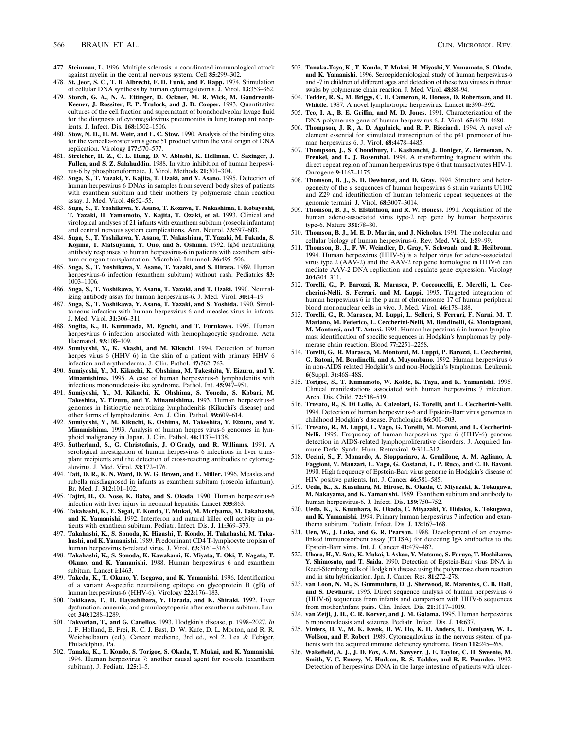- 477. **Steinman, L.** 1996. Multiple sclerosis: a coordinated immunological attack against myelin in the central nervous system. Cell **85:**299–302.
- 478. **St. Jeor, S. C., T. B. Albrecht, F. D. Funk, and F. Rapp.** 1974. Stimulation of cellular DNA synthesis by human cytomegalovirus. J. Virol. **13:**353–362.
- 479. **Storch, G. A., N. A. Ettinger, D. Ockner, M. R. Wick, M. Gaudreault-Keener, J. Rossiter, E. P. Trulock, and J. D. Cooper.** 1993. Quantitative cultures of the cell fraction and supernatant of bronchoalveolar lavage fluid for the diagnosis of cytomegalovirus pneumonitis in lung transplant recipients. J. Infect. Dis. **168:**1502–1506.
- 480. **Stow, N. D., H. M. Weir, and E. C. Stow.** 1990. Analysis of the binding sites for the varicella-zoster virus gene 51 product within the viral origin of DNA replication. Virology **177:**570–577.
- 481. **Streicher, H. Z., C. L. Hung, D. V. Ablashi, K. Hellman, C. Saxinger, J. Fullen, and S. Z. Salahuddin.** 1988. In vitro inhibition of human herpesvirus-6 by phosphonoformate. J. Virol. Methods **21:**301–304.
- 482. **Suga, S., T. Yazaki, Y. Kajita, T. Ozaki, and Y. Asano.** 1995. Detection of human herpesvirus 6 DNAs in samples from several body sites of patients with exanthem subitum and their mothers by polymerase chain reaction assay. J. Med. Virol. **46:**52–55.
- 483. **Suga, S., T. Yoshikawa, Y. Asano, T. Kozawa, T. Nakashima, I. Kobayashi, T. Yazaki, H. Yamamoto, Y. Kajita, T. Ozaki, et al.** 1993. Clinical and virological analyses of 21 infants with exanthem subitum (roseola infantum) and central nervous system complications. Ann. Neurol. **33:**597–603.
- 484. **Suga, S., T. Yoshikawa, Y. Asano, T. Nakashima, T. Yazaki, M. Fukuda, S. Kojima, T. Matsuyama, Y. Ono, and S. Oshima.** 1992. IgM neutralizing antibody responses to human herpesvirus-6 in patients with exanthem subitum or organ transplantation. Microbiol. Immunol. **36:**495–506.
- 485. **Suga, S., T. Yoshikawa, Y. Asano, T. Yazaki, and S. Hirata.** 1989. Human herpesvirus-6 infection (exanthem subitum) without rash. Pediatrics **83:** 1003–1006.
- 486. **Suga, S., T. Yoshikawa, Y. Asano, T. Yazaki, and T. Ozaki.** 1990. Neutralizing antibody assay for human herpesvirus-6. J. Med. Virol. **30:**14–19.
- 487. **Suga, S., T. Yoshikawa, Y. Asano, T. Yazaki, and S. Yoshida.** 1990. Simultaneous infection with human herpesvirus-6 and measles virus in infants. J. Med. Virol. **31:**306–311.
- 488. **Sugita, K., H. Kurumada, M. Eguchi, and T. Furukawa.** 1995. Human herpesvirus 6 infection associated with hemophagocytic syndrome. Acta Haematol. **93:**108–109.
- 489. **Sumiyoshi, Y., K. Akashi, and M. Kikuchi.** 1994. Detection of human herpes virus 6 (HHV 6) in the skin of a patient with primary HHV 6 infection and erythroderma. J. Clin. Pathol. **47:**762–763.
- 490. **Sumiyoshi, Y., M. Kikuchi, K. Ohshima, M. Takeshita, Y. Eizuru, and Y. Minamishima.** 1995. A case of human herpesvirus-6 lymphadenitis with infectious mononucleosis-like syndrome. Pathol. Int. **45:**947–951.
- 491. **Sumiyoshi, Y., M. Kikuchi, K. Ohshima, S. Yoneda, S. Kobari, M. Takeshita, Y. Eizuru, and Y. Minamishima.** 1993. Human herpesvirus-6 genomes in histiocytic necrotizing lymphadenitis (Kikuchi's disease) and other forms of lymphadenitis. Am. J. Clin. Pathol. **99:**609–614.
- 492. **Sumiyoshi, Y., M. Kikuchi, K. Oshima, M. Takeshita, Y. Eizuru, and Y. Minamishima.** 1993. Analysis of human herpes virus-6 genomes in lymphoid malignancy in Japan. J. Clin. Pathol. **46:**1137–1138.
- 493. **Sutherland, S., G. Christofinis, J. O'Grady, and R. Williams.** 1991. A serological investigation of human herpesvirus 6 infections in liver transplant recipients and the detection of cross-reacting antibodies to cytomegalovirus. J. Med. Virol. **33:**172–176.
- 494. **Tait, D. R., K. N. Ward, D. W. G. Brown, and E. Miller.** 1996. Measles and rubella misdiagnosed in infants as exanthem subitum (roseola infantum). Br. Med. J. **312:**101–102.
- 495. **Tajiri, H., O. Nose, K. Baba, and S. Okada.** 1990. Human herpesvirus-6 infection with liver injury in neonatal hepatitis. Lancet **335:**863.
- 496. **Takahashi, K., E. Segal, T. Kondo, T. Mukai, M. Moriyama, M. Takahashi, and K. Yamanishi.** 1992. Interferon and natural killer cell activity in patients with exanthem subitum. Pediatr. Infect. Dis. J. **11:**369–373.
- 497. **Takahashi, K., S. Sonoda, K. Higashi, T. Kondo, H. Takahashi, M. Takahashi, and K. Yamanishi.** 1989. Predominant CD4 T-lymphocyte tropism of human herpesvirus 6-related virus. J. Virol. **63:**3161–3163.
- 498. **Takahashi, K., S. Sonoda, K. Kawakami, K. Miyata, T. Oki, T. Nagata, T. Okuno, and K. Yamanishi.** 1988. Human herpesvirus 6 and exanthem subitum. Lancet **i:**1463.
- 499. **Takeda, K., T. Okuno, Y. Isegawa, and K. Yamanishi.** 1996. Identification of a variant A-specific neutralizing epitope on glycoprotein B (gB) of human herpesvirus-6 (HHV-6). Virology **222:**176–183.
- 500. **Takikawa, T., H. Hayashibara, Y. Harada, and K. Shiraki.** 1992. Liver dysfunction, anaemia, and granulocytopenia after exanthema subitum. Lancet **340:**1288–1289.
- 501. **Takvorian, T., and G. Canellos.** 1993. Hodgkin's disease, p. 1998–2027. *In* J. F. Holland, E. Frei, R. C. J. Bast, D. W. Kufe, D. L. Morton, and R. R. Weichselbaum (ed.), Cancer medicine, 3rd ed., vol 2. Lea & Febiger, Philadelphia, Pa.
- 502. **Tanaka, K., T. Kondo, S. Torigoe, S. Okada, T. Mukai, and K. Yamanishi.** 1994. Human herpesvirus 7: another causal agent for roseola (exanthem subitum). J. Pediatr. **125:**1–5.
- 503. **Tanaka-Taya, K., T. Kondo, T. Mukai, H. Miyoshi, Y. Yamamoto, S. Okada, and K. Yamanishi.** 1996. Seroepidemiological study of human herpesvirus-6 and -7 in children of different ages and detection of these two viruses in throat swabs by polymerase chain reaction. J. Med. Virol. **48:**88–94.
- 504. **Tedder, R. S., M. Briggs, C. H. Cameron, R. Honess, D. Robertson, and H. Whittle.** 1987. A novel lymphotropic herpesvirus. Lancet **ii:**390–392.
- 505. **Teo, I. A., B. E. Griffin, and M. D. Jones.** 1991. Characterization of the DNA polymerase gene of human herpesvirus 6. J. Virol. **65:**4670–4680.
- 506. **Thompson, J. R., A. D. Agulnick, and R. P. Ricciardi.** 1994. A novel *cis* element essential for stimulated transcription of the p41 promoter of human herpesvirus 6. J. Virol. **68:**4478–4485.
- 507. **Thompson, J., S. Choudhury, F. Kashanchi, J. Doniger, Z. Berneman, N. Frenkel, and L. J. Rosenthal.** 1994. A transforming fragment within the direct repeat region of human herpesvirus type 6 that transactivates HIV-1. Oncogene **9:**1167–1175.
- 508. **Thomson, B. J., S. D. Dewhurst, and D. Gray.** 1994. Structure and heterogeneity of the *a* sequences of human herpesvirus 6 strain variants U1102 and Z29 and identification of human telomeric repeat sequences at the genomic termini. J. Virol. **68:**3007–3014.
- 509. **Thomson, B. J., S. Efstathiou, and R. W. Honess.** 1991. Acquisition of the human adeno-associated virus type-2 rep gene by human herpesvirus type-6. Nature **351:**78–80.
- 510. **Thomson, B. J., M. E. D. Martin, and J. Nicholas.** 1991. The molecular and cellular biology of human herpesvirus-6. Rev. Med. Virol. **1:**89–99.
- 511. **Thomson, B. J., F. W. Weindler, D. Gray, V. Schwaab, and R. Heilbronn.** 1994. Human herpesvirus (HHV-6) is a helper virus for adeno-associated virus type 2 ( $\angle$ AV-2) and the  $\angle$ AV-2 rep gene homologue in HHV-6 can mediate AAV-2 DNA replication and regulate gene expression. Virology **204:**304–311.
- 512. **Torelli, G., P. Barozzi, R. Marasca, P. Cocconcelli, E. Merelli, L. Ceccherini-Nelli, S. Ferrari, and M. Luppi.** 1995. Targeted integration of human herpesvirus 6 in the p arm of chromosome 17 of human peripheral blood mononuclear cells in vivo. J. Med. Virol. **46:**178–188.
- 513. **Torelli, G., R. Marasca, M. Luppi, L. Selleri, S. Ferrari, F. Narni, M. T. Mariano, M. Federico, L. Ceccherini-Nelli, M. Bendinelli, G. Montagnani, M. Montorsi, and T. Artusi.** 1991. Human herpesvirus-6 in human lymphomas: identification of specific sequences in Hodgkin's lymphomas by polymerase chain reaction. Blood **77:**2251–2258.
- 514. **Torelli, G., R. Marasca, M. Montorsi, M. Luppi, P. Barozzi, L. Ceccherini, G. Batoni, M. Bendinelli, and A. Muyombano.** 1992. Human herpesvirus 6 in non-AIDS related Hodgkin's and non-Hodgkin's lymphomas. Leukemia **6**(Suppl. 3)**:**46S–48S.
- 515. **Torigoe, S., T. Kumamoto, W. Koide, K. Taya, and K. Yamanishi.** 1995. Clinical manifestations associated with human herpesvirus 7 infection. Arch. Dis. Child. **72:**518–519.
- 516. **Trovato, R., S. Di Lollo, A. Calzolari, G. Torelli, and L. Ceccherini-Nelli.** 1994. Detection of human herpesvirus-6 and Epstein-Barr virus genomes in childhood Hodgkin's disease. Pathologica **86:**500–503.
- 517. **Trovato, R., M. Luppi, L. Vago, G. Torelli, M. Moroni, and L. Ceccherini-Nelli.** 1995. Frequency of human herpesvirus type 6 (HHV-6) genome detection in AIDS-related lymphoproliferative disorders. J. Acquired Immune Defic. Syndr. Hum. Retrovirol. **9:**311–312.
- 518. **Uccini, S., F. Monardo, A. Stoppaciaro, A. Gradilone, A. M. Agliano, A. Faggioni, V. Manzari, L. Vago, G. Costanzi, L. P. Ruco, and C. D. Bavoni.** 1990. High frequency of Epstein-Barr virus genome in Hodgkin's disease of HIV positive patients. Int. J. Cancer **46:**581–585.
- 519. **Ueda, K., K. Kusuhara, M. Hirose, K. Okada, C. Miyazaki, K. Tokugawa, M. Nakayama, and K. Yamanishi.** 1989. Exanthem subitum and antibody to human herpesvirus-6. J. Infect. Dis. **159:**750–752.
- 520. **Ueda, K., K. Kusuhara, K. Okada, C. Miyazaki, Y. Hidaka, K. Tokugawa, and K. Yamanishi.** 1994. Primary human herpesvirus 7 infection and exanthema subitum. Pediatr. Infect. Dis. J. **13:**167–168.
- 521. **Uen, W., J. Luka, and G. R. Pearson.** 1988. Development of an enzymelinked immunosorbent assay (ELISA) for detecting IgA antibodies to the Epstein-Barr virus. Int. J. Cancer **41:**479–482.
- 522. **Uhara, H., Y. Sato, K. Mukai, I. Askao, Y. Matsuno, S. Furuya, T. Hoshikawa, Y. Shimosato, and T. Saida.** 1990. Detection of Epstein-Barr virus DNA in Reed-Sternberg cells of Hodgkin's disease using the polymerase chain reaction and in situ hybridization. Jpn. J. Cancer Res. **81:**272–278.
- 523. **van Loon, N. M., S. Gummuluru, D. J. Sherwood, R. Marentes, C. B. Hall, and S. Dewhurst.** 1995. Direct sequence analysis of human herpesvirus 6 (HHV-6) sequences from infants and comparison with HHV-6 sequences from mother/infant pairs. Clin. Infect. Dis. **21:**1017–1019.
- 524. **van Zeijl, J. H., C. R. Korver, and J. M. Galama.** 1995. Human herpesvirus 6 mononucleosis and seizures. Pediatr. Infect. Dis. J. **14:**637.
- 525. **Vinters, H. V., M. K. Kwok, H. W. Ho, K. H. Anders, U. Tomiyasu, W. L. Wolfson, and F. Robert.** 1989. Cytomegalovirus in the nervous system of patients with the acquired immune deficiency syndrome. Brain **112:**245–268.
- 526. **Wakefield, A. J., J. D. Fox, A. M. Sawyerr, J. E. Taylor, C. H. Sweenie, M. Smith, V. C. Emery, M. Hudson, R. S. Tedder, and R. E. Pounder.** 1992. Detection of herpesvirus DNA in the large intestine of patients with ulcer-